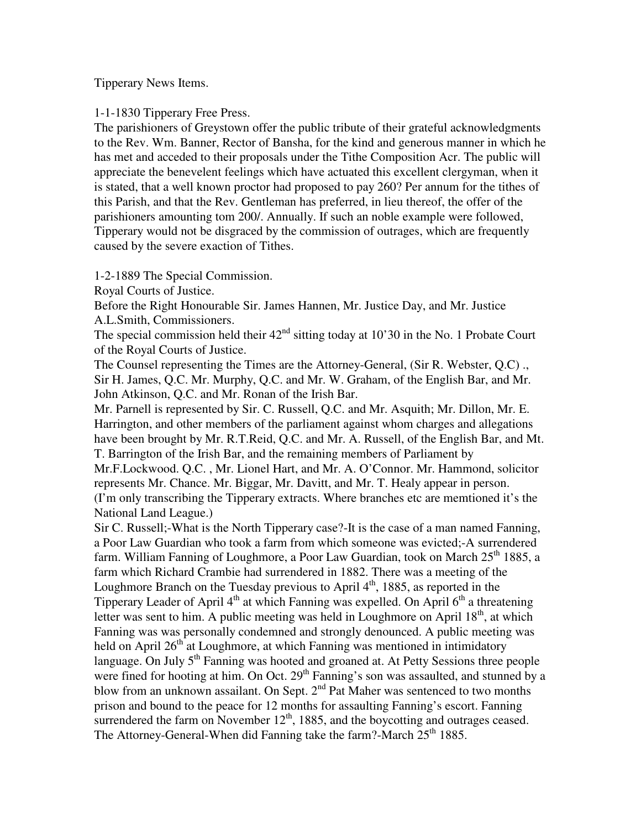Tipperary News Items.

1-1-1830 Tipperary Free Press.

The parishioners of Greystown offer the public tribute of their grateful acknowledgments to the Rev. Wm. Banner, Rector of Bansha, for the kind and generous manner in which he has met and acceded to their proposals under the Tithe Composition Acr. The public will appreciate the benevelent feelings which have actuated this excellent clergyman, when it is stated, that a well known proctor had proposed to pay 260? Per annum for the tithes of this Parish, and that the Rev. Gentleman has preferred, in lieu thereof, the offer of the parishioners amounting tom 200/. Annually. If such an noble example were followed, Tipperary would not be disgraced by the commission of outrages, which are frequently caused by the severe exaction of Tithes.

1-2-1889 The Special Commission.

Royal Courts of Justice.

Before the Right Honourable Sir. James Hannen, Mr. Justice Day, and Mr. Justice A.L.Smith, Commissioners.

The special commission held their  $42<sup>nd</sup>$  sitting today at 10'30 in the No. 1 Probate Court of the Royal Courts of Justice.

The Counsel representing the Times are the Attorney-General, (Sir R. Webster, Q.C) ., Sir H. James, Q.C. Mr. Murphy, Q.C. and Mr. W. Graham, of the English Bar, and Mr. John Atkinson, Q.C. and Mr. Ronan of the Irish Bar.

Mr. Parnell is represented by Sir. C. Russell, Q.C. and Mr. Asquith; Mr. Dillon, Mr. E. Harrington, and other members of the parliament against whom charges and allegations have been brought by Mr. R.T.Reid, Q.C. and Mr. A. Russell, of the English Bar, and Mt. T. Barrington of the Irish Bar, and the remaining members of Parliament by Mr.F.Lockwood. Q.C. , Mr. Lionel Hart, and Mr. A. O'Connor. Mr. Hammond, solicitor

represents Mr. Chance. Mr. Biggar, Mr. Davitt, and Mr. T. Healy appear in person. (I'm only transcribing the Tipperary extracts. Where branches etc are memtioned it's the National Land League.)

Sir C. Russell;-What is the North Tipperary case?-It is the case of a man named Fanning, a Poor Law Guardian who took a farm from which someone was evicted;-A surrendered farm. William Fanning of Loughmore, a Poor Law Guardian, took on March 25<sup>th</sup> 1885, a farm which Richard Crambie had surrendered in 1882. There was a meeting of the Loughmore Branch on the Tuesday previous to April  $4<sup>th</sup>$ , 1885, as reported in the Tipperary Leader of April  $4<sup>th</sup>$  at which Fanning was expelled. On April  $6<sup>th</sup>$  a threatening letter was sent to him. A public meeting was held in Loughmore on April  $18<sup>th</sup>$ , at which Fanning was was personally condemned and strongly denounced. A public meeting was held on April  $26<sup>th</sup>$  at Loughmore, at which Fanning was mentioned in intimidatory language. On July 5<sup>th</sup> Fanning was hooted and groaned at. At Petty Sessions three people were fined for hooting at him. On Oct. 29<sup>th</sup> Fanning's son was assaulted, and stunned by a blow from an unknown assailant. On Sept. 2<sup>nd</sup> Pat Maher was sentenced to two months prison and bound to the peace for 12 months for assaulting Fanning's escort. Fanning surrendered the farm on November  $12<sup>th</sup>$ , 1885, and the boycotting and outrages ceased. The Attorney-General-When did Fanning take the farm?-March  $25<sup>th</sup> 1885$ .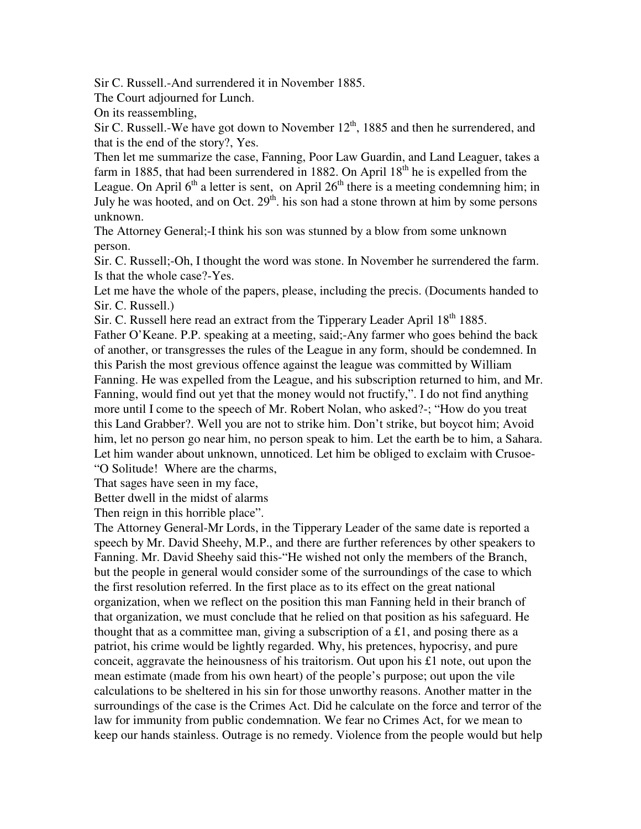Sir C. Russell.-And surrendered it in November 1885.

The Court adjourned for Lunch.

On its reassembling,

Sir C. Russell.-We have got down to November  $12<sup>th</sup>$ , 1885 and then he surrendered, and that is the end of the story?, Yes.

Then let me summarize the case, Fanning, Poor Law Guardin, and Land Leaguer, takes a farm in 1885, that had been surrendered in 1882. On April  $18<sup>th</sup>$  he is expelled from the League. On April  $6<sup>th</sup>$  a letter is sent, on April  $26<sup>th</sup>$  there is a meeting condemning him; in July he was hooted, and on Oct.  $29<sup>th</sup>$ . his son had a stone thrown at him by some persons unknown.

The Attorney General;-I think his son was stunned by a blow from some unknown person.

Sir. C. Russell;-Oh, I thought the word was stone. In November he surrendered the farm. Is that the whole case?-Yes.

Let me have the whole of the papers, please, including the precis. (Documents handed to Sir. C. Russell.)

Sir. C. Russell here read an extract from the Tipperary Leader April 18<sup>th</sup> 1885.

Father O'Keane. P.P. speaking at a meeting, said;-Any farmer who goes behind the back of another, or transgresses the rules of the League in any form, should be condemned. In this Parish the most grevious offence against the league was committed by William Fanning. He was expelled from the League, and his subscription returned to him, and Mr. Fanning, would find out yet that the money would not fructify,". I do not find anything more until I come to the speech of Mr. Robert Nolan, who asked?-; "How do you treat this Land Grabber?. Well you are not to strike him. Don't strike, but boycot him; Avoid him, let no person go near him, no person speak to him. Let the earth be to him, a Sahara. Let him wander about unknown, unnoticed. Let him be obliged to exclaim with Crusoe- "O Solitude! Where are the charms,

That sages have seen in my face,

Better dwell in the midst of alarms

Then reign in this horrible place".

The Attorney General-Mr Lords, in the Tipperary Leader of the same date is reported a speech by Mr. David Sheehy, M.P., and there are further references by other speakers to Fanning. Mr. David Sheehy said this-"He wished not only the members of the Branch, but the people in general would consider some of the surroundings of the case to which the first resolution referred. In the first place as to its effect on the great national organization, when we reflect on the position this man Fanning held in their branch of that organization, we must conclude that he relied on that position as his safeguard. He thought that as a committee man, giving a subscription of a £1, and posing there as a patriot, his crime would be lightly regarded. Why, his pretences, hypocrisy, and pure conceit, aggravate the heinousness of his traitorism. Out upon his  $\pounds$  note, out upon the mean estimate (made from his own heart) of the people's purpose; out upon the vile calculations to be sheltered in his sin for those unworthy reasons. Another matter in the surroundings of the case is the Crimes Act. Did he calculate on the force and terror of the law for immunity from public condemnation. We fear no Crimes Act, for we mean to keep our hands stainless. Outrage is no remedy. Violence from the people would but help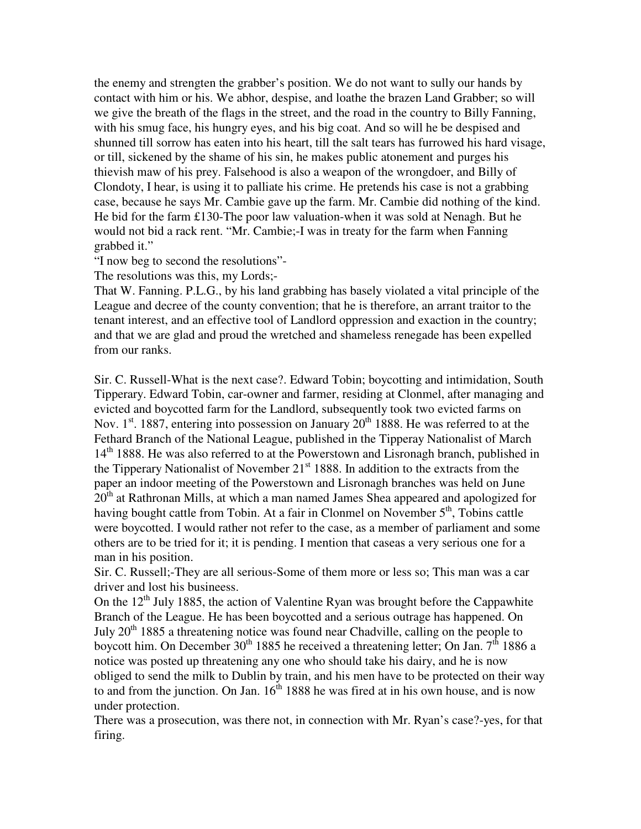the enemy and strengten the grabber's position. We do not want to sully our hands by contact with him or his. We abhor, despise, and loathe the brazen Land Grabber; so will we give the breath of the flags in the street, and the road in the country to Billy Fanning, with his smug face, his hungry eyes, and his big coat. And so will he be despised and shunned till sorrow has eaten into his heart, till the salt tears has furrowed his hard visage, or till, sickened by the shame of his sin, he makes public atonement and purges his thievish maw of his prey. Falsehood is also a weapon of the wrongdoer, and Billy of Clondoty, I hear, is using it to palliate his crime. He pretends his case is not a grabbing case, because he says Mr. Cambie gave up the farm. Mr. Cambie did nothing of the kind. He bid for the farm £130-The poor law valuation-when it was sold at Nenagh. But he would not bid a rack rent. "Mr. Cambie;-I was in treaty for the farm when Fanning grabbed it."

"I now beg to second the resolutions"-

The resolutions was this, my Lords;-

That W. Fanning. P.L.G., by his land grabbing has basely violated a vital principle of the League and decree of the county convention; that he is therefore, an arrant traitor to the tenant interest, and an effective tool of Landlord oppression and exaction in the country; and that we are glad and proud the wretched and shameless renegade has been expelled from our ranks.

Sir. C. Russell-What is the next case?. Edward Tobin; boycotting and intimidation, South Tipperary. Edward Tobin, car-owner and farmer, residing at Clonmel, after managing and evicted and boycotted farm for the Landlord, subsequently took two evicted farms on Nov. 1<sup>st</sup>. 1887, entering into possession on January  $20<sup>th</sup>$  1888. He was referred to at the Fethard Branch of the National League, published in the Tipperay Nationalist of March 14<sup>th</sup> 1888. He was also referred to at the Powerstown and Lisronagh branch, published in the Tipperary Nationalist of November  $21<sup>st</sup> 1888$ . In addition to the extracts from the paper an indoor meeting of the Powerstown and Lisronagh branches was held on June  $20<sup>th</sup>$  at Rathronan Mills, at which a man named James Shea appeared and apologized for having bought cattle from Tobin. At a fair in Clonmel on November  $5<sup>th</sup>$ , Tobins cattle were boycotted. I would rather not refer to the case, as a member of parliament and some others are to be tried for it; it is pending. I mention that caseas a very serious one for a man in his position.

Sir. C. Russell;-They are all serious-Some of them more or less so; This man was a car driver and lost his busineess.

On the  $12<sup>th</sup>$  July 1885, the action of Valentine Ryan was brought before the Cappawhite Branch of the League. He has been boycotted and a serious outrage has happened. On July  $20<sup>th</sup>$  1885 a threatening notice was found near Chadville, calling on the people to boycott him. On December 30<sup>th</sup> 1885 he received a threatening letter; On Jan.  $7<sup>th</sup>$  1886 a notice was posted up threatening any one who should take his dairy, and he is now obliged to send the milk to Dublin by train, and his men have to be protected on their way to and from the junction. On Jan.  $16<sup>th</sup> 1888$  he was fired at in his own house, and is now under protection.

There was a prosecution, was there not, in connection with Mr. Ryan's case?-yes, for that firing.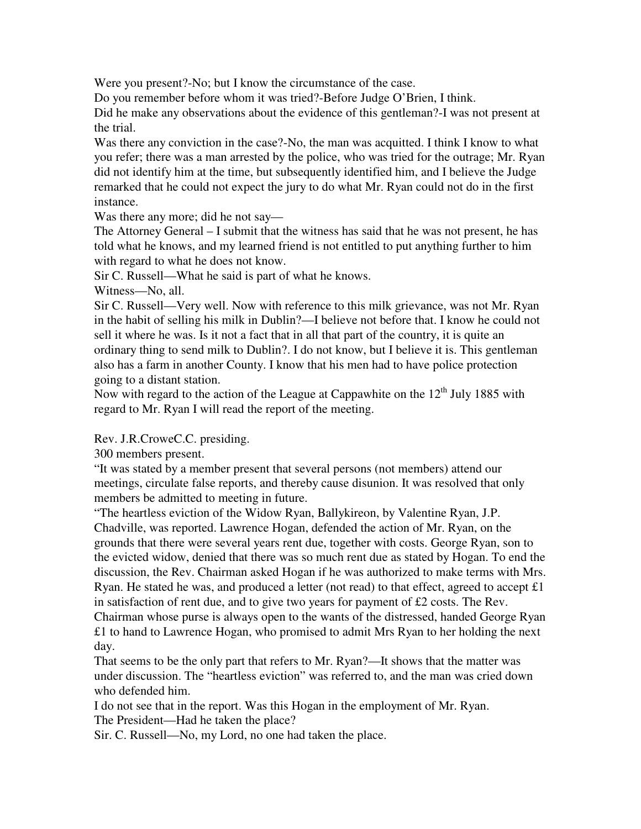Were you present?-No; but I know the circumstance of the case.

Do you remember before whom it was tried?-Before Judge O'Brien, I think.

Did he make any observations about the evidence of this gentleman?-I was not present at the trial.

Was there any conviction in the case?-No, the man was acquitted. I think I know to what you refer; there was a man arrested by the police, who was tried for the outrage; Mr. Ryan did not identify him at the time, but subsequently identified him, and I believe the Judge remarked that he could not expect the jury to do what Mr. Ryan could not do in the first instance.

Was there any more; did he not say—

The Attorney General – I submit that the witness has said that he was not present, he has told what he knows, and my learned friend is not entitled to put anything further to him with regard to what he does not know.

Sir C. Russell—What he said is part of what he knows.

Witness—No, all.

Sir C. Russell—Very well. Now with reference to this milk grievance, was not Mr. Ryan in the habit of selling his milk in Dublin?—I believe not before that. I know he could not sell it where he was. Is it not a fact that in all that part of the country, it is quite an ordinary thing to send milk to Dublin?. I do not know, but I believe it is. This gentleman also has a farm in another County. I know that his men had to have police protection going to a distant station.

Now with regard to the action of the League at Cappawhite on the  $12<sup>th</sup>$  July 1885 with regard to Mr. Ryan I will read the report of the meeting.

Rev. J.R.CroweC.C. presiding.

300 members present.

"It was stated by a member present that several persons (not members) attend our meetings, circulate false reports, and thereby cause disunion. It was resolved that only members be admitted to meeting in future.

"The heartless eviction of the Widow Ryan, Ballykireon, by Valentine Ryan, J.P. Chadville, was reported. Lawrence Hogan, defended the action of Mr. Ryan, on the grounds that there were several years rent due, together with costs. George Ryan, son to the evicted widow, denied that there was so much rent due as stated by Hogan. To end the discussion, the Rev. Chairman asked Hogan if he was authorized to make terms with Mrs. Ryan. He stated he was, and produced a letter (not read) to that effect, agreed to accept £1 in satisfaction of rent due, and to give two years for payment of  $\pounds 2$  costs. The Rev. Chairman whose purse is always open to the wants of the distressed, handed George Ryan £1 to hand to Lawrence Hogan, who promised to admit Mrs Ryan to her holding the next day.

That seems to be the only part that refers to Mr. Ryan?—It shows that the matter was under discussion. The "heartless eviction" was referred to, and the man was cried down who defended him.

I do not see that in the report. Was this Hogan in the employment of Mr. Ryan. The President—Had he taken the place?

Sir. C. Russell—No, my Lord, no one had taken the place.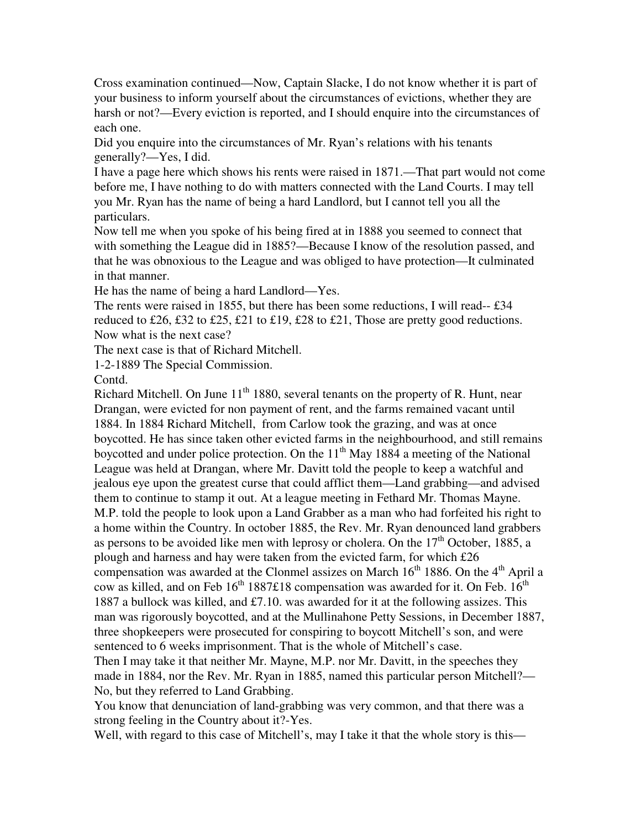Cross examination continued—Now, Captain Slacke, I do not know whether it is part of your business to inform yourself about the circumstances of evictions, whether they are harsh or not?—Every eviction is reported, and I should enquire into the circumstances of each one.

Did you enquire into the circumstances of Mr. Ryan's relations with his tenants generally?—Yes, I did.

I have a page here which shows his rents were raised in 1871.—That part would not come before me, I have nothing to do with matters connected with the Land Courts. I may tell you Mr. Ryan has the name of being a hard Landlord, but I cannot tell you all the particulars.

Now tell me when you spoke of his being fired at in 1888 you seemed to connect that with something the League did in 1885?—Because I know of the resolution passed, and that he was obnoxious to the League and was obliged to have protection—It culminated in that manner.

He has the name of being a hard Landlord—Yes.

The rents were raised in 1855, but there has been some reductions, I will read--£34 reduced to £26, £32 to £25, £21 to £19, £28 to £21, Those are pretty good reductions. Now what is the next case?

The next case is that of Richard Mitchell.

1-2-1889 The Special Commission.

Contd.

Richard Mitchell. On June  $11<sup>th</sup> 1880$ , several tenants on the property of R. Hunt, near Drangan, were evicted for non payment of rent, and the farms remained vacant until 1884. In 1884 Richard Mitchell, from Carlow took the grazing, and was at once boycotted. He has since taken other evicted farms in the neighbourhood, and still remains boycotted and under police protection. On the  $11<sup>th</sup>$  May 1884 a meeting of the National League was held at Drangan, where Mr. Davitt told the people to keep a watchful and jealous eye upon the greatest curse that could afflict them—Land grabbing—and advised them to continue to stamp it out. At a league meeting in Fethard Mr. Thomas Mayne. M.P. told the people to look upon a Land Grabber as a man who had forfeited his right to a home within the Country. In october 1885, the Rev. Mr. Ryan denounced land grabbers as persons to be avoided like men with leprosy or cholera. On the  $17<sup>th</sup>$  October, 1885, a plough and harness and hay were taken from the evicted farm, for which £26 compensation was awarded at the Clonmel assizes on March  $16<sup>th</sup> 1886$ . On the  $4<sup>th</sup>$  April a cow as killed, and on Feb  $16<sup>th</sup> 1887£18$  compensation was awarded for it. On Feb.  $16<sup>th</sup>$ 1887 a bullock was killed, and £7.10. was awarded for it at the following assizes. This man was rigorously boycotted, and at the Mullinahone Petty Sessions, in December 1887, three shopkeepers were prosecuted for conspiring to boycott Mitchell's son, and were sentenced to 6 weeks imprisonment. That is the whole of Mitchell's case.

Then I may take it that neither Mr. Mayne, M.P. nor Mr. Davitt, in the speeches they made in 1884, nor the Rev. Mr. Ryan in 1885, named this particular person Mitchell?— No, but they referred to Land Grabbing.

You know that denunciation of land-grabbing was very common, and that there was a strong feeling in the Country about it?-Yes.

Well, with regard to this case of Mitchell's, may I take it that the whole story is this—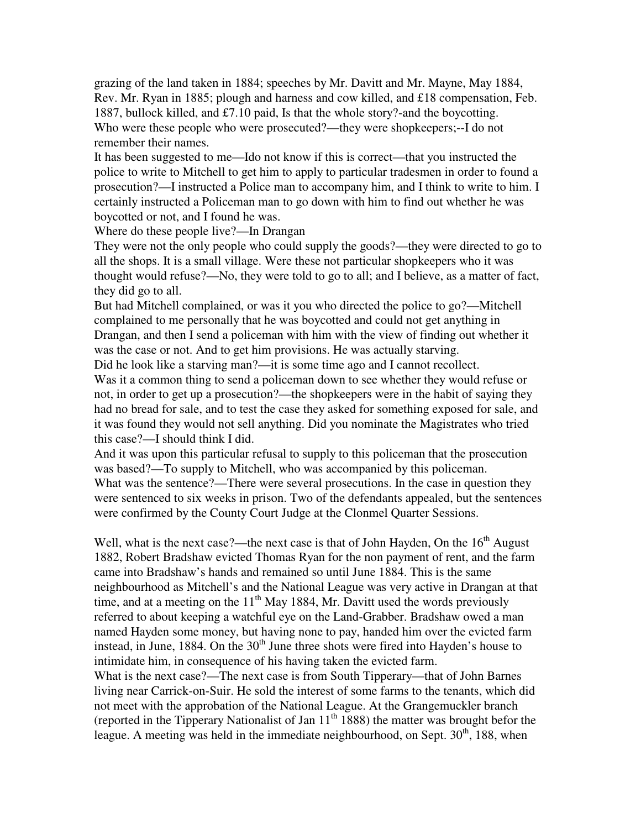grazing of the land taken in 1884; speeches by Mr. Davitt and Mr. Mayne, May 1884, Rev. Mr. Ryan in 1885; plough and harness and cow killed, and £18 compensation, Feb. 1887, bullock killed, and £7.10 paid, Is that the whole story?-and the boycotting. Who were these people who were prosecuted?—they were shopkeepers;--I do not remember their names.

It has been suggested to me—Ido not know if this is correct—that you instructed the police to write to Mitchell to get him to apply to particular tradesmen in order to found a prosecution?—I instructed a Police man to accompany him, and I think to write to him. I certainly instructed a Policeman man to go down with him to find out whether he was boycotted or not, and I found he was.

Where do these people live?—In Drangan

They were not the only people who could supply the goods?—they were directed to go to all the shops. It is a small village. Were these not particular shopkeepers who it was thought would refuse?—No, they were told to go to all; and I believe, as a matter of fact, they did go to all.

But had Mitchell complained, or was it you who directed the police to go?—Mitchell complained to me personally that he was boycotted and could not get anything in Drangan, and then I send a policeman with him with the view of finding out whether it was the case or not. And to get him provisions. He was actually starving.

Did he look like a starving man?—it is some time ago and I cannot recollect.

Was it a common thing to send a policeman down to see whether they would refuse or not, in order to get up a prosecution?—the shopkeepers were in the habit of saying they had no bread for sale, and to test the case they asked for something exposed for sale, and it was found they would not sell anything. Did you nominate the Magistrates who tried this case?—I should think I did.

And it was upon this particular refusal to supply to this policeman that the prosecution was based?—To supply to Mitchell, who was accompanied by this policeman. What was the sentence?—There were several prosecutions. In the case in question they were sentenced to six weeks in prison. Two of the defendants appealed, but the sentences were confirmed by the County Court Judge at the Clonmel Quarter Sessions.

Well, what is the next case?—the next case is that of John Hayden, On the  $16<sup>th</sup>$  August 1882, Robert Bradshaw evicted Thomas Ryan for the non payment of rent, and the farm came into Bradshaw's hands and remained so until June 1884. This is the same neighbourhood as Mitchell's and the National League was very active in Drangan at that time, and at a meeting on the  $11<sup>th</sup>$  May 1884, Mr. Davitt used the words previously referred to about keeping a watchful eye on the Land-Grabber. Bradshaw owed a man named Hayden some money, but having none to pay, handed him over the evicted farm instead, in June, 1884. On the  $30<sup>th</sup>$  June three shots were fired into Hayden's house to intimidate him, in consequence of his having taken the evicted farm.

What is the next case?—The next case is from South Tipperary—that of John Barnes living near Carrick-on-Suir. He sold the interest of some farms to the tenants, which did not meet with the approbation of the National League. At the Grangemuckler branch (reported in the Tipperary Nationalist of Jan  $11<sup>th</sup> 1888$ ) the matter was brought befor the league. A meeting was held in the immediate neighbourhood, on Sept.  $30<sup>th</sup>$ , 188, when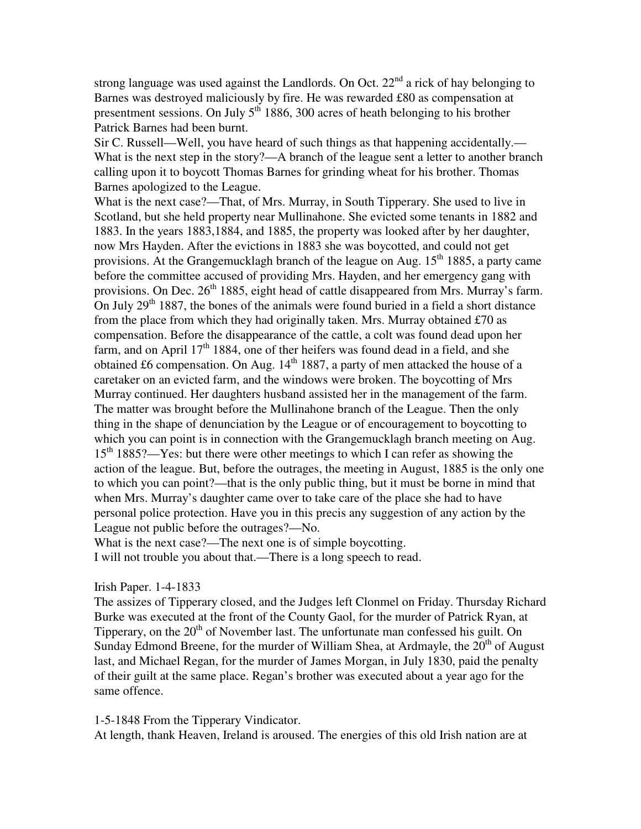strong language was used against the Landlords. On Oct.  $22<sup>nd</sup>$  a rick of hay belonging to Barnes was destroyed maliciously by fire. He was rewarded £80 as compensation at presentment sessions. On July  $5<sup>th</sup>$  1886, 300 acres of heath belonging to his brother Patrick Barnes had been burnt.

Sir C. Russell—Well, you have heard of such things as that happening accidentally.— What is the next step in the story?—A branch of the league sent a letter to another branch calling upon it to boycott Thomas Barnes for grinding wheat for his brother. Thomas Barnes apologized to the League.

What is the next case?—That, of Mrs. Murray, in South Tipperary. She used to live in Scotland, but she held property near Mullinahone. She evicted some tenants in 1882 and 1883. In the years 1883,1884, and 1885, the property was looked after by her daughter, now Mrs Hayden. After the evictions in 1883 she was boycotted, and could not get provisions. At the Grangemucklagh branch of the league on Aug.  $15<sup>th</sup> 1885$ , a party came before the committee accused of providing Mrs. Hayden, and her emergency gang with provisions. On Dec.  $26<sup>th</sup> 1885$ , eight head of cattle disappeared from Mrs. Murray's farm. On July  $29<sup>th</sup> 1887$ , the bones of the animals were found buried in a field a short distance from the place from which they had originally taken. Mrs. Murray obtained £70 as compensation. Before the disappearance of the cattle, a colt was found dead upon her farm, and on April  $17<sup>th</sup> 1884$ , one of ther heifers was found dead in a field, and she obtained £6 compensation. On Aug.  $14<sup>th</sup>$  1887, a party of men attacked the house of a caretaker on an evicted farm, and the windows were broken. The boycotting of Mrs Murray continued. Her daughters husband assisted her in the management of the farm. The matter was brought before the Mullinahone branch of the League. Then the only thing in the shape of denunciation by the League or of encouragement to boycotting to which you can point is in connection with the Grangemucklagh branch meeting on Aug. 15<sup>th</sup> 1885?—Yes: but there were other meetings to which I can refer as showing the action of the league. But, before the outrages, the meeting in August, 1885 is the only one to which you can point?—that is the only public thing, but it must be borne in mind that when Mrs. Murray's daughter came over to take care of the place she had to have personal police protection. Have you in this precis any suggestion of any action by the League not public before the outrages?—No.

What is the next case?—The next one is of simple boycotting.

I will not trouble you about that.—There is a long speech to read.

Irish Paper. 1-4-1833

The assizes of Tipperary closed, and the Judges left Clonmel on Friday. Thursday Richard Burke was executed at the front of the County Gaol, for the murder of Patrick Ryan, at Tipperary, on the  $20<sup>th</sup>$  of November last. The unfortunate man confessed his guilt. On Sunday Edmond Breene, for the murder of William Shea, at Ardmayle, the  $20<sup>th</sup>$  of August last, and Michael Regan, for the murder of James Morgan, in July 1830, paid the penalty of their guilt at the same place. Regan's brother was executed about a year ago for the same offence.

1-5-1848 From the Tipperary Vindicator.

At length, thank Heaven, Ireland is aroused. The energies of this old Irish nation are at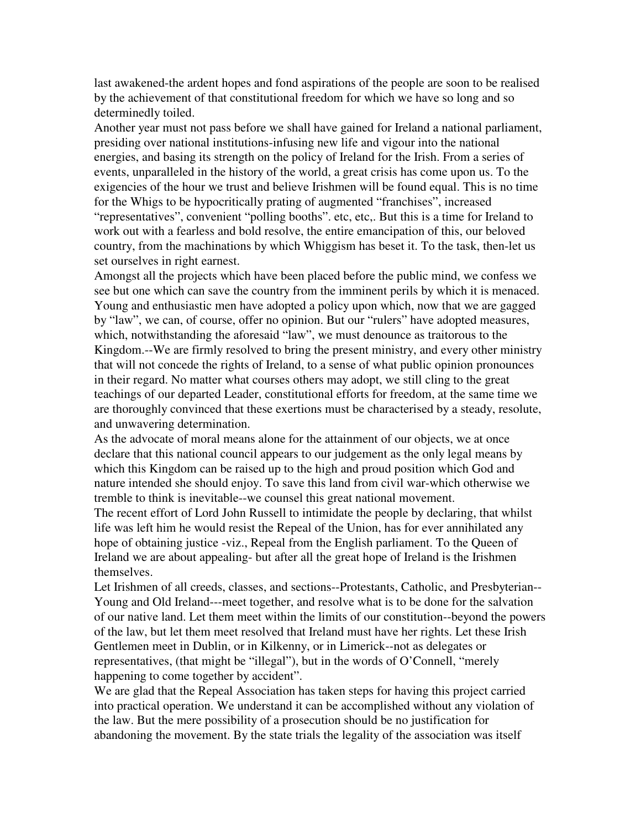last awakened-the ardent hopes and fond aspirations of the people are soon to be realised by the achievement of that constitutional freedom for which we have so long and so determinedly toiled.

Another year must not pass before we shall have gained for Ireland a national parliament, presiding over national institutions-infusing new life and vigour into the national energies, and basing its strength on the policy of Ireland for the Irish. From a series of events, unparalleled in the history of the world, a great crisis has come upon us. To the exigencies of the hour we trust and believe Irishmen will be found equal. This is no time for the Whigs to be hypocritically prating of augmented "franchises", increased "representatives", convenient "polling booths". etc, etc,. But this is a time for Ireland to work out with a fearless and bold resolve, the entire emancipation of this, our beloved country, from the machinations by which Whiggism has beset it. To the task, then-let us set ourselves in right earnest.

Amongst all the projects which have been placed before the public mind, we confess we see but one which can save the country from the imminent perils by which it is menaced. Young and enthusiastic men have adopted a policy upon which, now that we are gagged by "law", we can, of course, offer no opinion. But our "rulers" have adopted measures, which, notwithstanding the aforesaid "law", we must denounce as traitorous to the Kingdom.--We are firmly resolved to bring the present ministry, and every other ministry that will not concede the rights of Ireland, to a sense of what public opinion pronounces in their regard. No matter what courses others may adopt, we still cling to the great teachings of our departed Leader, constitutional efforts for freedom, at the same time we are thoroughly convinced that these exertions must be characterised by a steady, resolute, and unwavering determination.

As the advocate of moral means alone for the attainment of our objects, we at once declare that this national council appears to our judgement as the only legal means by which this Kingdom can be raised up to the high and proud position which God and nature intended she should enjoy. To save this land from civil war-which otherwise we tremble to think is inevitable--we counsel this great national movement.

The recent effort of Lord John Russell to intimidate the people by declaring, that whilst life was left him he would resist the Repeal of the Union, has for ever annihilated any hope of obtaining justice -viz., Repeal from the English parliament. To the Queen of Ireland we are about appealing- but after all the great hope of Ireland is the Irishmen themselves.

Let Irishmen of all creeds, classes, and sections--Protestants, Catholic, and Presbyterian-- Young and Old Ireland---meet together, and resolve what is to be done for the salvation of our native land. Let them meet within the limits of our constitution--beyond the powers of the law, but let them meet resolved that Ireland must have her rights. Let these Irish Gentlemen meet in Dublin, or in Kilkenny, or in Limerick--not as delegates or representatives, (that might be "illegal"), but in the words of O'Connell, "merely happening to come together by accident".

We are glad that the Repeal Association has taken steps for having this project carried into practical operation. We understand it can be accomplished without any violation of the law. But the mere possibility of a prosecution should be no justification for abandoning the movement. By the state trials the legality of the association was itself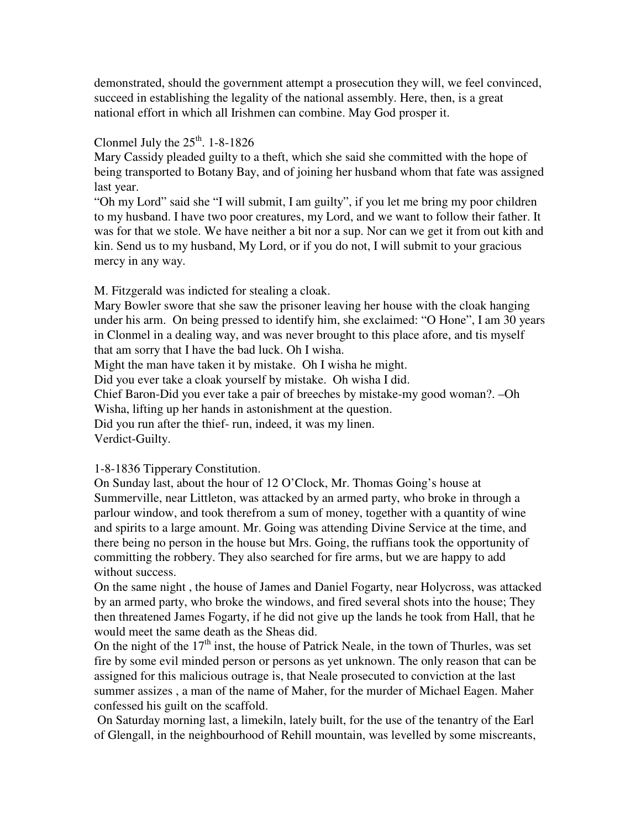demonstrated, should the government attempt a prosecution they will, we feel convinced, succeed in establishing the legality of the national assembly. Here, then, is a great national effort in which all Irishmen can combine. May God prosper it.

# Clonmel July the  $25<sup>th</sup>$ . 1-8-1826

Mary Cassidy pleaded guilty to a theft, which she said she committed with the hope of being transported to Botany Bay, and of joining her husband whom that fate was assigned last year.

"Oh my Lord" said she "I will submit, I am guilty", if you let me bring my poor children to my husband. I have two poor creatures, my Lord, and we want to follow their father. It was for that we stole. We have neither a bit nor a sup. Nor can we get it from out kith and kin. Send us to my husband, My Lord, or if you do not, I will submit to your gracious mercy in any way.

M. Fitzgerald was indicted for stealing a cloak.

Mary Bowler swore that she saw the prisoner leaving her house with the cloak hanging under his arm. On being pressed to identify him, she exclaimed: "O Hone", I am 30 years in Clonmel in a dealing way, and was never brought to this place afore, and tis myself that am sorry that I have the bad luck. Oh I wisha.

Might the man have taken it by mistake. Oh I wisha he might.

Did you ever take a cloak yourself by mistake. Oh wisha I did.

Chief Baron-Did you ever take a pair of breeches by mistake-my good woman?. –Oh Wisha, lifting up her hands in astonishment at the question.

Did you run after the thief- run, indeed, it was my linen.

Verdict-Guilty.

# 1-8-1836 Tipperary Constitution.

On Sunday last, about the hour of 12 O'Clock, Mr. Thomas Going's house at Summerville, near Littleton, was attacked by an armed party, who broke in through a parlour window, and took therefrom a sum of money, together with a quantity of wine and spirits to a large amount. Mr. Going was attending Divine Service at the time, and there being no person in the house but Mrs. Going, the ruffians took the opportunity of committing the robbery. They also searched for fire arms, but we are happy to add without success.

On the same night , the house of James and Daniel Fogarty, near Holycross, was attacked by an armed party, who broke the windows, and fired several shots into the house; They then threatened James Fogarty, if he did not give up the lands he took from Hall, that he would meet the same death as the Sheas did.

On the night of the  $17<sup>th</sup>$  inst, the house of Patrick Neale, in the town of Thurles, was set fire by some evil minded person or persons as yet unknown. The only reason that can be assigned for this malicious outrage is, that Neale prosecuted to conviction at the last summer assizes , a man of the name of Maher, for the murder of Michael Eagen. Maher confessed his guilt on the scaffold.

 On Saturday morning last, a limekiln, lately built, for the use of the tenantry of the Earl of Glengall, in the neighbourhood of Rehill mountain, was levelled by some miscreants,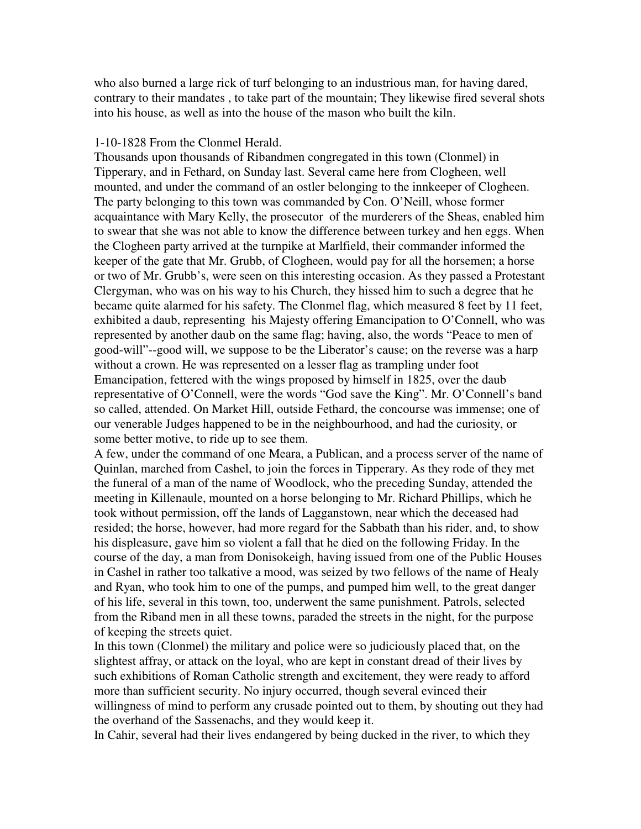who also burned a large rick of turf belonging to an industrious man, for having dared, contrary to their mandates , to take part of the mountain; They likewise fired several shots into his house, as well as into the house of the mason who built the kiln.

#### 1-10-1828 From the Clonmel Herald.

Thousands upon thousands of Ribandmen congregated in this town (Clonmel) in Tipperary, and in Fethard, on Sunday last. Several came here from Clogheen, well mounted, and under the command of an ostler belonging to the innkeeper of Clogheen. The party belonging to this town was commanded by Con. O'Neill, whose former acquaintance with Mary Kelly, the prosecutor of the murderers of the Sheas, enabled him to swear that she was not able to know the difference between turkey and hen eggs. When the Clogheen party arrived at the turnpike at Marlfield, their commander informed the keeper of the gate that Mr. Grubb, of Clogheen, would pay for all the horsemen; a horse or two of Mr. Grubb's, were seen on this interesting occasion. As they passed a Protestant Clergyman, who was on his way to his Church, they hissed him to such a degree that he became quite alarmed for his safety. The Clonmel flag, which measured 8 feet by 11 feet, exhibited a daub, representing his Majesty offering Emancipation to O'Connell, who was represented by another daub on the same flag; having, also, the words "Peace to men of good-will"--good will, we suppose to be the Liberator's cause; on the reverse was a harp without a crown. He was represented on a lesser flag as trampling under foot Emancipation, fettered with the wings proposed by himself in 1825, over the daub representative of O'Connell, were the words "God save the King". Mr. O'Connell's band so called, attended. On Market Hill, outside Fethard, the concourse was immense; one of our venerable Judges happened to be in the neighbourhood, and had the curiosity, or some better motive, to ride up to see them.

A few, under the command of one Meara, a Publican, and a process server of the name of Quinlan, marched from Cashel, to join the forces in Tipperary. As they rode of they met the funeral of a man of the name of Woodlock, who the preceding Sunday, attended the meeting in Killenaule, mounted on a horse belonging to Mr. Richard Phillips, which he took without permission, off the lands of Lagganstown, near which the deceased had resided; the horse, however, had more regard for the Sabbath than his rider, and, to show his displeasure, gave him so violent a fall that he died on the following Friday. In the course of the day, a man from Donisokeigh, having issued from one of the Public Houses in Cashel in rather too talkative a mood, was seized by two fellows of the name of Healy and Ryan, who took him to one of the pumps, and pumped him well, to the great danger of his life, several in this town, too, underwent the same punishment. Patrols, selected from the Riband men in all these towns, paraded the streets in the night, for the purpose of keeping the streets quiet.

In this town (Clonmel) the military and police were so judiciously placed that, on the slightest affray, or attack on the loyal, who are kept in constant dread of their lives by such exhibitions of Roman Catholic strength and excitement, they were ready to afford more than sufficient security. No injury occurred, though several evinced their willingness of mind to perform any crusade pointed out to them, by shouting out they had the overhand of the Sassenachs, and they would keep it.

In Cahir, several had their lives endangered by being ducked in the river, to which they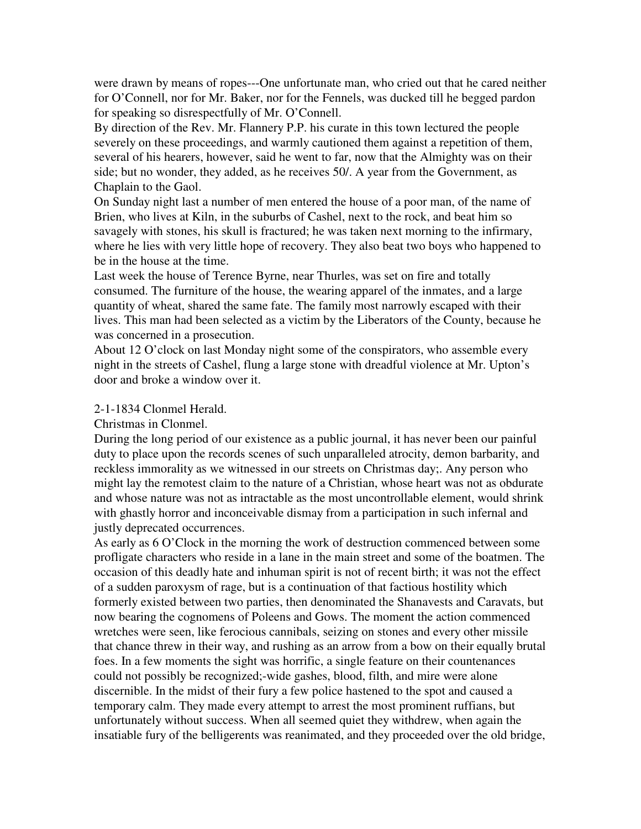were drawn by means of ropes---One unfortunate man, who cried out that he cared neither for O'Connell, nor for Mr. Baker, nor for the Fennels, was ducked till he begged pardon for speaking so disrespectfully of Mr. O'Connell.

By direction of the Rev. Mr. Flannery P.P. his curate in this town lectured the people severely on these proceedings, and warmly cautioned them against a repetition of them, several of his hearers, however, said he went to far, now that the Almighty was on their side; but no wonder, they added, as he receives 50/. A year from the Government, as Chaplain to the Gaol.

On Sunday night last a number of men entered the house of a poor man, of the name of Brien, who lives at Kiln, in the suburbs of Cashel, next to the rock, and beat him so savagely with stones, his skull is fractured; he was taken next morning to the infirmary, where he lies with very little hope of recovery. They also beat two boys who happened to be in the house at the time.

Last week the house of Terence Byrne, near Thurles, was set on fire and totally consumed. The furniture of the house, the wearing apparel of the inmates, and a large quantity of wheat, shared the same fate. The family most narrowly escaped with their lives. This man had been selected as a victim by the Liberators of the County, because he was concerned in a prosecution.

About 12 O'clock on last Monday night some of the conspirators, who assemble every night in the streets of Cashel, flung a large stone with dreadful violence at Mr. Upton's door and broke a window over it.

#### 2-1-1834 Clonmel Herald.

#### Christmas in Clonmel.

During the long period of our existence as a public journal, it has never been our painful duty to place upon the records scenes of such unparalleled atrocity, demon barbarity, and reckless immorality as we witnessed in our streets on Christmas day;. Any person who might lay the remotest claim to the nature of a Christian, whose heart was not as obdurate and whose nature was not as intractable as the most uncontrollable element, would shrink with ghastly horror and inconceivable dismay from a participation in such infernal and justly deprecated occurrences.

As early as 6 O'Clock in the morning the work of destruction commenced between some profligate characters who reside in a lane in the main street and some of the boatmen. The occasion of this deadly hate and inhuman spirit is not of recent birth; it was not the effect of a sudden paroxysm of rage, but is a continuation of that factious hostility which formerly existed between two parties, then denominated the Shanavests and Caravats, but now bearing the cognomens of Poleens and Gows. The moment the action commenced wretches were seen, like ferocious cannibals, seizing on stones and every other missile that chance threw in their way, and rushing as an arrow from a bow on their equally brutal foes. In a few moments the sight was horrific, a single feature on their countenances could not possibly be recognized;-wide gashes, blood, filth, and mire were alone discernible. In the midst of their fury a few police hastened to the spot and caused a temporary calm. They made every attempt to arrest the most prominent ruffians, but unfortunately without success. When all seemed quiet they withdrew, when again the insatiable fury of the belligerents was reanimated, and they proceeded over the old bridge,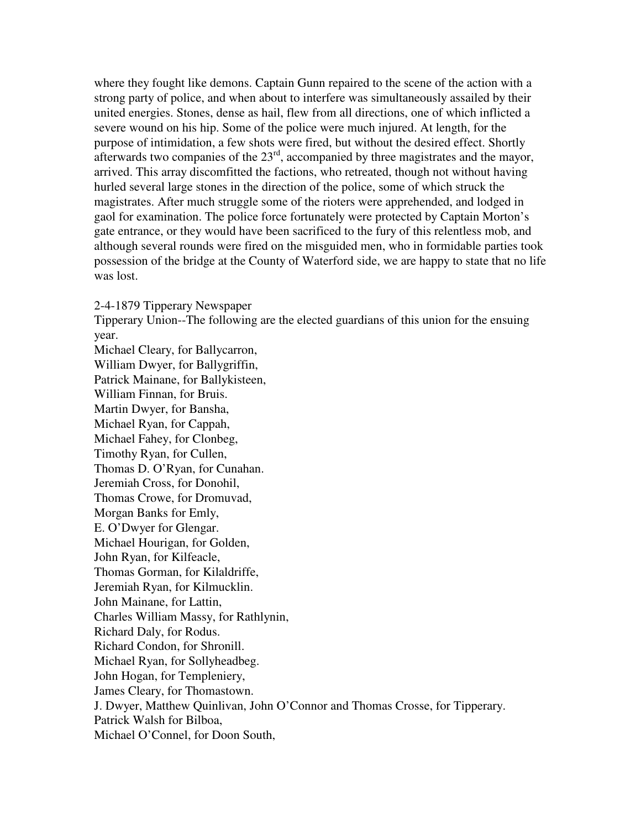where they fought like demons. Captain Gunn repaired to the scene of the action with a strong party of police, and when about to interfere was simultaneously assailed by their united energies. Stones, dense as hail, flew from all directions, one of which inflicted a severe wound on his hip. Some of the police were much injured. At length, for the purpose of intimidation, a few shots were fired, but without the desired effect. Shortly afterwards two companies of the  $23<sup>rd</sup>$ , accompanied by three magistrates and the mayor, arrived. This array discomfitted the factions, who retreated, though not without having hurled several large stones in the direction of the police, some of which struck the magistrates. After much struggle some of the rioters were apprehended, and lodged in gaol for examination. The police force fortunately were protected by Captain Morton's gate entrance, or they would have been sacrificed to the fury of this relentless mob, and although several rounds were fired on the misguided men, who in formidable parties took possession of the bridge at the County of Waterford side, we are happy to state that no life was lost.

#### 2-4-1879 Tipperary Newspaper

Tipperary Union--The following are the elected guardians of this union for the ensuing year.

Michael Cleary, for Ballycarron, William Dwyer, for Ballygriffin, Patrick Mainane, for Ballykisteen, William Finnan, for Bruis. Martin Dwyer, for Bansha, Michael Ryan, for Cappah, Michael Fahey, for Clonbeg, Timothy Ryan, for Cullen, Thomas D. O'Ryan, for Cunahan. Jeremiah Cross, for Donohil, Thomas Crowe, for Dromuvad, Morgan Banks for Emly, E. O'Dwyer for Glengar. Michael Hourigan, for Golden, John Ryan, for Kilfeacle, Thomas Gorman, for Kilaldriffe, Jeremiah Ryan, for Kilmucklin. John Mainane, for Lattin, Charles William Massy, for Rathlynin, Richard Daly, for Rodus. Richard Condon, for Shronill. Michael Ryan, for Sollyheadbeg. John Hogan, for Templeniery, James Cleary, for Thomastown. J. Dwyer, Matthew Quinlivan, John O'Connor and Thomas Crosse, for Tipperary. Patrick Walsh for Bilboa, Michael O'Connel, for Doon South,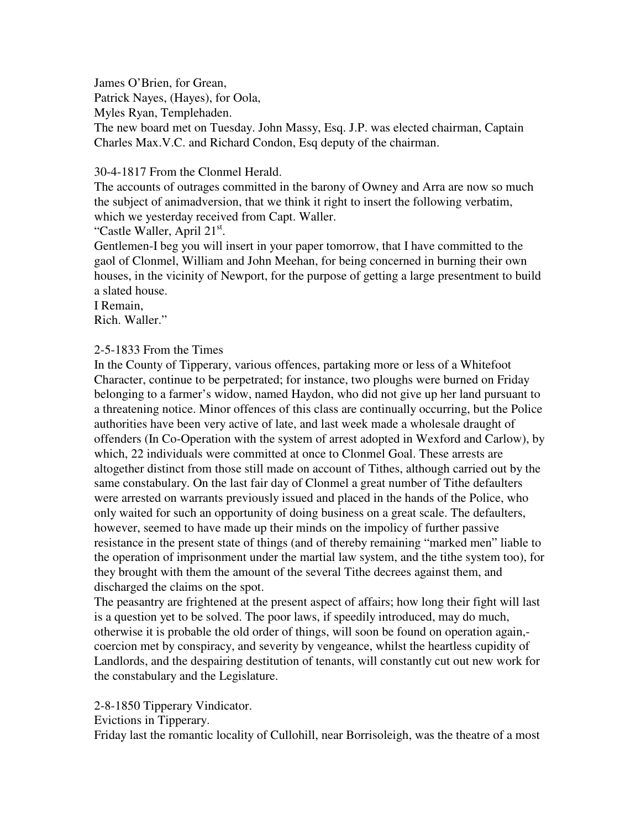James O'Brien, for Grean, Patrick Nayes, (Hayes), for Oola, Myles Ryan, Templehaden. The new board met on Tuesday. John Massy, Esq. J.P. was elected chairman, Captain

Charles Max.V.C. and Richard Condon, Esq deputy of the chairman.

# 30-4-1817 From the Clonmel Herald.

The accounts of outrages committed in the barony of Owney and Arra are now so much the subject of animadversion, that we think it right to insert the following verbatim, which we yesterday received from Capt. Waller.

"Castle Waller, April 21<sup>st</sup>.

Gentlemen-I beg you will insert in your paper tomorrow, that I have committed to the gaol of Clonmel, William and John Meehan, for being concerned in burning their own houses, in the vicinity of Newport, for the purpose of getting a large presentment to build a slated house.

I Remain,

Rich. Waller."

## 2-5-1833 From the Times

In the County of Tipperary, various offences, partaking more or less of a Whitefoot Character, continue to be perpetrated; for instance, two ploughs were burned on Friday belonging to a farmer's widow, named Haydon, who did not give up her land pursuant to a threatening notice. Minor offences of this class are continually occurring, but the Police authorities have been very active of late, and last week made a wholesale draught of offenders (In Co-Operation with the system of arrest adopted in Wexford and Carlow), by which, 22 individuals were committed at once to Clonmel Goal. These arrests are altogether distinct from those still made on account of Tithes, although carried out by the same constabulary. On the last fair day of Clonmel a great number of Tithe defaulters were arrested on warrants previously issued and placed in the hands of the Police, who only waited for such an opportunity of doing business on a great scale. The defaulters, however, seemed to have made up their minds on the impolicy of further passive resistance in the present state of things (and of thereby remaining "marked men" liable to the operation of imprisonment under the martial law system, and the tithe system too), for they brought with them the amount of the several Tithe decrees against them, and discharged the claims on the spot.

The peasantry are frightened at the present aspect of affairs; how long their fight will last is a question yet to be solved. The poor laws, if speedily introduced, may do much, otherwise it is probable the old order of things, will soon be found on operation again, coercion met by conspiracy, and severity by vengeance, whilst the heartless cupidity of Landlords, and the despairing destitution of tenants, will constantly cut out new work for the constabulary and the Legislature.

2-8-1850 Tipperary Vindicator.

Evictions in Tipperary.

Friday last the romantic locality of Cullohill, near Borrisoleigh, was the theatre of a most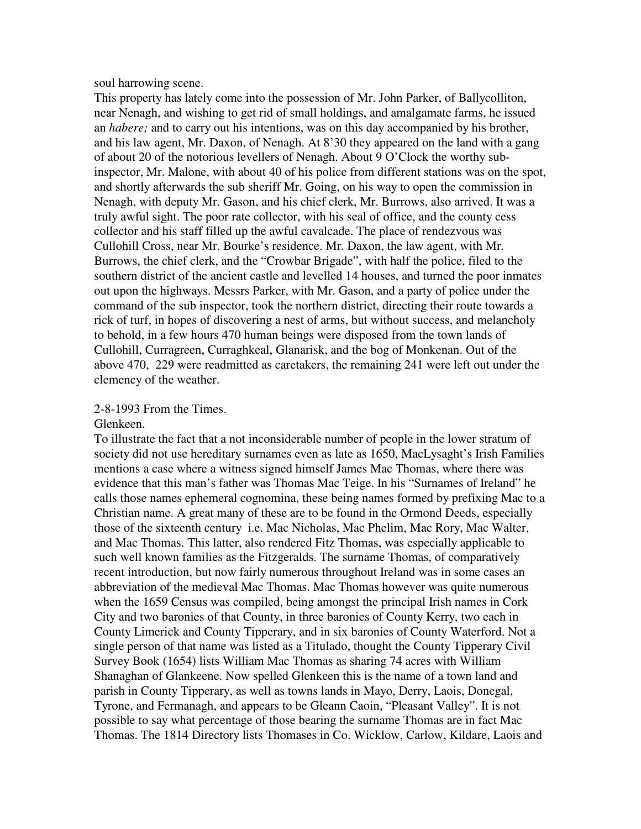soul harrowing scene.

This property has lately come into the possession of Mr. John Parker, of Ballycolliton, near Nenagh, and wishing to get rid of small holdings, and amalgamate farms, he issued an *habere;* and to carry out his intentions, was on this day accompanied by his brother, and his law agent, Mr. Daxon, of Nenagh. At 8'30 they appeared on the land with a gang of about 20 of the notorious levellers of Nenagh. About 9 O'Clock the worthy subinspector, Mr. Malone, with about 40 of his police from different stations was on the spot, and shortly afterwards the sub sheriff Mr. Going, on his way to open the commission in Nenagh, with deputy Mr. Gason, and his chief clerk, Mr. Burrows, also arrived. It was a truly awful sight. The poor rate collector, with his seal of office, and the county cess collector and his staff filled up the awful cavalcade. The place of rendezvous was Cullohill Cross, near Mr. Bourke's residence. Mr. Daxon, the law agent, with Mr. Burrows, the chief clerk, and the "Crowbar Brigade", with half the police, filed to the southern district of the ancient castle and levelled 14 houses, and turned the poor inmates out upon the highways. Messrs Parker, with Mr. Gason, and a party of police under the command of the sub inspector, took the northern district, directing their route towards a rick of turf, in hopes of discovering a nest of arms, but without success, and melancholy to behold, in a few hours 470 human beings were disposed from the town lands of Cullohill, Curragreen, Curraghkeal, Glanarisk, and the bog of Monkenan. Out of the above 470, 229 were readmitted as caretakers, the remaining 241 were left out under the clemency of the weather.

#### 2-8-1993 From the Times.

#### Glenkeen.

To illustrate the fact that a not inconsiderable number of people in the lower stratum of society did not use hereditary surnames even as late as 1650, MacLysaght's Irish Families mentions a case where a witness signed himself James Mac Thomas, where there was evidence that this man's father was Thomas Mac Teige. In his "Surnames of Ireland" he calls those names ephemeral cognomina, these being names formed by prefixing Mac to a Christian name. A great many of these are to be found in the Ormond Deeds, especially those of the sixteenth century i.e. Mac Nicholas, Mac Phelim, Mac Rory, Mac Walter, and Mac Thomas. This latter, also rendered Fitz Thomas, was especially applicable to such well known families as the Fitzgeralds. The surname Thomas, of comparatively recent introduction, but now fairly numerous throughout Ireland was in some cases an abbreviation of the medieval Mac Thomas. Mac Thomas however was quite numerous when the 1659 Census was compiled, being amongst the principal Irish names in Cork City and two baronies of that County, in three baronies of County Kerry, two each in County Limerick and County Tipperary, and in six baronies of County Waterford. Not a single person of that name was listed as a Titulado, thought the County Tipperary Civil Survey Book (1654) lists William Mac Thomas as sharing 74 acres with William Shanaghan of Glankeene. Now spelled Glenkeen this is the name of a town land and parish in County Tipperary, as well as towns lands in Mayo, Derry, Laois, Donegal, Tyrone, and Fermanagh, and appears to be Gleann Caoin, "Pleasant Valley". It is not possible to say what percentage of those bearing the surname Thomas are in fact Mac Thomas. The 1814 Directory lists Thomases in Co. Wicklow, Carlow, Kildare, Laois and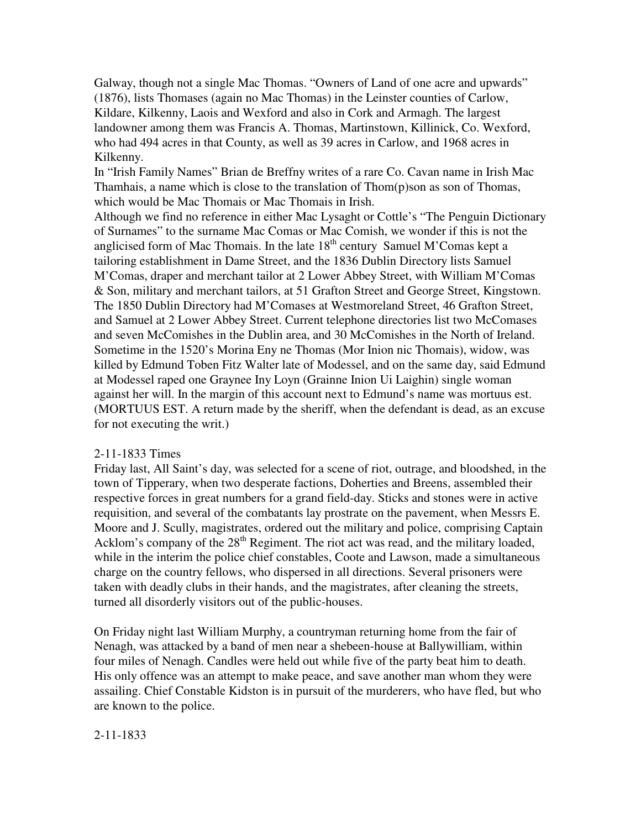Galway, though not a single Mac Thomas. "Owners of Land of one acre and upwards" (1876), lists Thomases (again no Mac Thomas) in the Leinster counties of Carlow, Kildare, Kilkenny, Laois and Wexford and also in Cork and Armagh. The largest landowner among them was Francis A. Thomas, Martinstown, Killinick, Co. Wexford, who had 494 acres in that County, as well as 39 acres in Carlow, and 1968 acres in Kilkenny.

In "Irish Family Names" Brian de Breffny writes of a rare Co. Cavan name in Irish Mac Thamhais, a name which is close to the translation of  $Thom(p)$ son as son of Thomas, which would be Mac Thomais or Mac Thomais in Irish.

Although we find no reference in either Mac Lysaght or Cottle's "The Penguin Dictionary of Surnames" to the surname Mac Comas or Mac Comish, we wonder if this is not the anglicised form of Mac Thomais. In the late  $18<sup>th</sup>$  century Samuel M'Comas kept a tailoring establishment in Dame Street, and the 1836 Dublin Directory lists Samuel M'Comas, draper and merchant tailor at 2 Lower Abbey Street, with William M'Comas & Son, military and merchant tailors, at 51 Grafton Street and George Street, Kingstown. The 1850 Dublin Directory had M'Comases at Westmoreland Street, 46 Grafton Street, and Samuel at 2 Lower Abbey Street. Current telephone directories list two McComases and seven McComishes in the Dublin area, and 30 McComishes in the North of Ireland. Sometime in the 1520's Morina Eny ne Thomas (Mor Inion nic Thomais), widow, was killed by Edmund Toben Fitz Walter late of Modessel, and on the same day, said Edmund at Modessel raped one Graynee Iny Loyn (Grainne Inion Ui Laighin) single woman against her will. In the margin of this account next to Edmund's name was mortuus est. (MORTUUS EST. A return made by the sheriff, when the defendant is dead, as an excuse for not executing the writ.)

## 2-11-1833 Times

Friday last, All Saint's day, was selected for a scene of riot, outrage, and bloodshed, in the town of Tipperary, when two desperate factions, Doherties and Breens, assembled their respective forces in great numbers for a grand field-day. Sticks and stones were in active requisition, and several of the combatants lay prostrate on the pavement, when Messrs E. Moore and J. Scully, magistrates, ordered out the military and police, comprising Captain Acklom's company of the 28<sup>th</sup> Regiment. The riot act was read, and the military loaded, while in the interim the police chief constables, Coote and Lawson, made a simultaneous charge on the country fellows, who dispersed in all directions. Several prisoners were taken with deadly clubs in their hands, and the magistrates, after cleaning the streets, turned all disorderly visitors out of the public-houses.

On Friday night last William Murphy, a countryman returning home from the fair of Nenagh, was attacked by a band of men near a shebeen-house at Ballywilliam, within four miles of Nenagh. Candles were held out while five of the party beat him to death. His only offence was an attempt to make peace, and save another man whom they were assailing. Chief Constable Kidston is in pursuit of the murderers, who have fled, but who are known to the police.

#### 2-11-1833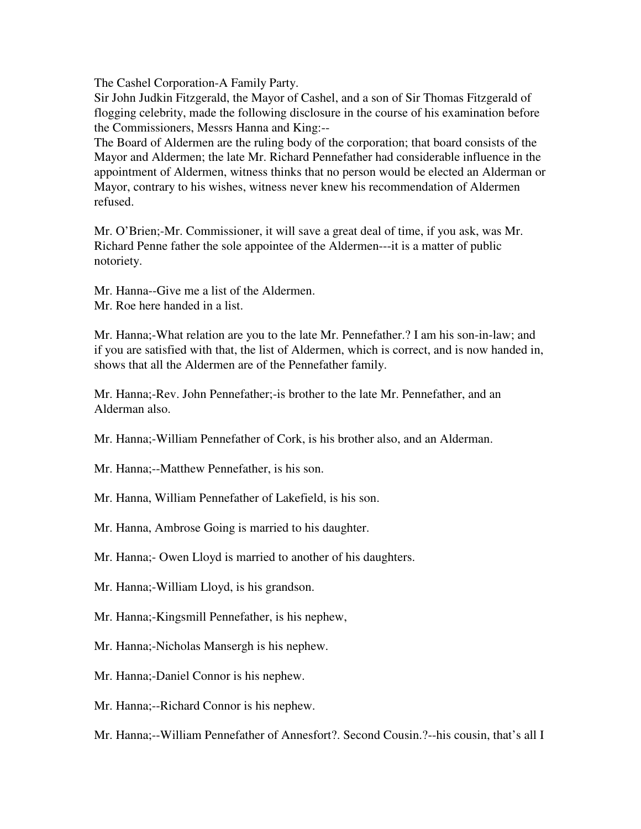The Cashel Corporation-A Family Party.

Sir John Judkin Fitzgerald, the Mayor of Cashel, and a son of Sir Thomas Fitzgerald of flogging celebrity, made the following disclosure in the course of his examination before the Commissioners, Messrs Hanna and King:--

The Board of Aldermen are the ruling body of the corporation; that board consists of the Mayor and Aldermen; the late Mr. Richard Pennefather had considerable influence in the appointment of Aldermen, witness thinks that no person would be elected an Alderman or Mayor, contrary to his wishes, witness never knew his recommendation of Aldermen refused.

Mr. O'Brien;-Mr. Commissioner, it will save a great deal of time, if you ask, was Mr. Richard Penne father the sole appointee of the Aldermen---it is a matter of public notoriety.

Mr. Hanna--Give me a list of the Aldermen. Mr. Roe here handed in a list.

Mr. Hanna;-What relation are you to the late Mr. Pennefather.? I am his son-in-law; and if you are satisfied with that, the list of Aldermen, which is correct, and is now handed in, shows that all the Aldermen are of the Pennefather family.

Mr. Hanna;-Rev. John Pennefather;-is brother to the late Mr. Pennefather, and an Alderman also.

Mr. Hanna;-William Pennefather of Cork, is his brother also, and an Alderman.

Mr. Hanna;--Matthew Pennefather, is his son.

Mr. Hanna, William Pennefather of Lakefield, is his son.

Mr. Hanna, Ambrose Going is married to his daughter.

Mr. Hanna;- Owen Lloyd is married to another of his daughters.

Mr. Hanna;-William Lloyd, is his grandson.

Mr. Hanna;-Kingsmill Pennefather, is his nephew,

Mr. Hanna;-Nicholas Mansergh is his nephew.

Mr. Hanna;-Daniel Connor is his nephew.

Mr. Hanna;--Richard Connor is his nephew.

Mr. Hanna;--William Pennefather of Annesfort?. Second Cousin.?--his cousin, that's all I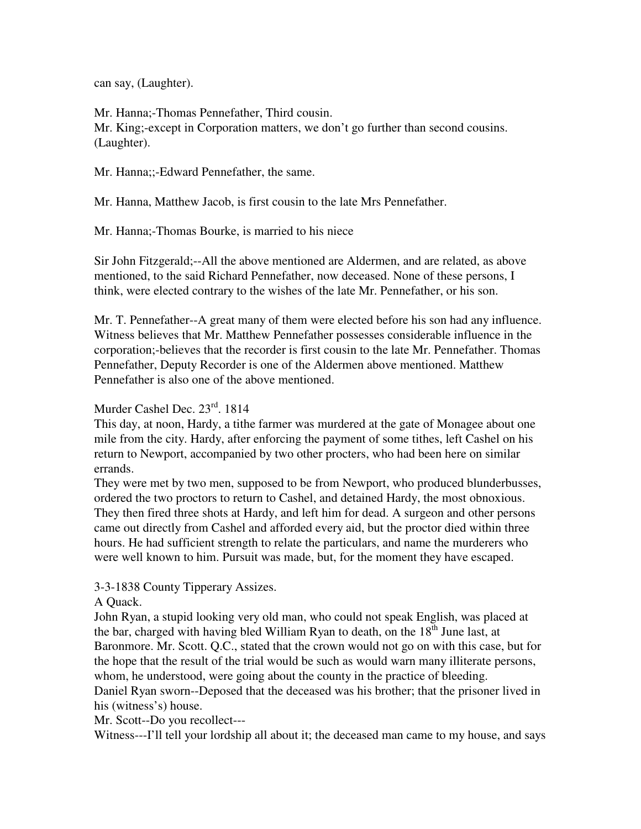can say, (Laughter).

Mr. Hanna;-Thomas Pennefather, Third cousin. Mr. King;-except in Corporation matters, we don't go further than second cousins. (Laughter).

Mr. Hanna;;-Edward Pennefather, the same.

Mr. Hanna, Matthew Jacob, is first cousin to the late Mrs Pennefather.

Mr. Hanna;-Thomas Bourke, is married to his niece

Sir John Fitzgerald;--All the above mentioned are Aldermen, and are related, as above mentioned, to the said Richard Pennefather, now deceased. None of these persons, I think, were elected contrary to the wishes of the late Mr. Pennefather, or his son.

Mr. T. Pennefather--A great many of them were elected before his son had any influence. Witness believes that Mr. Matthew Pennefather possesses considerable influence in the corporation;-believes that the recorder is first cousin to the late Mr. Pennefather. Thomas Pennefather, Deputy Recorder is one of the Aldermen above mentioned. Matthew Pennefather is also one of the above mentioned.

## Murder Cashel Dec. 23rd. 1814

This day, at noon, Hardy, a tithe farmer was murdered at the gate of Monagee about one mile from the city. Hardy, after enforcing the payment of some tithes, left Cashel on his return to Newport, accompanied by two other procters, who had been here on similar errands.

They were met by two men, supposed to be from Newport, who produced blunderbusses, ordered the two proctors to return to Cashel, and detained Hardy, the most obnoxious. They then fired three shots at Hardy, and left him for dead. A surgeon and other persons came out directly from Cashel and afforded every aid, but the proctor died within three hours. He had sufficient strength to relate the particulars, and name the murderers who were well known to him. Pursuit was made, but, for the moment they have escaped.

## 3-3-1838 County Tipperary Assizes.

## A Quack.

John Ryan, a stupid looking very old man, who could not speak English, was placed at the bar, charged with having bled William Ryan to death, on the  $18<sup>th</sup>$  June last, at Baronmore. Mr. Scott. Q.C., stated that the crown would not go on with this case, but for the hope that the result of the trial would be such as would warn many illiterate persons, whom, he understood, were going about the county in the practice of bleeding.

Daniel Ryan sworn--Deposed that the deceased was his brother; that the prisoner lived in his (witness's) house.

Mr. Scott--Do you recollect---

Witness---I'll tell your lordship all about it; the deceased man came to my house, and says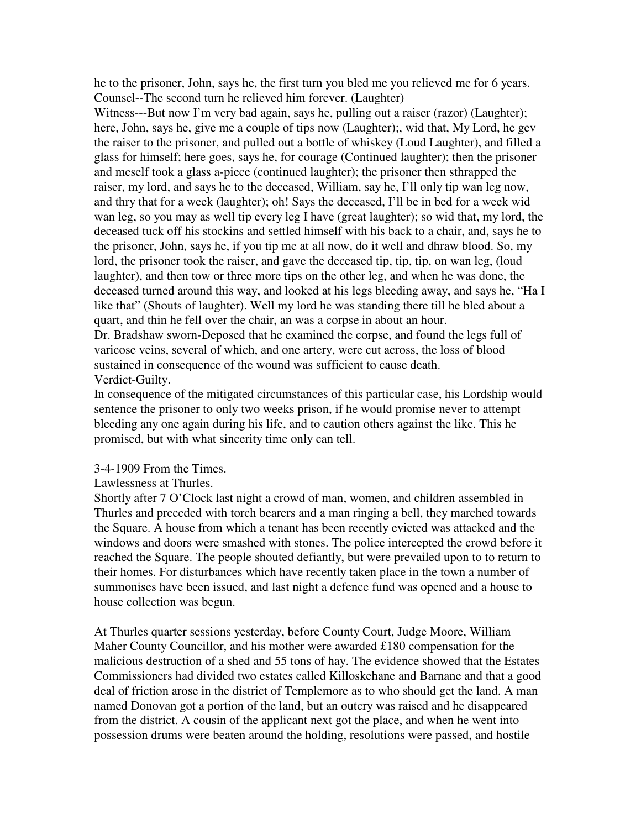he to the prisoner, John, says he, the first turn you bled me you relieved me for 6 years. Counsel--The second turn he relieved him forever. (Laughter)

Witness---But now I'm very bad again, says he, pulling out a raiser (razor) (Laughter); here, John, says he, give me a couple of tips now (Laughter);, wid that, My Lord, he gev the raiser to the prisoner, and pulled out a bottle of whiskey (Loud Laughter), and filled a glass for himself; here goes, says he, for courage (Continued laughter); then the prisoner and meself took a glass a-piece (continued laughter); the prisoner then sthrapped the raiser, my lord, and says he to the deceased, William, say he, I'll only tip wan leg now, and thry that for a week (laughter); oh! Says the deceased, I'll be in bed for a week wid wan leg, so you may as well tip every leg I have (great laughter); so wid that, my lord, the deceased tuck off his stockins and settled himself with his back to a chair, and, says he to the prisoner, John, says he, if you tip me at all now, do it well and dhraw blood. So, my lord, the prisoner took the raiser, and gave the deceased tip, tip, tip, on wan leg, (loud laughter), and then tow or three more tips on the other leg, and when he was done, the deceased turned around this way, and looked at his legs bleeding away, and says he, "Ha I like that" (Shouts of laughter). Well my lord he was standing there till he bled about a quart, and thin he fell over the chair, an was a corpse in about an hour.

Dr. Bradshaw sworn-Deposed that he examined the corpse, and found the legs full of varicose veins, several of which, and one artery, were cut across, the loss of blood sustained in consequence of the wound was sufficient to cause death. Verdict-Guilty.

In consequence of the mitigated circumstances of this particular case, his Lordship would sentence the prisoner to only two weeks prison, if he would promise never to attempt bleeding any one again during his life, and to caution others against the like. This he promised, but with what sincerity time only can tell.

#### 3-4-1909 From the Times.

## Lawlessness at Thurles.

Shortly after 7 O'Clock last night a crowd of man, women, and children assembled in Thurles and preceded with torch bearers and a man ringing a bell, they marched towards the Square. A house from which a tenant has been recently evicted was attacked and the windows and doors were smashed with stones. The police intercepted the crowd before it reached the Square. The people shouted defiantly, but were prevailed upon to to return to their homes. For disturbances which have recently taken place in the town a number of summonises have been issued, and last night a defence fund was opened and a house to house collection was begun.

At Thurles quarter sessions yesterday, before County Court, Judge Moore, William Maher County Councillor, and his mother were awarded £180 compensation for the malicious destruction of a shed and 55 tons of hay. The evidence showed that the Estates Commissioners had divided two estates called Killoskehane and Barnane and that a good deal of friction arose in the district of Templemore as to who should get the land. A man named Donovan got a portion of the land, but an outcry was raised and he disappeared from the district. A cousin of the applicant next got the place, and when he went into possession drums were beaten around the holding, resolutions were passed, and hostile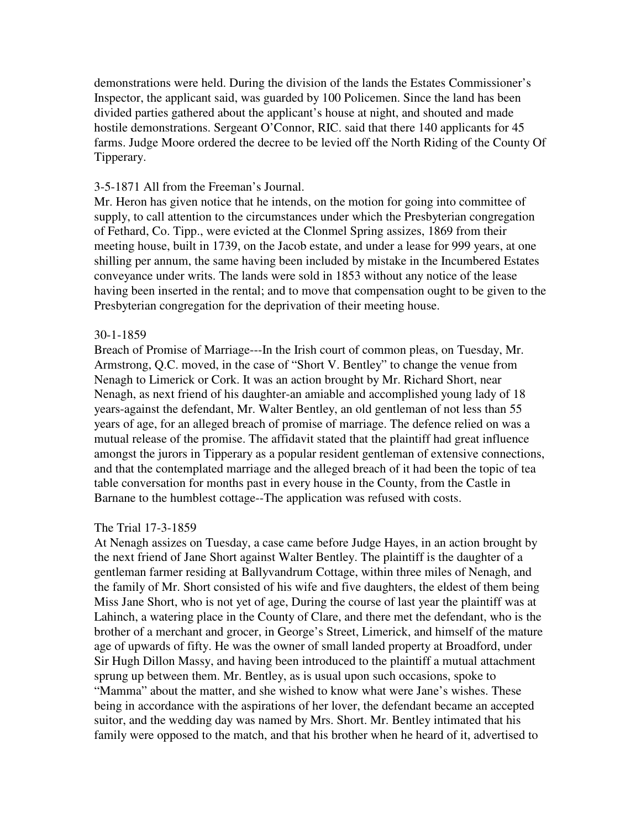demonstrations were held. During the division of the lands the Estates Commissioner's Inspector, the applicant said, was guarded by 100 Policemen. Since the land has been divided parties gathered about the applicant's house at night, and shouted and made hostile demonstrations. Sergeant O'Connor, RIC. said that there 140 applicants for 45 farms. Judge Moore ordered the decree to be levied off the North Riding of the County Of Tipperary.

#### 3-5-1871 All from the Freeman's Journal.

Mr. Heron has given notice that he intends, on the motion for going into committee of supply, to call attention to the circumstances under which the Presbyterian congregation of Fethard, Co. Tipp., were evicted at the Clonmel Spring assizes, 1869 from their meeting house, built in 1739, on the Jacob estate, and under a lease for 999 years, at one shilling per annum, the same having been included by mistake in the Incumbered Estates conveyance under writs. The lands were sold in 1853 without any notice of the lease having been inserted in the rental; and to move that compensation ought to be given to the Presbyterian congregation for the deprivation of their meeting house.

#### 30-1-1859

Breach of Promise of Marriage---In the Irish court of common pleas, on Tuesday, Mr. Armstrong, Q.C. moved, in the case of "Short V. Bentley" to change the venue from Nenagh to Limerick or Cork. It was an action brought by Mr. Richard Short, near Nenagh, as next friend of his daughter-an amiable and accomplished young lady of 18 years-against the defendant, Mr. Walter Bentley, an old gentleman of not less than 55 years of age, for an alleged breach of promise of marriage. The defence relied on was a mutual release of the promise. The affidavit stated that the plaintiff had great influence amongst the jurors in Tipperary as a popular resident gentleman of extensive connections, and that the contemplated marriage and the alleged breach of it had been the topic of tea table conversation for months past in every house in the County, from the Castle in Barnane to the humblest cottage--The application was refused with costs.

## The Trial 17-3-1859

At Nenagh assizes on Tuesday, a case came before Judge Hayes, in an action brought by the next friend of Jane Short against Walter Bentley. The plaintiff is the daughter of a gentleman farmer residing at Ballyvandrum Cottage, within three miles of Nenagh, and the family of Mr. Short consisted of his wife and five daughters, the eldest of them being Miss Jane Short, who is not yet of age, During the course of last year the plaintiff was at Lahinch, a watering place in the County of Clare, and there met the defendant, who is the brother of a merchant and grocer, in George's Street, Limerick, and himself of the mature age of upwards of fifty. He was the owner of small landed property at Broadford, under Sir Hugh Dillon Massy, and having been introduced to the plaintiff a mutual attachment sprung up between them. Mr. Bentley, as is usual upon such occasions, spoke to "Mamma" about the matter, and she wished to know what were Jane's wishes. These being in accordance with the aspirations of her lover, the defendant became an accepted suitor, and the wedding day was named by Mrs. Short. Mr. Bentley intimated that his family were opposed to the match, and that his brother when he heard of it, advertised to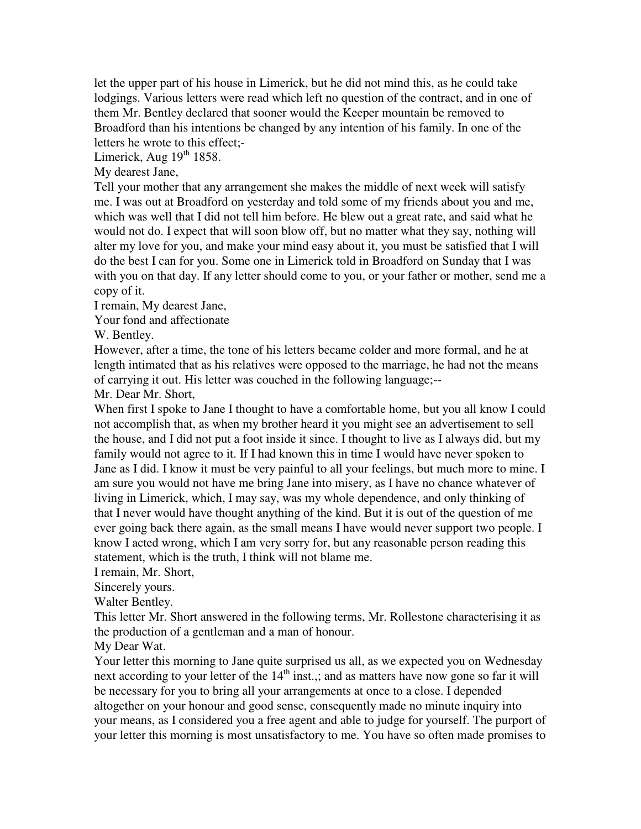let the upper part of his house in Limerick, but he did not mind this, as he could take lodgings. Various letters were read which left no question of the contract, and in one of them Mr. Bentley declared that sooner would the Keeper mountain be removed to Broadford than his intentions be changed by any intention of his family. In one of the letters he wrote to this effect;-

Limerick, Aug  $19<sup>th</sup> 1858$ .

My dearest Jane,

Tell your mother that any arrangement she makes the middle of next week will satisfy me. I was out at Broadford on yesterday and told some of my friends about you and me, which was well that I did not tell him before. He blew out a great rate, and said what he would not do. I expect that will soon blow off, but no matter what they say, nothing will alter my love for you, and make your mind easy about it, you must be satisfied that I will do the best I can for you. Some one in Limerick told in Broadford on Sunday that I was with you on that day. If any letter should come to you, or your father or mother, send me a copy of it.

I remain, My dearest Jane,

Your fond and affectionate

W. Bentley.

However, after a time, the tone of his letters became colder and more formal, and he at length intimated that as his relatives were opposed to the marriage, he had not the means of carrying it out. His letter was couched in the following language;--

Mr. Dear Mr. Short,

When first I spoke to Jane I thought to have a comfortable home, but you all know I could not accomplish that, as when my brother heard it you might see an advertisement to sell the house, and I did not put a foot inside it since. I thought to live as I always did, but my family would not agree to it. If I had known this in time I would have never spoken to Jane as I did. I know it must be very painful to all your feelings, but much more to mine. I am sure you would not have me bring Jane into misery, as I have no chance whatever of living in Limerick, which, I may say, was my whole dependence, and only thinking of that I never would have thought anything of the kind. But it is out of the question of me ever going back there again, as the small means I have would never support two people. I know I acted wrong, which I am very sorry for, but any reasonable person reading this statement, which is the truth, I think will not blame me.

I remain, Mr. Short,

Sincerely yours.

Walter Bentley.

This letter Mr. Short answered in the following terms, Mr. Rollestone characterising it as the production of a gentleman and a man of honour.

My Dear Wat.

Your letter this morning to Jane quite surprised us all, as we expected you on Wednesday next according to your letter of the  $14<sup>th</sup>$  inst.,; and as matters have now gone so far it will be necessary for you to bring all your arrangements at once to a close. I depended altogether on your honour and good sense, consequently made no minute inquiry into your means, as I considered you a free agent and able to judge for yourself. The purport of your letter this morning is most unsatisfactory to me. You have so often made promises to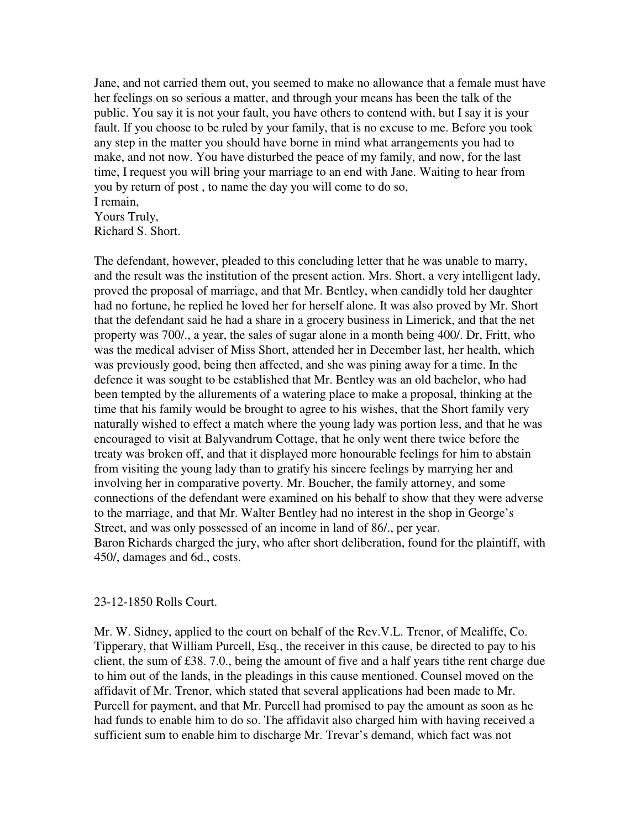Jane, and not carried them out, you seemed to make no allowance that a female must have her feelings on so serious a matter, and through your means has been the talk of the public. You say it is not your fault, you have others to contend with, but I say it is your fault. If you choose to be ruled by your family, that is no excuse to me. Before you took any step in the matter you should have borne in mind what arrangements you had to make, and not now. You have disturbed the peace of my family, and now, for the last time, I request you will bring your marriage to an end with Jane. Waiting to hear from you by return of post , to name the day you will come to do so, I remain,

# Yours Truly, Richard S. Short.

The defendant, however, pleaded to this concluding letter that he was unable to marry, and the result was the institution of the present action. Mrs. Short, a very intelligent lady, proved the proposal of marriage, and that Mr. Bentley, when candidly told her daughter had no fortune, he replied he loved her for herself alone. It was also proved by Mr. Short that the defendant said he had a share in a grocery business in Limerick, and that the net property was 700/., a year, the sales of sugar alone in a month being 400/. Dr, Fritt, who was the medical adviser of Miss Short, attended her in December last, her health, which was previously good, being then affected, and she was pining away for a time. In the defence it was sought to be established that Mr. Bentley was an old bachelor, who had been tempted by the allurements of a watering place to make a proposal, thinking at the time that his family would be brought to agree to his wishes, that the Short family very naturally wished to effect a match where the young lady was portion less, and that he was encouraged to visit at Balyvandrum Cottage, that he only went there twice before the treaty was broken off, and that it displayed more honourable feelings for him to abstain from visiting the young lady than to gratify his sincere feelings by marrying her and involving her in comparative poverty. Mr. Boucher, the family attorney, and some connections of the defendant were examined on his behalf to show that they were adverse to the marriage, and that Mr. Walter Bentley had no interest in the shop in George's Street, and was only possessed of an income in land of 86/., per year. Baron Richards charged the jury, who after short deliberation, found for the plaintiff, with 450/, damages and 6d., costs.

## 23-12-1850 Rolls Court.

Mr. W. Sidney, applied to the court on behalf of the Rev.V.L. Trenor, of Mealiffe, Co. Tipperary, that William Purcell, Esq., the receiver in this cause, be directed to pay to his client, the sum of £38. 7.0., being the amount of five and a half years tithe rent charge due to him out of the lands, in the pleadings in this cause mentioned. Counsel moved on the affidavit of Mr. Trenor, which stated that several applications had been made to Mr. Purcell for payment, and that Mr. Purcell had promised to pay the amount as soon as he had funds to enable him to do so. The affidavit also charged him with having received a sufficient sum to enable him to discharge Mr. Trevar's demand, which fact was not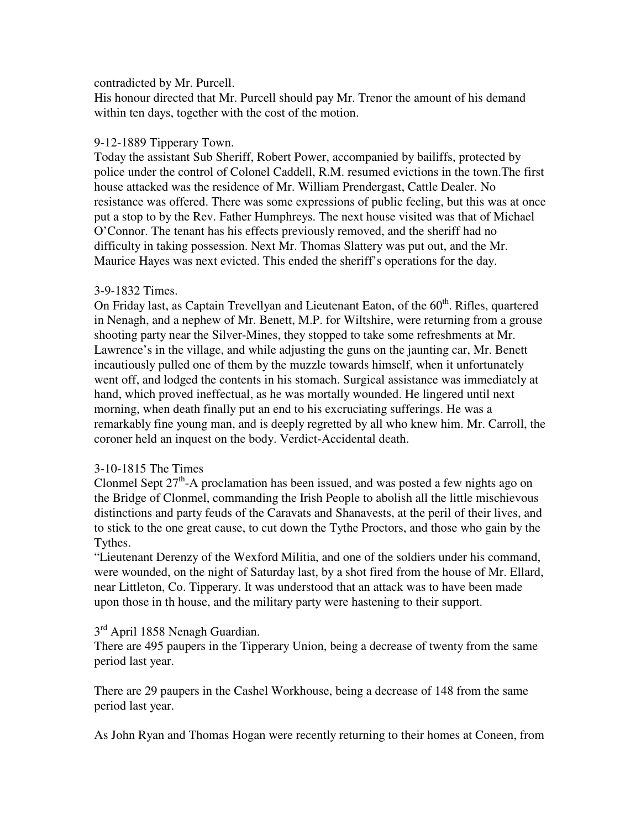## contradicted by Mr. Purcell.

His honour directed that Mr. Purcell should pay Mr. Trenor the amount of his demand within ten days, together with the cost of the motion.

# 9-12-1889 Tipperary Town.

Today the assistant Sub Sheriff, Robert Power, accompanied by bailiffs, protected by police under the control of Colonel Caddell, R.M. resumed evictions in the town.The first house attacked was the residence of Mr. William Prendergast, Cattle Dealer. No resistance was offered. There was some expressions of public feeling, but this was at once put a stop to by the Rev. Father Humphreys. The next house visited was that of Michael O'Connor. The tenant has his effects previously removed, and the sheriff had no difficulty in taking possession. Next Mr. Thomas Slattery was put out, and the Mr. Maurice Hayes was next evicted. This ended the sheriff's operations for the day.

# 3-9-1832 Times.

On Friday last, as Captain Trevellyan and Lieutenant Eaton, of the  $60<sup>th</sup>$ . Rifles, quartered in Nenagh, and a nephew of Mr. Benett, M.P. for Wiltshire, were returning from a grouse shooting party near the Silver-Mines, they stopped to take some refreshments at Mr. Lawrence's in the village, and while adjusting the guns on the jaunting car, Mr. Benett incautiously pulled one of them by the muzzle towards himself, when it unfortunately went off, and lodged the contents in his stomach. Surgical assistance was immediately at hand, which proved ineffectual, as he was mortally wounded. He lingered until next morning, when death finally put an end to his excruciating sufferings. He was a remarkably fine young man, and is deeply regretted by all who knew him. Mr. Carroll, the coroner held an inquest on the body. Verdict-Accidental death.

# 3-10-1815 The Times

Clonmel Sept  $27<sup>th</sup>$ -A proclamation has been issued, and was posted a few nights ago on the Bridge of Clonmel, commanding the Irish People to abolish all the little mischievous distinctions and party feuds of the Caravats and Shanavests, at the peril of their lives, and to stick to the one great cause, to cut down the Tythe Proctors, and those who gain by the Tythes.

"Lieutenant Derenzy of the Wexford Militia, and one of the soldiers under his command, were wounded, on the night of Saturday last, by a shot fired from the house of Mr. Ellard, near Littleton, Co. Tipperary. It was understood that an attack was to have been made upon those in th house, and the military party were hastening to their support.

# 3<sup>rd</sup> April 1858 Nenagh Guardian.

There are 495 paupers in the Tipperary Union, being a decrease of twenty from the same period last year.

There are 29 paupers in the Cashel Workhouse, being a decrease of 148 from the same period last year.

As John Ryan and Thomas Hogan were recently returning to their homes at Coneen, from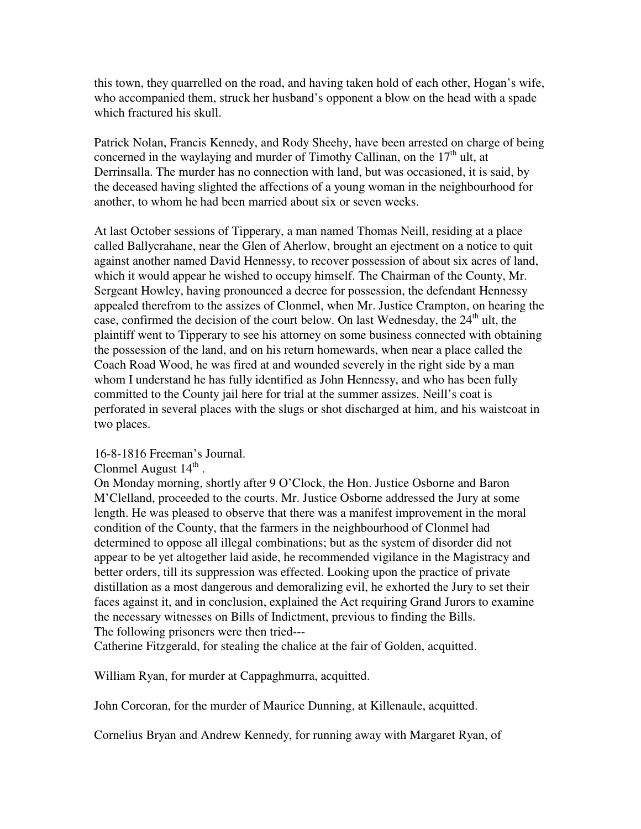this town, they quarrelled on the road, and having taken hold of each other, Hogan's wife, who accompanied them, struck her husband's opponent a blow on the head with a spade which fractured his skull.

Patrick Nolan, Francis Kennedy, and Rody Sheehy, have been arrested on charge of being concerned in the waylaying and murder of Timothy Callinan, on the  $17<sup>th</sup>$  ult, at Derrinsalla. The murder has no connection with land, but was occasioned, it is said, by the deceased having slighted the affections of a young woman in the neighbourhood for another, to whom he had been married about six or seven weeks.

At last October sessions of Tipperary, a man named Thomas Neill, residing at a place called Ballycrahane, near the Glen of Aherlow, brought an ejectment on a notice to quit against another named David Hennessy, to recover possession of about six acres of land, which it would appear he wished to occupy himself. The Chairman of the County, Mr. Sergeant Howley, having pronounced a decree for possession, the defendant Hennessy appealed therefrom to the assizes of Clonmel, when Mr. Justice Crampton, on hearing the case, confirmed the decision of the court below. On last Wednesday, the  $24<sup>th</sup>$  ult, the plaintiff went to Tipperary to see his attorney on some business connected with obtaining the possession of the land, and on his return homewards, when near a place called the Coach Road Wood, he was fired at and wounded severely in the right side by a man whom I understand he has fully identified as John Hennessy, and who has been fully committed to the County jail here for trial at the summer assizes. Neill's coat is perforated in several places with the slugs or shot discharged at him, and his waistcoat in two places.

## 16-8-1816 Freeman's Journal.

Clonmel August  $14<sup>th</sup>$ .

On Monday morning, shortly after 9 O'Clock, the Hon. Justice Osborne and Baron M'Clelland, proceeded to the courts. Mr. Justice Osborne addressed the Jury at some length. He was pleased to observe that there was a manifest improvement in the moral condition of the County, that the farmers in the neighbourhood of Clonmel had determined to oppose all illegal combinations; but as the system of disorder did not appear to be yet altogether laid aside, he recommended vigilance in the Magistracy and better orders, till its suppression was effected. Looking upon the practice of private distillation as a most dangerous and demoralizing evil, he exhorted the Jury to set their faces against it, and in conclusion, explained the Act requiring Grand Jurors to examine the necessary witnesses on Bills of Indictment, previous to finding the Bills. The following prisoners were then tried---

Catherine Fitzgerald, for stealing the chalice at the fair of Golden, acquitted.

William Ryan, for murder at Cappaghmurra, acquitted.

John Corcoran, for the murder of Maurice Dunning, at Killenaule, acquitted.

Cornelius Bryan and Andrew Kennedy, for running away with Margaret Ryan, of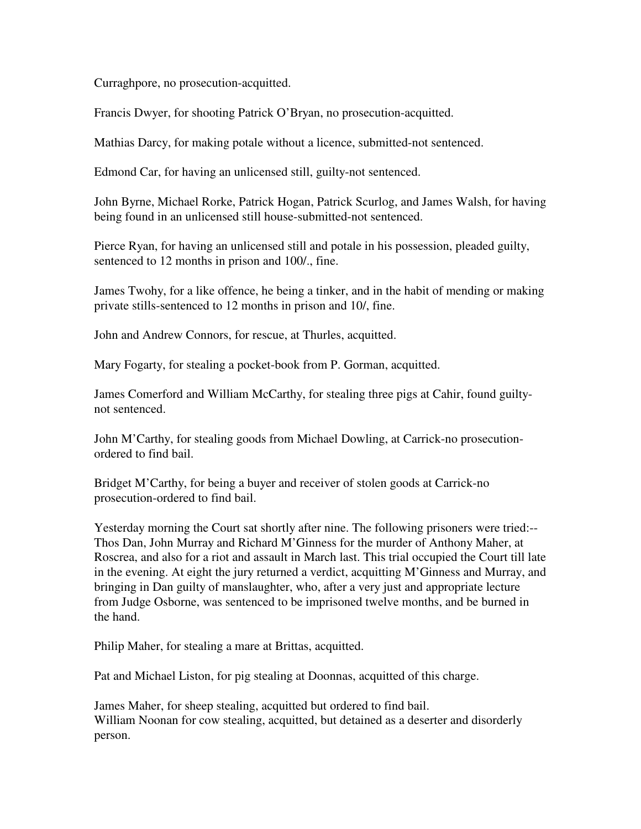Curraghpore, no prosecution-acquitted.

Francis Dwyer, for shooting Patrick O'Bryan, no prosecution-acquitted.

Mathias Darcy, for making potale without a licence, submitted-not sentenced.

Edmond Car, for having an unlicensed still, guilty-not sentenced.

John Byrne, Michael Rorke, Patrick Hogan, Patrick Scurlog, and James Walsh, for having being found in an unlicensed still house-submitted-not sentenced.

Pierce Ryan, for having an unlicensed still and potale in his possession, pleaded guilty, sentenced to 12 months in prison and 100/., fine.

James Twohy, for a like offence, he being a tinker, and in the habit of mending or making private stills-sentenced to 12 months in prison and 10/, fine.

John and Andrew Connors, for rescue, at Thurles, acquitted.

Mary Fogarty, for stealing a pocket-book from P. Gorman, acquitted.

James Comerford and William McCarthy, for stealing three pigs at Cahir, found guiltynot sentenced.

John M'Carthy, for stealing goods from Michael Dowling, at Carrick-no prosecutionordered to find bail.

Bridget M'Carthy, for being a buyer and receiver of stolen goods at Carrick-no prosecution-ordered to find bail.

Yesterday morning the Court sat shortly after nine. The following prisoners were tried:-- Thos Dan, John Murray and Richard M'Ginness for the murder of Anthony Maher, at Roscrea, and also for a riot and assault in March last. This trial occupied the Court till late in the evening. At eight the jury returned a verdict, acquitting M'Ginness and Murray, and bringing in Dan guilty of manslaughter, who, after a very just and appropriate lecture from Judge Osborne, was sentenced to be imprisoned twelve months, and be burned in the hand.

Philip Maher, for stealing a mare at Brittas, acquitted.

Pat and Michael Liston, for pig stealing at Doonnas, acquitted of this charge.

James Maher, for sheep stealing, acquitted but ordered to find bail. William Noonan for cow stealing, acquitted, but detained as a deserter and disorderly person.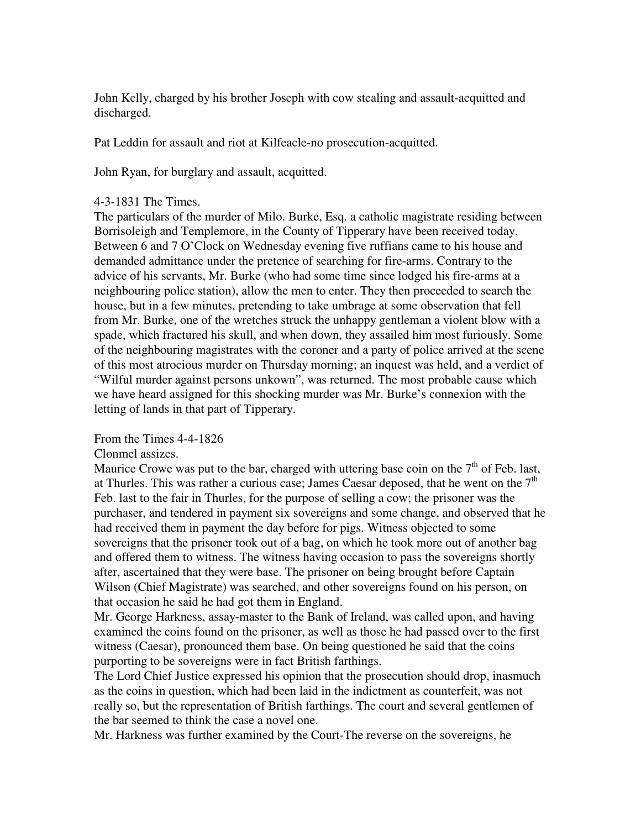John Kelly, charged by his brother Joseph with cow stealing and assault-acquitted and discharged.

Pat Leddin for assault and riot at Kilfeacle-no prosecution-acquitted.

John Ryan, for burglary and assault, acquitted.

#### 4-3-1831 The Times.

The particulars of the murder of Milo. Burke, Esq. a catholic magistrate residing between Borrisoleigh and Templemore, in the County of Tipperary have been received today. Between 6 and 7 O'Clock on Wednesday evening five ruffians came to his house and demanded admittance under the pretence of searching for fire-arms. Contrary to the advice of his servants, Mr. Burke (who had some time since lodged his fire-arms at a neighbouring police station), allow the men to enter. They then proceeded to search the house, but in a few minutes, pretending to take umbrage at some observation that fell from Mr. Burke, one of the wretches struck the unhappy gentleman a violent blow with a spade, which fractured his skull, and when down, they assailed him most furiously. Some of the neighbouring magistrates with the coroner and a party of police arrived at the scene of this most atrocious murder on Thursday morning; an inquest was held, and a verdict of "Wilful murder against persons unkown", was returned. The most probable cause which we have heard assigned for this shocking murder was Mr. Burke's connexion with the letting of lands in that part of Tipperary.

#### From the Times 4-4-1826

#### Clonmel assizes.

Maurice Crowe was put to the bar, charged with uttering base coin on the  $7<sup>th</sup>$  of Feb. last, at Thurles. This was rather a curious case; James Caesar deposed, that he went on the  $7<sup>th</sup>$ Feb. last to the fair in Thurles, for the purpose of selling a cow; the prisoner was the purchaser, and tendered in payment six sovereigns and some change, and observed that he had received them in payment the day before for pigs. Witness objected to some sovereigns that the prisoner took out of a bag, on which he took more out of another bag and offered them to witness. The witness having occasion to pass the sovereigns shortly after, ascertained that they were base. The prisoner on being brought before Captain Wilson (Chief Magistrate) was searched, and other sovereigns found on his person, on that occasion he said he had got them in England.

Mr. George Harkness, assay-master to the Bank of Ireland, was called upon, and having examined the coins found on the prisoner, as well as those he had passed over to the first witness (Caesar), pronounced them base. On being questioned he said that the coins purporting to be sovereigns were in fact British farthings.

The Lord Chief Justice expressed his opinion that the prosecution should drop, inasmuch as the coins in question, which had been laid in the indictment as counterfeit, was not really so, but the representation of British farthings. The court and several gentlemen of the bar seemed to think the case a novel one.

Mr. Harkness was further examined by the Court-The reverse on the sovereigns, he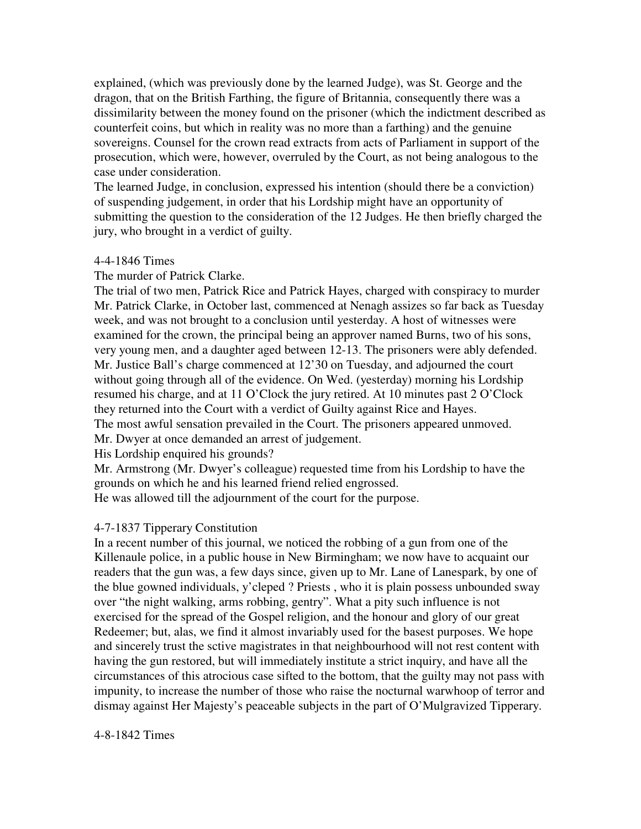explained, (which was previously done by the learned Judge), was St. George and the dragon, that on the British Farthing, the figure of Britannia, consequently there was a dissimilarity between the money found on the prisoner (which the indictment described as counterfeit coins, but which in reality was no more than a farthing) and the genuine sovereigns. Counsel for the crown read extracts from acts of Parliament in support of the prosecution, which were, however, overruled by the Court, as not being analogous to the case under consideration.

The learned Judge, in conclusion, expressed his intention (should there be a conviction) of suspending judgement, in order that his Lordship might have an opportunity of submitting the question to the consideration of the 12 Judges. He then briefly charged the jury, who brought in a verdict of guilty.

### 4-4-1846 Times

The murder of Patrick Clarke.

The trial of two men, Patrick Rice and Patrick Hayes, charged with conspiracy to murder Mr. Patrick Clarke, in October last, commenced at Nenagh assizes so far back as Tuesday week, and was not brought to a conclusion until yesterday. A host of witnesses were examined for the crown, the principal being an approver named Burns, two of his sons, very young men, and a daughter aged between 12-13. The prisoners were ably defended. Mr. Justice Ball's charge commenced at 12'30 on Tuesday, and adjourned the court without going through all of the evidence. On Wed. (yesterday) morning his Lordship resumed his charge, and at 11 O'Clock the jury retired. At 10 minutes past 2 O'Clock they returned into the Court with a verdict of Guilty against Rice and Hayes. The most awful sensation prevailed in the Court. The prisoners appeared unmoved. Mr. Dwyer at once demanded an arrest of judgement.

His Lordship enquired his grounds?

Mr. Armstrong (Mr. Dwyer's colleague) requested time from his Lordship to have the grounds on which he and his learned friend relied engrossed.

He was allowed till the adjournment of the court for the purpose.

## 4-7-1837 Tipperary Constitution

In a recent number of this journal, we noticed the robbing of a gun from one of the Killenaule police, in a public house in New Birmingham; we now have to acquaint our readers that the gun was, a few days since, given up to Mr. Lane of Lanespark, by one of the blue gowned individuals, y'cleped ? Priests , who it is plain possess unbounded sway over "the night walking, arms robbing, gentry". What a pity such influence is not exercised for the spread of the Gospel religion, and the honour and glory of our great Redeemer; but, alas, we find it almost invariably used for the basest purposes. We hope and sincerely trust the sctive magistrates in that neighbourhood will not rest content with having the gun restored, but will immediately institute a strict inquiry, and have all the circumstances of this atrocious case sifted to the bottom, that the guilty may not pass with impunity, to increase the number of those who raise the nocturnal warwhoop of terror and dismay against Her Majesty's peaceable subjects in the part of O'Mulgravized Tipperary.

4-8-1842 Times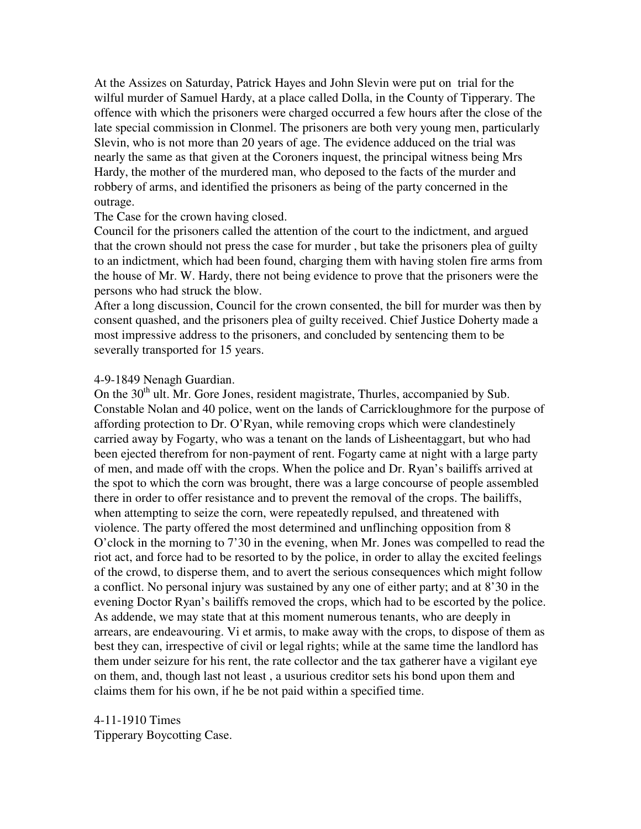At the Assizes on Saturday, Patrick Hayes and John Slevin were put on trial for the wilful murder of Samuel Hardy, at a place called Dolla, in the County of Tipperary. The offence with which the prisoners were charged occurred a few hours after the close of the late special commission in Clonmel. The prisoners are both very young men, particularly Slevin, who is not more than 20 years of age. The evidence adduced on the trial was nearly the same as that given at the Coroners inquest, the principal witness being Mrs Hardy, the mother of the murdered man, who deposed to the facts of the murder and robbery of arms, and identified the prisoners as being of the party concerned in the outrage.

The Case for the crown having closed.

Council for the prisoners called the attention of the court to the indictment, and argued that the crown should not press the case for murder , but take the prisoners plea of guilty to an indictment, which had been found, charging them with having stolen fire arms from the house of Mr. W. Hardy, there not being evidence to prove that the prisoners were the persons who had struck the blow.

After a long discussion, Council for the crown consented, the bill for murder was then by consent quashed, and the prisoners plea of guilty received. Chief Justice Doherty made a most impressive address to the prisoners, and concluded by sentencing them to be severally transported for 15 years.

4-9-1849 Nenagh Guardian.

On the 30<sup>th</sup> ult. Mr. Gore Jones, resident magistrate, Thurles, accompanied by Sub. Constable Nolan and 40 police, went on the lands of Carrickloughmore for the purpose of affording protection to Dr. O'Ryan, while removing crops which were clandestinely carried away by Fogarty, who was a tenant on the lands of Lisheentaggart, but who had been ejected therefrom for non-payment of rent. Fogarty came at night with a large party of men, and made off with the crops. When the police and Dr. Ryan's bailiffs arrived at the spot to which the corn was brought, there was a large concourse of people assembled there in order to offer resistance and to prevent the removal of the crops. The bailiffs, when attempting to seize the corn, were repeatedly repulsed, and threatened with violence. The party offered the most determined and unflinching opposition from 8 O'clock in the morning to 7'30 in the evening, when Mr. Jones was compelled to read the riot act, and force had to be resorted to by the police, in order to allay the excited feelings of the crowd, to disperse them, and to avert the serious consequences which might follow a conflict. No personal injury was sustained by any one of either party; and at 8'30 in the evening Doctor Ryan's bailiffs removed the crops, which had to be escorted by the police. As addende, we may state that at this moment numerous tenants, who are deeply in arrears, are endeavouring. Vi et armis, to make away with the crops, to dispose of them as best they can, irrespective of civil or legal rights; while at the same time the landlord has them under seizure for his rent, the rate collector and the tax gatherer have a vigilant eye on them, and, though last not least , a usurious creditor sets his bond upon them and claims them for his own, if he be not paid within a specified time.

4-11-1910 Times Tipperary Boycotting Case.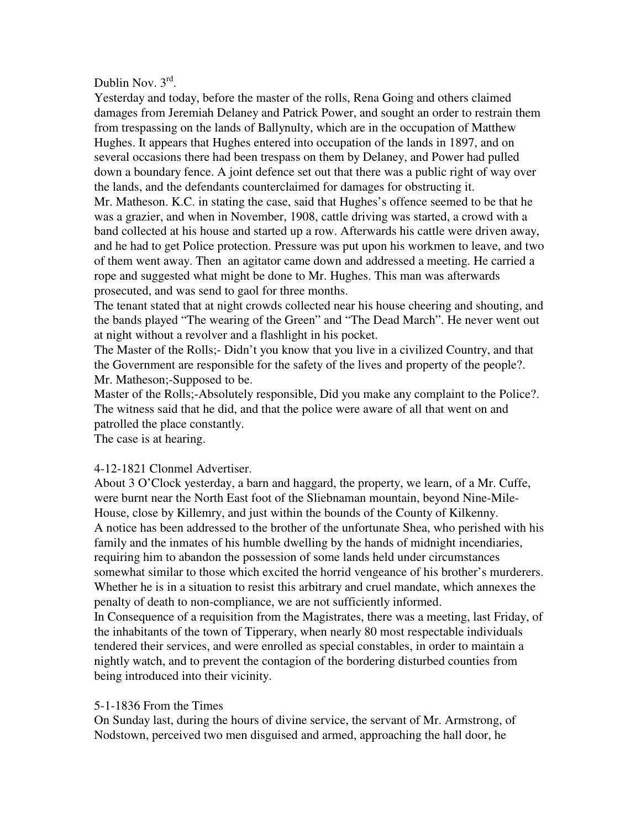# Dublin Nov.  $3^{\text{rd}}$ .

Yesterday and today, before the master of the rolls, Rena Going and others claimed damages from Jeremiah Delaney and Patrick Power, and sought an order to restrain them from trespassing on the lands of Ballynulty, which are in the occupation of Matthew Hughes. It appears that Hughes entered into occupation of the lands in 1897, and on several occasions there had been trespass on them by Delaney, and Power had pulled down a boundary fence. A joint defence set out that there was a public right of way over the lands, and the defendants counterclaimed for damages for obstructing it. Mr. Matheson. K.C. in stating the case, said that Hughes's offence seemed to be that he was a grazier, and when in November, 1908, cattle driving was started, a crowd with a band collected at his house and started up a row. Afterwards his cattle were driven away, and he had to get Police protection. Pressure was put upon his workmen to leave, and two of them went away. Then an agitator came down and addressed a meeting. He carried a rope and suggested what might be done to Mr. Hughes. This man was afterwards prosecuted, and was send to gaol for three months.

The tenant stated that at night crowds collected near his house cheering and shouting, and the bands played "The wearing of the Green" and "The Dead March". He never went out at night without a revolver and a flashlight in his pocket.

The Master of the Rolls;- Didn't you know that you live in a civilized Country, and that the Government are responsible for the safety of the lives and property of the people?. Mr. Matheson;-Supposed to be.

Master of the Rolls;-Absolutely responsible, Did you make any complaint to the Police?. The witness said that he did, and that the police were aware of all that went on and patrolled the place constantly.

The case is at hearing.

# 4-12-1821 Clonmel Advertiser.

About 3 O'Clock yesterday, a barn and haggard, the property, we learn, of a Mr. Cuffe, were burnt near the North East foot of the Sliebnaman mountain, beyond Nine-Mile-House, close by Killemry, and just within the bounds of the County of Kilkenny. A notice has been addressed to the brother of the unfortunate Shea, who perished with his family and the inmates of his humble dwelling by the hands of midnight incendiaries, requiring him to abandon the possession of some lands held under circumstances somewhat similar to those which excited the horrid vengeance of his brother's murderers. Whether he is in a situation to resist this arbitrary and cruel mandate, which annexes the penalty of death to non-compliance, we are not sufficiently informed. In Consequence of a requisition from the Magistrates, there was a meeting, last Friday, of the inhabitants of the town of Tipperary, when nearly 80 most respectable individuals tendered their services, and were enrolled as special constables, in order to maintain a nightly watch, and to prevent the contagion of the bordering disturbed counties from being introduced into their vicinity.

# 5-1-1836 From the Times

On Sunday last, during the hours of divine service, the servant of Mr. Armstrong, of Nodstown, perceived two men disguised and armed, approaching the hall door, he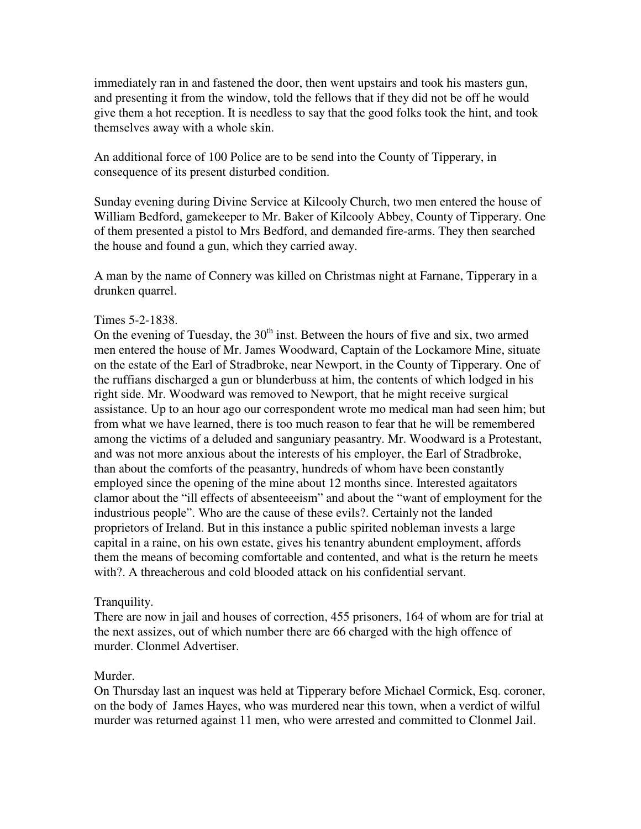immediately ran in and fastened the door, then went upstairs and took his masters gun, and presenting it from the window, told the fellows that if they did not be off he would give them a hot reception. It is needless to say that the good folks took the hint, and took themselves away with a whole skin.

An additional force of 100 Police are to be send into the County of Tipperary, in consequence of its present disturbed condition.

Sunday evening during Divine Service at Kilcooly Church, two men entered the house of William Bedford, gamekeeper to Mr. Baker of Kilcooly Abbey, County of Tipperary. One of them presented a pistol to Mrs Bedford, and demanded fire-arms. They then searched the house and found a gun, which they carried away.

A man by the name of Connery was killed on Christmas night at Farnane, Tipperary in a drunken quarrel.

## Times 5-2-1838.

On the evening of Tuesday, the  $30<sup>th</sup>$  inst. Between the hours of five and six, two armed men entered the house of Mr. James Woodward, Captain of the Lockamore Mine, situate on the estate of the Earl of Stradbroke, near Newport, in the County of Tipperary. One of the ruffians discharged a gun or blunderbuss at him, the contents of which lodged in his right side. Mr. Woodward was removed to Newport, that he might receive surgical assistance. Up to an hour ago our correspondent wrote mo medical man had seen him; but from what we have learned, there is too much reason to fear that he will be remembered among the victims of a deluded and sanguniary peasantry. Mr. Woodward is a Protestant, and was not more anxious about the interests of his employer, the Earl of Stradbroke, than about the comforts of the peasantry, hundreds of whom have been constantly employed since the opening of the mine about 12 months since. Interested agaitators clamor about the "ill effects of absenteeeism" and about the "want of employment for the industrious people". Who are the cause of these evils?. Certainly not the landed proprietors of Ireland. But in this instance a public spirited nobleman invests a large capital in a raine, on his own estate, gives his tenantry abundent employment, affords them the means of becoming comfortable and contented, and what is the return he meets with?. A threacherous and cold blooded attack on his confidential servant.

## Tranquility.

There are now in jail and houses of correction, 455 prisoners, 164 of whom are for trial at the next assizes, out of which number there are 66 charged with the high offence of murder. Clonmel Advertiser.

## Murder.

On Thursday last an inquest was held at Tipperary before Michael Cormick, Esq. coroner, on the body of James Hayes, who was murdered near this town, when a verdict of wilful murder was returned against 11 men, who were arrested and committed to Clonmel Jail.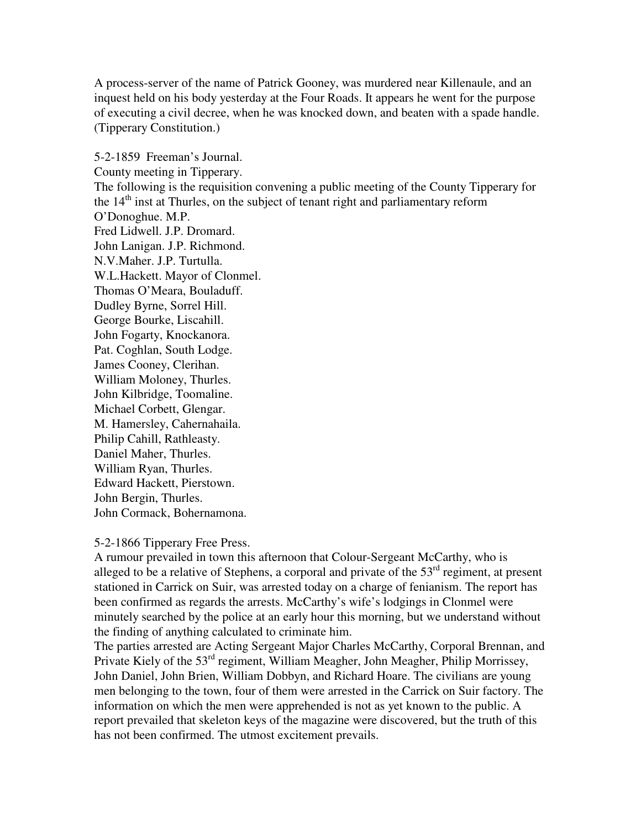A process-server of the name of Patrick Gooney, was murdered near Killenaule, and an inquest held on his body yesterday at the Four Roads. It appears he went for the purpose of executing a civil decree, when he was knocked down, and beaten with a spade handle. (Tipperary Constitution.)

5-2-1859 Freeman's Journal. County meeting in Tipperary. The following is the requisition convening a public meeting of the County Tipperary for the  $14<sup>th</sup>$  inst at Thurles, on the subject of tenant right and parliamentary reform O'Donoghue. M.P. Fred Lidwell. J.P. Dromard. John Lanigan. J.P. Richmond. N.V.Maher. J.P. Turtulla. W.L.Hackett. Mayor of Clonmel. Thomas O'Meara, Bouladuff. Dudley Byrne, Sorrel Hill. George Bourke, Liscahill. John Fogarty, Knockanora. Pat. Coghlan, South Lodge. James Cooney, Clerihan. William Moloney, Thurles. John Kilbridge, Toomaline. Michael Corbett, Glengar. M. Hamersley, Cahernahaila. Philip Cahill, Rathleasty. Daniel Maher, Thurles. William Ryan, Thurles. Edward Hackett, Pierstown. John Bergin, Thurles. John Cormack, Bohernamona.

5-2-1866 Tipperary Free Press.

A rumour prevailed in town this afternoon that Colour-Sergeant McCarthy, who is alleged to be a relative of Stephens, a corporal and private of the  $53<sup>rd</sup>$  regiment, at present stationed in Carrick on Suir, was arrested today on a charge of fenianism. The report has been confirmed as regards the arrests. McCarthy's wife's lodgings in Clonmel were minutely searched by the police at an early hour this morning, but we understand without the finding of anything calculated to criminate him.

The parties arrested are Acting Sergeant Major Charles McCarthy, Corporal Brennan, and Private Kiely of the 53rd regiment, William Meagher, John Meagher, Philip Morrissey, John Daniel, John Brien, William Dobbyn, and Richard Hoare. The civilians are young men belonging to the town, four of them were arrested in the Carrick on Suir factory. The information on which the men were apprehended is not as yet known to the public. A report prevailed that skeleton keys of the magazine were discovered, but the truth of this has not been confirmed. The utmost excitement prevails.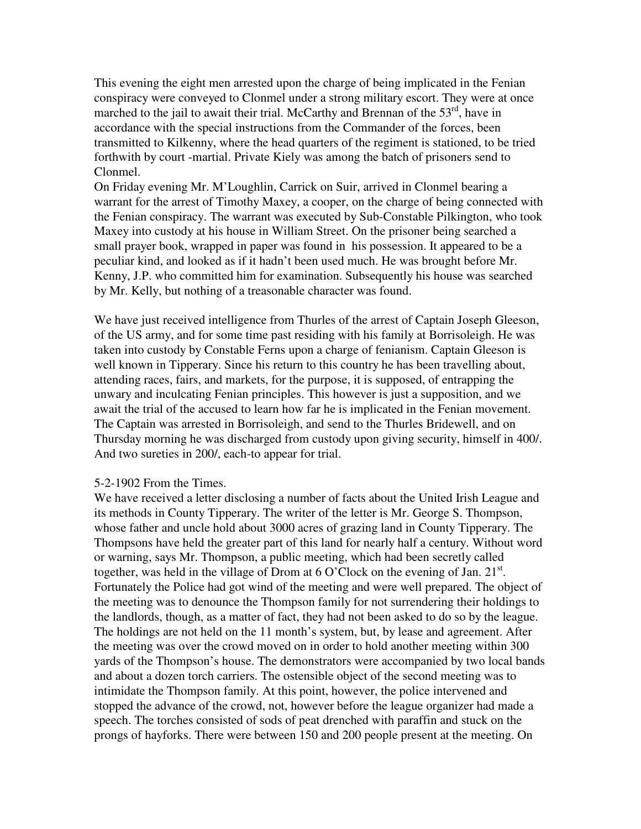This evening the eight men arrested upon the charge of being implicated in the Fenian conspiracy were conveyed to Clonmel under a strong military escort. They were at once marched to the jail to await their trial. McCarthy and Brennan of the  $53<sup>rd</sup>$ , have in accordance with the special instructions from the Commander of the forces, been transmitted to Kilkenny, where the head quarters of the regiment is stationed, to be tried forthwith by court -martial. Private Kiely was among the batch of prisoners send to Clonmel.

On Friday evening Mr. M'Loughlin, Carrick on Suir, arrived in Clonmel bearing a warrant for the arrest of Timothy Maxey, a cooper, on the charge of being connected with the Fenian conspiracy. The warrant was executed by Sub-Constable Pilkington, who took Maxey into custody at his house in William Street. On the prisoner being searched a small prayer book, wrapped in paper was found in his possession. It appeared to be a peculiar kind, and looked as if it hadn't been used much. He was brought before Mr. Kenny, J.P. who committed him for examination. Subsequently his house was searched by Mr. Kelly, but nothing of a treasonable character was found.

We have just received intelligence from Thurles of the arrest of Captain Joseph Gleeson, of the US army, and for some time past residing with his family at Borrisoleigh. He was taken into custody by Constable Ferns upon a charge of fenianism. Captain Gleeson is well known in Tipperary. Since his return to this country he has been travelling about, attending races, fairs, and markets, for the purpose, it is supposed, of entrapping the unwary and inculcating Fenian principles. This however is just a supposition, and we await the trial of the accused to learn how far he is implicated in the Fenian movement. The Captain was arrested in Borrisoleigh, and send to the Thurles Bridewell, and on Thursday morning he was discharged from custody upon giving security, himself in 400/. And two sureties in 200/, each-to appear for trial.

#### 5-2-1902 From the Times.

We have received a letter disclosing a number of facts about the United Irish League and its methods in County Tipperary. The writer of the letter is Mr. George S. Thompson, whose father and uncle hold about 3000 acres of grazing land in County Tipperary. The Thompsons have held the greater part of this land for nearly half a century. Without word or warning, says Mr. Thompson, a public meeting, which had been secretly called together, was held in the village of Drom at  $6$  O'Clock on the evening of Jan.  $21^{st}$ . Fortunately the Police had got wind of the meeting and were well prepared. The object of the meeting was to denounce the Thompson family for not surrendering their holdings to the landlords, though, as a matter of fact, they had not been asked to do so by the league. The holdings are not held on the 11 month's system, but, by lease and agreement. After the meeting was over the crowd moved on in order to hold another meeting within 300 yards of the Thompson's house. The demonstrators were accompanied by two local bands and about a dozen torch carriers. The ostensible object of the second meeting was to intimidate the Thompson family. At this point, however, the police intervened and stopped the advance of the crowd, not, however before the league organizer had made a speech. The torches consisted of sods of peat drenched with paraffin and stuck on the prongs of hayforks. There were between 150 and 200 people present at the meeting. On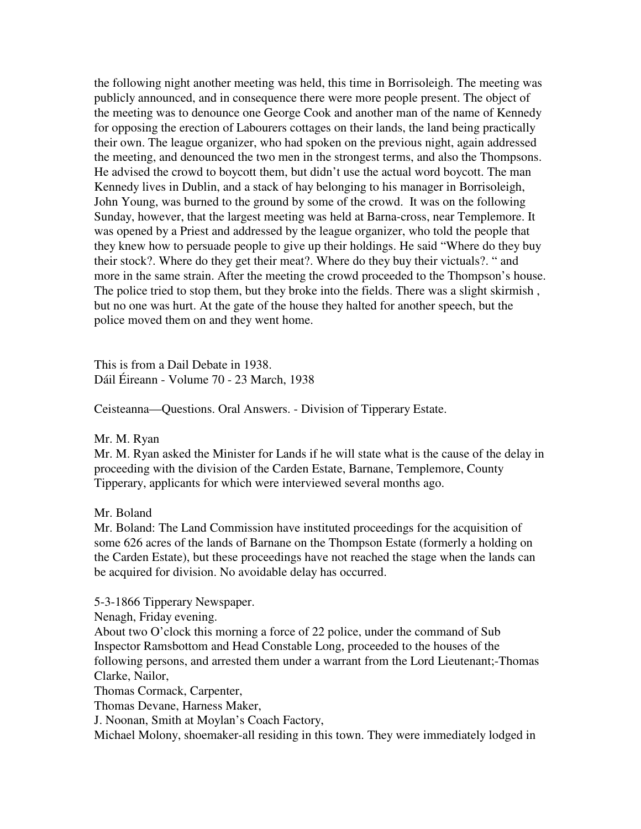the following night another meeting was held, this time in Borrisoleigh. The meeting was publicly announced, and in consequence there were more people present. The object of the meeting was to denounce one George Cook and another man of the name of Kennedy for opposing the erection of Labourers cottages on their lands, the land being practically their own. The league organizer, who had spoken on the previous night, again addressed the meeting, and denounced the two men in the strongest terms, and also the Thompsons. He advised the crowd to boycott them, but didn't use the actual word boycott. The man Kennedy lives in Dublin, and a stack of hay belonging to his manager in Borrisoleigh, John Young, was burned to the ground by some of the crowd. It was on the following Sunday, however, that the largest meeting was held at Barna-cross, near Templemore. It was opened by a Priest and addressed by the league organizer, who told the people that they knew how to persuade people to give up their holdings. He said "Where do they buy their stock?. Where do they get their meat?. Where do they buy their victuals?. " and more in the same strain. After the meeting the crowd proceeded to the Thompson's house. The police tried to stop them, but they broke into the fields. There was a slight skirmish , but no one was hurt. At the gate of the house they halted for another speech, but the police moved them on and they went home.

This is from a Dail Debate in 1938. Dáil Éireann - Volume 70 - 23 March, 1938

Ceisteanna—Questions. Oral Answers. - Division of Tipperary Estate.

#### Mr. M. Ryan

Mr. M. Ryan asked the Minister for Lands if he will state what is the cause of the delay in proceeding with the division of the Carden Estate, Barnane, Templemore, County Tipperary, applicants for which were interviewed several months ago.

#### Mr. Boland

Mr. Boland: The Land Commission have instituted proceedings for the acquisition of some 626 acres of the lands of Barnane on the Thompson Estate (formerly a holding on the Carden Estate), but these proceedings have not reached the stage when the lands can be acquired for division. No avoidable delay has occurred.

5-3-1866 Tipperary Newspaper.

Nenagh, Friday evening.

About two O'clock this morning a force of 22 police, under the command of Sub Inspector Ramsbottom and Head Constable Long, proceeded to the houses of the following persons, and arrested them under a warrant from the Lord Lieutenant;-Thomas Clarke, Nailor,

Thomas Cormack, Carpenter,

Thomas Devane, Harness Maker,

J. Noonan, Smith at Moylan's Coach Factory,

Michael Molony, shoemaker-all residing in this town. They were immediately lodged in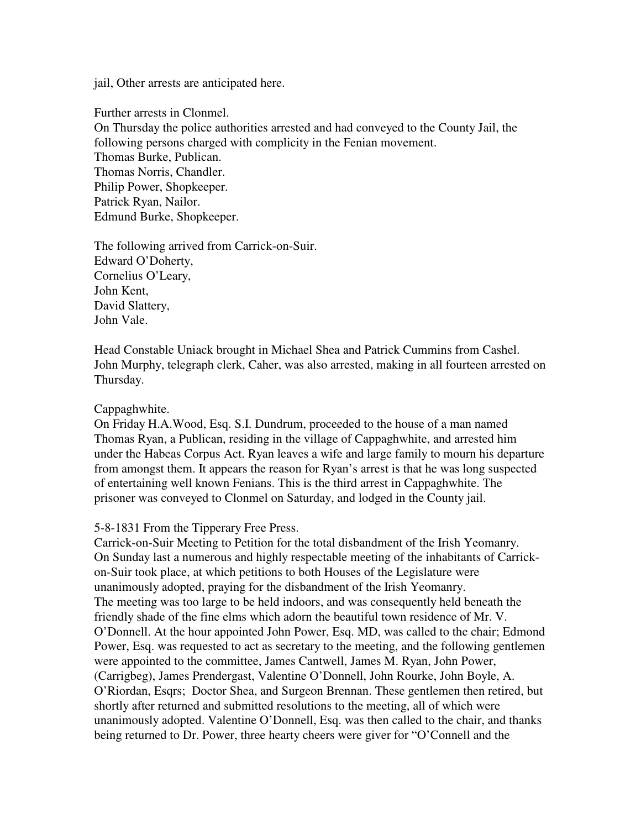jail, Other arrests are anticipated here.

Further arrests in Clonmel.

On Thursday the police authorities arrested and had conveyed to the County Jail, the following persons charged with complicity in the Fenian movement. Thomas Burke, Publican. Thomas Norris, Chandler. Philip Power, Shopkeeper. Patrick Ryan, Nailor. Edmund Burke, Shopkeeper.

The following arrived from Carrick-on-Suir. Edward O'Doherty, Cornelius O'Leary, John Kent, David Slattery, John Vale.

Head Constable Uniack brought in Michael Shea and Patrick Cummins from Cashel. John Murphy, telegraph clerk, Caher, was also arrested, making in all fourteen arrested on Thursday.

#### Cappaghwhite.

On Friday H.A.Wood, Esq. S.I. Dundrum, proceeded to the house of a man named Thomas Ryan, a Publican, residing in the village of Cappaghwhite, and arrested him under the Habeas Corpus Act. Ryan leaves a wife and large family to mourn his departure from amongst them. It appears the reason for Ryan's arrest is that he was long suspected of entertaining well known Fenians. This is the third arrest in Cappaghwhite. The prisoner was conveyed to Clonmel on Saturday, and lodged in the County jail.

## 5-8-1831 From the Tipperary Free Press.

Carrick-on-Suir Meeting to Petition for the total disbandment of the Irish Yeomanry. On Sunday last a numerous and highly respectable meeting of the inhabitants of Carrickon-Suir took place, at which petitions to both Houses of the Legislature were unanimously adopted, praying for the disbandment of the Irish Yeomanry. The meeting was too large to be held indoors, and was consequently held beneath the friendly shade of the fine elms which adorn the beautiful town residence of Mr. V. O'Donnell. At the hour appointed John Power, Esq. MD, was called to the chair; Edmond Power, Esq. was requested to act as secretary to the meeting, and the following gentlemen were appointed to the committee, James Cantwell, James M. Ryan, John Power, (Carrigbeg), James Prendergast, Valentine O'Donnell, John Rourke, John Boyle, A. O'Riordan, Esqrs; Doctor Shea, and Surgeon Brennan. These gentlemen then retired, but shortly after returned and submitted resolutions to the meeting, all of which were unanimously adopted. Valentine O'Donnell, Esq. was then called to the chair, and thanks being returned to Dr. Power, three hearty cheers were giver for "O'Connell and the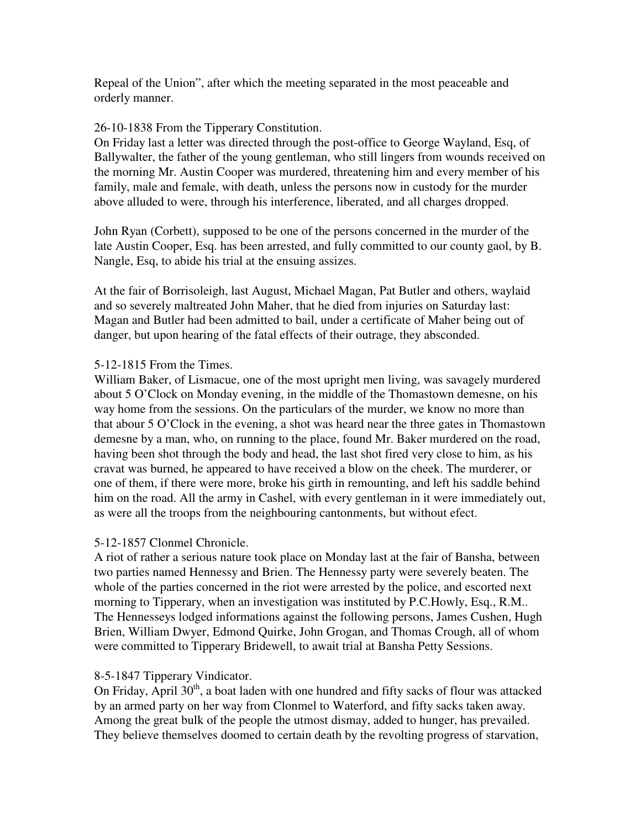Repeal of the Union", after which the meeting separated in the most peaceable and orderly manner.

## 26-10-1838 From the Tipperary Constitution.

On Friday last a letter was directed through the post-office to George Wayland, Esq, of Ballywalter, the father of the young gentleman, who still lingers from wounds received on the morning Mr. Austin Cooper was murdered, threatening him and every member of his family, male and female, with death, unless the persons now in custody for the murder above alluded to were, through his interference, liberated, and all charges dropped.

John Ryan (Corbett), supposed to be one of the persons concerned in the murder of the late Austin Cooper, Esq. has been arrested, and fully committed to our county gaol, by B. Nangle, Esq, to abide his trial at the ensuing assizes.

At the fair of Borrisoleigh, last August, Michael Magan, Pat Butler and others, waylaid and so severely maltreated John Maher, that he died from injuries on Saturday last: Magan and Butler had been admitted to bail, under a certificate of Maher being out of danger, but upon hearing of the fatal effects of their outrage, they absconded.

# 5-12-1815 From the Times.

William Baker, of Lismacue, one of the most upright men living, was savagely murdered about 5 O'Clock on Monday evening, in the middle of the Thomastown demesne, on his way home from the sessions. On the particulars of the murder, we know no more than that abour 5 O'Clock in the evening, a shot was heard near the three gates in Thomastown demesne by a man, who, on running to the place, found Mr. Baker murdered on the road, having been shot through the body and head, the last shot fired very close to him, as his cravat was burned, he appeared to have received a blow on the cheek. The murderer, or one of them, if there were more, broke his girth in remounting, and left his saddle behind him on the road. All the army in Cashel, with every gentleman in it were immediately out, as were all the troops from the neighbouring cantonments, but without efect.

# 5-12-1857 Clonmel Chronicle.

A riot of rather a serious nature took place on Monday last at the fair of Bansha, between two parties named Hennessy and Brien. The Hennessy party were severely beaten. The whole of the parties concerned in the riot were arrested by the police, and escorted next morning to Tipperary, when an investigation was instituted by P.C.Howly, Esq., R.M.. The Hennesseys lodged informations against the following persons, James Cushen, Hugh Brien, William Dwyer, Edmond Quirke, John Grogan, and Thomas Crough, all of whom were committed to Tipperary Bridewell, to await trial at Bansha Petty Sessions.

# 8-5-1847 Tipperary Vindicator.

On Friday, April  $30<sup>th</sup>$ , a boat laden with one hundred and fifty sacks of flour was attacked by an armed party on her way from Clonmel to Waterford, and fifty sacks taken away. Among the great bulk of the people the utmost dismay, added to hunger, has prevailed. They believe themselves doomed to certain death by the revolting progress of starvation,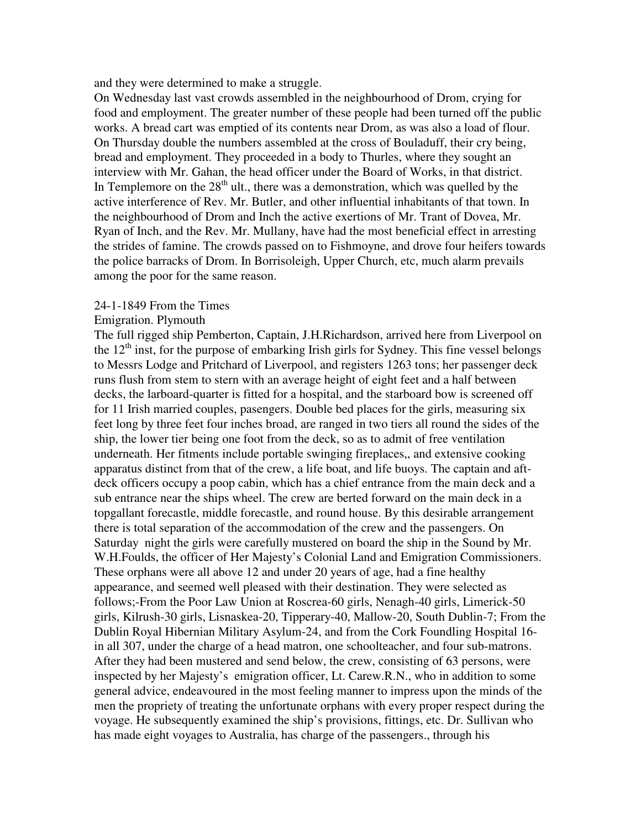and they were determined to make a struggle.

On Wednesday last vast crowds assembled in the neighbourhood of Drom, crying for food and employment. The greater number of these people had been turned off the public works. A bread cart was emptied of its contents near Drom, as was also a load of flour. On Thursday double the numbers assembled at the cross of Bouladuff, their cry being, bread and employment. They proceeded in a body to Thurles, where they sought an interview with Mr. Gahan, the head officer under the Board of Works, in that district. In Templemore on the  $28<sup>th</sup>$  ult., there was a demonstration, which was quelled by the active interference of Rev. Mr. Butler, and other influential inhabitants of that town. In the neighbourhood of Drom and Inch the active exertions of Mr. Trant of Dovea, Mr. Ryan of Inch, and the Rev. Mr. Mullany, have had the most beneficial effect in arresting the strides of famine. The crowds passed on to Fishmoyne, and drove four heifers towards the police barracks of Drom. In Borrisoleigh, Upper Church, etc, much alarm prevails among the poor for the same reason.

#### 24-1-1849 From the Times

#### Emigration. Plymouth

The full rigged ship Pemberton, Captain, J.H.Richardson, arrived here from Liverpool on the  $12<sup>th</sup>$  inst, for the purpose of embarking Irish girls for Sydney. This fine vessel belongs to Messrs Lodge and Pritchard of Liverpool, and registers 1263 tons; her passenger deck runs flush from stem to stern with an average height of eight feet and a half between decks, the larboard-quarter is fitted for a hospital, and the starboard bow is screened off for 11 Irish married couples, pasengers. Double bed places for the girls, measuring six feet long by three feet four inches broad, are ranged in two tiers all round the sides of the ship, the lower tier being one foot from the deck, so as to admit of free ventilation underneath. Her fitments include portable swinging fireplaces,, and extensive cooking apparatus distinct from that of the crew, a life boat, and life buoys. The captain and aftdeck officers occupy a poop cabin, which has a chief entrance from the main deck and a sub entrance near the ships wheel. The crew are berted forward on the main deck in a topgallant forecastle, middle forecastle, and round house. By this desirable arrangement there is total separation of the accommodation of the crew and the passengers. On Saturday night the girls were carefully mustered on board the ship in the Sound by Mr. W.H.Foulds, the officer of Her Majesty's Colonial Land and Emigration Commissioners. These orphans were all above 12 and under 20 years of age, had a fine healthy appearance, and seemed well pleased with their destination. They were selected as follows;-From the Poor Law Union at Roscrea-60 girls, Nenagh-40 girls, Limerick-50 girls, Kilrush-30 girls, Lisnaskea-20, Tipperary-40, Mallow-20, South Dublin-7; From the Dublin Royal Hibernian Military Asylum-24, and from the Cork Foundling Hospital 16 in all 307, under the charge of a head matron, one schoolteacher, and four sub-matrons. After they had been mustered and send below, the crew, consisting of 63 persons, were inspected by her Majesty's emigration officer, Lt. Carew.R.N., who in addition to some general advice, endeavoured in the most feeling manner to impress upon the minds of the men the propriety of treating the unfortunate orphans with every proper respect during the voyage. He subsequently examined the ship's provisions, fittings, etc. Dr. Sullivan who has made eight voyages to Australia, has charge of the passengers., through his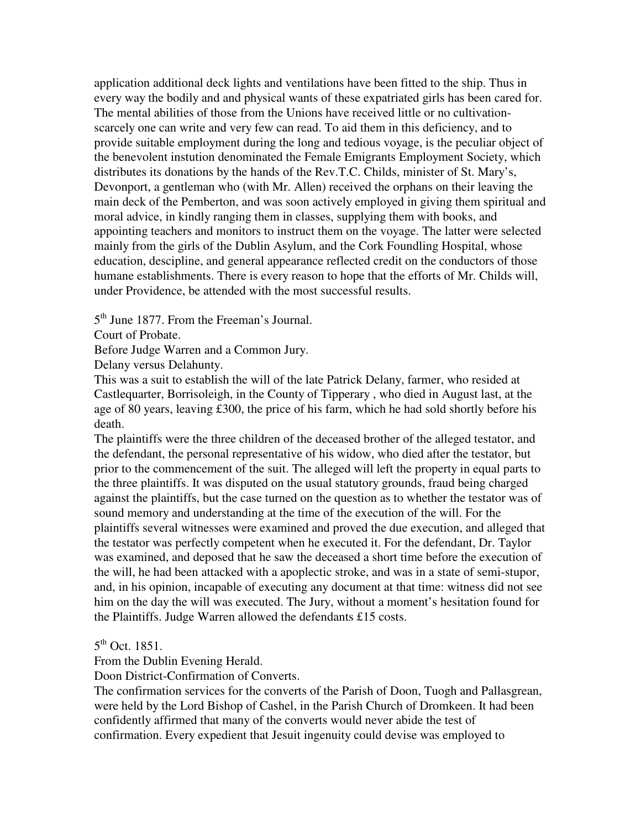application additional deck lights and ventilations have been fitted to the ship. Thus in every way the bodily and and physical wants of these expatriated girls has been cared for. The mental abilities of those from the Unions have received little or no cultivationscarcely one can write and very few can read. To aid them in this deficiency, and to provide suitable employment during the long and tedious voyage, is the peculiar object of the benevolent instution denominated the Female Emigrants Employment Society, which distributes its donations by the hands of the Rev.T.C. Childs, minister of St. Mary's, Devonport, a gentleman who (with Mr. Allen) received the orphans on their leaving the main deck of the Pemberton, and was soon actively employed in giving them spiritual and moral advice, in kindly ranging them in classes, supplying them with books, and appointing teachers and monitors to instruct them on the voyage. The latter were selected mainly from the girls of the Dublin Asylum, and the Cork Foundling Hospital, whose education, descipline, and general appearance reflected credit on the conductors of those humane establishments. There is every reason to hope that the efforts of Mr. Childs will, under Providence, be attended with the most successful results.

5<sup>th</sup> June 1877. From the Freeman's Journal.

Court of Probate.

Before Judge Warren and a Common Jury.

Delany versus Delahunty.

This was a suit to establish the will of the late Patrick Delany, farmer, who resided at Castlequarter, Borrisoleigh, in the County of Tipperary , who died in August last, at the age of 80 years, leaving £300, the price of his farm, which he had sold shortly before his death.

The plaintiffs were the three children of the deceased brother of the alleged testator, and the defendant, the personal representative of his widow, who died after the testator, but prior to the commencement of the suit. The alleged will left the property in equal parts to the three plaintiffs. It was disputed on the usual statutory grounds, fraud being charged against the plaintiffs, but the case turned on the question as to whether the testator was of sound memory and understanding at the time of the execution of the will. For the plaintiffs several witnesses were examined and proved the due execution, and alleged that the testator was perfectly competent when he executed it. For the defendant, Dr. Taylor was examined, and deposed that he saw the deceased a short time before the execution of the will, he had been attacked with a apoplectic stroke, and was in a state of semi-stupor, and, in his opinion, incapable of executing any document at that time: witness did not see him on the day the will was executed. The Jury, without a moment's hesitation found for the Plaintiffs. Judge Warren allowed the defendants £15 costs.

5<sup>th</sup> Oct. 1851.

From the Dublin Evening Herald.

Doon District-Confirmation of Converts.

The confirmation services for the converts of the Parish of Doon, Tuogh and Pallasgrean, were held by the Lord Bishop of Cashel, in the Parish Church of Dromkeen. It had been confidently affirmed that many of the converts would never abide the test of confirmation. Every expedient that Jesuit ingenuity could devise was employed to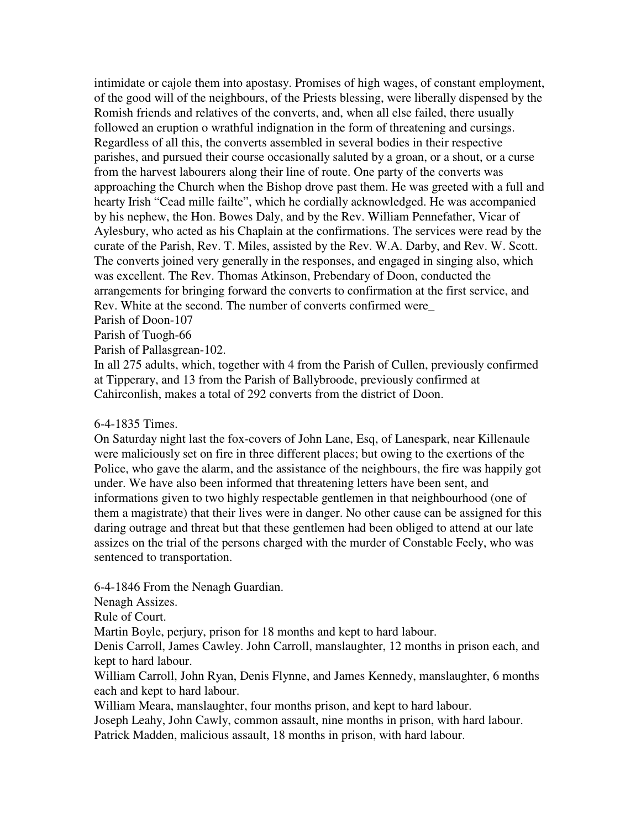intimidate or cajole them into apostasy. Promises of high wages, of constant employment, of the good will of the neighbours, of the Priests blessing, were liberally dispensed by the Romish friends and relatives of the converts, and, when all else failed, there usually followed an eruption o wrathful indignation in the form of threatening and cursings. Regardless of all this, the converts assembled in several bodies in their respective parishes, and pursued their course occasionally saluted by a groan, or a shout, or a curse from the harvest labourers along their line of route. One party of the converts was approaching the Church when the Bishop drove past them. He was greeted with a full and hearty Irish "Cead mille failte", which he cordially acknowledged. He was accompanied by his nephew, the Hon. Bowes Daly, and by the Rev. William Pennefather, Vicar of Aylesbury, who acted as his Chaplain at the confirmations. The services were read by the curate of the Parish, Rev. T. Miles, assisted by the Rev. W.A. Darby, and Rev. W. Scott. The converts joined very generally in the responses, and engaged in singing also, which was excellent. The Rev. Thomas Atkinson, Prebendary of Doon, conducted the arrangements for bringing forward the converts to confirmation at the first service, and Rev. White at the second. The number of converts confirmed were\_

Parish of Doon-107

Parish of Tuogh-66

Parish of Pallasgrean-102.

In all 275 adults, which, together with 4 from the Parish of Cullen, previously confirmed at Tipperary, and 13 from the Parish of Ballybroode, previously confirmed at Cahirconlish, makes a total of 292 converts from the district of Doon.

## 6-4-1835 Times.

On Saturday night last the fox-covers of John Lane, Esq, of Lanespark, near Killenaule were maliciously set on fire in three different places; but owing to the exertions of the Police, who gave the alarm, and the assistance of the neighbours, the fire was happily got under. We have also been informed that threatening letters have been sent, and informations given to two highly respectable gentlemen in that neighbourhood (one of them a magistrate) that their lives were in danger. No other cause can be assigned for this daring outrage and threat but that these gentlemen had been obliged to attend at our late assizes on the trial of the persons charged with the murder of Constable Feely, who was sentenced to transportation.

6-4-1846 From the Nenagh Guardian.

Nenagh Assizes.

Rule of Court.

Martin Boyle, perjury, prison for 18 months and kept to hard labour.

Denis Carroll, James Cawley. John Carroll, manslaughter, 12 months in prison each, and kept to hard labour.

William Carroll, John Ryan, Denis Flynne, and James Kennedy, manslaughter, 6 months each and kept to hard labour.

William Meara, manslaughter, four months prison, and kept to hard labour.

Joseph Leahy, John Cawly, common assault, nine months in prison, with hard labour.

Patrick Madden, malicious assault, 18 months in prison, with hard labour.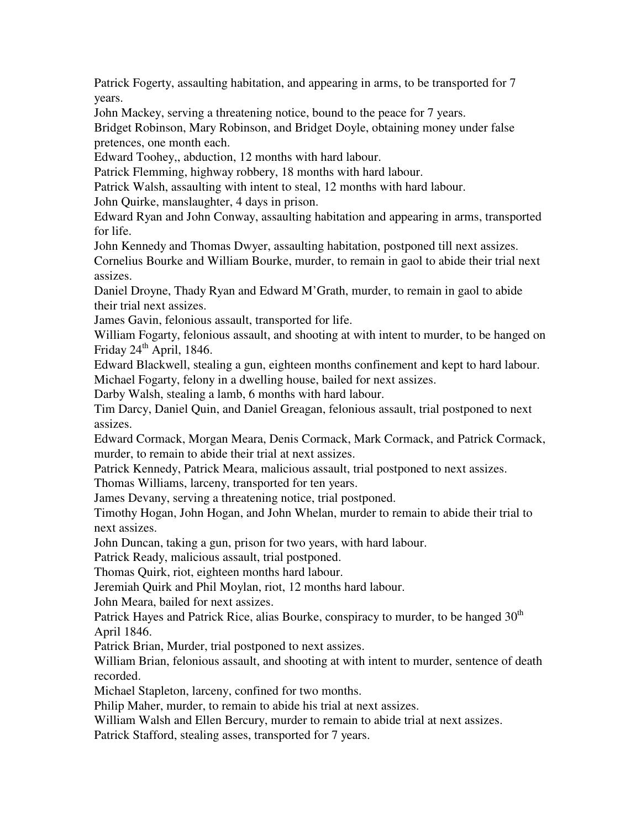Patrick Fogerty, assaulting habitation, and appearing in arms, to be transported for 7 years.

John Mackey, serving a threatening notice, bound to the peace for 7 years.

Bridget Robinson, Mary Robinson, and Bridget Doyle, obtaining money under false pretences, one month each.

Edward Toohey,, abduction, 12 months with hard labour.

Patrick Flemming, highway robbery, 18 months with hard labour.

Patrick Walsh, assaulting with intent to steal, 12 months with hard labour.

John Quirke, manslaughter, 4 days in prison.

Edward Ryan and John Conway, assaulting habitation and appearing in arms, transported for life.

John Kennedy and Thomas Dwyer, assaulting habitation, postponed till next assizes.

Cornelius Bourke and William Bourke, murder, to remain in gaol to abide their trial next assizes.

Daniel Droyne, Thady Ryan and Edward M'Grath, murder, to remain in gaol to abide their trial next assizes.

James Gavin, felonious assault, transported for life.

William Fogarty, felonious assault, and shooting at with intent to murder, to be hanged on Friday  $24<sup>th</sup>$  April, 1846.

Edward Blackwell, stealing a gun, eighteen months confinement and kept to hard labour. Michael Fogarty, felony in a dwelling house, bailed for next assizes.

Darby Walsh, stealing a lamb, 6 months with hard labour.

Tim Darcy, Daniel Quin, and Daniel Greagan, felonious assault, trial postponed to next assizes.

Edward Cormack, Morgan Meara, Denis Cormack, Mark Cormack, and Patrick Cormack, murder, to remain to abide their trial at next assizes.

Patrick Kennedy, Patrick Meara, malicious assault, trial postponed to next assizes.

Thomas Williams, larceny, transported for ten years.

James Devany, serving a threatening notice, trial postponed.

Timothy Hogan, John Hogan, and John Whelan, murder to remain to abide their trial to next assizes.

John Duncan, taking a gun, prison for two years, with hard labour.

Patrick Ready, malicious assault, trial postponed.

Thomas Quirk, riot, eighteen months hard labour.

Jeremiah Quirk and Phil Moylan, riot, 12 months hard labour.

John Meara, bailed for next assizes.

Patrick Hayes and Patrick Rice, alias Bourke, conspiracy to murder, to be hanged  $30<sup>th</sup>$ April 1846.

Patrick Brian, Murder, trial postponed to next assizes.

William Brian, felonious assault, and shooting at with intent to murder, sentence of death recorded.

Michael Stapleton, larceny, confined for two months.

Philip Maher, murder, to remain to abide his trial at next assizes.

William Walsh and Ellen Bercury, murder to remain to abide trial at next assizes.

Patrick Stafford, stealing asses, transported for 7 years.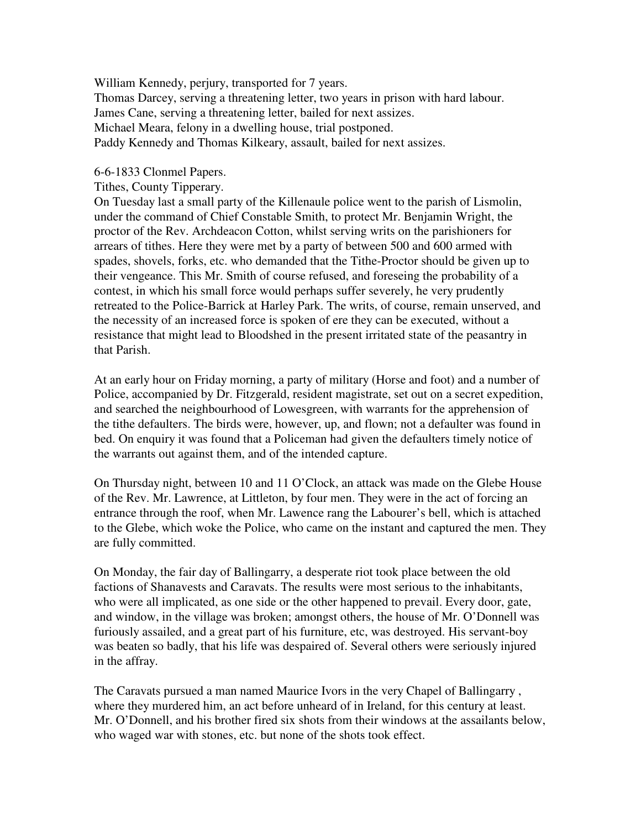William Kennedy, perjury, transported for 7 years. Thomas Darcey, serving a threatening letter, two years in prison with hard labour. James Cane, serving a threatening letter, bailed for next assizes. Michael Meara, felony in a dwelling house, trial postponed. Paddy Kennedy and Thomas Kilkeary, assault, bailed for next assizes.

6-6-1833 Clonmel Papers.

Tithes, County Tipperary.

On Tuesday last a small party of the Killenaule police went to the parish of Lismolin, under the command of Chief Constable Smith, to protect Mr. Benjamin Wright, the proctor of the Rev. Archdeacon Cotton, whilst serving writs on the parishioners for arrears of tithes. Here they were met by a party of between 500 and 600 armed with spades, shovels, forks, etc. who demanded that the Tithe-Proctor should be given up to their vengeance. This Mr. Smith of course refused, and foreseing the probability of a contest, in which his small force would perhaps suffer severely, he very prudently retreated to the Police-Barrick at Harley Park. The writs, of course, remain unserved, and the necessity of an increased force is spoken of ere they can be executed, without a resistance that might lead to Bloodshed in the present irritated state of the peasantry in that Parish.

At an early hour on Friday morning, a party of military (Horse and foot) and a number of Police, accompanied by Dr. Fitzgerald, resident magistrate, set out on a secret expedition, and searched the neighbourhood of Lowesgreen, with warrants for the apprehension of the tithe defaulters. The birds were, however, up, and flown; not a defaulter was found in bed. On enquiry it was found that a Policeman had given the defaulters timely notice of the warrants out against them, and of the intended capture.

On Thursday night, between 10 and 11 O'Clock, an attack was made on the Glebe House of the Rev. Mr. Lawrence, at Littleton, by four men. They were in the act of forcing an entrance through the roof, when Mr. Lawence rang the Labourer's bell, which is attached to the Glebe, which woke the Police, who came on the instant and captured the men. They are fully committed.

On Monday, the fair day of Ballingarry, a desperate riot took place between the old factions of Shanavests and Caravats. The results were most serious to the inhabitants, who were all implicated, as one side or the other happened to prevail. Every door, gate, and window, in the village was broken; amongst others, the house of Mr. O'Donnell was furiously assailed, and a great part of his furniture, etc, was destroyed. His servant-boy was beaten so badly, that his life was despaired of. Several others were seriously injured in the affray.

The Caravats pursued a man named Maurice Ivors in the very Chapel of Ballingarry , where they murdered him, an act before unheard of in Ireland, for this century at least. Mr. O'Donnell, and his brother fired six shots from their windows at the assailants below, who waged war with stones, etc. but none of the shots took effect.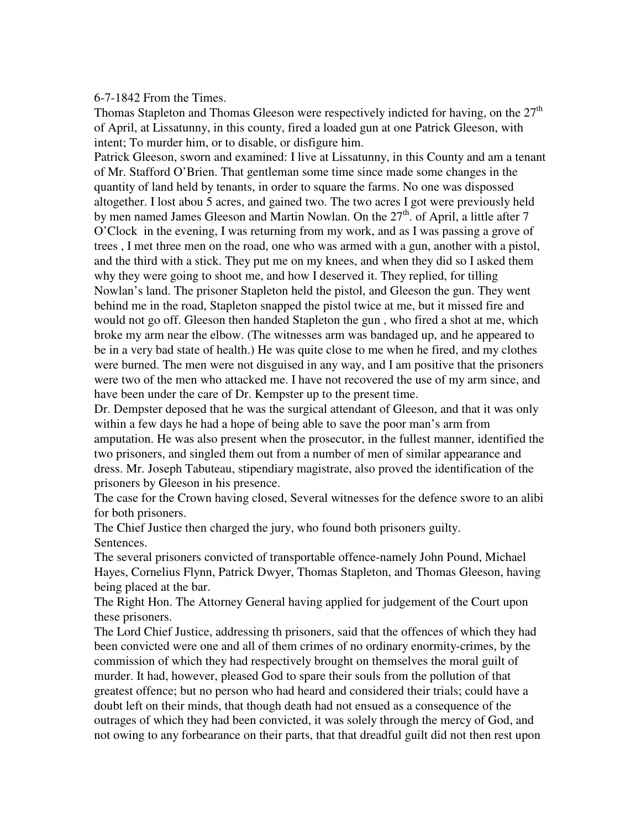#### 6-7-1842 From the Times.

Thomas Stapleton and Thomas Gleeson were respectively indicted for having, on the  $27<sup>th</sup>$ of April, at Lissatunny, in this county, fired a loaded gun at one Patrick Gleeson, with intent; To murder him, or to disable, or disfigure him.

Patrick Gleeson, sworn and examined: I live at Lissatunny, in this County and am a tenant of Mr. Stafford O'Brien. That gentleman some time since made some changes in the quantity of land held by tenants, in order to square the farms. No one was dispossed altogether. I lost abou 5 acres, and gained two. The two acres I got were previously held by men named James Gleeson and Martin Nowlan. On the  $27<sup>th</sup>$ . of April, a little after 7 O'Clock in the evening, I was returning from my work, and as I was passing a grove of trees , I met three men on the road, one who was armed with a gun, another with a pistol, and the third with a stick. They put me on my knees, and when they did so I asked them why they were going to shoot me, and how I deserved it. They replied, for tilling Nowlan's land. The prisoner Stapleton held the pistol, and Gleeson the gun. They went behind me in the road, Stapleton snapped the pistol twice at me, but it missed fire and would not go off. Gleeson then handed Stapleton the gun , who fired a shot at me, which broke my arm near the elbow. (The witnesses arm was bandaged up, and he appeared to be in a very bad state of health.) He was quite close to me when he fired, and my clothes were burned. The men were not disguised in any way, and I am positive that the prisoners were two of the men who attacked me. I have not recovered the use of my arm since, and have been under the care of Dr. Kempster up to the present time.

Dr. Dempster deposed that he was the surgical attendant of Gleeson, and that it was only within a few days he had a hope of being able to save the poor man's arm from amputation. He was also present when the prosecutor, in the fullest manner, identified the two prisoners, and singled them out from a number of men of similar appearance and dress. Mr. Joseph Tabuteau, stipendiary magistrate, also proved the identification of the prisoners by Gleeson in his presence.

The case for the Crown having closed, Several witnesses for the defence swore to an alibi for both prisoners.

The Chief Justice then charged the jury, who found both prisoners guilty. Sentences.

The several prisoners convicted of transportable offence-namely John Pound, Michael Hayes, Cornelius Flynn, Patrick Dwyer, Thomas Stapleton, and Thomas Gleeson, having being placed at the bar.

The Right Hon. The Attorney General having applied for judgement of the Court upon these prisoners.

The Lord Chief Justice, addressing th prisoners, said that the offences of which they had been convicted were one and all of them crimes of no ordinary enormity-crimes, by the commission of which they had respectively brought on themselves the moral guilt of murder. It had, however, pleased God to spare their souls from the pollution of that greatest offence; but no person who had heard and considered their trials; could have a doubt left on their minds, that though death had not ensued as a consequence of the outrages of which they had been convicted, it was solely through the mercy of God, and not owing to any forbearance on their parts, that that dreadful guilt did not then rest upon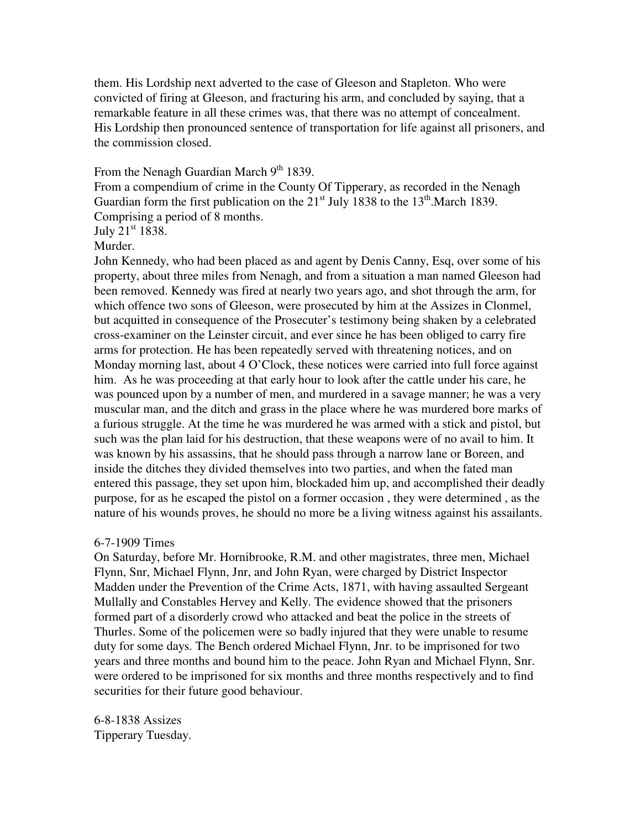them. His Lordship next adverted to the case of Gleeson and Stapleton. Who were convicted of firing at Gleeson, and fracturing his arm, and concluded by saying, that a remarkable feature in all these crimes was, that there was no attempt of concealment. His Lordship then pronounced sentence of transportation for life against all prisoners, and the commission closed.

From the Nenagh Guardian March  $9<sup>th</sup>$  1839.

From a compendium of crime in the County Of Tipperary, as recorded in the Nenagh Guardian form the first publication on the  $21<sup>st</sup>$  July 1838 to the 13<sup>th</sup>.March 1839. Comprising a period of 8 months.

July  $21<sup>st</sup> 1838$ .

Murder.

John Kennedy, who had been placed as and agent by Denis Canny, Esq, over some of his property, about three miles from Nenagh, and from a situation a man named Gleeson had been removed. Kennedy was fired at nearly two years ago, and shot through the arm, for which offence two sons of Gleeson, were prosecuted by him at the Assizes in Clonmel, but acquitted in consequence of the Prosecuter's testimony being shaken by a celebrated cross-examiner on the Leinster circuit, and ever since he has been obliged to carry fire arms for protection. He has been repeatedly served with threatening notices, and on Monday morning last, about 4 O'Clock, these notices were carried into full force against him. As he was proceeding at that early hour to look after the cattle under his care, he was pounced upon by a number of men, and murdered in a savage manner; he was a very muscular man, and the ditch and grass in the place where he was murdered bore marks of a furious struggle. At the time he was murdered he was armed with a stick and pistol, but such was the plan laid for his destruction, that these weapons were of no avail to him. It was known by his assassins, that he should pass through a narrow lane or Boreen, and inside the ditches they divided themselves into two parties, and when the fated man entered this passage, they set upon him, blockaded him up, and accomplished their deadly purpose, for as he escaped the pistol on a former occasion , they were determined , as the nature of his wounds proves, he should no more be a living witness against his assailants.

#### 6-7-1909 Times

On Saturday, before Mr. Hornibrooke, R.M. and other magistrates, three men, Michael Flynn, Snr, Michael Flynn, Jnr, and John Ryan, were charged by District Inspector Madden under the Prevention of the Crime Acts, 1871, with having assaulted Sergeant Mullally and Constables Hervey and Kelly. The evidence showed that the prisoners formed part of a disorderly crowd who attacked and beat the police in the streets of Thurles. Some of the policemen were so badly injured that they were unable to resume duty for some days. The Bench ordered Michael Flynn, Jnr. to be imprisoned for two years and three months and bound him to the peace. John Ryan and Michael Flynn, Snr. were ordered to be imprisoned for six months and three months respectively and to find securities for their future good behaviour.

6-8-1838 Assizes Tipperary Tuesday.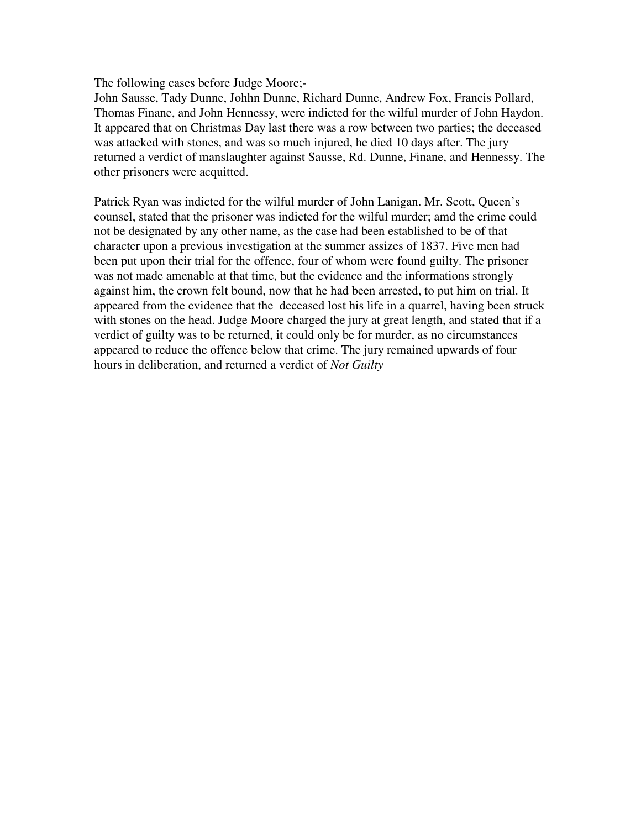The following cases before Judge Moore;-

John Sausse, Tady Dunne, Johhn Dunne, Richard Dunne, Andrew Fox, Francis Pollard, Thomas Finane, and John Hennessy, were indicted for the wilful murder of John Haydon. It appeared that on Christmas Day last there was a row between two parties; the deceased was attacked with stones, and was so much injured, he died 10 days after. The jury returned a verdict of manslaughter against Sausse, Rd. Dunne, Finane, and Hennessy. The other prisoners were acquitted.

Patrick Ryan was indicted for the wilful murder of John Lanigan. Mr. Scott, Queen's counsel, stated that the prisoner was indicted for the wilful murder; amd the crime could not be designated by any other name, as the case had been established to be of that character upon a previous investigation at the summer assizes of 1837. Five men had been put upon their trial for the offence, four of whom were found guilty. The prisoner was not made amenable at that time, but the evidence and the informations strongly against him, the crown felt bound, now that he had been arrested, to put him on trial. It appeared from the evidence that the deceased lost his life in a quarrel, having been struck with stones on the head. Judge Moore charged the jury at great length, and stated that if a verdict of guilty was to be returned, it could only be for murder, as no circumstances appeared to reduce the offence below that crime. The jury remained upwards of four hours in deliberation, and returned a verdict of *Not Guilty* 

*the eath* 

*decease as connext a dispute concerning la nd ecease as connext de it is observate by ning la because he as the cousin o the anlor s aent brouht he eience hoeer, as not suicient aainst the risoners, althouh their articiation directe an acuittal. Dwyer were indicted for a greious were indicted for a greious were indicted for a greious m assaut on Constable Scuice, when in discharge of h is duty. atrick Seerin Police eamine; rreste ohn yer at onasea on the ni*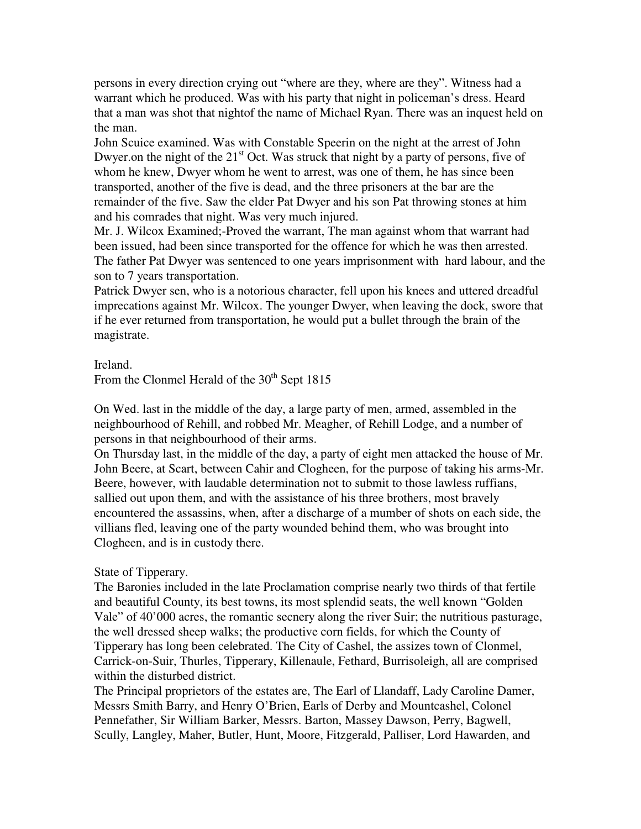persons in every direction crying out "where are they, where are they". Witness had a warrant which he produced. Was with his party that night in policeman's dress. Heard that a man was shot that nightof the name of Michael Ryan. There was an inquest held on the man.

John Scuice examined. Was with Constable Speerin on the night at the arrest of John Dwyer.on the night of the  $21<sup>st</sup>$  Oct. Was struck that night by a party of persons, five of whom he knew, Dwyer whom he went to arrest, was one of them, he has since been transported, another of the five is dead, and the three prisoners at the bar are the remainder of the five. Saw the elder Pat Dwyer and his son Pat throwing stones at him and his comrades that night. Was very much injured.

Mr. J. Wilcox Examined;-Proved the warrant, The man against whom that warrant had been issued, had been since transported for the offence for which he was then arrested. The father Pat Dwyer was sentenced to one years imprisonment with hard labour, and the son to 7 years transportation.

Patrick Dwyer sen, who is a notorious character, fell upon his knees and uttered dreadful imprecations against Mr. Wilcox. The younger Dwyer, when leaving the dock, swore that if he ever returned from transportation, he would put a bullet through the brain of the magistrate.

Ireland.

From the Clonmel Herald of the  $30<sup>th</sup>$  Sept 1815

On Wed. last in the middle of the day, a large party of men, armed, assembled in the neighbourhood of Rehill, and robbed Mr. Meagher, of Rehill Lodge, and a number of persons in that neighbourhood of their arms.

On Thursday last, in the middle of the day, a party of eight men attacked the house of Mr. John Beere, at Scart, between Cahir and Clogheen, for the purpose of taking his arms-Mr. Beere, however, with laudable determination not to submit to those lawless ruffians, sallied out upon them, and with the assistance of his three brothers, most bravely encountered the assassins, when, after a discharge of a mumber of shots on each side, the villians fled, leaving one of the party wounded behind them, who was brought into Clogheen, and is in custody there.

State of Tipperary.

The Baronies included in the late Proclamation comprise nearly two thirds of that fertile and beautiful County, its best towns, its most splendid seats, the well known "Golden Vale" of 40'000 acres, the romantic secnery along the river Suir; the nutritious pasturage, the well dressed sheep walks; the productive corn fields, for which the County of Tipperary has long been celebrated. The City of Cashel, the assizes town of Clonmel, Carrick-on-Suir, Thurles, Tipperary, Killenaule, Fethard, Burrisoleigh, all are comprised within the disturbed district.

The Principal proprietors of the estates are, The Earl of Llandaff, Lady Caroline Damer, Messrs Smith Barry, and Henry O'Brien, Earls of Derby and Mountcashel, Colonel Pennefather, Sir William Barker, Messrs. Barton, Massey Dawson, Perry, Bagwell, Scully, Langley, Maher, Butler, Hunt, Moore, Fitzgerald, Palliser, Lord Hawarden, and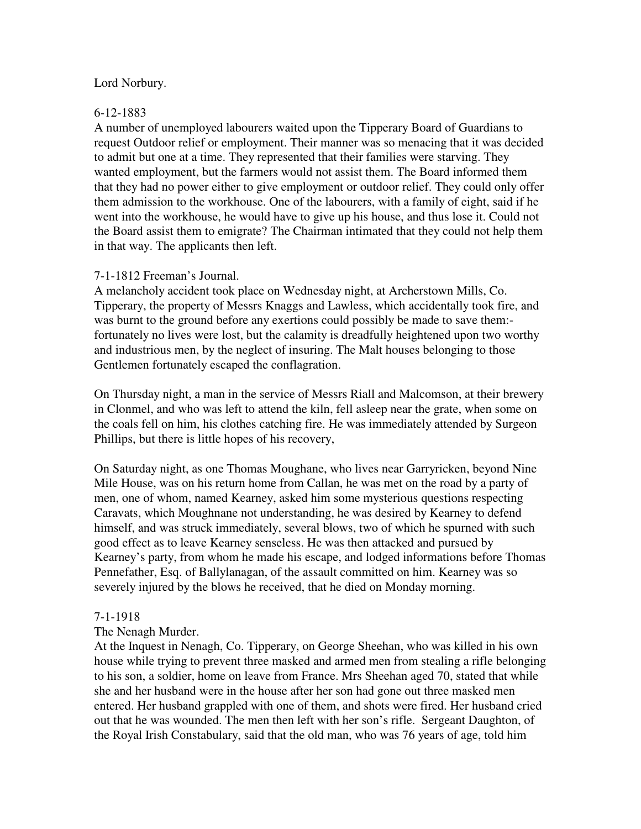## Lord Norbury.

#### 6-12-1883

A number of unemployed labourers waited upon the Tipperary Board of Guardians to request Outdoor relief or employment. Their manner was so menacing that it was decided to admit but one at a time. They represented that their families were starving. They wanted employment, but the farmers would not assist them. The Board informed them that they had no power either to give employment or outdoor relief. They could only offer them admission to the workhouse. One of the labourers, with a family of eight, said if he went into the workhouse, he would have to give up his house, and thus lose it. Could not the Board assist them to emigrate? The Chairman intimated that they could not help them in that way. The applicants then left.

#### 7-1-1812 Freeman's Journal.

A melancholy accident took place on Wednesday night, at Archerstown Mills, Co. Tipperary, the property of Messrs Knaggs and Lawless, which accidentally took fire, and was burnt to the ground before any exertions could possibly be made to save them: fortunately no lives were lost, but the calamity is dreadfully heightened upon two worthy and industrious men, by the neglect of insuring. The Malt houses belonging to those Gentlemen fortunately escaped the conflagration.

On Thursday night, a man in the service of Messrs Riall and Malcomson, at their brewery in Clonmel, and who was left to attend the kiln, fell asleep near the grate, when some on the coals fell on him, his clothes catching fire. He was immediately attended by Surgeon Phillips, but there is little hopes of his recovery,

On Saturday night, as one Thomas Moughane, who lives near Garryricken, beyond Nine Mile House, was on his return home from Callan, he was met on the road by a party of men, one of whom, named Kearney, asked him some mysterious questions respecting Caravats, which Moughnane not understanding, he was desired by Kearney to defend himself, and was struck immediately, several blows, two of which he spurned with such good effect as to leave Kearney senseless. He was then attacked and pursued by Kearney's party, from whom he made his escape, and lodged informations before Thomas Pennefather, Esq. of Ballylanagan, of the assault committed on him. Kearney was so severely injured by the blows he received, that he died on Monday morning.

#### 7-1-1918

## The Nenagh Murder.

At the Inquest in Nenagh, Co. Tipperary, on George Sheehan, who was killed in his own house while trying to prevent three masked and armed men from stealing a rifle belonging to his son, a soldier, home on leave from France. Mrs Sheehan aged 70, stated that while she and her husband were in the house after her son had gone out three masked men entered. Her husband grappled with one of them, and shots were fired. Her husband cried out that he was wounded. The men then left with her son's rifle. Sergeant Daughton, of the Royal Irish Constabulary, said that the old man, who was 76 years of age, told him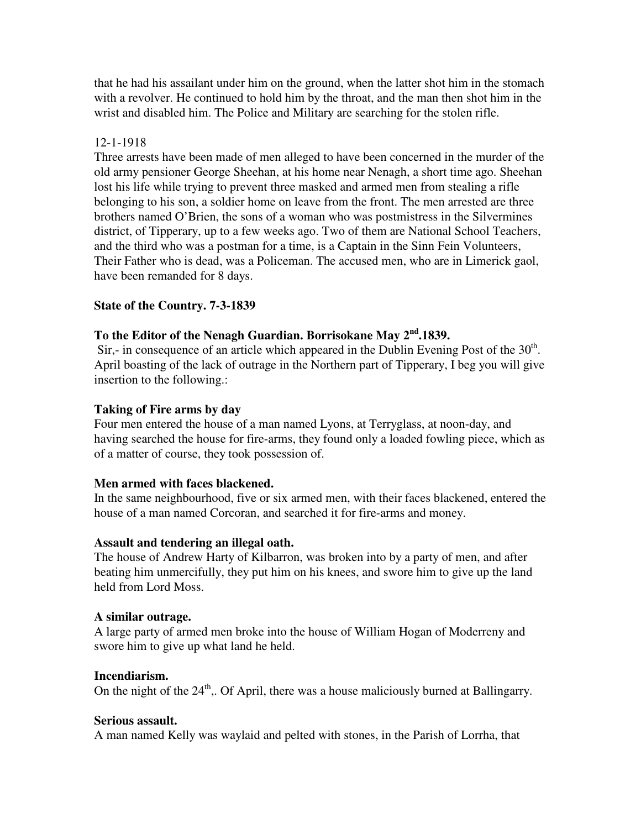that he had his assailant under him on the ground, when the latter shot him in the stomach with a revolver. He continued to hold him by the throat, and the man then shot him in the wrist and disabled him. The Police and Military are searching for the stolen rifle.

## 12-1-1918

Three arrests have been made of men alleged to have been concerned in the murder of the old army pensioner George Sheehan, at his home near Nenagh, a short time ago. Sheehan lost his life while trying to prevent three masked and armed men from stealing a rifle belonging to his son, a soldier home on leave from the front. The men arrested are three brothers named O'Brien, the sons of a woman who was postmistress in the Silvermines district, of Tipperary, up to a few weeks ago. Two of them are National School Teachers, and the third who was a postman for a time, is a Captain in the Sinn Fein Volunteers, Their Father who is dead, was a Policeman. The accused men, who are in Limerick gaol, have been remanded for 8 days.

## **State of the Country. 7-3-1839**

## **To the Editor of the Nenagh Guardian. Borrisokane May 2nd.1839.**

Sir,- in consequence of an article which appeared in the Dublin Evening Post of the  $30<sup>th</sup>$ . April boasting of the lack of outrage in the Northern part of Tipperary, I beg you will give insertion to the following.:

## **Taking of Fire arms by day**

Four men entered the house of a man named Lyons, at Terryglass, at noon-day, and having searched the house for fire-arms, they found only a loaded fowling piece, which as of a matter of course, they took possession of.

## **Men armed with faces blackened.**

In the same neighbourhood, five or six armed men, with their faces blackened, entered the house of a man named Corcoran, and searched it for fire-arms and money.

## **Assault and tendering an illegal oath.**

The house of Andrew Harty of Kilbarron, was broken into by a party of men, and after beating him unmercifully, they put him on his knees, and swore him to give up the land held from Lord Moss.

#### **A similar outrage.**

A large party of armed men broke into the house of William Hogan of Moderreny and swore him to give up what land he held.

#### **Incendiarism.**

On the night of the  $24<sup>th</sup>$ ,. Of April, there was a house maliciously burned at Ballingarry.

## **Serious assault.**

A man named Kelly was waylaid and pelted with stones, in the Parish of Lorrha, that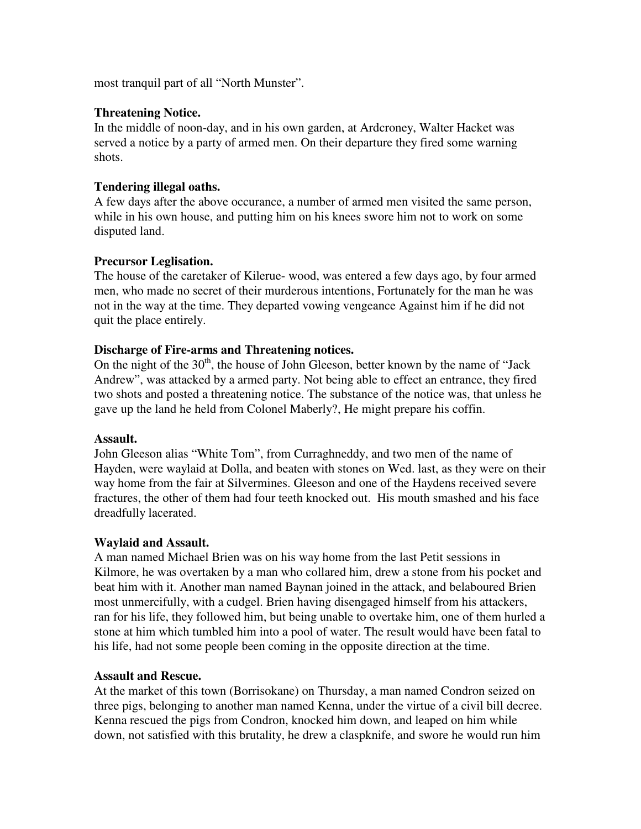most tranquil part of all "North Munster".

## **Threatening Notice.**

In the middle of noon-day, and in his own garden, at Ardcroney, Walter Hacket was served a notice by a party of armed men. On their departure they fired some warning shots.

## **Tendering illegal oaths.**

A few days after the above occurance, a number of armed men visited the same person, while in his own house, and putting him on his knees swore him not to work on some disputed land.

## **Precursor Leglisation.**

The house of the caretaker of Kilerue- wood, was entered a few days ago, by four armed men, who made no secret of their murderous intentions, Fortunately for the man he was not in the way at the time. They departed vowing vengeance Against him if he did not quit the place entirely.

## **Discharge of Fire-arms and Threatening notices.**

On the night of the  $30<sup>th</sup>$ , the house of John Gleeson, better known by the name of "Jack" Andrew", was attacked by a armed party. Not being able to effect an entrance, they fired two shots and posted a threatening notice. The substance of the notice was, that unless he gave up the land he held from Colonel Maberly?, He might prepare his coffin.

## **Assault.**

John Gleeson alias "White Tom", from Curraghneddy, and two men of the name of Hayden, were waylaid at Dolla, and beaten with stones on Wed. last, as they were on their way home from the fair at Silvermines. Gleeson and one of the Haydens received severe fractures, the other of them had four teeth knocked out. His mouth smashed and his face dreadfully lacerated.

# **Waylaid and Assault.**

A man named Michael Brien was on his way home from the last Petit sessions in Kilmore, he was overtaken by a man who collared him, drew a stone from his pocket and beat him with it. Another man named Baynan joined in the attack, and belaboured Brien most unmercifully, with a cudgel. Brien having disengaged himself from his attackers, ran for his life, they followed him, but being unable to overtake him, one of them hurled a stone at him which tumbled him into a pool of water. The result would have been fatal to his life, had not some people been coming in the opposite direction at the time.

## **Assault and Rescue.**

At the market of this town (Borrisokane) on Thursday, a man named Condron seized on three pigs, belonging to another man named Kenna, under the virtue of a civil bill decree. Kenna rescued the pigs from Condron, knocked him down, and leaped on him while down, not satisfied with this brutality, he drew a claspknife, and swore he would run him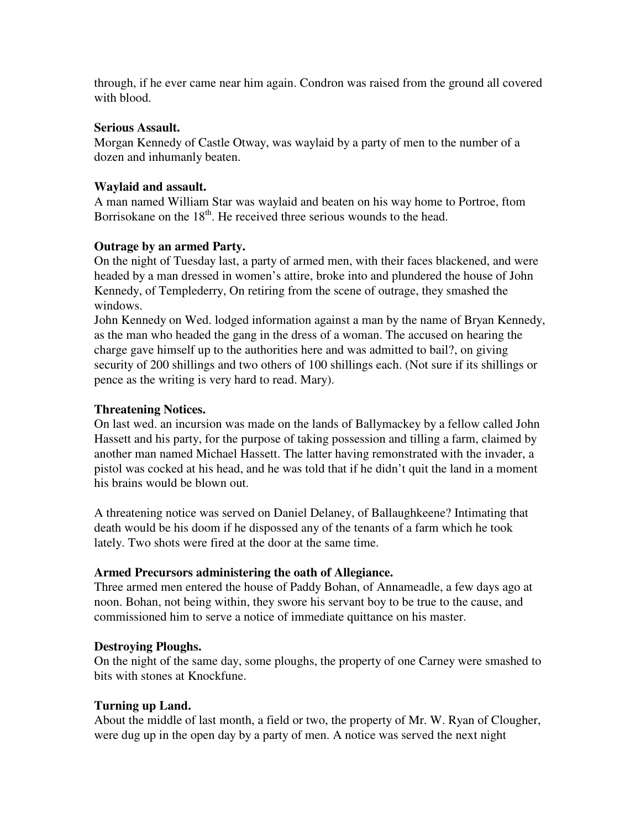through, if he ever came near him again. Condron was raised from the ground all covered with blood.

## **Serious Assault.**

Morgan Kennedy of Castle Otway, was waylaid by a party of men to the number of a dozen and inhumanly beaten.

## **Waylaid and assault.**

A man named William Star was waylaid and beaten on his way home to Portroe, ftom Borrisokane on the 18<sup>th</sup>. He received three serious wounds to the head.

## **Outrage by an armed Party.**

On the night of Tuesday last, a party of armed men, with their faces blackened, and were headed by a man dressed in women's attire, broke into and plundered the house of John Kennedy, of Templederry, On retiring from the scene of outrage, they smashed the windows.

John Kennedy on Wed. lodged information against a man by the name of Bryan Kennedy, as the man who headed the gang in the dress of a woman. The accused on hearing the charge gave himself up to the authorities here and was admitted to bail?, on giving security of 200 shillings and two others of 100 shillings each. (Not sure if its shillings or pence as the writing is very hard to read. Mary).

# **Threatening Notices.**

On last wed. an incursion was made on the lands of Ballymackey by a fellow called John Hassett and his party, for the purpose of taking possession and tilling a farm, claimed by another man named Michael Hassett. The latter having remonstrated with the invader, a pistol was cocked at his head, and he was told that if he didn't quit the land in a moment his brains would be blown out.

A threatening notice was served on Daniel Delaney, of Ballaughkeene? Intimating that death would be his doom if he dispossed any of the tenants of a farm which he took lately. Two shots were fired at the door at the same time.

# **Armed Precursors administering the oath of Allegiance.**

Three armed men entered the house of Paddy Bohan, of Annameadle, a few days ago at noon. Bohan, not being within, they swore his servant boy to be true to the cause, and commissioned him to serve a notice of immediate quittance on his master.

# **Destroying Ploughs.**

On the night of the same day, some ploughs, the property of one Carney were smashed to bits with stones at Knockfune.

# **Turning up Land.**

About the middle of last month, a field or two, the property of Mr. W. Ryan of Clougher, were dug up in the open day by a party of men. A notice was served the next night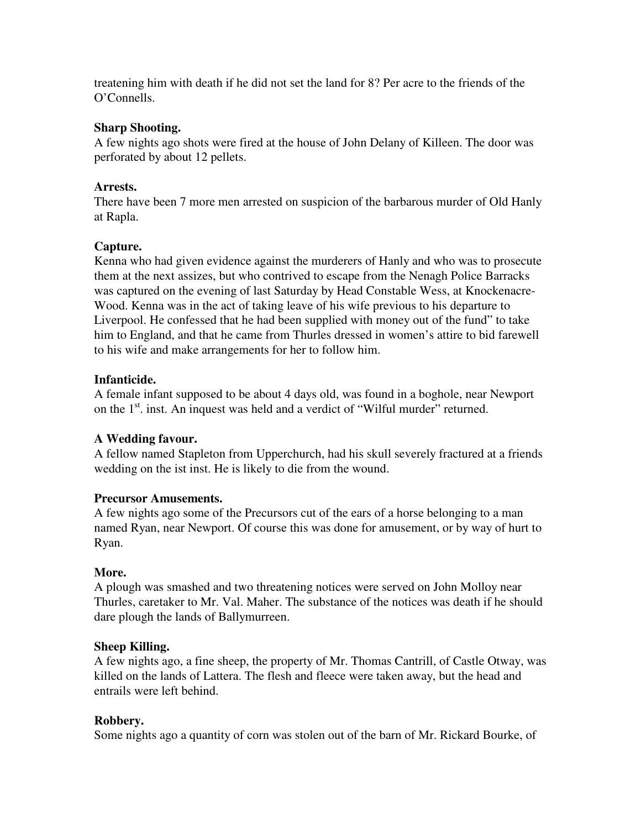treatening him with death if he did not set the land for 8? Per acre to the friends of the O'Connells.

## **Sharp Shooting.**

A few nights ago shots were fired at the house of John Delany of Killeen. The door was perforated by about 12 pellets.

## **Arrests.**

There have been 7 more men arrested on suspicion of the barbarous murder of Old Hanly at Rapla.

## **Capture.**

Kenna who had given evidence against the murderers of Hanly and who was to prosecute them at the next assizes, but who contrived to escape from the Nenagh Police Barracks was captured on the evening of last Saturday by Head Constable Wess, at Knockenacre-Wood. Kenna was in the act of taking leave of his wife previous to his departure to Liverpool. He confessed that he had been supplied with money out of the fund" to take him to England, and that he came from Thurles dressed in women's attire to bid farewell to his wife and make arrangements for her to follow him.

## **Infanticide.**

A female infant supposed to be about 4 days old, was found in a boghole, near Newport on the  $1<sup>st</sup>$  inst. An inquest was held and a verdict of "Wilful murder" returned.

# **A Wedding favour.**

A fellow named Stapleton from Upperchurch, had his skull severely fractured at a friends wedding on the ist inst. He is likely to die from the wound.

## **Precursor Amusements.**

A few nights ago some of the Precursors cut of the ears of a horse belonging to a man named Ryan, near Newport. Of course this was done for amusement, or by way of hurt to Ryan.

## **More.**

A plough was smashed and two threatening notices were served on John Molloy near Thurles, caretaker to Mr. Val. Maher. The substance of the notices was death if he should dare plough the lands of Ballymurreen.

## **Sheep Killing.**

A few nights ago, a fine sheep, the property of Mr. Thomas Cantrill, of Castle Otway, was killed on the lands of Lattera. The flesh and fleece were taken away, but the head and entrails were left behind.

# **Robbery.**

Some nights ago a quantity of corn was stolen out of the barn of Mr. Rickard Bourke, of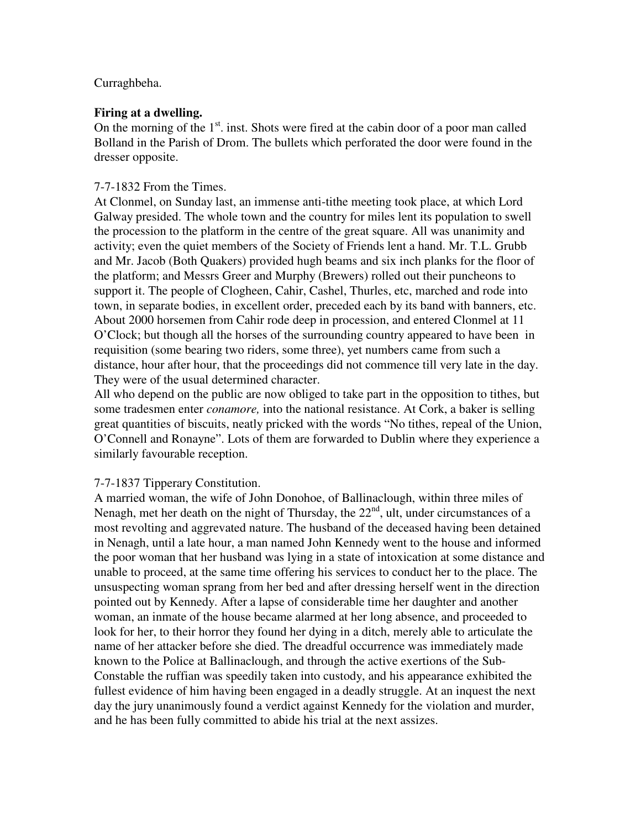## Curraghbeha.

## **Firing at a dwelling.**

On the morning of the  $1<sup>st</sup>$  inst. Shots were fired at the cabin door of a poor man called Bolland in the Parish of Drom. The bullets which perforated the door were found in the dresser opposite.

## 7-7-1832 From the Times.

At Clonmel, on Sunday last, an immense anti-tithe meeting took place, at which Lord Galway presided. The whole town and the country for miles lent its population to swell the procession to the platform in the centre of the great square. All was unanimity and activity; even the quiet members of the Society of Friends lent a hand. Mr. T.L. Grubb and Mr. Jacob (Both Quakers) provided hugh beams and six inch planks for the floor of the platform; and Messrs Greer and Murphy (Brewers) rolled out their puncheons to support it. The people of Clogheen, Cahir, Cashel, Thurles, etc, marched and rode into town, in separate bodies, in excellent order, preceded each by its band with banners, etc. About 2000 horsemen from Cahir rode deep in procession, and entered Clonmel at 11 O'Clock; but though all the horses of the surrounding country appeared to have been in requisition (some bearing two riders, some three), yet numbers came from such a distance, hour after hour, that the proceedings did not commence till very late in the day. They were of the usual determined character.

All who depend on the public are now obliged to take part in the opposition to tithes, but some tradesmen enter *conamore,* into the national resistance. At Cork, a baker is selling great quantities of biscuits, neatly pricked with the words "No tithes, repeal of the Union, O'Connell and Ronayne". Lots of them are forwarded to Dublin where they experience a similarly favourable reception.

# 7-7-1837 Tipperary Constitution.

A married woman, the wife of John Donohoe, of Ballinaclough, within three miles of Nenagh, met her death on the night of Thursday, the  $22<sup>nd</sup>$ , ult, under circumstances of a most revolting and aggrevated nature. The husband of the deceased having been detained in Nenagh, until a late hour, a man named John Kennedy went to the house and informed the poor woman that her husband was lying in a state of intoxication at some distance and unable to proceed, at the same time offering his services to conduct her to the place. The unsuspecting woman sprang from her bed and after dressing herself went in the direction pointed out by Kennedy. After a lapse of considerable time her daughter and another woman, an inmate of the house became alarmed at her long absence, and proceeded to look for her, to their horror they found her dying in a ditch, merely able to articulate the name of her attacker before she died. The dreadful occurrence was immediately made known to the Police at Ballinaclough, and through the active exertions of the Sub-Constable the ruffian was speedily taken into custody, and his appearance exhibited the fullest evidence of him having been engaged in a deadly struggle. At an inquest the next day the jury unanimously found a verdict against Kennedy for the violation and murder, and he has been fully committed to abide his trial at the next assizes.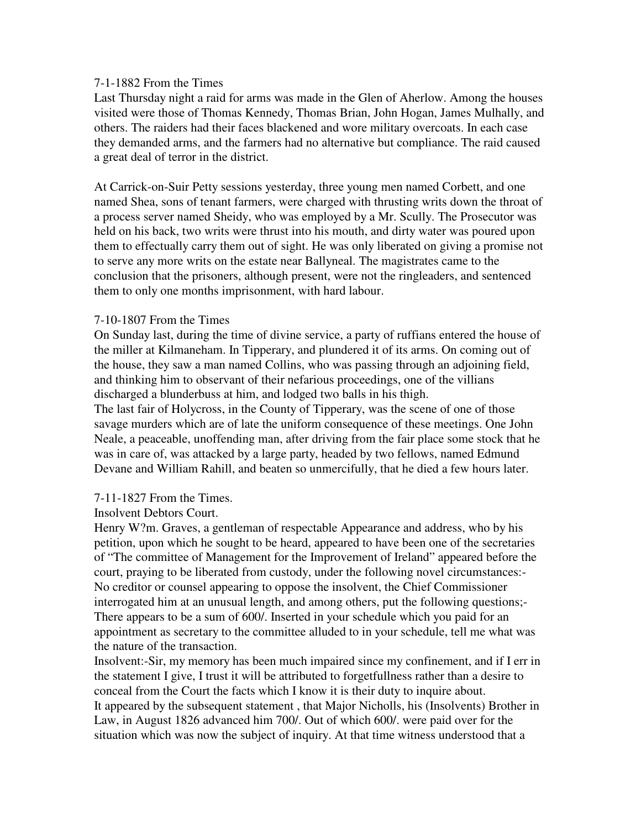#### 7-1-1882 From the Times

Last Thursday night a raid for arms was made in the Glen of Aherlow. Among the houses visited were those of Thomas Kennedy, Thomas Brian, John Hogan, James Mulhally, and others. The raiders had their faces blackened and wore military overcoats. In each case they demanded arms, and the farmers had no alternative but compliance. The raid caused a great deal of terror in the district.

At Carrick-on-Suir Petty sessions yesterday, three young men named Corbett, and one named Shea, sons of tenant farmers, were charged with thrusting writs down the throat of a process server named Sheidy, who was employed by a Mr. Scully. The Prosecutor was held on his back, two writs were thrust into his mouth, and dirty water was poured upon them to effectually carry them out of sight. He was only liberated on giving a promise not to serve any more writs on the estate near Ballyneal. The magistrates came to the conclusion that the prisoners, although present, were not the ringleaders, and sentenced them to only one months imprisonment, with hard labour.

## 7-10-1807 From the Times

On Sunday last, during the time of divine service, a party of ruffians entered the house of the miller at Kilmaneham. In Tipperary, and plundered it of its arms. On coming out of the house, they saw a man named Collins, who was passing through an adjoining field, and thinking him to observant of their nefarious proceedings, one of the villians discharged a blunderbuss at him, and lodged two balls in his thigh.

The last fair of Holycross, in the County of Tipperary, was the scene of one of those savage murders which are of late the uniform consequence of these meetings. One John Neale, a peaceable, unoffending man, after driving from the fair place some stock that he was in care of, was attacked by a large party, headed by two fellows, named Edmund Devane and William Rahill, and beaten so unmercifully, that he died a few hours later.

## 7-11-1827 From the Times.

#### Insolvent Debtors Court.

Henry W?m. Graves, a gentleman of respectable Appearance and address, who by his petition, upon which he sought to be heard, appeared to have been one of the secretaries of "The committee of Management for the Improvement of Ireland" appeared before the court, praying to be liberated from custody, under the following novel circumstances:- No creditor or counsel appearing to oppose the insolvent, the Chief Commissioner interrogated him at an unusual length, and among others, put the following questions;- There appears to be a sum of 600/. Inserted in your schedule which you paid for an appointment as secretary to the committee alluded to in your schedule, tell me what was the nature of the transaction.

Insolvent:-Sir, my memory has been much impaired since my confinement, and if I err in the statement I give, I trust it will be attributed to forgetfullness rather than a desire to conceal from the Court the facts which I know it is their duty to inquire about. It appeared by the subsequent statement , that Major Nicholls, his (Insolvents) Brother in Law, in August 1826 advanced him 700/. Out of which 600/. were paid over for the situation which was now the subject of inquiry. At that time witness understood that a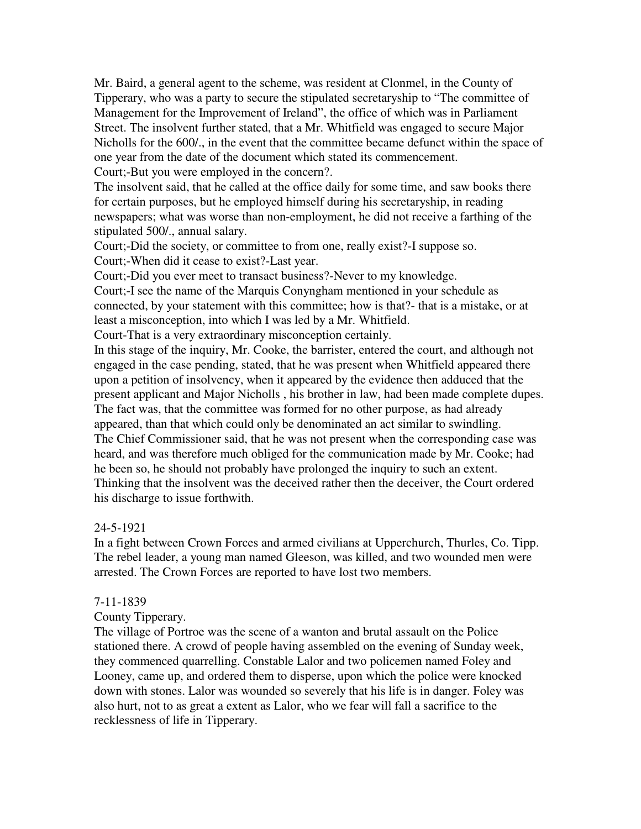Mr. Baird, a general agent to the scheme, was resident at Clonmel, in the County of Tipperary, who was a party to secure the stipulated secretaryship to "The committee of Management for the Improvement of Ireland", the office of which was in Parliament Street. The insolvent further stated, that a Mr. Whitfield was engaged to secure Major Nicholls for the 600/., in the event that the committee became defunct within the space of one year from the date of the document which stated its commencement. Court;-But you were employed in the concern?.

The insolvent said, that he called at the office daily for some time, and saw books there

for certain purposes, but he employed himself during his secretaryship, in reading newspapers; what was worse than non-employment, he did not receive a farthing of the stipulated 500/., annual salary.

Court;-Did the society, or committee to from one, really exist?-I suppose so.

Court;-When did it cease to exist?-Last year.

Court;-Did you ever meet to transact business?-Never to my knowledge.

Court;-I see the name of the Marquis Conyngham mentioned in your schedule as connected, by your statement with this committee; how is that?- that is a mistake, or at least a misconception, into which I was led by a Mr. Whitfield.

Court-That is a very extraordinary misconception certainly.

In this stage of the inquiry, Mr. Cooke, the barrister, entered the court, and although not engaged in the case pending, stated, that he was present when Whitfield appeared there upon a petition of insolvency, when it appeared by the evidence then adduced that the present applicant and Major Nicholls , his brother in law, had been made complete dupes. The fact was, that the committee was formed for no other purpose, as had already appeared, than that which could only be denominated an act similar to swindling. The Chief Commissioner said, that he was not present when the corresponding case was heard, and was therefore much obliged for the communication made by Mr. Cooke; had he been so, he should not probably have prolonged the inquiry to such an extent. Thinking that the insolvent was the deceived rather then the deceiver, the Court ordered his discharge to issue forthwith.

# 24-5-1921

In a fight between Crown Forces and armed civilians at Upperchurch, Thurles, Co. Tipp. The rebel leader, a young man named Gleeson, was killed, and two wounded men were arrested. The Crown Forces are reported to have lost two members.

## 7-11-1839

# County Tipperary.

The village of Portroe was the scene of a wanton and brutal assault on the Police stationed there. A crowd of people having assembled on the evening of Sunday week, they commenced quarrelling. Constable Lalor and two policemen named Foley and Looney, came up, and ordered them to disperse, upon which the police were knocked down with stones. Lalor was wounded so severely that his life is in danger. Foley was also hurt, not to as great a extent as Lalor, who we fear will fall a sacrifice to the recklessness of life in Tipperary.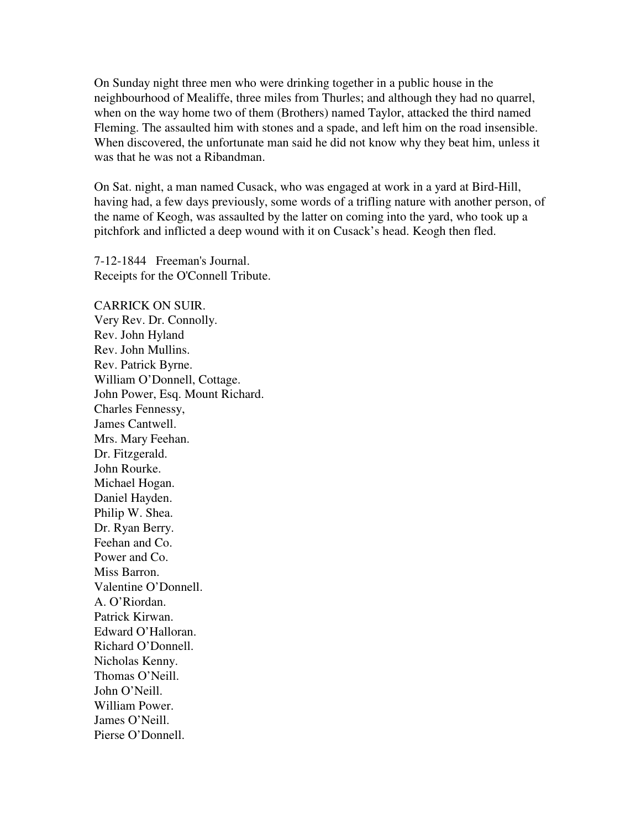On Sunday night three men who were drinking together in a public house in the neighbourhood of Mealiffe, three miles from Thurles; and although they had no quarrel, when on the way home two of them (Brothers) named Taylor, attacked the third named Fleming. The assaulted him with stones and a spade, and left him on the road insensible. When discovered, the unfortunate man said he did not know why they beat him, unless it was that he was not a Ribandman.

On Sat. night, a man named Cusack, who was engaged at work in a yard at Bird-Hill, having had, a few days previously, some words of a trifling nature with another person, of the name of Keogh, was assaulted by the latter on coming into the yard, who took up a pitchfork and inflicted a deep wound with it on Cusack's head. Keogh then fled.

7-12-1844 Freeman's Journal. Receipts for the O'Connell Tribute.

CARRICK ON SUIR. Very Rev. Dr. Connolly. Rev. John Hyland Rev. John Mullins. Rev. Patrick Byrne. William O'Donnell, Cottage. John Power, Esq. Mount Richard. Charles Fennessy, James Cantwell. Mrs. Mary Feehan. Dr. Fitzgerald. John Rourke. Michael Hogan. Daniel Hayden. Philip W. Shea. Dr. Ryan Berry. Feehan and Co. Power and Co. Miss Barron. Valentine O'Donnell. A. O'Riordan. Patrick Kirwan. Edward O'Halloran. Richard O'Donnell. Nicholas Kenny. Thomas O'Neill. John O'Neill. William Power. James O'Neill. Pierse O'Donnell.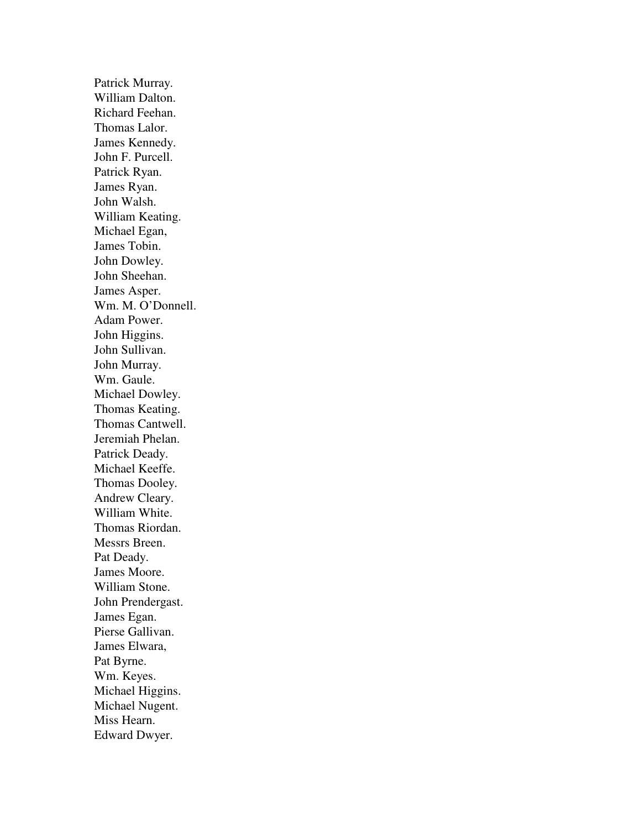Patrick Murray. William Dalton. Richard Feehan. Thomas Lalor. James Kennedy. John F. Purcell. Patrick Ryan. James Ryan. John Walsh. William Keating. Michael Egan, James Tobin. John Dowley. John Sheehan. James Asper. Wm. M. O'Donnell. Adam Power. John Higgins. John Sullivan. John Murray. Wm. Gaule. Michael Dowley. Thomas Keating. Thomas Cantwell. Jeremiah Phelan. Patrick Deady. Michael Keeffe. Thomas Dooley. Andrew Cleary. William White. Thomas Riordan. Messrs Breen. Pat Deady. James Moore. William Stone. John Prendergast. James Egan. Pierse Gallivan. James Elwara, Pat Byrne. Wm. Keyes. Michael Higgins. Michael Nugent. Miss Hearn. Edward Dwyer.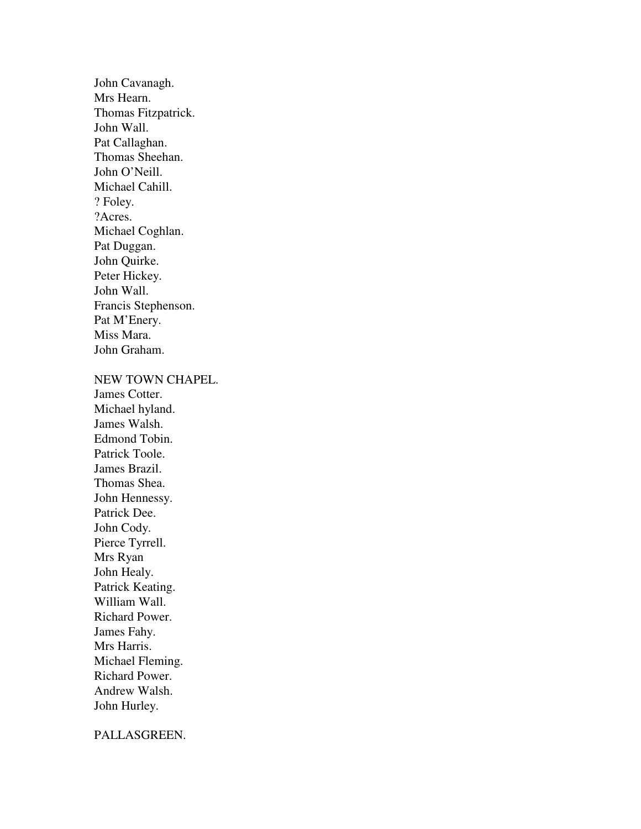John Cavanagh. Mrs Hearn. Thomas Fitzpatrick. John Wall. Pat Callaghan. Thomas Sheehan. John O'Neill. Michael Cahill. ? Foley. ?Acres. Michael Coghlan. Pat Duggan. John Quirke. Peter Hickey. John Wall. Francis Stephenson. Pat M'Enery. Miss Mara. John Graham.

#### NEW TOWN CHAPEL.

James Cotter. Michael hyland. James Walsh. Edmond Tobin. Patrick Toole. James Brazil. Thomas Shea. John Hennessy. Patrick Dee. John Cody. Pierce Tyrrell. Mrs Ryan John Healy. Patrick Keating. William Wall. Richard Power. James Fahy. Mrs Harris. Michael Fleming. Richard Power. Andrew Walsh. John Hurley.

#### PALLASGREEN.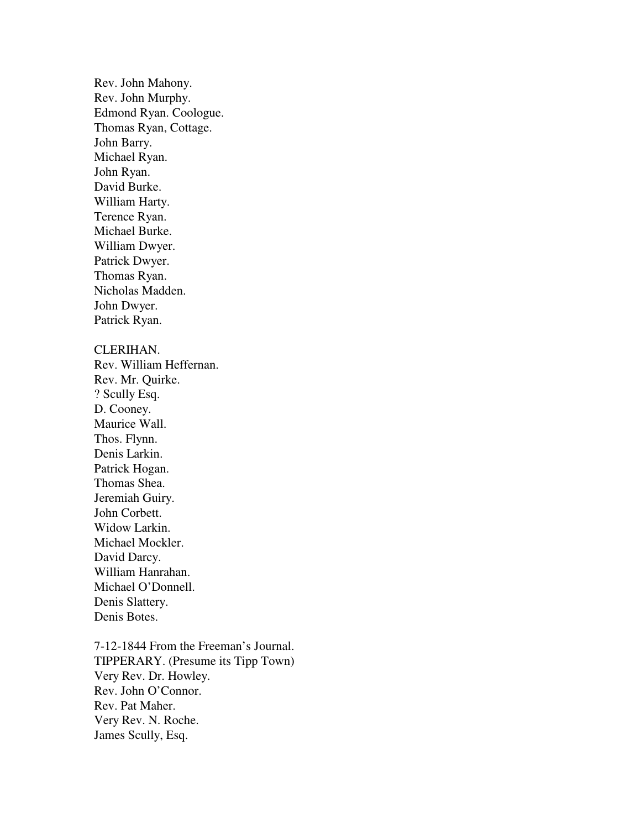Rev. John Mahony. Rev. John Murphy. Edmond Ryan. Coologue. Thomas Ryan, Cottage. John Barry. Michael Ryan. John Ryan. David Burke. William Harty. Terence Ryan. Michael Burke. William Dwyer. Patrick Dwyer. Thomas Ryan. Nicholas Madden. John Dwyer. Patrick Ryan.

#### CLERIHAN.

Rev. William Heffernan. Rev. Mr. Quirke. ? Scully Esq. D. Cooney. Maurice Wall. Thos. Flynn. Denis Larkin. Patrick Hogan. Thomas Shea. Jeremiah Guiry. John Corbett. Widow Larkin. Michael Mockler. David Darcy. William Hanrahan. Michael O'Donnell. Denis Slattery. Denis Botes.

7-12-1844 From the Freeman's Journal. TIPPERARY. (Presume its Tipp Town) Very Rev. Dr. Howley. Rev. John O'Connor. Rev. Pat Maher. Very Rev. N. Roche. James Scully, Esq.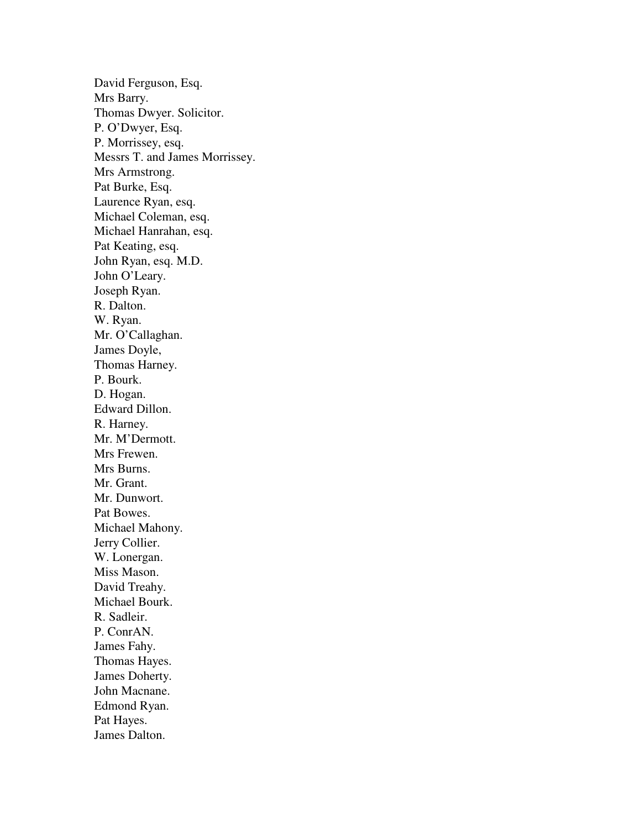David Ferguson, Esq. Mrs Barry. Thomas Dwyer. Solicitor. P. O'Dwyer, Esq. P. Morrissey, esq. Messrs T. and James Morrissey. Mrs Armstrong. Pat Burke, Esq. Laurence Ryan, esq. Michael Coleman, esq. Michael Hanrahan, esq. Pat Keating, esq. John Ryan, esq. M.D. John O'Leary. Joseph Ryan. R. Dalton. W. Ryan. Mr. O'Callaghan. James Doyle, Thomas Harney. P. Bourk. D. Hogan. Edward Dillon. R. Harney. Mr. M'Dermott. Mrs Frewen. Mrs Burns. Mr. Grant. Mr. Dunwort. Pat Bowes. Michael Mahony. Jerry Collier. W. Lonergan. Miss Mason. David Treahy. Michael Bourk. R. Sadleir. P. ConrAN. James Fahy. Thomas Hayes. James Doherty. John Macnane. Edmond Ryan. Pat Hayes. James Dalton.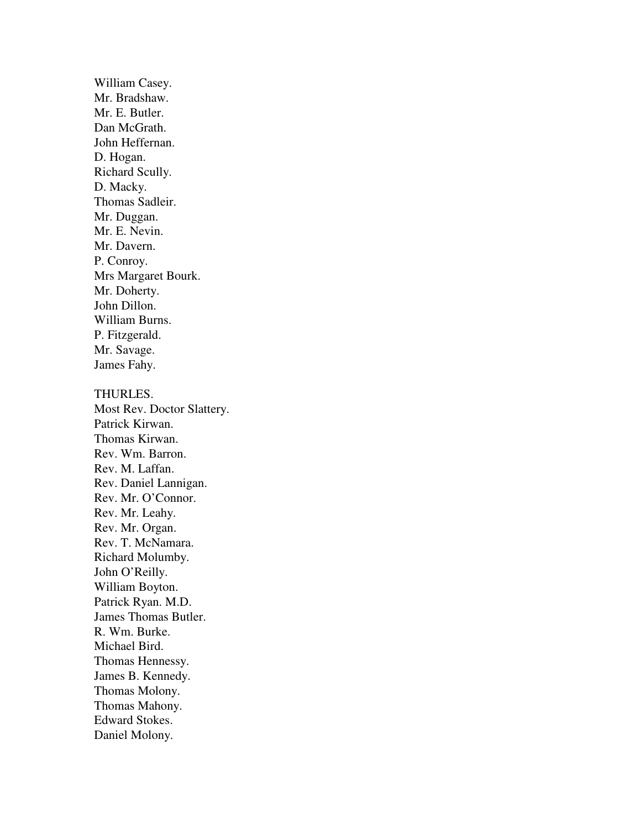William Casey. Mr. Bradshaw. Mr. E. Butler. Dan McGrath. John Heffernan. D. Hogan. Richard Scully. D. Macky. Thomas Sadleir. Mr. Duggan. Mr. E. Nevin. Mr. Davern. P. Conroy. Mrs Margaret Bourk. Mr. Doherty. John Dillon. William Burns. P. Fitzgerald. Mr. Savage. James Fahy. THURLES. Most Rev. Doctor Slattery.

Patrick Kirwan. Thomas Kirwan. Rev. Wm. Barron. Rev. M. Laffan. Rev. Daniel Lannigan. Rev. Mr. O'Connor. Rev. Mr. Leahy. Rev. Mr. Organ. Rev. T. McNamara. Richard Molumby. John O'Reilly. William Boyton. Patrick Ryan. M.D. James Thomas Butler. R. Wm. Burke. Michael Bird. Thomas Hennessy. James B. Kennedy. Thomas Molony. Thomas Mahony. Edward Stokes. Daniel Molony.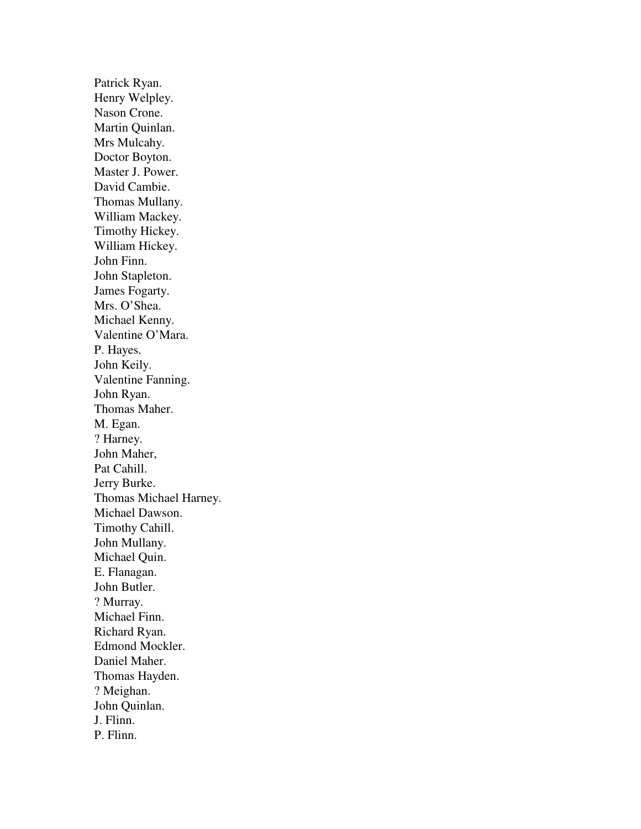Patrick Ryan. Henry Welpley. Nason Crone. Martin Quinlan. Mrs Mulcahy. Doctor Boyton. Master J. Power. David Cambie. Thomas Mullany. William Mackey. Timothy Hickey. William Hickey. John Finn. John Stapleton. James Fogarty. Mrs. O'Shea. Michael Kenny. Valentine O'Mara. P. Hayes. John Keily. Valentine Fanning. John Ryan. Thomas Maher. M. Egan. ? Harney. John Maher, Pat Cahill. Jerry Burke. Thomas Michael Harney. Michael Dawson. Timothy Cahill. John Mullany. Michael Quin. E. Flanagan. John Butler. ? Murray. Michael Finn. Richard Ryan. Edmond Mockler. Daniel Maher. Thomas Hayden. ? Meighan. John Quinlan. J. Flinn. P. Flinn.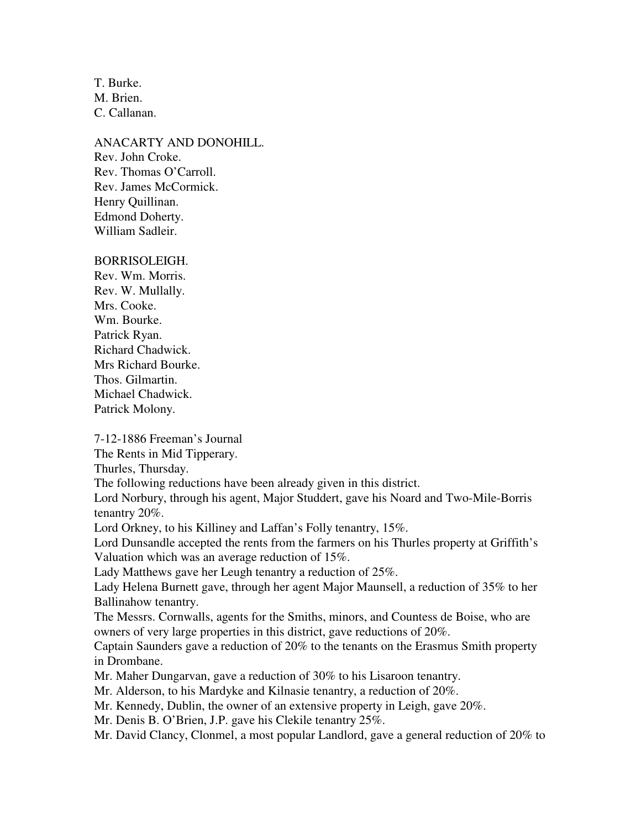T. Burke. M. Brien. C. Callanan.

ANACARTY AND DONOHILL. Rev. John Croke. Rev. Thomas O'Carroll. Rev. James McCormick. Henry Quillinan. Edmond Doherty. William Sadleir.

#### BORRISOLEIGH.

Rev. Wm. Morris. Rev. W. Mullally. Mrs. Cooke. Wm. Bourke. Patrick Ryan. Richard Chadwick. Mrs Richard Bourke. Thos. Gilmartin. Michael Chadwick. Patrick Molony.

7-12-1886 Freeman's Journal

The Rents in Mid Tipperary.

Thurles, Thursday.

The following reductions have been already given in this district.

Lord Norbury, through his agent, Major Studdert, gave his Noard and Two-Mile-Borris tenantry 20%.

Lord Orkney, to his Killiney and Laffan's Folly tenantry, 15%.

Lord Dunsandle accepted the rents from the farmers on his Thurles property at Griffith's Valuation which was an average reduction of 15%.

Lady Matthews gave her Leugh tenantry a reduction of 25%.

Lady Helena Burnett gave, through her agent Major Maunsell, a reduction of 35% to her Ballinahow tenantry.

The Messrs. Cornwalls, agents for the Smiths, minors, and Countess de Boise, who are owners of very large properties in this district, gave reductions of 20%.

Captain Saunders gave a reduction of 20% to the tenants on the Erasmus Smith property in Drombane.

Mr. Maher Dungarvan, gave a reduction of 30% to his Lisaroon tenantry.

Mr. Alderson, to his Mardyke and Kilnasie tenantry, a reduction of 20%.

Mr. Kennedy, Dublin, the owner of an extensive property in Leigh, gave 20%.

Mr. Denis B. O'Brien, J.P. gave his Clekile tenantry 25%.

Mr. David Clancy, Clonmel, a most popular Landlord, gave a general reduction of 20% to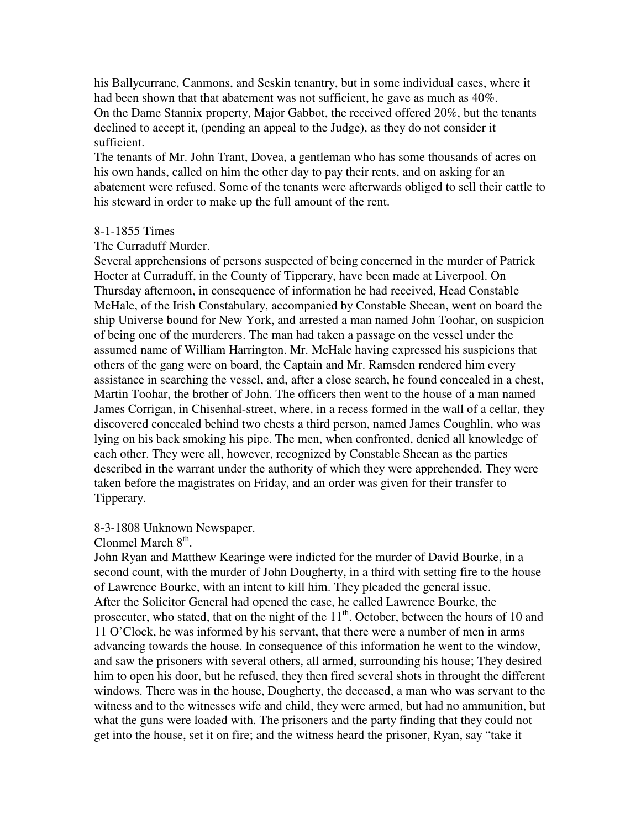his Ballycurrane, Canmons, and Seskin tenantry, but in some individual cases, where it had been shown that that abatement was not sufficient, he gave as much as 40%. On the Dame Stannix property, Major Gabbot, the received offered 20%, but the tenants declined to accept it, (pending an appeal to the Judge), as they do not consider it sufficient.

The tenants of Mr. John Trant, Dovea, a gentleman who has some thousands of acres on his own hands, called on him the other day to pay their rents, and on asking for an abatement were refused. Some of the tenants were afterwards obliged to sell their cattle to his steward in order to make up the full amount of the rent.

#### 8-1-1855 Times

## The Curraduff Murder.

Several apprehensions of persons suspected of being concerned in the murder of Patrick Hocter at Curraduff, in the County of Tipperary, have been made at Liverpool. On Thursday afternoon, in consequence of information he had received, Head Constable McHale, of the Irish Constabulary, accompanied by Constable Sheean, went on board the ship Universe bound for New York, and arrested a man named John Toohar, on suspicion of being one of the murderers. The man had taken a passage on the vessel under the assumed name of William Harrington. Mr. McHale having expressed his suspicions that others of the gang were on board, the Captain and Mr. Ramsden rendered him every assistance in searching the vessel, and, after a close search, he found concealed in a chest, Martin Toohar, the brother of John. The officers then went to the house of a man named James Corrigan, in Chisenhal-street, where, in a recess formed in the wall of a cellar, they discovered concealed behind two chests a third person, named James Coughlin, who was lying on his back smoking his pipe. The men, when confronted, denied all knowledge of each other. They were all, however, recognized by Constable Sheean as the parties described in the warrant under the authority of which they were apprehended. They were taken before the magistrates on Friday, and an order was given for their transfer to Tipperary.

## 8-3-1808 Unknown Newspaper.

Clonmel March  $8<sup>th</sup>$ .

John Ryan and Matthew Kearinge were indicted for the murder of David Bourke, in a second count, with the murder of John Dougherty, in a third with setting fire to the house of Lawrence Bourke, with an intent to kill him. They pleaded the general issue. After the Solicitor General had opened the case, he called Lawrence Bourke, the prosecuter, who stated, that on the night of the  $11<sup>th</sup>$ . October, between the hours of 10 and 11 O'Clock, he was informed by his servant, that there were a number of men in arms advancing towards the house. In consequence of this information he went to the window, and saw the prisoners with several others, all armed, surrounding his house; They desired him to open his door, but he refused, they then fired several shots in throught the different windows. There was in the house, Dougherty, the deceased, a man who was servant to the witness and to the witnesses wife and child, they were armed, but had no ammunition, but what the guns were loaded with. The prisoners and the party finding that they could not get into the house, set it on fire; and the witness heard the prisoner, Ryan, say "take it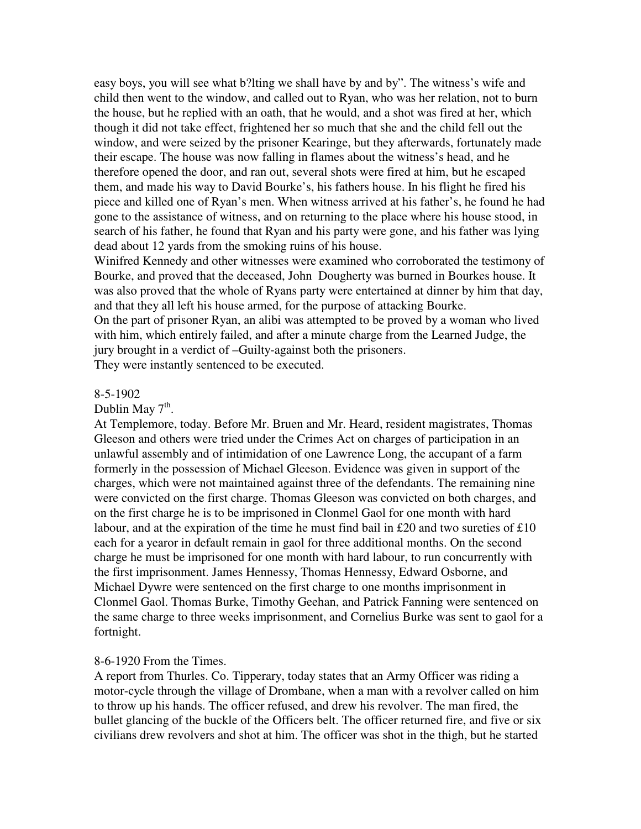easy boys, you will see what b?lting we shall have by and by". The witness's wife and child then went to the window, and called out to Ryan, who was her relation, not to burn the house, but he replied with an oath, that he would, and a shot was fired at her, which though it did not take effect, frightened her so much that she and the child fell out the window, and were seized by the prisoner Kearinge, but they afterwards, fortunately made their escape. The house was now falling in flames about the witness's head, and he therefore opened the door, and ran out, several shots were fired at him, but he escaped them, and made his way to David Bourke's, his fathers house. In his flight he fired his piece and killed one of Ryan's men. When witness arrived at his father's, he found he had gone to the assistance of witness, and on returning to the place where his house stood, in search of his father, he found that Ryan and his party were gone, and his father was lying dead about 12 yards from the smoking ruins of his house.

Winifred Kennedy and other witnesses were examined who corroborated the testimony of Bourke, and proved that the deceased, John Dougherty was burned in Bourkes house. It was also proved that the whole of Ryans party were entertained at dinner by him that day, and that they all left his house armed, for the purpose of attacking Bourke.

On the part of prisoner Ryan, an alibi was attempted to be proved by a woman who lived with him, which entirely failed, and after a minute charge from the Learned Judge, the jury brought in a verdict of –Guilty-against both the prisoners.

They were instantly sentenced to be executed.

#### 8-5-1902

# Dublin May  $7^{\text{th}}$ .

At Templemore, today. Before Mr. Bruen and Mr. Heard, resident magistrates, Thomas Gleeson and others were tried under the Crimes Act on charges of participation in an unlawful assembly and of intimidation of one Lawrence Long, the accupant of a farm formerly in the possession of Michael Gleeson. Evidence was given in support of the charges, which were not maintained against three of the defendants. The remaining nine were convicted on the first charge. Thomas Gleeson was convicted on both charges, and on the first charge he is to be imprisoned in Clonmel Gaol for one month with hard labour, and at the expiration of the time he must find bail in £20 and two sureties of £10 each for a yearor in default remain in gaol for three additional months. On the second charge he must be imprisoned for one month with hard labour, to run concurrently with the first imprisonment. James Hennessy, Thomas Hennessy, Edward Osborne, and Michael Dywre were sentenced on the first charge to one months imprisonment in Clonmel Gaol. Thomas Burke, Timothy Geehan, and Patrick Fanning were sentenced on the same charge to three weeks imprisonment, and Cornelius Burke was sent to gaol for a fortnight.

#### 8-6-1920 From the Times.

A report from Thurles. Co. Tipperary, today states that an Army Officer was riding a motor-cycle through the village of Drombane, when a man with a revolver called on him to throw up his hands. The officer refused, and drew his revolver. The man fired, the bullet glancing of the buckle of the Officers belt. The officer returned fire, and five or six civilians drew revolvers and shot at him. The officer was shot in the thigh, but he started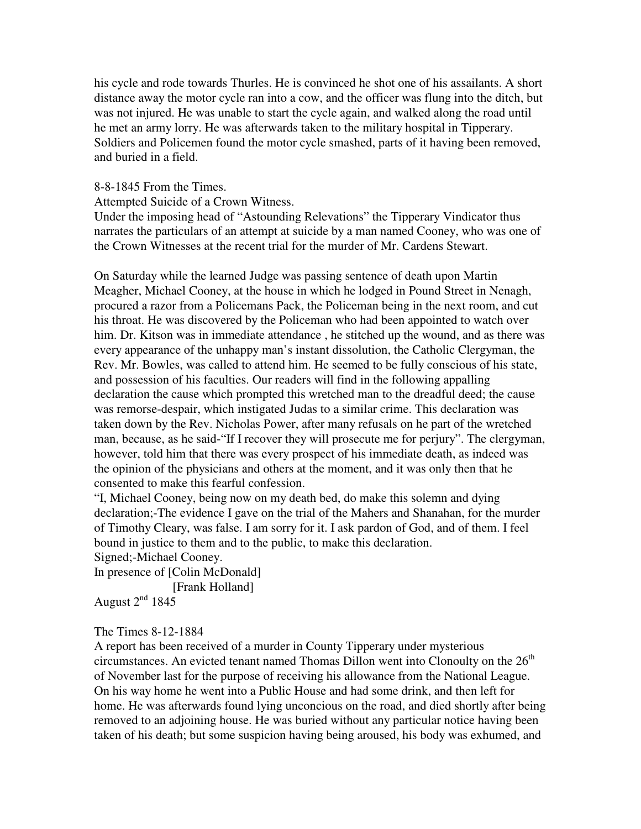his cycle and rode towards Thurles. He is convinced he shot one of his assailants. A short distance away the motor cycle ran into a cow, and the officer was flung into the ditch, but was not injured. He was unable to start the cycle again, and walked along the road until he met an army lorry. He was afterwards taken to the military hospital in Tipperary. Soldiers and Policemen found the motor cycle smashed, parts of it having been removed, and buried in a field.

#### 8-8-1845 From the Times.

Attempted Suicide of a Crown Witness.

Under the imposing head of "Astounding Relevations" the Tipperary Vindicator thus narrates the particulars of an attempt at suicide by a man named Cooney, who was one of the Crown Witnesses at the recent trial for the murder of Mr. Cardens Stewart.

On Saturday while the learned Judge was passing sentence of death upon Martin Meagher, Michael Cooney, at the house in which he lodged in Pound Street in Nenagh, procured a razor from a Policemans Pack, the Policeman being in the next room, and cut his throat. He was discovered by the Policeman who had been appointed to watch over him. Dr. Kitson was in immediate attendance, he stitched up the wound, and as there was every appearance of the unhappy man's instant dissolution, the Catholic Clergyman, the Rev. Mr. Bowles, was called to attend him. He seemed to be fully conscious of his state, and possession of his faculties. Our readers will find in the following appalling declaration the cause which prompted this wretched man to the dreadful deed; the cause was remorse-despair, which instigated Judas to a similar crime. This declaration was taken down by the Rev. Nicholas Power, after many refusals on he part of the wretched man, because, as he said-"If I recover they will prosecute me for perjury". The clergyman, however, told him that there was every prospect of his immediate death, as indeed was the opinion of the physicians and others at the moment, and it was only then that he consented to make this fearful confession.

"I, Michael Cooney, being now on my death bed, do make this solemn and dying declaration;-The evidence I gave on the trial of the Mahers and Shanahan, for the murder of Timothy Cleary, was false. I am sorry for it. I ask pardon of God, and of them. I feel bound in justice to them and to the public, to make this declaration.

Signed;-Michael Cooney.

In presence of [Colin McDonald] [Frank Holland]

August  $2<sup>nd</sup> 1845$ 

The Times 8-12-1884

A report has been received of a murder in County Tipperary under mysterious circumstances. An evicted tenant named Thomas Dillon went into Clonoulty on the  $26<sup>th</sup>$ of November last for the purpose of receiving his allowance from the National League. On his way home he went into a Public House and had some drink, and then left for home. He was afterwards found lying unconcious on the road, and died shortly after being removed to an adjoining house. He was buried without any particular notice having been taken of his death; but some suspicion having being aroused, his body was exhumed, and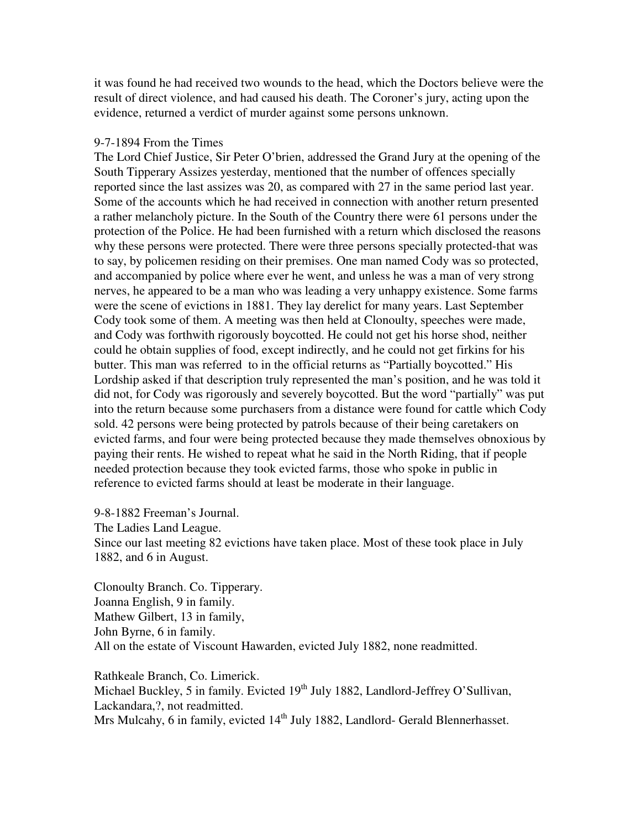it was found he had received two wounds to the head, which the Doctors believe were the result of direct violence, and had caused his death. The Coroner's jury, acting upon the evidence, returned a verdict of murder against some persons unknown.

#### 9-7-1894 From the Times

The Lord Chief Justice, Sir Peter O'brien, addressed the Grand Jury at the opening of the South Tipperary Assizes yesterday, mentioned that the number of offences specially reported since the last assizes was 20, as compared with 27 in the same period last year. Some of the accounts which he had received in connection with another return presented a rather melancholy picture. In the South of the Country there were 61 persons under the protection of the Police. He had been furnished with a return which disclosed the reasons why these persons were protected. There were three persons specially protected-that was to say, by policemen residing on their premises. One man named Cody was so protected, and accompanied by police where ever he went, and unless he was a man of very strong nerves, he appeared to be a man who was leading a very unhappy existence. Some farms were the scene of evictions in 1881. They lay derelict for many years. Last September Cody took some of them. A meeting was then held at Clonoulty, speeches were made, and Cody was forthwith rigorously boycotted. He could not get his horse shod, neither could he obtain supplies of food, except indirectly, and he could not get firkins for his butter. This man was referred to in the official returns as "Partially boycotted." His Lordship asked if that description truly represented the man's position, and he was told it did not, for Cody was rigorously and severely boycotted. But the word "partially" was put into the return because some purchasers from a distance were found for cattle which Cody sold. 42 persons were being protected by patrols because of their being caretakers on evicted farms, and four were being protected because they made themselves obnoxious by paying their rents. He wished to repeat what he said in the North Riding, that if people needed protection because they took evicted farms, those who spoke in public in reference to evicted farms should at least be moderate in their language.

9-8-1882 Freeman's Journal. The Ladies Land League. Since our last meeting 82 evictions have taken place. Most of these took place in July 1882, and 6 in August.

Clonoulty Branch. Co. Tipperary. Joanna English, 9 in family. Mathew Gilbert, 13 in family, John Byrne, 6 in family. All on the estate of Viscount Hawarden, evicted July 1882, none readmitted.

Rathkeale Branch, Co. Limerick. Michael Buckley, 5 in family. Evicted 19<sup>th</sup> July 1882, Landlord-Jeffrey O'Sullivan, Lackandara,?, not readmitted. Mrs Mulcahy, 6 in family, evicted 14<sup>th</sup> July 1882, Landlord- Gerald Blennerhasset.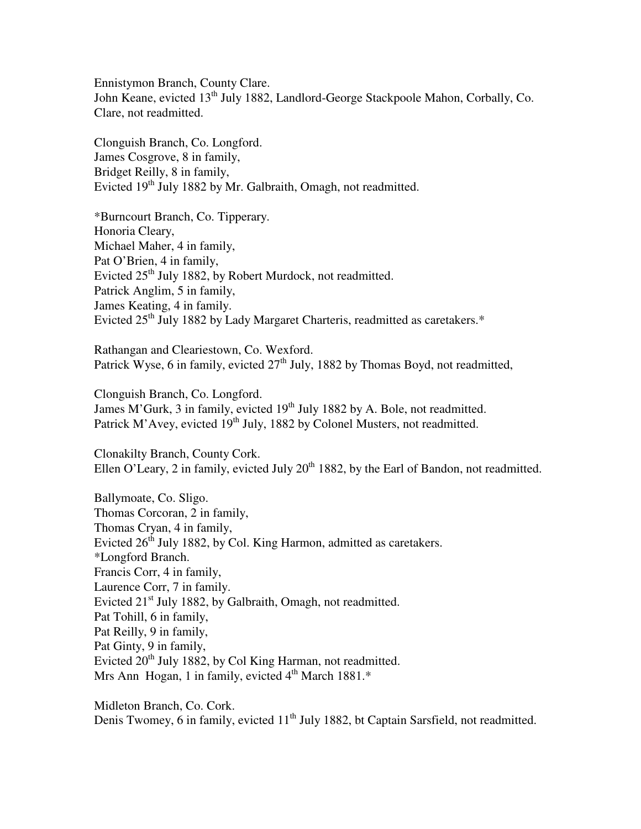Ennistymon Branch, County Clare. John Keane, evicted 13<sup>th</sup> July 1882, Landlord-George Stackpoole Mahon, Corbally, Co. Clare, not readmitted.

Clonguish Branch, Co. Longford. James Cosgrove, 8 in family, Bridget Reilly, 8 in family, Evicted 19<sup>th</sup> July 1882 by Mr. Galbraith, Omagh, not readmitted.

\*Burncourt Branch, Co. Tipperary. Honoria Cleary, Michael Maher, 4 in family, Pat O'Brien, 4 in family, Evicted 25<sup>th</sup> July 1882, by Robert Murdock, not readmitted. Patrick Anglim, 5 in family, James Keating, 4 in family. Evicted 25<sup>th</sup> July 1882 by Lady Margaret Charteris, readmitted as caretakers.<sup>\*</sup>

Rathangan and Cleariestown, Co. Wexford. Patrick Wyse, 6 in family, evicted 27<sup>th</sup> July, 1882 by Thomas Boyd, not readmitted,

Clonguish Branch, Co. Longford. James M'Gurk, 3 in family, evicted 19<sup>th</sup> July 1882 by A. Bole, not readmitted. Patrick M'Avey, evicted 19<sup>th</sup> July, 1882 by Colonel Musters, not readmitted.

Clonakilty Branch, County Cork. Ellen O'Leary, 2 in family, evicted July  $20<sup>th</sup>$  1882, by the Earl of Bandon, not readmitted.

Ballymoate, Co. Sligo. Thomas Corcoran, 2 in family, Thomas Cryan, 4 in family, Evicted  $26<sup>th</sup>$  July 1882, by Col. King Harmon, admitted as caretakers. \*Longford Branch. Francis Corr, 4 in family, Laurence Corr, 7 in family. Evicted 21<sup>st</sup> July 1882, by Galbraith, Omagh, not readmitted. Pat Tohill, 6 in family, Pat Reilly, 9 in family, Pat Ginty, 9 in family, Evicted 20<sup>th</sup> July 1882, by Col King Harman, not readmitted. Mrs Ann Hogan, 1 in family, evicted  $4<sup>th</sup>$  March 1881. $*$ 

Midleton Branch, Co. Cork. Denis Twomey, 6 in family, evicted 11<sup>th</sup> July 1882, bt Captain Sarsfield, not readmitted.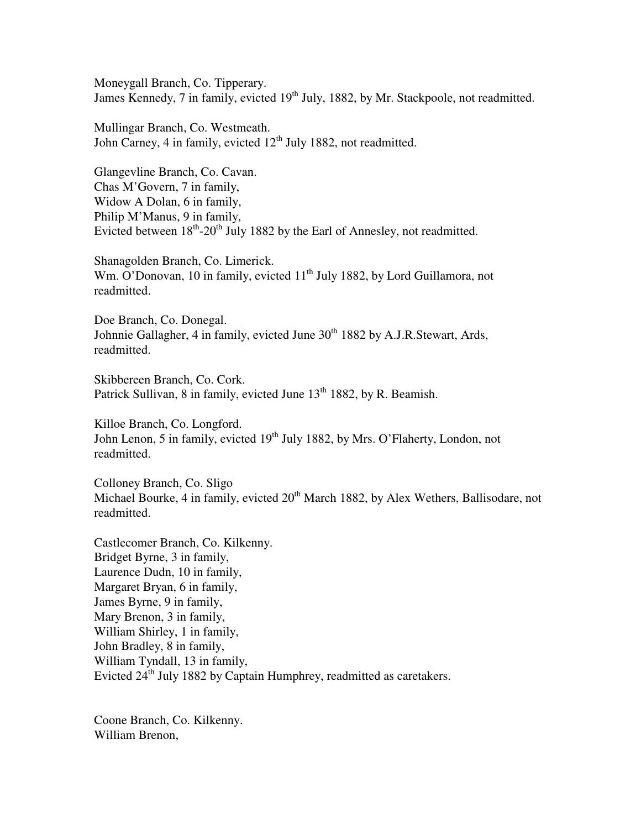Moneygall Branch, Co. Tipperary. James Kennedy, 7 in family, evicted 19<sup>th</sup> July, 1882, by Mr. Stackpoole, not readmitted.

Mullingar Branch, Co. Westmeath. John Carney, 4 in family, evicted  $12<sup>th</sup>$  July 1882, not readmitted.

Glangevline Branch, Co. Cavan. Chas M'Govern, 7 in family, Widow A Dolan, 6 in family, Philip M'Manus, 9 in family, Evicted between  $18<sup>th</sup>$ -20<sup>th</sup> July 1882 by the Earl of Annesley, not readmitted.

Shanagolden Branch, Co. Limerick. Wm. O'Donovan, 10 in family, evicted 11<sup>th</sup> July 1882, by Lord Guillamora, not readmitted.

Doe Branch, Co. Donegal. Johnnie Gallagher, 4 in family, evicted June 30<sup>th</sup> 1882 by A.J.R.Stewart, Ards, readmitted.

Skibbereen Branch, Co. Cork. Patrick Sullivan, 8 in family, evicted June 13<sup>th</sup> 1882, by R. Beamish.

Killoe Branch, Co. Longford. John Lenon, 5 in family, evicted 19<sup>th</sup> July 1882, by Mrs. O'Flaherty, London, not readmitted.

Colloney Branch, Co. Sligo Michael Bourke, 4 in family, evicted 20<sup>th</sup> March 1882, by Alex Wethers, Ballisodare, not readmitted.

Castlecomer Branch, Co. Kilkenny. Bridget Byrne, 3 in family, Laurence Dudn, 10 in family, Margaret Bryan, 6 in family, James Byrne, 9 in family, Mary Brenon, 3 in family, William Shirley, 1 in family, John Bradley, 8 in family, William Tyndall, 13 in family, Evicted 24<sup>th</sup> July 1882 by Captain Humphrey, readmitted as caretakers.

Coone Branch, Co. Kilkenny. William Brenon,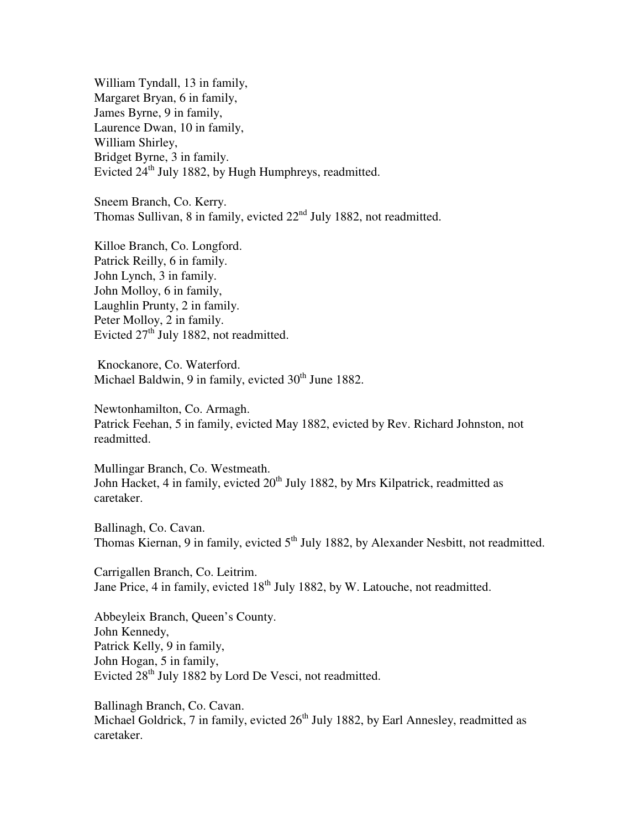William Tyndall, 13 in family, Margaret Bryan, 6 in family, James Byrne, 9 in family, Laurence Dwan, 10 in family, William Shirley, Bridget Byrne, 3 in family. Evicted 24<sup>th</sup> July 1882, by Hugh Humphreys, readmitted.

Sneem Branch, Co. Kerry. Thomas Sullivan, 8 in family, evicted  $22<sup>nd</sup>$  July 1882, not readmitted.

Killoe Branch, Co. Longford. Patrick Reilly, 6 in family. John Lynch, 3 in family. John Molloy, 6 in family, Laughlin Prunty, 2 in family. Peter Molloy, 2 in family. Evicted  $27<sup>th</sup>$  July 1882, not readmitted.

 Knockanore, Co. Waterford. Michael Baldwin, 9 in family, evicted 30<sup>th</sup> June 1882.

Newtonhamilton, Co. Armagh. Patrick Feehan, 5 in family, evicted May 1882, evicted by Rev. Richard Johnston, not readmitted.

Mullingar Branch, Co. Westmeath. John Hacket, 4 in family, evicted  $20<sup>th</sup>$  July 1882, by Mrs Kilpatrick, readmitted as caretaker.

Ballinagh, Co. Cavan. Thomas Kiernan, 9 in family, evicted 5<sup>th</sup> July 1882, by Alexander Nesbitt, not readmitted.

Carrigallen Branch, Co. Leitrim. Jane Price, 4 in family, evicted 18<sup>th</sup> July 1882, by W. Latouche, not readmitted.

Abbeyleix Branch, Queen's County. John Kennedy, Patrick Kelly, 9 in family, John Hogan, 5 in family, Evicted 28<sup>th</sup> July 1882 by Lord De Vesci, not readmitted.

Ballinagh Branch, Co. Cavan. Michael Goldrick, 7 in family, evicted  $26<sup>th</sup>$  July 1882, by Earl Annesley, readmitted as caretaker.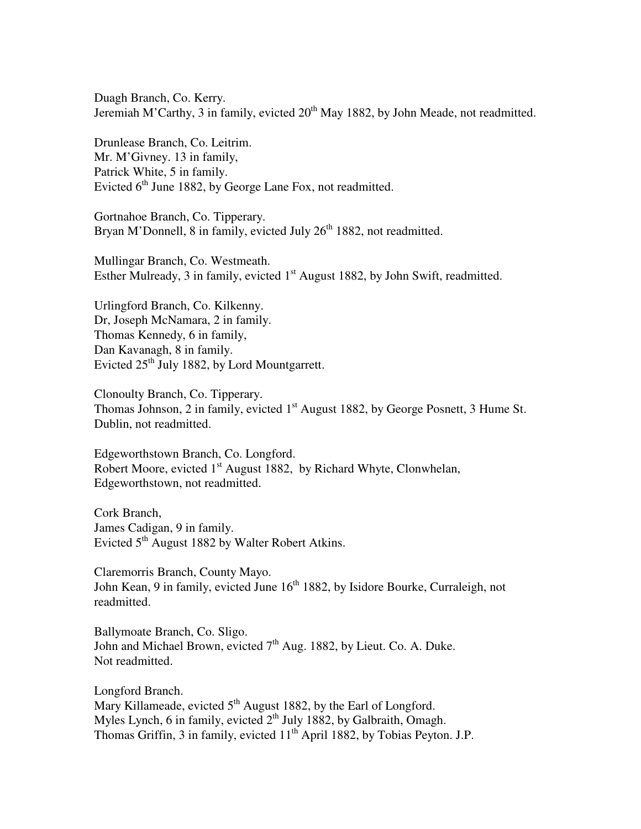Duagh Branch, Co. Kerry. Jeremiah M'Carthy, 3 in family, evicted  $20<sup>th</sup>$  May 1882, by John Meade, not readmitted.

Drunlease Branch, Co. Leitrim. Mr. M'Givney. 13 in family, Patrick White, 5 in family. Evicted  $6<sup>th</sup>$  June 1882, by George Lane Fox, not readmitted.

Gortnahoe Branch, Co. Tipperary. Bryan M'Donnell, 8 in family, evicted July  $26<sup>th</sup> 1882$ , not readmitted.

Mullingar Branch, Co. Westmeath. Esther Mulready, 3 in family, evicted  $1<sup>st</sup>$  August 1882, by John Swift, readmitted.

Urlingford Branch, Co. Kilkenny. Dr, Joseph McNamara, 2 in family. Thomas Kennedy, 6 in family, Dan Kavanagh, 8 in family. Evicted  $25<sup>th</sup>$  July 1882, by Lord Mountgarrett.

Clonoulty Branch, Co. Tipperary. Thomas Johnson, 2 in family, evicted 1<sup>st</sup> August 1882, by George Posnett, 3 Hume St. Dublin, not readmitted.

Edgeworthstown Branch, Co. Longford. Robert Moore, evicted 1<sup>st</sup> August 1882, by Richard Whyte, Clonwhelan, Edgeworthstown, not readmitted.

Cork Branch, James Cadigan, 9 in family. Evicted 5<sup>th</sup> August 1882 by Walter Robert Atkins.

Claremorris Branch, County Mayo. John Kean, 9 in family, evicted June 16<sup>th</sup> 1882, by Isidore Bourke, Curraleigh, not readmitted.

Ballymoate Branch, Co. Sligo. John and Michael Brown, evicted  $7<sup>th</sup>$  Aug. 1882, by Lieut. Co. A. Duke. Not readmitted.

Longford Branch. Mary Killameade, evicted 5<sup>th</sup> August 1882, by the Earl of Longford. Myles Lynch, 6 in family, evicted  $2<sup>th</sup>$  July 1882, by Galbraith, Omagh. Thomas Griffin, 3 in family, evicted 11<sup>th</sup> April 1882, by Tobias Peyton. J.P.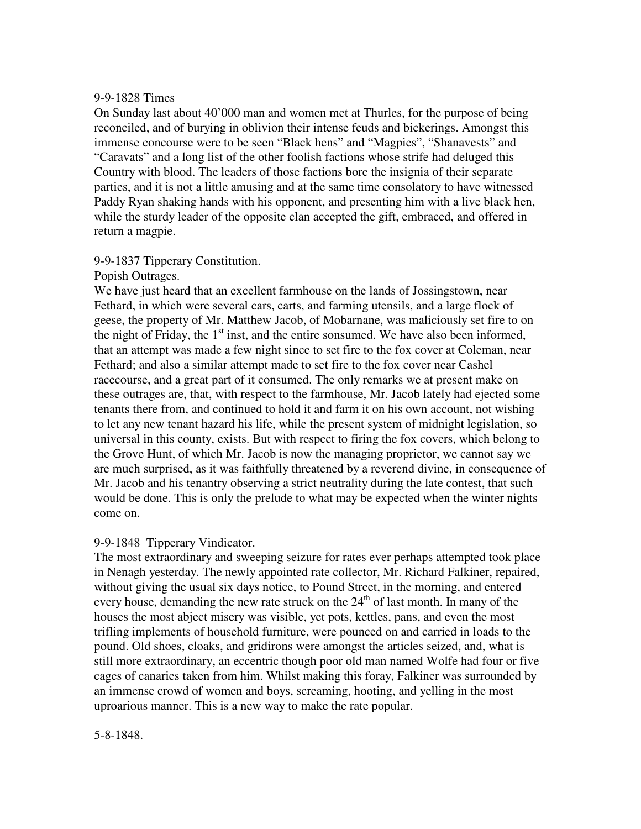#### 9-9-1828 Times

On Sunday last about 40'000 man and women met at Thurles, for the purpose of being reconciled, and of burying in oblivion their intense feuds and bickerings. Amongst this immense concourse were to be seen "Black hens" and "Magpies", "Shanavests" and "Caravats" and a long list of the other foolish factions whose strife had deluged this Country with blood. The leaders of those factions bore the insignia of their separate parties, and it is not a little amusing and at the same time consolatory to have witnessed Paddy Ryan shaking hands with his opponent, and presenting him with a live black hen, while the sturdy leader of the opposite clan accepted the gift, embraced, and offered in return a magpie.

## 9-9-1837 Tipperary Constitution.

## Popish Outrages.

We have just heard that an excellent farmhouse on the lands of Jossingstown, near Fethard, in which were several cars, carts, and farming utensils, and a large flock of geese, the property of Mr. Matthew Jacob, of Mobarnane, was maliciously set fire to on the night of Friday, the  $1<sup>st</sup>$  inst, and the entire sonsumed. We have also been informed, that an attempt was made a few night since to set fire to the fox cover at Coleman, near Fethard; and also a similar attempt made to set fire to the fox cover near Cashel racecourse, and a great part of it consumed. The only remarks we at present make on these outrages are, that, with respect to the farmhouse, Mr. Jacob lately had ejected some tenants there from, and continued to hold it and farm it on his own account, not wishing to let any new tenant hazard his life, while the present system of midnight legislation, so universal in this county, exists. But with respect to firing the fox covers, which belong to the Grove Hunt, of which Mr. Jacob is now the managing proprietor, we cannot say we are much surprised, as it was faithfully threatened by a reverend divine, in consequence of Mr. Jacob and his tenantry observing a strict neutrality during the late contest, that such would be done. This is only the prelude to what may be expected when the winter nights come on.

## 9-9-1848 Tipperary Vindicator.

The most extraordinary and sweeping seizure for rates ever perhaps attempted took place in Nenagh yesterday. The newly appointed rate collector, Mr. Richard Falkiner, repaired, without giving the usual six days notice, to Pound Street, in the morning, and entered every house, demanding the new rate struck on the  $24<sup>th</sup>$  of last month. In many of the houses the most abject misery was visible, yet pots, kettles, pans, and even the most trifling implements of household furniture, were pounced on and carried in loads to the pound. Old shoes, cloaks, and gridirons were amongst the articles seized, and, what is still more extraordinary, an eccentric though poor old man named Wolfe had four or five cages of canaries taken from him. Whilst making this foray, Falkiner was surrounded by an immense crowd of women and boys, screaming, hooting, and yelling in the most uproarious manner. This is a new way to make the rate popular.

## 5-8-1848.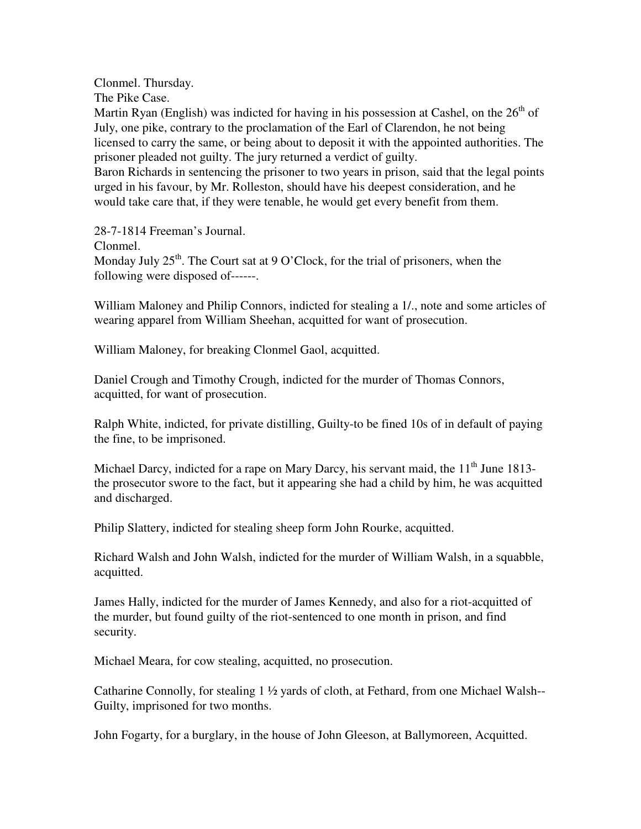Clonmel. Thursday.

The Pike Case.

Martin Ryan (English) was indicted for having in his possession at Cashel, on the  $26<sup>th</sup>$  of July, one pike, contrary to the proclamation of the Earl of Clarendon, he not being licensed to carry the same, or being about to deposit it with the appointed authorities. The prisoner pleaded not guilty. The jury returned a verdict of guilty.

Baron Richards in sentencing the prisoner to two years in prison, said that the legal points urged in his favour, by Mr. Rolleston, should have his deepest consideration, and he would take care that, if they were tenable, he would get every benefit from them.

28-7-1814 Freeman's Journal.

Clonmel.

Monday July  $25<sup>th</sup>$ . The Court sat at 9 O'Clock, for the trial of prisoners, when the following were disposed of------.

William Maloney and Philip Connors, indicted for stealing a 1/., note and some articles of wearing apparel from William Sheehan, acquitted for want of prosecution.

William Maloney, for breaking Clonmel Gaol, acquitted.

Daniel Crough and Timothy Crough, indicted for the murder of Thomas Connors, acquitted, for want of prosecution.

Ralph White, indicted, for private distilling, Guilty-to be fined 10s of in default of paying the fine, to be imprisoned.

Michael Darcy, indicted for a rape on Mary Darcy, his servant maid, the  $11<sup>th</sup>$  June 1813the prosecutor swore to the fact, but it appearing she had a child by him, he was acquitted and discharged.

Philip Slattery, indicted for stealing sheep form John Rourke, acquitted.

Richard Walsh and John Walsh, indicted for the murder of William Walsh, in a squabble, acquitted.

James Hally, indicted for the murder of James Kennedy, and also for a riot-acquitted of the murder, but found guilty of the riot-sentenced to one month in prison, and find security.

Michael Meara, for cow stealing, acquitted, no prosecution.

Catharine Connolly, for stealing 1 ½ yards of cloth, at Fethard, from one Michael Walsh-- Guilty, imprisoned for two months.

John Fogarty, for a burglary, in the house of John Gleeson, at Ballymoreen, Acquitted.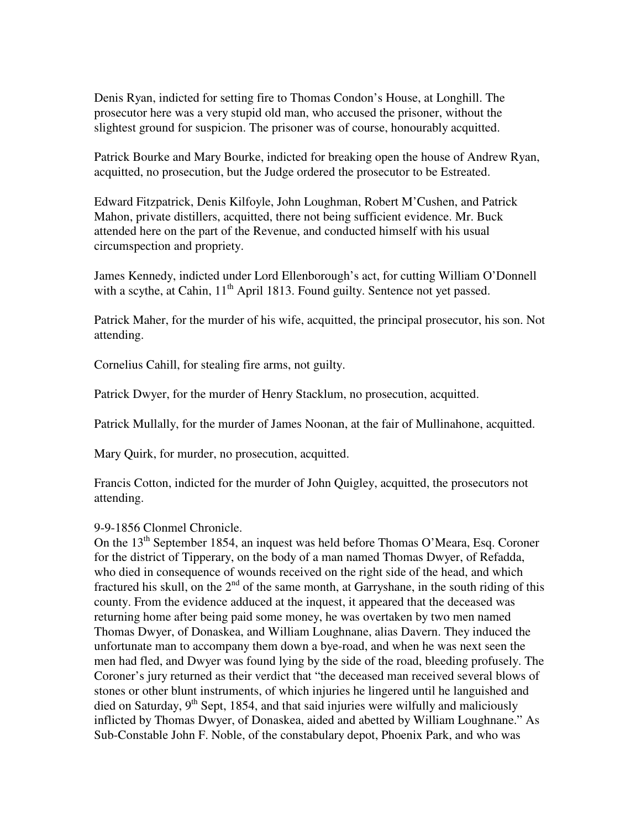Denis Ryan, indicted for setting fire to Thomas Condon's House, at Longhill. The prosecutor here was a very stupid old man, who accused the prisoner, without the slightest ground for suspicion. The prisoner was of course, honourably acquitted.

Patrick Bourke and Mary Bourke, indicted for breaking open the house of Andrew Ryan, acquitted, no prosecution, but the Judge ordered the prosecutor to be Estreated.

Edward Fitzpatrick, Denis Kilfoyle, John Loughman, Robert M'Cushen, and Patrick Mahon, private distillers, acquitted, there not being sufficient evidence. Mr. Buck attended here on the part of the Revenue, and conducted himself with his usual circumspection and propriety.

James Kennedy, indicted under Lord Ellenborough's act, for cutting William O'Donnell with a scythe, at Cahin,  $11<sup>th</sup>$  April 1813. Found guilty. Sentence not yet passed.

Patrick Maher, for the murder of his wife, acquitted, the principal prosecutor, his son. Not attending.

Cornelius Cahill, for stealing fire arms, not guilty.

Patrick Dwyer, for the murder of Henry Stacklum, no prosecution, acquitted.

Patrick Mullally, for the murder of James Noonan, at the fair of Mullinahone, acquitted.

Mary Quirk, for murder, no prosecution, acquitted.

Francis Cotton, indicted for the murder of John Quigley, acquitted, the prosecutors not attending.

## 9-9-1856 Clonmel Chronicle.

On the  $13<sup>th</sup>$  September 1854, an inquest was held before Thomas O'Meara, Esq. Coroner for the district of Tipperary, on the body of a man named Thomas Dwyer, of Refadda, who died in consequence of wounds received on the right side of the head, and which fractured his skull, on the  $2<sup>nd</sup>$  of the same month, at Garryshane, in the south riding of this county. From the evidence adduced at the inquest, it appeared that the deceased was returning home after being paid some money, he was overtaken by two men named Thomas Dwyer, of Donaskea, and William Loughnane, alias Davern. They induced the unfortunate man to accompany them down a bye-road, and when he was next seen the men had fled, and Dwyer was found lying by the side of the road, bleeding profusely. The Coroner's jury returned as their verdict that "the deceased man received several blows of stones or other blunt instruments, of which injuries he lingered until he languished and died on Saturday,  $9<sup>th</sup>$  Sept, 1854, and that said injuries were wilfully and maliciously inflicted by Thomas Dwyer, of Donaskea, aided and abetted by William Loughnane." As Sub-Constable John F. Noble, of the constabulary depot, Phoenix Park, and who was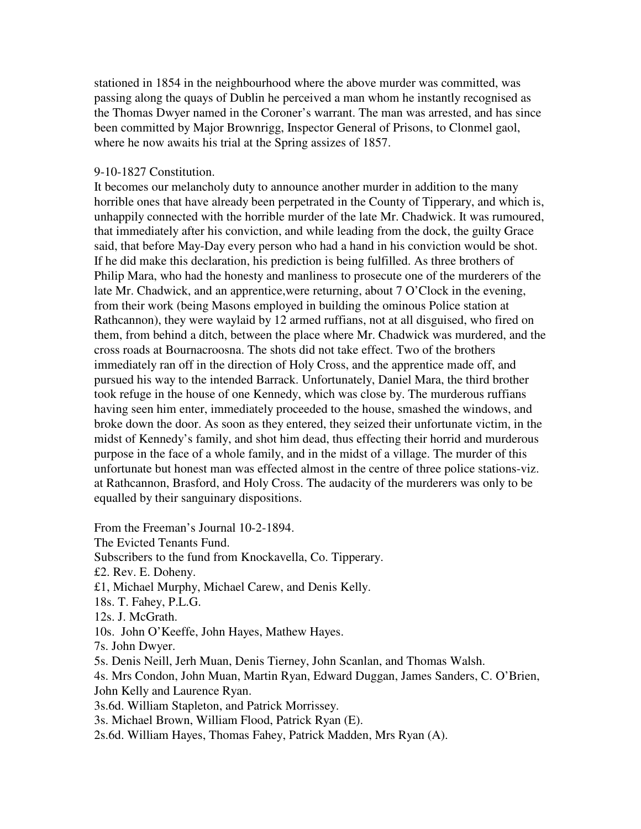stationed in 1854 in the neighbourhood where the above murder was committed, was passing along the quays of Dublin he perceived a man whom he instantly recognised as the Thomas Dwyer named in the Coroner's warrant. The man was arrested, and has since been committed by Major Brownrigg, Inspector General of Prisons, to Clonmel gaol, where he now awaits his trial at the Spring assizes of 1857.

#### 9-10-1827 Constitution.

It becomes our melancholy duty to announce another murder in addition to the many horrible ones that have already been perpetrated in the County of Tipperary, and which is, unhappily connected with the horrible murder of the late Mr. Chadwick. It was rumoured, that immediately after his conviction, and while leading from the dock, the guilty Grace said, that before May-Day every person who had a hand in his conviction would be shot. If he did make this declaration, his prediction is being fulfilled. As three brothers of Philip Mara, who had the honesty and manliness to prosecute one of the murderers of the late Mr. Chadwick, and an apprentice,were returning, about 7 O'Clock in the evening, from their work (being Masons employed in building the ominous Police station at Rathcannon), they were waylaid by 12 armed ruffians, not at all disguised, who fired on them, from behind a ditch, between the place where Mr. Chadwick was murdered, and the cross roads at Bournacroosna. The shots did not take effect. Two of the brothers immediately ran off in the direction of Holy Cross, and the apprentice made off, and pursued his way to the intended Barrack. Unfortunately, Daniel Mara, the third brother took refuge in the house of one Kennedy, which was close by. The murderous ruffians having seen him enter, immediately proceeded to the house, smashed the windows, and broke down the door. As soon as they entered, they seized their unfortunate victim, in the midst of Kennedy's family, and shot him dead, thus effecting their horrid and murderous purpose in the face of a whole family, and in the midst of a village. The murder of this unfortunate but honest man was effected almost in the centre of three police stations-viz. at Rathcannon, Brasford, and Holy Cross. The audacity of the murderers was only to be equalled by their sanguinary dispositions.

From the Freeman's Journal 10-2-1894. The Evicted Tenants Fund. Subscribers to the fund from Knockavella, Co. Tipperary. £2. Rev. E. Doheny. £1, Michael Murphy, Michael Carew, and Denis Kelly. 18s. T. Fahey, P.L.G. 12s. J. McGrath. 10s. John O'Keeffe, John Hayes, Mathew Hayes. 7s. John Dwyer. 5s. Denis Neill, Jerh Muan, Denis Tierney, John Scanlan, and Thomas Walsh. 4s. Mrs Condon, John Muan, Martin Ryan, Edward Duggan, James Sanders, C. O'Brien, John Kelly and Laurence Ryan. 3s.6d. William Stapleton, and Patrick Morrissey. 3s. Michael Brown, William Flood, Patrick Ryan (E). 2s.6d. William Hayes, Thomas Fahey, Patrick Madden, Mrs Ryan (A).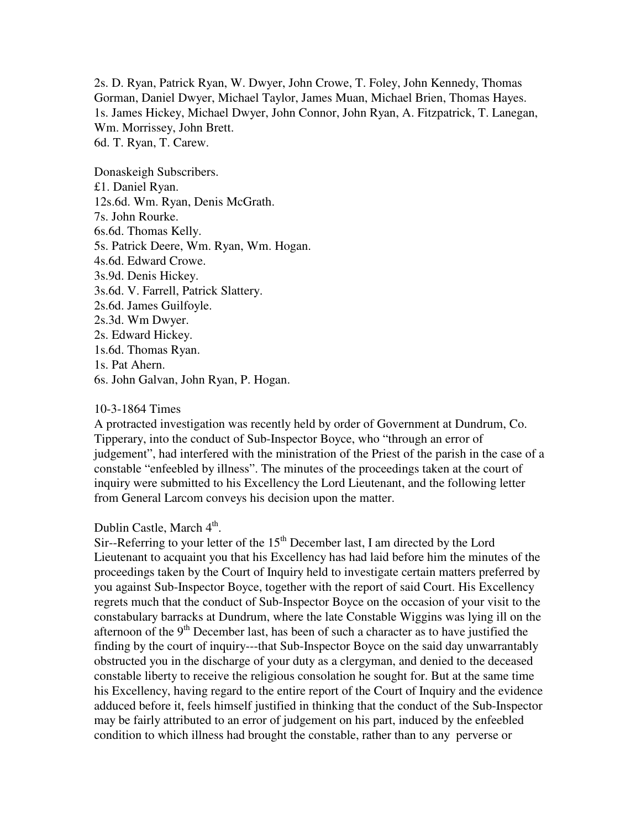2s. D. Ryan, Patrick Ryan, W. Dwyer, John Crowe, T. Foley, John Kennedy, Thomas Gorman, Daniel Dwyer, Michael Taylor, James Muan, Michael Brien, Thomas Hayes. 1s. James Hickey, Michael Dwyer, John Connor, John Ryan, A. Fitzpatrick, T. Lanegan, Wm. Morrissey, John Brett. 6d. T. Ryan, T. Carew.

Donaskeigh Subscribers. £1. Daniel Ryan. 12s.6d. Wm. Ryan, Denis McGrath. 7s. John Rourke. 6s.6d. Thomas Kelly. 5s. Patrick Deere, Wm. Ryan, Wm. Hogan. 4s.6d. Edward Crowe. 3s.9d. Denis Hickey. 3s.6d. V. Farrell, Patrick Slattery. 2s.6d. James Guilfoyle. 2s.3d. Wm Dwyer. 2s. Edward Hickey. 1s.6d. Thomas Ryan. 1s. Pat Ahern. 6s. John Galvan, John Ryan, P. Hogan.

#### 10-3-1864 Times

A protracted investigation was recently held by order of Government at Dundrum, Co. Tipperary, into the conduct of Sub-Inspector Boyce, who "through an error of judgement", had interfered with the ministration of the Priest of the parish in the case of a constable "enfeebled by illness". The minutes of the proceedings taken at the court of inquiry were submitted to his Excellency the Lord Lieutenant, and the following letter from General Larcom conveys his decision upon the matter.

# Dublin Castle, March 4<sup>th</sup>.

Sir--Referring to your letter of the  $15<sup>th</sup>$  December last, I am directed by the Lord Lieutenant to acquaint you that his Excellency has had laid before him the minutes of the proceedings taken by the Court of Inquiry held to investigate certain matters preferred by you against Sub-Inspector Boyce, together with the report of said Court. His Excellency regrets much that the conduct of Sub-Inspector Boyce on the occasion of your visit to the constabulary barracks at Dundrum, where the late Constable Wiggins was lying ill on the afternoon of the  $9<sup>th</sup>$  December last, has been of such a character as to have justified the finding by the court of inquiry---that Sub-Inspector Boyce on the said day unwarrantably obstructed you in the discharge of your duty as a clergyman, and denied to the deceased constable liberty to receive the religious consolation he sought for. But at the same time his Excellency, having regard to the entire report of the Court of Inquiry and the evidence adduced before it, feels himself justified in thinking that the conduct of the Sub-Inspector may be fairly attributed to an error of judgement on his part, induced by the enfeebled condition to which illness had brought the constable, rather than to any perverse or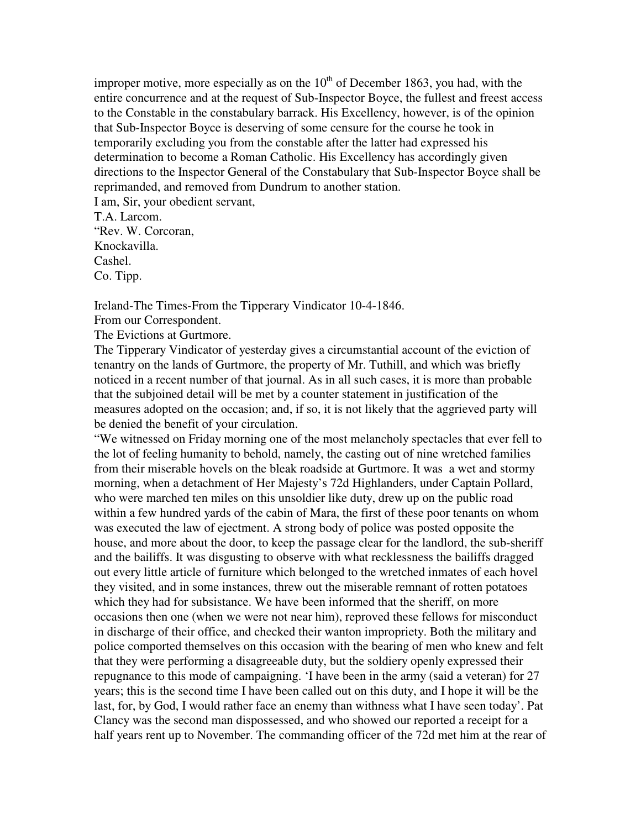improper motive, more especially as on the  $10<sup>th</sup>$  of December 1863, you had, with the entire concurrence and at the request of Sub-Inspector Boyce, the fullest and freest access to the Constable in the constabulary barrack. His Excellency, however, is of the opinion that Sub-Inspector Boyce is deserving of some censure for the course he took in temporarily excluding you from the constable after the latter had expressed his determination to become a Roman Catholic. His Excellency has accordingly given directions to the Inspector General of the Constabulary that Sub-Inspector Boyce shall be reprimanded, and removed from Dundrum to another station. I am, Sir, your obedient servant,

T.A. Larcom. "Rev. W. Corcoran, Knockavilla. Cashel. Co. Tipp.

Ireland-The Times-From the Tipperary Vindicator 10-4-1846.

From our Correspondent.

The Evictions at Gurtmore.

The Tipperary Vindicator of yesterday gives a circumstantial account of the eviction of tenantry on the lands of Gurtmore, the property of Mr. Tuthill, and which was briefly noticed in a recent number of that journal. As in all such cases, it is more than probable that the subjoined detail will be met by a counter statement in justification of the measures adopted on the occasion; and, if so, it is not likely that the aggrieved party will be denied the benefit of your circulation.

"We witnessed on Friday morning one of the most melancholy spectacles that ever fell to the lot of feeling humanity to behold, namely, the casting out of nine wretched families from their miserable hovels on the bleak roadside at Gurtmore. It was a wet and stormy morning, when a detachment of Her Majesty's 72d Highlanders, under Captain Pollard, who were marched ten miles on this unsoldier like duty, drew up on the public road within a few hundred yards of the cabin of Mara, the first of these poor tenants on whom was executed the law of ejectment. A strong body of police was posted opposite the house, and more about the door, to keep the passage clear for the landlord, the sub-sheriff and the bailiffs. It was disgusting to observe with what recklessness the bailiffs dragged out every little article of furniture which belonged to the wretched inmates of each hovel they visited, and in some instances, threw out the miserable remnant of rotten potatoes which they had for subsistance. We have been informed that the sheriff, on more occasions then one (when we were not near him), reproved these fellows for misconduct in discharge of their office, and checked their wanton impropriety. Both the military and police comported themselves on this occasion with the bearing of men who knew and felt that they were performing a disagreeable duty, but the soldiery openly expressed their repugnance to this mode of campaigning. 'I have been in the army (said a veteran) for 27 years; this is the second time I have been called out on this duty, and I hope it will be the last, for, by God, I would rather face an enemy than withness what I have seen today'. Pat Clancy was the second man dispossessed, and who showed our reported a receipt for a half years rent up to November. The commanding officer of the 72d met him at the rear of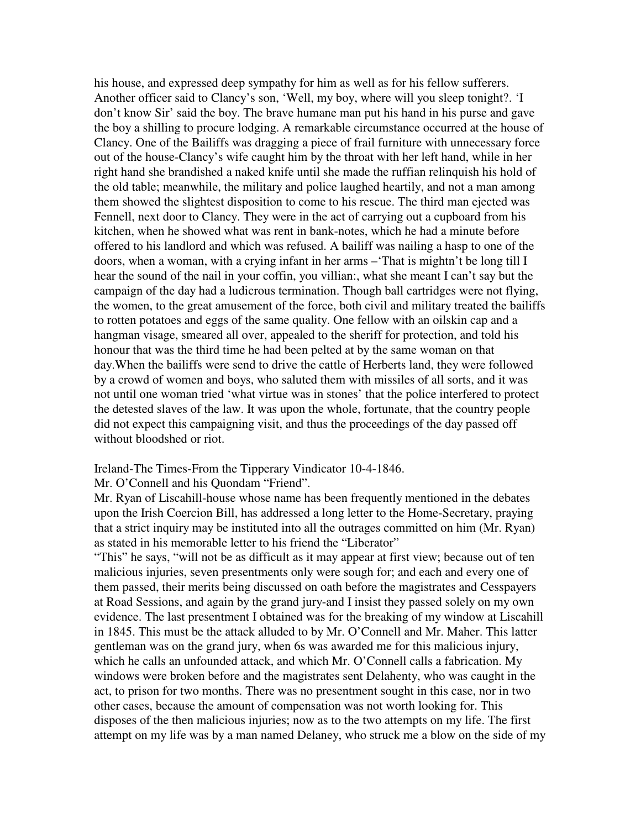his house, and expressed deep sympathy for him as well as for his fellow sufferers. Another officer said to Clancy's son, 'Well, my boy, where will you sleep tonight?. 'I don't know Sir' said the boy. The brave humane man put his hand in his purse and gave the boy a shilling to procure lodging. A remarkable circumstance occurred at the house of Clancy. One of the Bailiffs was dragging a piece of frail furniture with unnecessary force out of the house-Clancy's wife caught him by the throat with her left hand, while in her right hand she brandished a naked knife until she made the ruffian relinquish his hold of the old table; meanwhile, the military and police laughed heartily, and not a man among them showed the slightest disposition to come to his rescue. The third man ejected was Fennell, next door to Clancy. They were in the act of carrying out a cupboard from his kitchen, when he showed what was rent in bank-notes, which he had a minute before offered to his landlord and which was refused. A bailiff was nailing a hasp to one of the doors, when a woman, with a crying infant in her arms –'That is mightn't be long till I hear the sound of the nail in your coffin, you villian:, what she meant I can't say but the campaign of the day had a ludicrous termination. Though ball cartridges were not flying, the women, to the great amusement of the force, both civil and military treated the bailiffs to rotten potatoes and eggs of the same quality. One fellow with an oilskin cap and a hangman visage, smeared all over, appealed to the sheriff for protection, and told his honour that was the third time he had been pelted at by the same woman on that day.When the bailiffs were send to drive the cattle of Herberts land, they were followed by a crowd of women and boys, who saluted them with missiles of all sorts, and it was not until one woman tried 'what virtue was in stones' that the police interfered to protect the detested slaves of the law. It was upon the whole, fortunate, that the country people did not expect this campaigning visit, and thus the proceedings of the day passed off without bloodshed or riot.

#### Ireland-The Times-From the Tipperary Vindicator 10-4-1846.

## Mr. O'Connell and his Quondam "Friend".

Mr. Ryan of Liscahill-house whose name has been frequently mentioned in the debates upon the Irish Coercion Bill, has addressed a long letter to the Home-Secretary, praying that a strict inquiry may be instituted into all the outrages committed on him (Mr. Ryan) as stated in his memorable letter to his friend the "Liberator"

"This" he says, "will not be as difficult as it may appear at first view; because out of ten malicious injuries, seven presentments only were sough for; and each and every one of them passed, their merits being discussed on oath before the magistrates and Cesspayers at Road Sessions, and again by the grand jury-and I insist they passed solely on my own evidence. The last presentment I obtained was for the breaking of my window at Liscahill in 1845. This must be the attack alluded to by Mr. O'Connell and Mr. Maher. This latter gentleman was on the grand jury, when 6s was awarded me for this malicious injury, which he calls an unfounded attack, and which Mr. O'Connell calls a fabrication. My windows were broken before and the magistrates sent Delahenty, who was caught in the act, to prison for two months. There was no presentment sought in this case, nor in two other cases, because the amount of compensation was not worth looking for. This disposes of the then malicious injuries; now as to the two attempts on my life. The first attempt on my life was by a man named Delaney, who struck me a blow on the side of my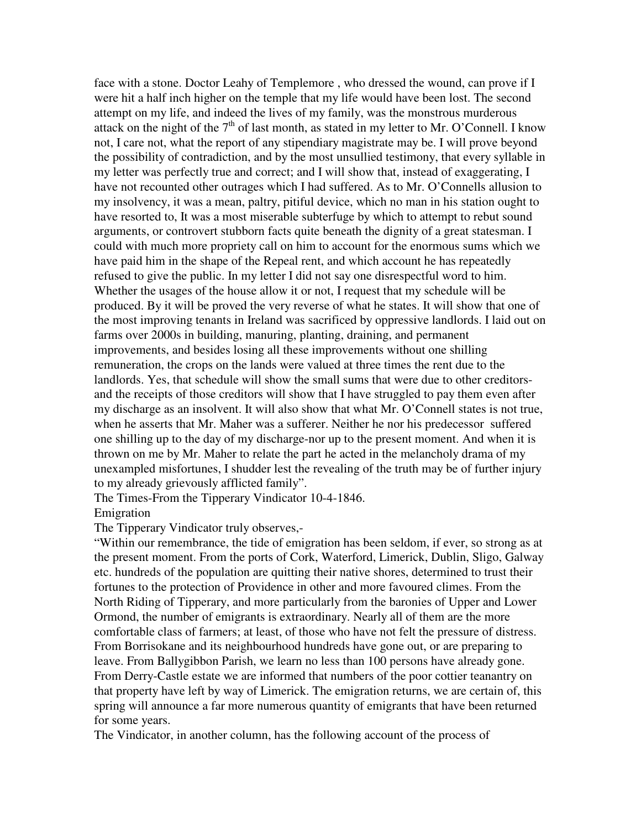face with a stone. Doctor Leahy of Templemore , who dressed the wound, can prove if I were hit a half inch higher on the temple that my life would have been lost. The second attempt on my life, and indeed the lives of my family, was the monstrous murderous attack on the night of the  $7<sup>th</sup>$  of last month, as stated in my letter to Mr. O'Connell. I know not, I care not, what the report of any stipendiary magistrate may be. I will prove beyond the possibility of contradiction, and by the most unsullied testimony, that every syllable in my letter was perfectly true and correct; and I will show that, instead of exaggerating, I have not recounted other outrages which I had suffered. As to Mr. O'Connells allusion to my insolvency, it was a mean, paltry, pitiful device, which no man in his station ought to have resorted to, It was a most miserable subterfuge by which to attempt to rebut sound arguments, or controvert stubborn facts quite beneath the dignity of a great statesman. I could with much more propriety call on him to account for the enormous sums which we have paid him in the shape of the Repeal rent, and which account he has repeatedly refused to give the public. In my letter I did not say one disrespectful word to him. Whether the usages of the house allow it or not, I request that my schedule will be produced. By it will be proved the very reverse of what he states. It will show that one of the most improving tenants in Ireland was sacrificed by oppressive landlords. I laid out on farms over 2000s in building, manuring, planting, draining, and permanent improvements, and besides losing all these improvements without one shilling remuneration, the crops on the lands were valued at three times the rent due to the landlords. Yes, that schedule will show the small sums that were due to other creditorsand the receipts of those creditors will show that I have struggled to pay them even after my discharge as an insolvent. It will also show that what Mr. O'Connell states is not true, when he asserts that Mr. Maher was a sufferer. Neither he nor his predecessor suffered one shilling up to the day of my discharge-nor up to the present moment. And when it is thrown on me by Mr. Maher to relate the part he acted in the melancholy drama of my unexampled misfortunes, I shudder lest the revealing of the truth may be of further injury to my already grievously afflicted family".

The Times-From the Tipperary Vindicator 10-4-1846. Emigration

The Tipperary Vindicator truly observes,-

"Within our remembrance, the tide of emigration has been seldom, if ever, so strong as at the present moment. From the ports of Cork, Waterford, Limerick, Dublin, Sligo, Galway etc. hundreds of the population are quitting their native shores, determined to trust their fortunes to the protection of Providence in other and more favoured climes. From the North Riding of Tipperary, and more particularly from the baronies of Upper and Lower Ormond, the number of emigrants is extraordinary. Nearly all of them are the more comfortable class of farmers; at least, of those who have not felt the pressure of distress. From Borrisokane and its neighbourhood hundreds have gone out, or are preparing to leave. From Ballygibbon Parish, we learn no less than 100 persons have already gone. From Derry-Castle estate we are informed that numbers of the poor cottier teanantry on that property have left by way of Limerick. The emigration returns, we are certain of, this spring will announce a far more numerous quantity of emigrants that have been returned for some years.

The Vindicator, in another column, has the following account of the process of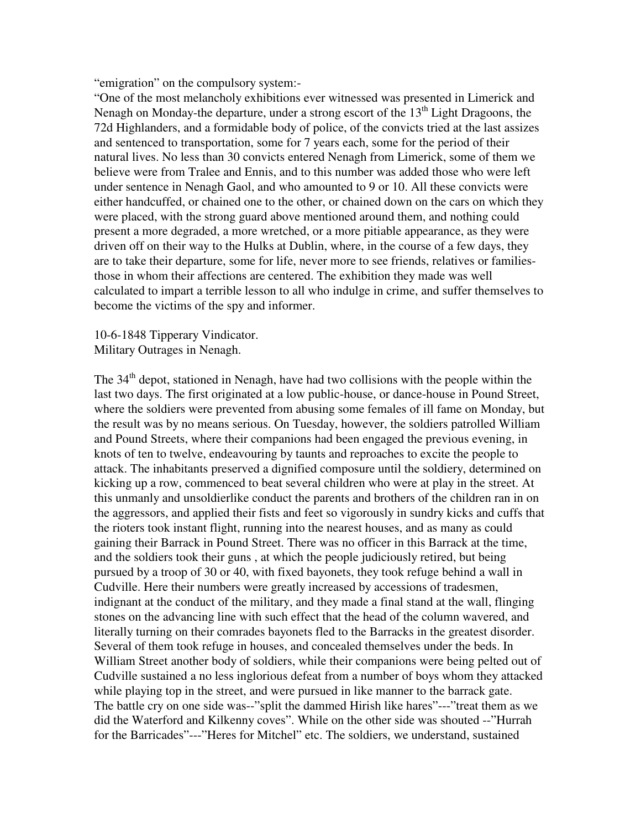"emigration" on the compulsory system:-

"One of the most melancholy exhibitions ever witnessed was presented in Limerick and Nenagh on Monday-the departure, under a strong escort of the  $13<sup>th</sup>$  Light Dragoons, the 72d Highlanders, and a formidable body of police, of the convicts tried at the last assizes and sentenced to transportation, some for 7 years each, some for the period of their natural lives. No less than 30 convicts entered Nenagh from Limerick, some of them we believe were from Tralee and Ennis, and to this number was added those who were left under sentence in Nenagh Gaol, and who amounted to 9 or 10. All these convicts were either handcuffed, or chained one to the other, or chained down on the cars on which they were placed, with the strong guard above mentioned around them, and nothing could present a more degraded, a more wretched, or a more pitiable appearance, as they were driven off on their way to the Hulks at Dublin, where, in the course of a few days, they are to take their departure, some for life, never more to see friends, relatives or familiesthose in whom their affections are centered. The exhibition they made was well calculated to impart a terrible lesson to all who indulge in crime, and suffer themselves to become the victims of the spy and informer.

10-6-1848 Tipperary Vindicator. Military Outrages in Nenagh.

The 34<sup>th</sup> depot, stationed in Nenagh, have had two collisions with the people within the last two days. The first originated at a low public-house, or dance-house in Pound Street, where the soldiers were prevented from abusing some females of ill fame on Monday, but the result was by no means serious. On Tuesday, however, the soldiers patrolled William and Pound Streets, where their companions had been engaged the previous evening, in knots of ten to twelve, endeavouring by taunts and reproaches to excite the people to attack. The inhabitants preserved a dignified composure until the soldiery, determined on kicking up a row, commenced to beat several children who were at play in the street. At this unmanly and unsoldierlike conduct the parents and brothers of the children ran in on the aggressors, and applied their fists and feet so vigorously in sundry kicks and cuffs that the rioters took instant flight, running into the nearest houses, and as many as could gaining their Barrack in Pound Street. There was no officer in this Barrack at the time, and the soldiers took their guns , at which the people judiciously retired, but being pursued by a troop of 30 or 40, with fixed bayonets, they took refuge behind a wall in Cudville. Here their numbers were greatly increased by accessions of tradesmen, indignant at the conduct of the military, and they made a final stand at the wall, flinging stones on the advancing line with such effect that the head of the column wavered, and literally turning on their comrades bayonets fled to the Barracks in the greatest disorder. Several of them took refuge in houses, and concealed themselves under the beds. In William Street another body of soldiers, while their companions were being pelted out of Cudville sustained a no less inglorious defeat from a number of boys whom they attacked while playing top in the street, and were pursued in like manner to the barrack gate. The battle cry on one side was--"split the dammed Hirish like hares"---"treat them as we did the Waterford and Kilkenny coves". While on the other side was shouted --"Hurrah for the Barricades"---"Heres for Mitchel" etc. The soldiers, we understand, sustained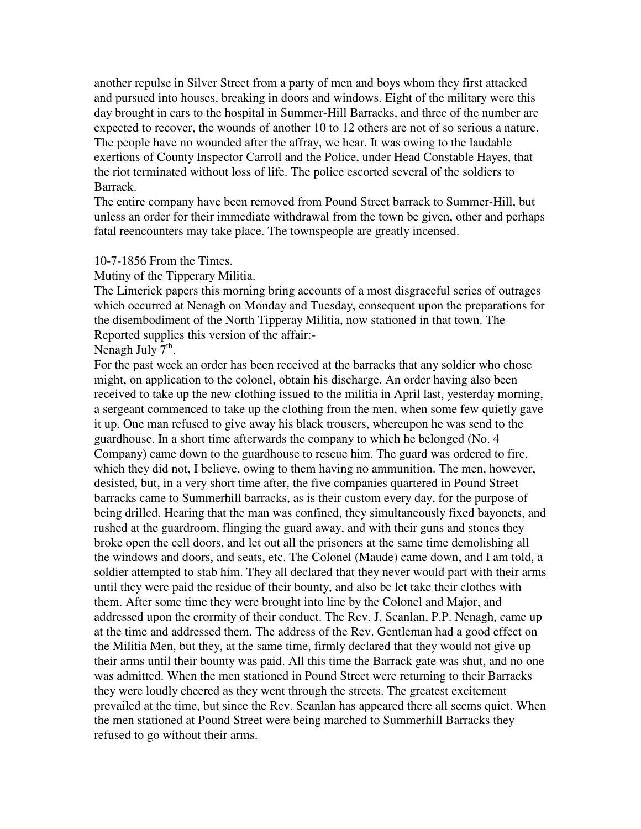another repulse in Silver Street from a party of men and boys whom they first attacked and pursued into houses, breaking in doors and windows. Eight of the military were this day brought in cars to the hospital in Summer-Hill Barracks, and three of the number are expected to recover, the wounds of another 10 to 12 others are not of so serious a nature. The people have no wounded after the affray, we hear. It was owing to the laudable exertions of County Inspector Carroll and the Police, under Head Constable Hayes, that the riot terminated without loss of life. The police escorted several of the soldiers to Barrack.

The entire company have been removed from Pound Street barrack to Summer-Hill, but unless an order for their immediate withdrawal from the town be given, other and perhaps fatal reencounters may take place. The townspeople are greatly incensed.

### 10-7-1856 From the Times.

Mutiny of the Tipperary Militia.

The Limerick papers this morning bring accounts of a most disgraceful series of outrages which occurred at Nenagh on Monday and Tuesday, consequent upon the preparations for the disembodiment of the North Tipperay Militia, now stationed in that town. The Reported supplies this version of the affair:-

Nenagh July  $7<sup>th</sup>$ .

For the past week an order has been received at the barracks that any soldier who chose might, on application to the colonel, obtain his discharge. An order having also been received to take up the new clothing issued to the militia in April last, yesterday morning, a sergeant commenced to take up the clothing from the men, when some few quietly gave it up. One man refused to give away his black trousers, whereupon he was send to the guardhouse. In a short time afterwards the company to which he belonged (No. 4 Company) came down to the guardhouse to rescue him. The guard was ordered to fire, which they did not, I believe, owing to them having no ammunition. The men, however, desisted, but, in a very short time after, the five companies quartered in Pound Street barracks came to Summerhill barracks, as is their custom every day, for the purpose of being drilled. Hearing that the man was confined, they simultaneously fixed bayonets, and rushed at the guardroom, flinging the guard away, and with their guns and stones they broke open the cell doors, and let out all the prisoners at the same time demolishing all the windows and doors, and seats, etc. The Colonel (Maude) came down, and I am told, a soldier attempted to stab him. They all declared that they never would part with their arms until they were paid the residue of their bounty, and also be let take their clothes with them. After some time they were brought into line by the Colonel and Major, and addressed upon the erormity of their conduct. The Rev. J. Scanlan, P.P. Nenagh, came up at the time and addressed them. The address of the Rev. Gentleman had a good effect on the Militia Men, but they, at the same time, firmly declared that they would not give up their arms until their bounty was paid. All this time the Barrack gate was shut, and no one was admitted. When the men stationed in Pound Street were returning to their Barracks they were loudly cheered as they went through the streets. The greatest excitement prevailed at the time, but since the Rev. Scanlan has appeared there all seems quiet. When the men stationed at Pound Street were being marched to Summerhill Barracks they refused to go without their arms.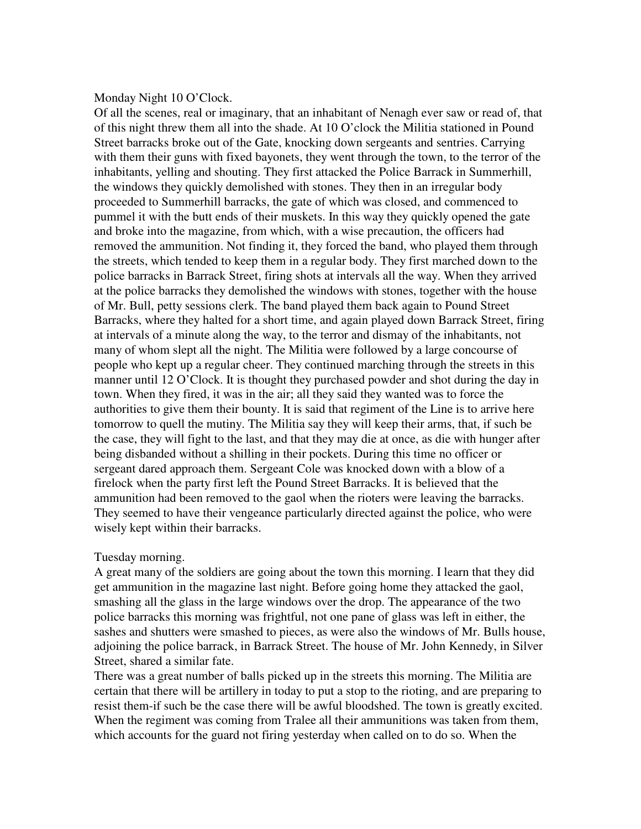### Monday Night 10 O'Clock.

Of all the scenes, real or imaginary, that an inhabitant of Nenagh ever saw or read of, that of this night threw them all into the shade. At 10 O'clock the Militia stationed in Pound Street barracks broke out of the Gate, knocking down sergeants and sentries. Carrying with them their guns with fixed bayonets, they went through the town, to the terror of the inhabitants, yelling and shouting. They first attacked the Police Barrack in Summerhill, the windows they quickly demolished with stones. They then in an irregular body proceeded to Summerhill barracks, the gate of which was closed, and commenced to pummel it with the butt ends of their muskets. In this way they quickly opened the gate and broke into the magazine, from which, with a wise precaution, the officers had removed the ammunition. Not finding it, they forced the band, who played them through the streets, which tended to keep them in a regular body. They first marched down to the police barracks in Barrack Street, firing shots at intervals all the way. When they arrived at the police barracks they demolished the windows with stones, together with the house of Mr. Bull, petty sessions clerk. The band played them back again to Pound Street Barracks, where they halted for a short time, and again played down Barrack Street, firing at intervals of a minute along the way, to the terror and dismay of the inhabitants, not many of whom slept all the night. The Militia were followed by a large concourse of people who kept up a regular cheer. They continued marching through the streets in this manner until 12 O'Clock. It is thought they purchased powder and shot during the day in town. When they fired, it was in the air; all they said they wanted was to force the authorities to give them their bounty. It is said that regiment of the Line is to arrive here tomorrow to quell the mutiny. The Militia say they will keep their arms, that, if such be the case, they will fight to the last, and that they may die at once, as die with hunger after being disbanded without a shilling in their pockets. During this time no officer or sergeant dared approach them. Sergeant Cole was knocked down with a blow of a firelock when the party first left the Pound Street Barracks. It is believed that the ammunition had been removed to the gaol when the rioters were leaving the barracks. They seemed to have their vengeance particularly directed against the police, who were wisely kept within their barracks.

### Tuesday morning.

A great many of the soldiers are going about the town this morning. I learn that they did get ammunition in the magazine last night. Before going home they attacked the gaol, smashing all the glass in the large windows over the drop. The appearance of the two police barracks this morning was frightful, not one pane of glass was left in either, the sashes and shutters were smashed to pieces, as were also the windows of Mr. Bulls house, adjoining the police barrack, in Barrack Street. The house of Mr. John Kennedy, in Silver Street, shared a similar fate.

There was a great number of balls picked up in the streets this morning. The Militia are certain that there will be artillery in today to put a stop to the rioting, and are preparing to resist them-if such be the case there will be awful bloodshed. The town is greatly excited. When the regiment was coming from Tralee all their ammunitions was taken from them, which accounts for the guard not firing yesterday when called on to do so. When the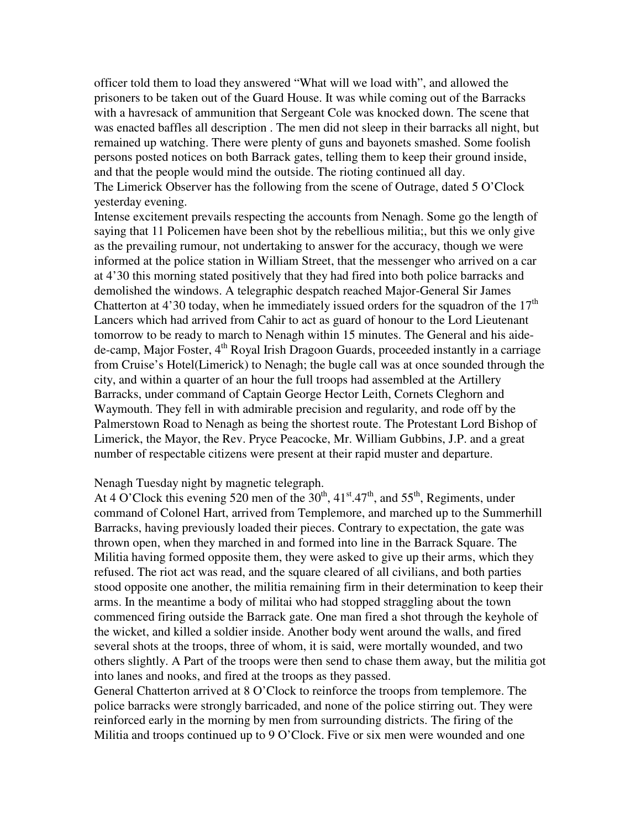officer told them to load they answered "What will we load with", and allowed the prisoners to be taken out of the Guard House. It was while coming out of the Barracks with a havresack of ammunition that Sergeant Cole was knocked down. The scene that was enacted baffles all description . The men did not sleep in their barracks all night, but remained up watching. There were plenty of guns and bayonets smashed. Some foolish persons posted notices on both Barrack gates, telling them to keep their ground inside, and that the people would mind the outside. The rioting continued all day. The Limerick Observer has the following from the scene of Outrage, dated 5 O'Clock yesterday evening.

Intense excitement prevails respecting the accounts from Nenagh. Some go the length of saying that 11 Policemen have been shot by the rebellious militia;, but this we only give as the prevailing rumour, not undertaking to answer for the accuracy, though we were informed at the police station in William Street, that the messenger who arrived on a car at 4'30 this morning stated positively that they had fired into both police barracks and demolished the windows. A telegraphic despatch reached Major-General Sir James Chatterton at 4'30 today, when he immediately issued orders for the squadron of the  $17<sup>th</sup>$ Lancers which had arrived from Cahir to act as guard of honour to the Lord Lieutenant tomorrow to be ready to march to Nenagh within 15 minutes. The General and his aidede-camp, Major Foster,  $4<sup>th</sup>$  Royal Irish Dragoon Guards, proceeded instantly in a carriage from Cruise's Hotel(Limerick) to Nenagh; the bugle call was at once sounded through the city, and within a quarter of an hour the full troops had assembled at the Artillery Barracks, under command of Captain George Hector Leith, Cornets Cleghorn and Waymouth. They fell in with admirable precision and regularity, and rode off by the Palmerstown Road to Nenagh as being the shortest route. The Protestant Lord Bishop of Limerick, the Mayor, the Rev. Pryce Peacocke, Mr. William Gubbins, J.P. and a great number of respectable citizens were present at their rapid muster and departure.

#### Nenagh Tuesday night by magnetic telegraph.

At 4 O'Clock this evening 520 men of the  $30<sup>th</sup>$ ,  $41<sup>st</sup>$ ,  $47<sup>th</sup>$ , and  $55<sup>th</sup>$ , Regiments, under command of Colonel Hart, arrived from Templemore, and marched up to the Summerhill Barracks, having previously loaded their pieces. Contrary to expectation, the gate was thrown open, when they marched in and formed into line in the Barrack Square. The Militia having formed opposite them, they were asked to give up their arms, which they refused. The riot act was read, and the square cleared of all civilians, and both parties stood opposite one another, the militia remaining firm in their determination to keep their arms. In the meantime a body of militai who had stopped straggling about the town commenced firing outside the Barrack gate. One man fired a shot through the keyhole of the wicket, and killed a soldier inside. Another body went around the walls, and fired several shots at the troops, three of whom, it is said, were mortally wounded, and two others slightly. A Part of the troops were then send to chase them away, but the militia got into lanes and nooks, and fired at the troops as they passed.

General Chatterton arrived at 8 O'Clock to reinforce the troops from templemore. The police barracks were strongly barricaded, and none of the police stirring out. They were reinforced early in the morning by men from surrounding districts. The firing of the Militia and troops continued up to 9 O'Clock. Five or six men were wounded and one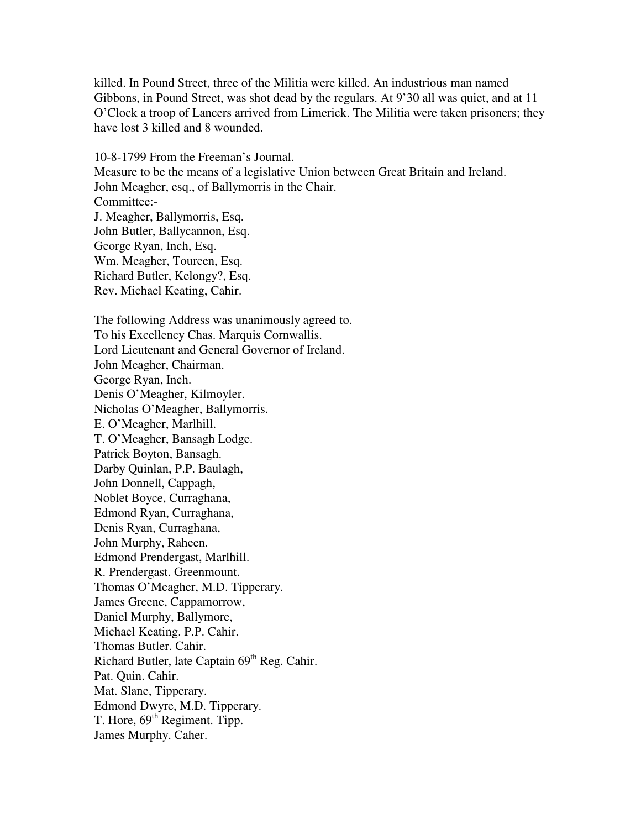killed. In Pound Street, three of the Militia were killed. An industrious man named Gibbons, in Pound Street, was shot dead by the regulars. At 9'30 all was quiet, and at 11 O'Clock a troop of Lancers arrived from Limerick. The Militia were taken prisoners; they have lost 3 killed and 8 wounded.

10-8-1799 From the Freeman's Journal. Measure to be the means of a legislative Union between Great Britain and Ireland. John Meagher, esq., of Ballymorris in the Chair. Committee:- J. Meagher, Ballymorris, Esq. John Butler, Ballycannon, Esq. George Ryan, Inch, Esq. Wm. Meagher, Toureen, Esq. Richard Butler, Kelongy?, Esq. Rev. Michael Keating, Cahir.

The following Address was unanimously agreed to. To his Excellency Chas. Marquis Cornwallis. Lord Lieutenant and General Governor of Ireland. John Meagher, Chairman. George Ryan, Inch. Denis O'Meagher, Kilmoyler. Nicholas O'Meagher, Ballymorris. E. O'Meagher, Marlhill. T. O'Meagher, Bansagh Lodge. Patrick Boyton, Bansagh. Darby Quinlan, P.P. Baulagh, John Donnell, Cappagh, Noblet Boyce, Curraghana, Edmond Ryan, Curraghana, Denis Ryan, Curraghana, John Murphy, Raheen. Edmond Prendergast, Marlhill. R. Prendergast. Greenmount. Thomas O'Meagher, M.D. Tipperary. James Greene, Cappamorrow, Daniel Murphy, Ballymore, Michael Keating. P.P. Cahir. Thomas Butler. Cahir. Richard Butler, late Captain 69<sup>th</sup> Reg. Cahir. Pat. Quin. Cahir. Mat. Slane, Tipperary. Edmond Dwyre, M.D. Tipperary. T. Hore,  $69<sup>th</sup>$  Regiment. Tipp. James Murphy. Caher.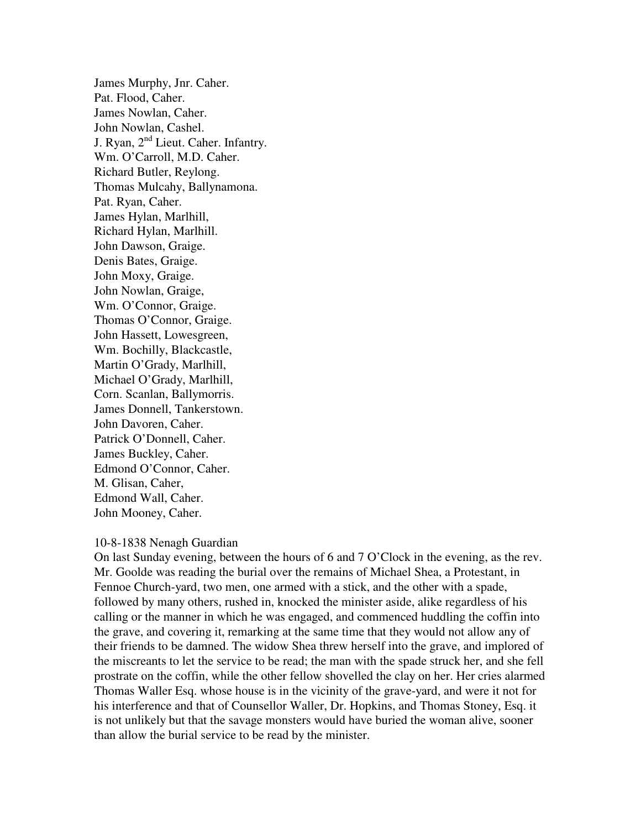James Murphy, Jnr. Caher. Pat. Flood, Caher. James Nowlan, Caher. John Nowlan, Cashel. J. Ryan, 2<sup>nd</sup> Lieut. Caher. Infantry. Wm. O'Carroll, M.D. Caher. Richard Butler, Reylong. Thomas Mulcahy, Ballynamona. Pat. Ryan, Caher. James Hylan, Marlhill, Richard Hylan, Marlhill. John Dawson, Graige. Denis Bates, Graige. John Moxy, Graige. John Nowlan, Graige, Wm. O'Connor, Graige. Thomas O'Connor, Graige. John Hassett, Lowesgreen, Wm. Bochilly, Blackcastle, Martin O'Grady, Marlhill, Michael O'Grady, Marlhill, Corn. Scanlan, Ballymorris. James Donnell, Tankerstown. John Davoren, Caher. Patrick O'Donnell, Caher. James Buckley, Caher. Edmond O'Connor, Caher. M. Glisan, Caher, Edmond Wall, Caher. John Mooney, Caher.

### 10-8-1838 Nenagh Guardian

On last Sunday evening, between the hours of 6 and 7 O'Clock in the evening, as the rev. Mr. Goolde was reading the burial over the remains of Michael Shea, a Protestant, in Fennoe Church-yard, two men, one armed with a stick, and the other with a spade, followed by many others, rushed in, knocked the minister aside, alike regardless of his calling or the manner in which he was engaged, and commenced huddling the coffin into the grave, and covering it, remarking at the same time that they would not allow any of their friends to be damned. The widow Shea threw herself into the grave, and implored of the miscreants to let the service to be read; the man with the spade struck her, and she fell prostrate on the coffin, while the other fellow shovelled the clay on her. Her cries alarmed Thomas Waller Esq. whose house is in the vicinity of the grave-yard, and were it not for his interference and that of Counsellor Waller, Dr. Hopkins, and Thomas Stoney, Esq. it is not unlikely but that the savage monsters would have buried the woman alive, sooner than allow the burial service to be read by the minister.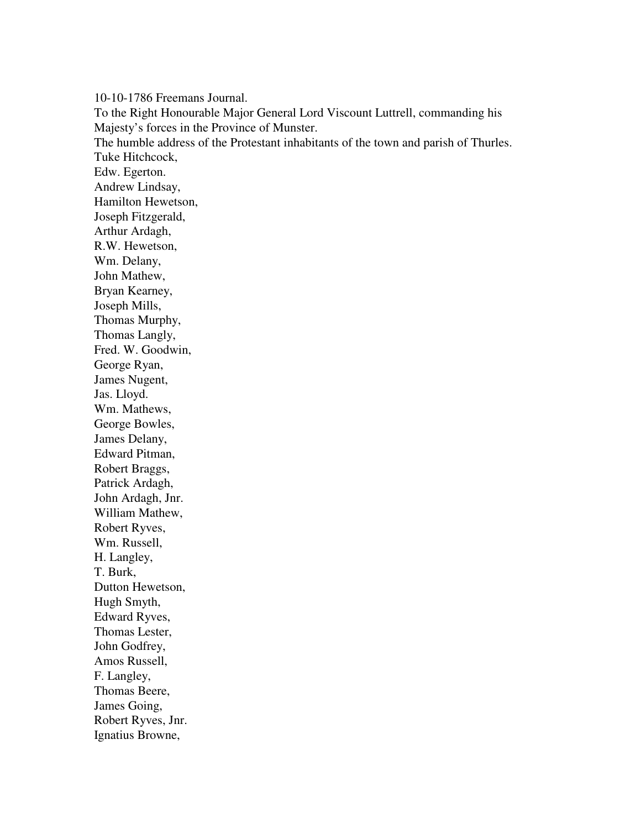10-10-1786 Freemans Journal. To the Right Honourable Major General Lord Viscount Luttrell, commanding his Majesty's forces in the Province of Munster. The humble address of the Protestant inhabitants of the town and parish of Thurles. Tuke Hitchcock, Edw. Egerton. Andrew Lindsay, Hamilton Hewetson, Joseph Fitzgerald, Arthur Ardagh, R.W. Hewetson, Wm. Delany, John Mathew, Bryan Kearney, Joseph Mills, Thomas Murphy, Thomas Langly, Fred. W. Goodwin, George Ryan, James Nugent, Jas. Lloyd. Wm. Mathews, George Bowles, James Delany, Edward Pitman, Robert Braggs, Patrick Ardagh, John Ardagh, Jnr. William Mathew, Robert Ryves, Wm. Russell, H. Langley, T. Burk, Dutton Hewetson, Hugh Smyth, Edward Ryves, Thomas Lester, John Godfrey, Amos Russell, F. Langley, Thomas Beere, James Going, Robert Ryves, Jnr. Ignatius Browne,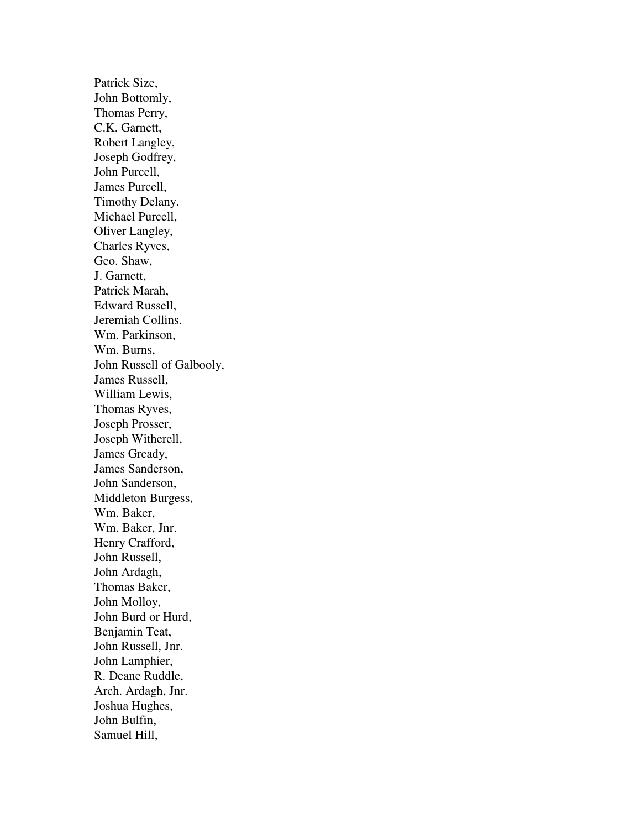Patrick Size, John Bottomly, Thomas Perry, C.K. Garnett, Robert Langley, Joseph Godfrey, John Purcell, James Purcell, Timothy Delany. Michael Purcell, Oliver Langley, Charles Ryves, Geo. Shaw, J. Garnett, Patrick Marah, Edward Russell, Jeremiah Collins. Wm. Parkinson, Wm. Burns, John Russell of Galbooly, James Russell, William Lewis, Thomas Ryves, Joseph Prosser, Joseph Witherell, James Gready, James Sanderson, John Sanderson, Middleton Burgess, Wm. Baker, Wm. Baker, Jnr. Henry Crafford, John Russell, John Ardagh, Thomas Baker, John Molloy, John Burd or Hurd, Benjamin Teat, John Russell, Jnr. John Lamphier, R. Deane Ruddle, Arch. Ardagh, Jnr. Joshua Hughes, John Bulfin, Samuel Hill,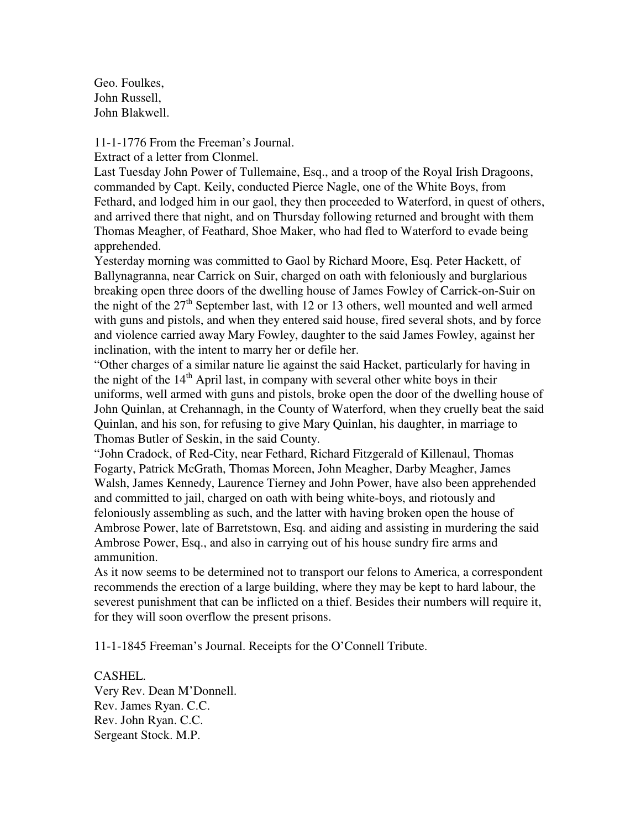Geo. Foulkes, John Russell, John Blakwell.

11-1-1776 From the Freeman's Journal.

Extract of a letter from Clonmel.

Last Tuesday John Power of Tullemaine, Esq., and a troop of the Royal Irish Dragoons, commanded by Capt. Keily, conducted Pierce Nagle, one of the White Boys, from Fethard, and lodged him in our gaol, they then proceeded to Waterford, in quest of others, and arrived there that night, and on Thursday following returned and brought with them Thomas Meagher, of Feathard, Shoe Maker, who had fled to Waterford to evade being apprehended.

Yesterday morning was committed to Gaol by Richard Moore, Esq. Peter Hackett, of Ballynagranna, near Carrick on Suir, charged on oath with feloniously and burglarious breaking open three doors of the dwelling house of James Fowley of Carrick-on-Suir on the night of the  $27<sup>th</sup>$  September last, with 12 or 13 others, well mounted and well armed with guns and pistols, and when they entered said house, fired several shots, and by force and violence carried away Mary Fowley, daughter to the said James Fowley, against her inclination, with the intent to marry her or defile her.

"Other charges of a similar nature lie against the said Hacket, particularly for having in the night of the  $14<sup>th</sup>$  April last, in company with several other white boys in their uniforms, well armed with guns and pistols, broke open the door of the dwelling house of John Quinlan, at Crehannagh, in the County of Waterford, when they cruelly beat the said Quinlan, and his son, for refusing to give Mary Quinlan, his daughter, in marriage to Thomas Butler of Seskin, in the said County.

"John Cradock, of Red-City, near Fethard, Richard Fitzgerald of Killenaul, Thomas Fogarty, Patrick McGrath, Thomas Moreen, John Meagher, Darby Meagher, James Walsh, James Kennedy, Laurence Tierney and John Power, have also been apprehended and committed to jail, charged on oath with being white-boys, and riotously and feloniously assembling as such, and the latter with having broken open the house of Ambrose Power, late of Barretstown, Esq. and aiding and assisting in murdering the said Ambrose Power, Esq., and also in carrying out of his house sundry fire arms and ammunition.

As it now seems to be determined not to transport our felons to America, a correspondent recommends the erection of a large building, where they may be kept to hard labour, the severest punishment that can be inflicted on a thief. Besides their numbers will require it, for they will soon overflow the present prisons.

11-1-1845 Freeman's Journal. Receipts for the O'Connell Tribute.

CASHEL. Very Rev. Dean M'Donnell. Rev. James Ryan. C.C. Rev. John Ryan. C.C. Sergeant Stock. M.P.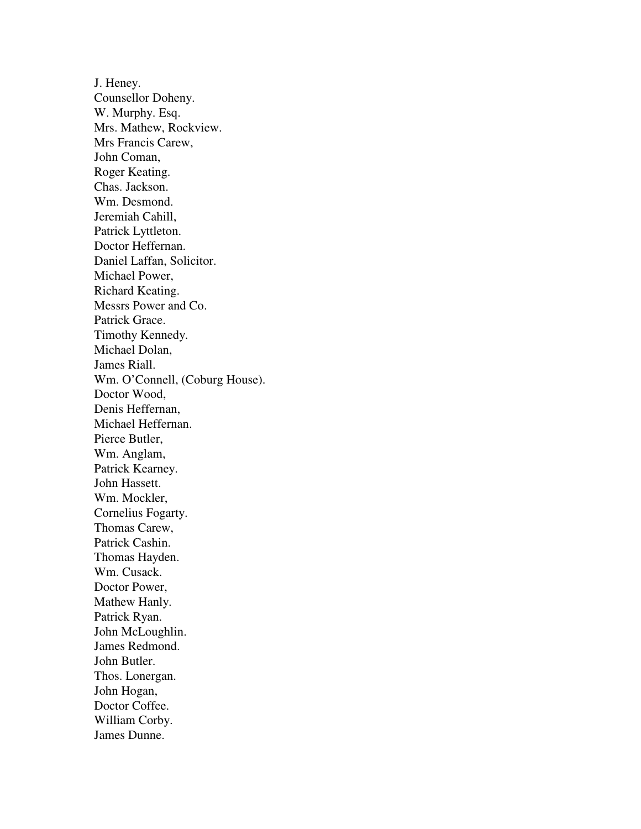J. Heney. Counsellor Doheny. W. Murphy. Esq. Mrs. Mathew, Rockview. Mrs Francis Carew, John Coman, Roger Keating. Chas. Jackson. Wm. Desmond. Jeremiah Cahill, Patrick Lyttleton. Doctor Heffernan. Daniel Laffan, Solicitor. Michael Power, Richard Keating. Messrs Power and Co. Patrick Grace. Timothy Kennedy. Michael Dolan, James Riall. Wm. O'Connell, (Coburg House). Doctor Wood, Denis Heffernan, Michael Heffernan. Pierce Butler, Wm. Anglam, Patrick Kearney. John Hassett. Wm. Mockler, Cornelius Fogarty. Thomas Carew, Patrick Cashin. Thomas Hayden. Wm. Cusack. Doctor Power, Mathew Hanly. Patrick Ryan. John McLoughlin. James Redmond. John Butler. Thos. Lonergan. John Hogan, Doctor Coffee. William Corby. James Dunne.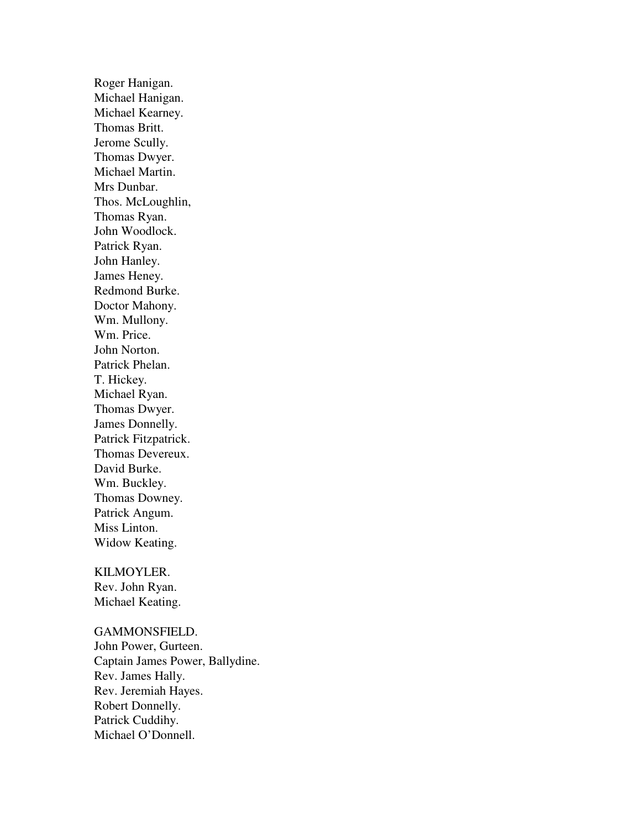Roger Hanigan. Michael Hanigan. Michael Kearney. Thomas Britt. Jerome Scully. Thomas Dwyer. Michael Martin. Mrs Dunbar. Thos. McLoughlin, Thomas Ryan. John Woodlock. Patrick Ryan. John Hanley. James Heney. Redmond Burke. Doctor Mahony. Wm. Mullony. Wm. Price. John Norton. Patrick Phelan. T. Hickey. Michael Ryan. Thomas Dwyer. James Donnelly. Patrick Fitzpatrick. Thomas Devereux. David Burke. Wm. Buckley. Thomas Downey. Patrick Angum. Miss Linton. Widow Keating.

### KILMOYLER.

Rev. John Ryan. Michael Keating.

GAMMONSFIELD. John Power, Gurteen. Captain James Power, Ballydine. Rev. James Hally. Rev. Jeremiah Hayes. Robert Donnelly. Patrick Cuddihy. Michael O'Donnell.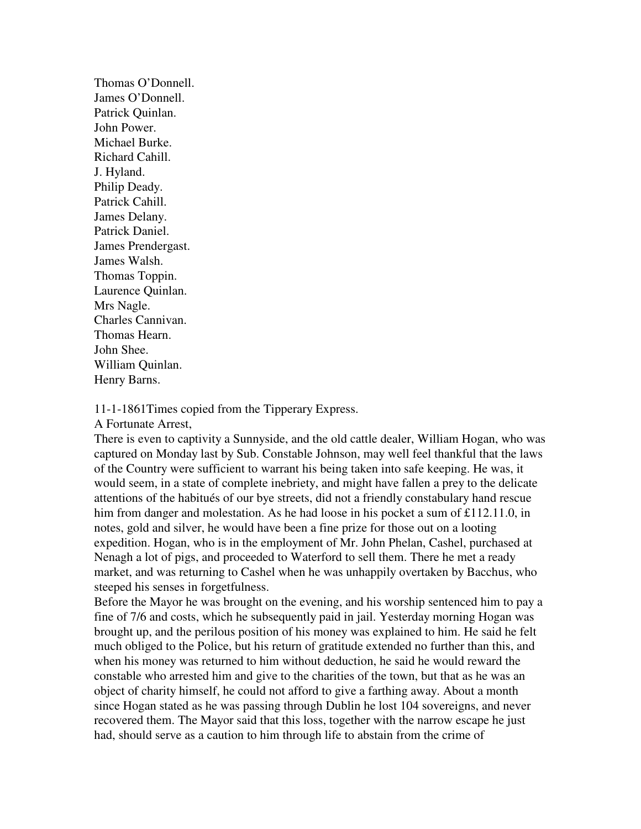Thomas O'Donnell. James O'Donnell. Patrick Quinlan. John Power. Michael Burke. Richard Cahill. J. Hyland. Philip Deady. Patrick Cahill. James Delany. Patrick Daniel. James Prendergast. James Walsh. Thomas Toppin. Laurence Quinlan. Mrs Nagle. Charles Cannivan. Thomas Hearn. John Shee. William Quinlan. Henry Barns.

11-1-1861Times copied from the Tipperary Express.

A Fortunate Arrest,

There is even to captivity a Sunnyside, and the old cattle dealer, William Hogan, who was captured on Monday last by Sub. Constable Johnson, may well feel thankful that the laws of the Country were sufficient to warrant his being taken into safe keeping. He was, it would seem, in a state of complete inebriety, and might have fallen a prey to the delicate attentions of the habitués of our bye streets, did not a friendly constabulary hand rescue him from danger and molestation. As he had loose in his pocket a sum of £112.11.0, in notes, gold and silver, he would have been a fine prize for those out on a looting expedition. Hogan, who is in the employment of Mr. John Phelan, Cashel, purchased at Nenagh a lot of pigs, and proceeded to Waterford to sell them. There he met a ready market, and was returning to Cashel when he was unhappily overtaken by Bacchus, who steeped his senses in forgetfulness.

Before the Mayor he was brought on the evening, and his worship sentenced him to pay a fine of 7/6 and costs, which he subsequently paid in jail. Yesterday morning Hogan was brought up, and the perilous position of his money was explained to him. He said he felt much obliged to the Police, but his return of gratitude extended no further than this, and when his money was returned to him without deduction, he said he would reward the constable who arrested him and give to the charities of the town, but that as he was an object of charity himself, he could not afford to give a farthing away. About a month since Hogan stated as he was passing through Dublin he lost 104 sovereigns, and never recovered them. The Mayor said that this loss, together with the narrow escape he just had, should serve as a caution to him through life to abstain from the crime of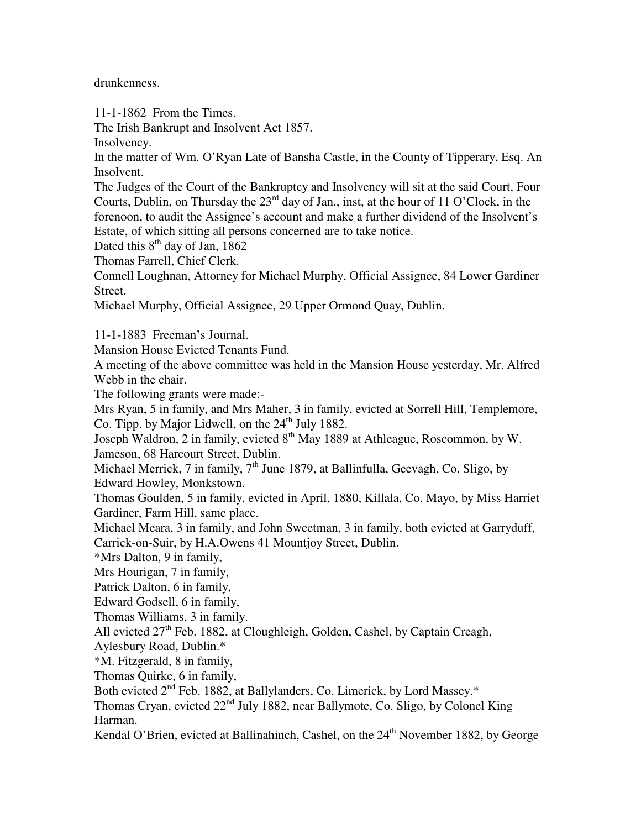drunkenness.

11-1-1862 From the Times.

The Irish Bankrupt and Insolvent Act 1857.

Insolvency.

In the matter of Wm. O'Ryan Late of Bansha Castle, in the County of Tipperary, Esq. An Insolvent.

The Judges of the Court of the Bankruptcy and Insolvency will sit at the said Court, Four Courts, Dublin, on Thursday the  $23<sup>rd</sup>$  day of Jan., inst, at the hour of 11 O'Clock, in the forenoon, to audit the Assignee's account and make a further dividend of the Insolvent's Estate, of which sitting all persons concerned are to take notice.

Dated this  $8<sup>th</sup>$  day of Jan, 1862

Thomas Farrell, Chief Clerk.

Connell Loughnan, Attorney for Michael Murphy, Official Assignee, 84 Lower Gardiner Street.

Michael Murphy, Official Assignee, 29 Upper Ormond Quay, Dublin.

11-1-1883 Freeman's Journal.

Mansion House Evicted Tenants Fund.

A meeting of the above committee was held in the Mansion House yesterday, Mr. Alfred Webb in the chair.

The following grants were made:-

Mrs Ryan, 5 in family, and Mrs Maher, 3 in family, evicted at Sorrell Hill, Templemore, Co. Tipp. by Major Lidwell, on the  $24<sup>th</sup>$  July 1882.

Joseph Waldron, 2 in family, evicted 8<sup>th</sup> May 1889 at Athleague, Roscommon, by W. Jameson, 68 Harcourt Street, Dublin.

Michael Merrick, 7 in family, 7<sup>th</sup> June 1879, at Ballinfulla, Geevagh, Co. Sligo, by Edward Howley, Monkstown.

Thomas Goulden, 5 in family, evicted in April, 1880, Killala, Co. Mayo, by Miss Harriet Gardiner, Farm Hill, same place.

Michael Meara, 3 in family, and John Sweetman, 3 in family, both evicted at Garryduff,

Carrick-on-Suir, by H.A.Owens 41 Mountjoy Street, Dublin.

\*Mrs Dalton, 9 in family,

Mrs Hourigan, 7 in family,

Patrick Dalton, 6 in family,

Edward Godsell, 6 in family,

Thomas Williams, 3 in family.

All evicted  $27<sup>th</sup>$  Feb. 1882, at Cloughleigh, Golden, Cashel, by Captain Creagh,

Aylesbury Road, Dublin.\*

\*M. Fitzgerald, 8 in family,

Thomas Quirke, 6 in family,

Both evicted 2<sup>nd</sup> Feb. 1882, at Ballylanders, Co. Limerick, by Lord Massey.\*

Thomas Cryan, evicted  $22<sup>nd</sup>$  July 1882, near Ballymote, Co. Sligo, by Colonel King Harman.

Kendal O'Brien, evicted at Ballinahinch, Cashel, on the  $24<sup>th</sup>$  November 1882, by George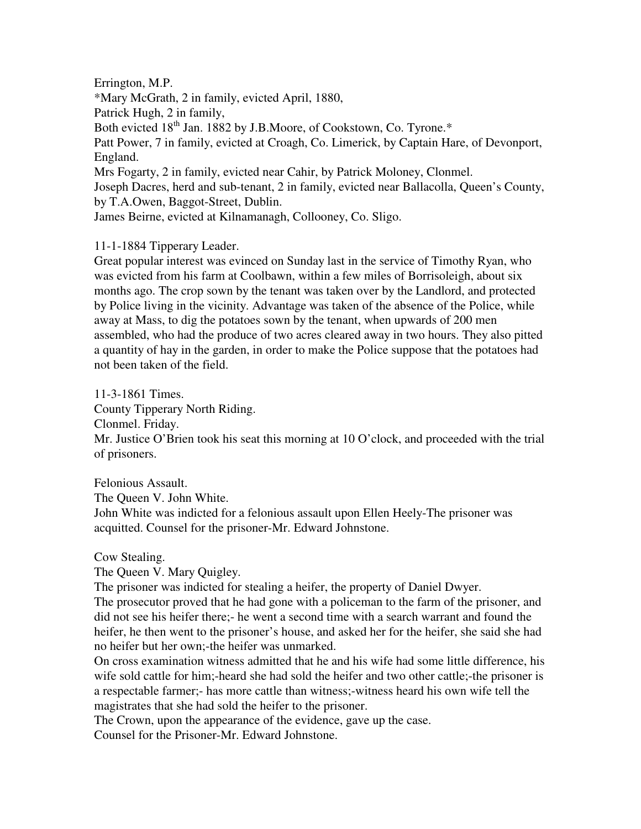## Errington, M.P.

\*Mary McGrath, 2 in family, evicted April, 1880,

Patrick Hugh, 2 in family,

Both evicted 18<sup>th</sup> Jan. 1882 by J.B.Moore, of Cookstown, Co. Tyrone.\*

Patt Power, 7 in family, evicted at Croagh, Co. Limerick, by Captain Hare, of Devonport, England.

Mrs Fogarty, 2 in family, evicted near Cahir, by Patrick Moloney, Clonmel.

Joseph Dacres, herd and sub-tenant, 2 in family, evicted near Ballacolla, Queen's County, by T.A.Owen, Baggot-Street, Dublin.

James Beirne, evicted at Kilnamanagh, Collooney, Co. Sligo.

# 11-1-1884 Tipperary Leader.

Great popular interest was evinced on Sunday last in the service of Timothy Ryan, who was evicted from his farm at Coolbawn, within a few miles of Borrisoleigh, about six months ago. The crop sown by the tenant was taken over by the Landlord, and protected by Police living in the vicinity. Advantage was taken of the absence of the Police, while away at Mass, to dig the potatoes sown by the tenant, when upwards of 200 men assembled, who had the produce of two acres cleared away in two hours. They also pitted a quantity of hay in the garden, in order to make the Police suppose that the potatoes had not been taken of the field.

11-3-1861 Times. County Tipperary North Riding. Clonmel. Friday. Mr. Justice O'Brien took his seat this morning at 10 O'clock, and proceeded with the trial of prisoners.

Felonious Assault. The Queen V. John White. John White was indicted for a felonious assault upon Ellen Heely-The prisoner was acquitted. Counsel for the prisoner-Mr. Edward Johnstone.

Cow Stealing.

The Queen V. Mary Quigley.

The prisoner was indicted for stealing a heifer, the property of Daniel Dwyer.

The prosecutor proved that he had gone with a policeman to the farm of the prisoner, and did not see his heifer there;- he went a second time with a search warrant and found the heifer, he then went to the prisoner's house, and asked her for the heifer, she said she had no heifer but her own;-the heifer was unmarked.

On cross examination witness admitted that he and his wife had some little difference, his wife sold cattle for him;-heard she had sold the heifer and two other cattle;-the prisoner is a respectable farmer;- has more cattle than witness;-witness heard his own wife tell the magistrates that she had sold the heifer to the prisoner.

The Crown, upon the appearance of the evidence, gave up the case.

Counsel for the Prisoner-Mr. Edward Johnstone.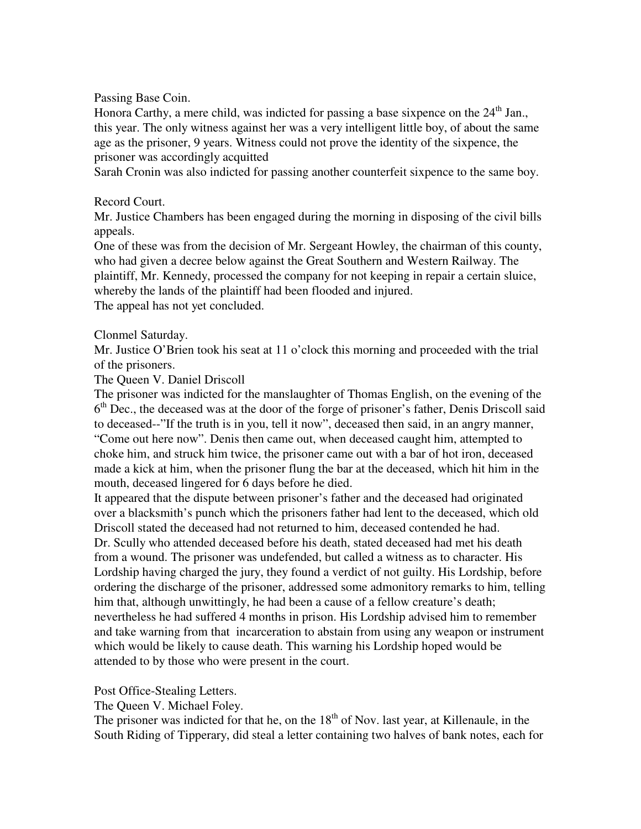Passing Base Coin.

Honora Carthy, a mere child, was indicted for passing a base sixpence on the  $24<sup>th</sup>$  Jan., this year. The only witness against her was a very intelligent little boy, of about the same age as the prisoner, 9 years. Witness could not prove the identity of the sixpence, the prisoner was accordingly acquitted

Sarah Cronin was also indicted for passing another counterfeit sixpence to the same boy.

## Record Court.

Mr. Justice Chambers has been engaged during the morning in disposing of the civil bills appeals.

One of these was from the decision of Mr. Sergeant Howley, the chairman of this county, who had given a decree below against the Great Southern and Western Railway. The plaintiff, Mr. Kennedy, processed the company for not keeping in repair a certain sluice, whereby the lands of the plaintiff had been flooded and injured. The appeal has not yet concluded.

## Clonmel Saturday.

Mr. Justice O'Brien took his seat at 11 o'clock this morning and proceeded with the trial of the prisoners.

## The Queen V. Daniel Driscoll

The prisoner was indicted for the manslaughter of Thomas English, on the evening of the 6<sup>th</sup> Dec., the deceased was at the door of the forge of prisoner's father, Denis Driscoll said to deceased--"If the truth is in you, tell it now", deceased then said, in an angry manner, "Come out here now". Denis then came out, when deceased caught him, attempted to choke him, and struck him twice, the prisoner came out with a bar of hot iron, deceased made a kick at him, when the prisoner flung the bar at the deceased, which hit him in the mouth, deceased lingered for 6 days before he died.

It appeared that the dispute between prisoner's father and the deceased had originated over a blacksmith's punch which the prisoners father had lent to the deceased, which old Driscoll stated the deceased had not returned to him, deceased contended he had. Dr. Scully who attended deceased before his death, stated deceased had met his death from a wound. The prisoner was undefended, but called a witness as to character. His Lordship having charged the jury, they found a verdict of not guilty. His Lordship, before ordering the discharge of the prisoner, addressed some admonitory remarks to him, telling him that, although unwittingly, he had been a cause of a fellow creature's death; nevertheless he had suffered 4 months in prison. His Lordship advised him to remember and take warning from that incarceration to abstain from using any weapon or instrument which would be likely to cause death. This warning his Lordship hoped would be attended to by those who were present in the court.

Post Office-Stealing Letters.

The Queen V. Michael Foley.

The prisoner was indicted for that he, on the  $18<sup>th</sup>$  of Nov. last year, at Killenaule, in the South Riding of Tipperary, did steal a letter containing two halves of bank notes, each for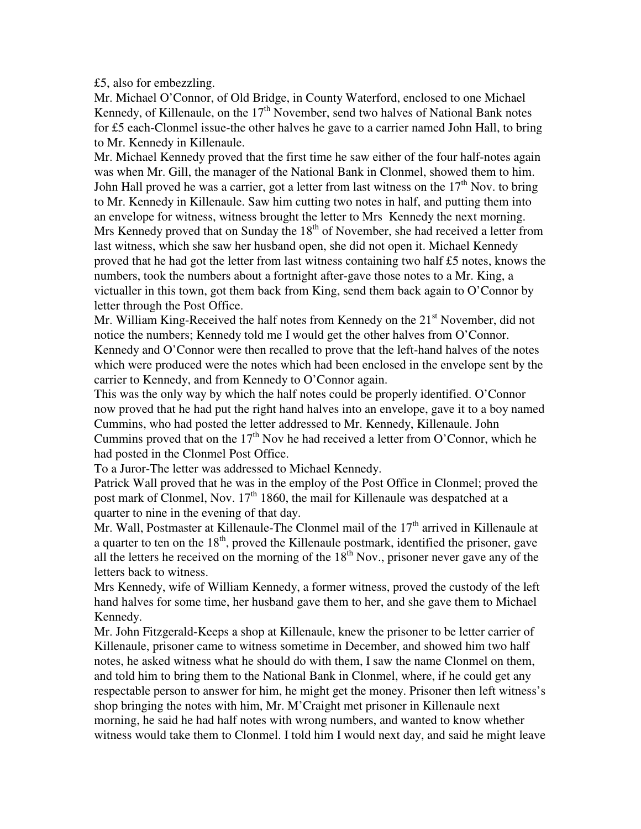£5, also for embezzling.

Mr. Michael O'Connor, of Old Bridge, in County Waterford, enclosed to one Michael Kennedy, of Killenaule, on the  $17<sup>th</sup>$  November, send two halves of National Bank notes for £5 each-Clonmel issue-the other halves he gave to a carrier named John Hall, to bring to Mr. Kennedy in Killenaule.

Mr. Michael Kennedy proved that the first time he saw either of the four half-notes again was when Mr. Gill, the manager of the National Bank in Clonmel, showed them to him. John Hall proved he was a carrier, got a letter from last witness on the  $17<sup>th</sup>$  Nov. to bring to Mr. Kennedy in Killenaule. Saw him cutting two notes in half, and putting them into an envelope for witness, witness brought the letter to Mrs Kennedy the next morning. Mrs Kennedy proved that on Sunday the  $18<sup>th</sup>$  of November, she had received a letter from last witness, which she saw her husband open, she did not open it. Michael Kennedy proved that he had got the letter from last witness containing two half £5 notes, knows the numbers, took the numbers about a fortnight after-gave those notes to a Mr. King, a victualler in this town, got them back from King, send them back again to O'Connor by letter through the Post Office.

Mr. William King-Received the half notes from Kennedy on the  $21<sup>st</sup>$  November, did not notice the numbers; Kennedy told me I would get the other halves from O'Connor. Kennedy and O'Connor were then recalled to prove that the left-hand halves of the notes which were produced were the notes which had been enclosed in the envelope sent by the carrier to Kennedy, and from Kennedy to O'Connor again.

This was the only way by which the half notes could be properly identified. O'Connor now proved that he had put the right hand halves into an envelope, gave it to a boy named Cummins, who had posted the letter addressed to Mr. Kennedy, Killenaule. John Cummins proved that on the  $17<sup>th</sup>$  Nov he had received a letter from O'Connor, which he had posted in the Clonmel Post Office.

To a Juror-The letter was addressed to Michael Kennedy.

Patrick Wall proved that he was in the employ of the Post Office in Clonmel; proved the post mark of Clonmel, Nov.  $17<sup>th</sup> 1860$ , the mail for Killenaule was despatched at a quarter to nine in the evening of that day.

Mr. Wall, Postmaster at Killenaule-The Clonmel mail of the  $17<sup>th</sup>$  arrived in Killenaule at a quarter to ten on the  $18<sup>th</sup>$ , proved the Killenaule postmark, identified the prisoner, gave all the letters he received on the morning of the  $18<sup>th</sup>$  Nov., prisoner never gave any of the letters back to witness.

Mrs Kennedy, wife of William Kennedy, a former witness, proved the custody of the left hand halves for some time, her husband gave them to her, and she gave them to Michael Kennedy.

Mr. John Fitzgerald-Keeps a shop at Killenaule, knew the prisoner to be letter carrier of Killenaule, prisoner came to witness sometime in December, and showed him two half notes, he asked witness what he should do with them, I saw the name Clonmel on them, and told him to bring them to the National Bank in Clonmel, where, if he could get any respectable person to answer for him, he might get the money. Prisoner then left witness's shop bringing the notes with him, Mr. M'Craight met prisoner in Killenaule next morning, he said he had half notes with wrong numbers, and wanted to know whether witness would take them to Clonmel. I told him I would next day, and said he might leave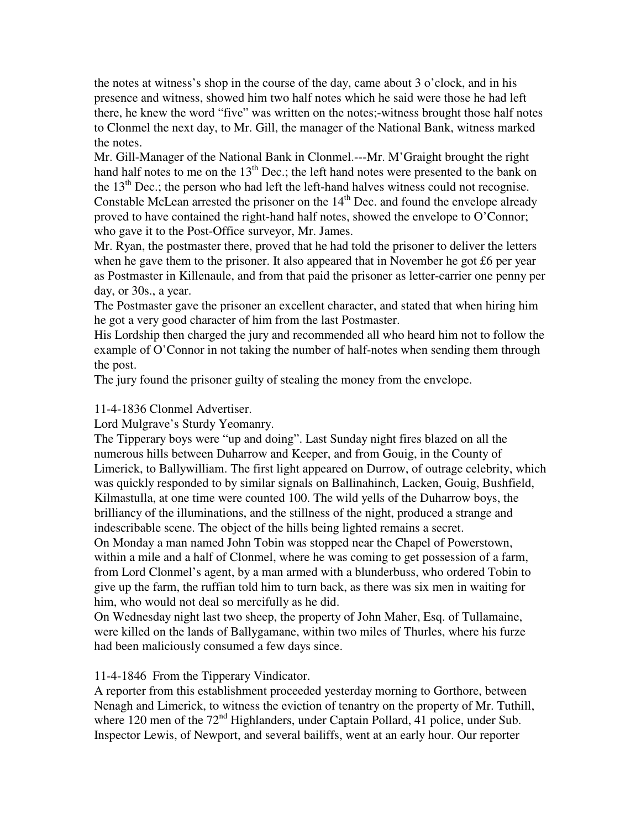the notes at witness's shop in the course of the day, came about 3 o'clock, and in his presence and witness, showed him two half notes which he said were those he had left there, he knew the word "five" was written on the notes;-witness brought those half notes to Clonmel the next day, to Mr. Gill, the manager of the National Bank, witness marked the notes.

Mr. Gill-Manager of the National Bank in Clonmel.---Mr. M'Graight brought the right hand half notes to me on the  $13<sup>th</sup>$  Dec.; the left hand notes were presented to the bank on the  $13<sup>th</sup>$  Dec.; the person who had left the left-hand halves witness could not recognise. Constable McLean arrested the prisoner on the  $14<sup>th</sup>$  Dec. and found the envelope already proved to have contained the right-hand half notes, showed the envelope to O'Connor; who gave it to the Post-Office surveyor, Mr. James.

Mr. Ryan, the postmaster there, proved that he had told the prisoner to deliver the letters when he gave them to the prisoner. It also appeared that in November he got £6 per year as Postmaster in Killenaule, and from that paid the prisoner as letter-carrier one penny per day, or 30s., a year.

The Postmaster gave the prisoner an excellent character, and stated that when hiring him he got a very good character of him from the last Postmaster.

His Lordship then charged the jury and recommended all who heard him not to follow the example of O'Connor in not taking the number of half-notes when sending them through the post.

The jury found the prisoner guilty of stealing the money from the envelope.

# 11-4-1836 Clonmel Advertiser.

Lord Mulgrave's Sturdy Yeomanry.

The Tipperary boys were "up and doing". Last Sunday night fires blazed on all the numerous hills between Duharrow and Keeper, and from Gouig, in the County of Limerick, to Ballywilliam. The first light appeared on Durrow, of outrage celebrity, which was quickly responded to by similar signals on Ballinahinch, Lacken, Gouig, Bushfield, Kilmastulla, at one time were counted 100. The wild yells of the Duharrow boys, the brilliancy of the illuminations, and the stillness of the night, produced a strange and indescribable scene. The object of the hills being lighted remains a secret.

On Monday a man named John Tobin was stopped near the Chapel of Powerstown, within a mile and a half of Clonmel, where he was coming to get possession of a farm, from Lord Clonmel's agent, by a man armed with a blunderbuss, who ordered Tobin to give up the farm, the ruffian told him to turn back, as there was six men in waiting for him, who would not deal so mercifully as he did.

On Wednesday night last two sheep, the property of John Maher, Esq. of Tullamaine, were killed on the lands of Ballygamane, within two miles of Thurles, where his furze had been maliciously consumed a few days since.

11-4-1846 From the Tipperary Vindicator.

A reporter from this establishment proceeded yesterday morning to Gorthore, between Nenagh and Limerick, to witness the eviction of tenantry on the property of Mr. Tuthill, where 120 men of the  $72<sup>nd</sup>$  Highlanders, under Captain Pollard, 41 police, under Sub. Inspector Lewis, of Newport, and several bailiffs, went at an early hour. Our reporter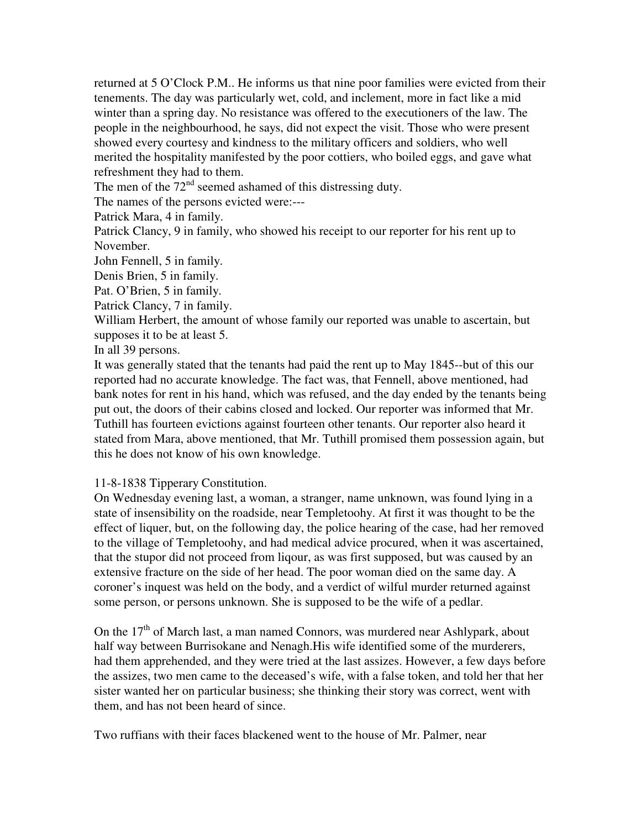returned at 5 O'Clock P.M.. He informs us that nine poor families were evicted from their tenements. The day was particularly wet, cold, and inclement, more in fact like a mid winter than a spring day. No resistance was offered to the executioners of the law. The people in the neighbourhood, he says, did not expect the visit. Those who were present showed every courtesy and kindness to the military officers and soldiers, who well merited the hospitality manifested by the poor cottiers, who boiled eggs, and gave what refreshment they had to them.

The men of the  $72<sup>nd</sup>$  seemed ashamed of this distressing duty.

The names of the persons evicted were:---

Patrick Mara, 4 in family.

Patrick Clancy, 9 in family, who showed his receipt to our reporter for his rent up to November.

John Fennell, 5 in family.

Denis Brien, 5 in family.

Pat. O'Brien, 5 in family.

Patrick Clancy, 7 in family.

William Herbert, the amount of whose family our reported was unable to ascertain, but supposes it to be at least 5.

In all 39 persons.

It was generally stated that the tenants had paid the rent up to May 1845--but of this our reported had no accurate knowledge. The fact was, that Fennell, above mentioned, had bank notes for rent in his hand, which was refused, and the day ended by the tenants being put out, the doors of their cabins closed and locked. Our reporter was informed that Mr. Tuthill has fourteen evictions against fourteen other tenants. Our reporter also heard it stated from Mara, above mentioned, that Mr. Tuthill promised them possession again, but this he does not know of his own knowledge.

11-8-1838 Tipperary Constitution.

On Wednesday evening last, a woman, a stranger, name unknown, was found lying in a state of insensibility on the roadside, near Templetoohy. At first it was thought to be the effect of liquer, but, on the following day, the police hearing of the case, had her removed to the village of Templetoohy, and had medical advice procured, when it was ascertained, that the stupor did not proceed from liqour, as was first supposed, but was caused by an extensive fracture on the side of her head. The poor woman died on the same day. A coroner's inquest was held on the body, and a verdict of wilful murder returned against some person, or persons unknown. She is supposed to be the wife of a pedlar.

On the  $17<sup>th</sup>$  of March last, a man named Connors, was murdered near Ashlypark, about half way between Burrisokane and Nenagh.His wife identified some of the murderers, had them apprehended, and they were tried at the last assizes. However, a few days before the assizes, two men came to the deceased's wife, with a false token, and told her that her sister wanted her on particular business; she thinking their story was correct, went with them, and has not been heard of since.

Two ruffians with their faces blackened went to the house of Mr. Palmer, near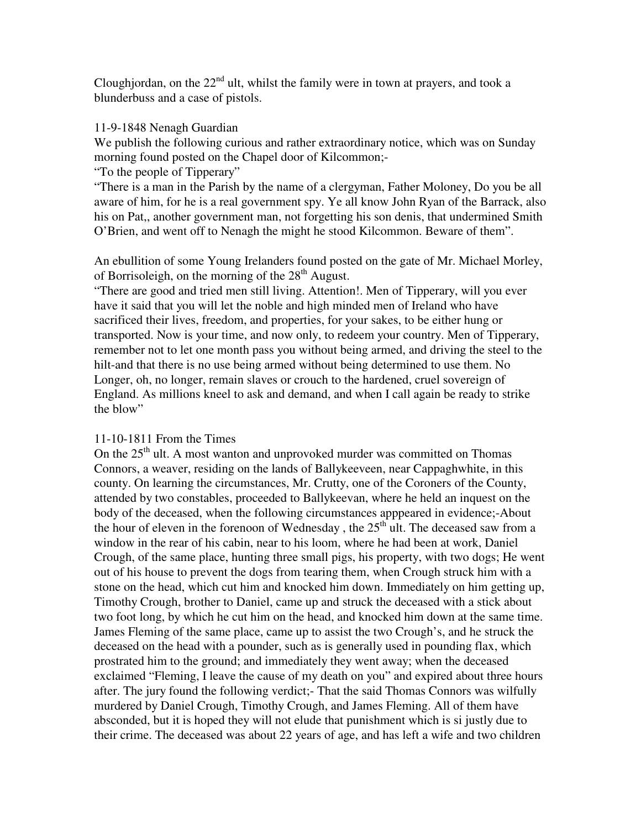Cloughjordan, on the  $22<sup>nd</sup>$  ult, whilst the family were in town at prayers, and took a blunderbuss and a case of pistols.

## 11-9-1848 Nenagh Guardian

We publish the following curious and rather extraordinary notice, which was on Sunday morning found posted on the Chapel door of Kilcommon;-

"To the people of Tipperary"

"There is a man in the Parish by the name of a clergyman, Father Moloney, Do you be all aware of him, for he is a real government spy. Ye all know John Ryan of the Barrack, also his on Pat,, another government man, not forgetting his son denis, that undermined Smith O'Brien, and went off to Nenagh the might he stood Kilcommon. Beware of them".

An ebullition of some Young Irelanders found posted on the gate of Mr. Michael Morley, of Borrisoleigh, on the morning of the  $28<sup>th</sup>$  August.

"There are good and tried men still living. Attention!. Men of Tipperary, will you ever have it said that you will let the noble and high minded men of Ireland who have sacrificed their lives, freedom, and properties, for your sakes, to be either hung or transported. Now is your time, and now only, to redeem your country. Men of Tipperary, remember not to let one month pass you without being armed, and driving the steel to the hilt-and that there is no use being armed without being determined to use them. No Longer, oh, no longer, remain slaves or crouch to the hardened, cruel sovereign of England. As millions kneel to ask and demand, and when I call again be ready to strike the blow"

## 11-10-1811 From the Times

On the  $25<sup>th</sup>$  ult. A most wanton and unprovoked murder was committed on Thomas Connors, a weaver, residing on the lands of Ballykeeveen, near Cappaghwhite, in this county. On learning the circumstances, Mr. Crutty, one of the Coroners of the County, attended by two constables, proceeded to Ballykeevan, where he held an inquest on the body of the deceased, when the following circumstances apppeared in evidence;-About the hour of eleven in the forenoon of Wednesday, the  $25<sup>th</sup>$  ult. The deceased saw from a window in the rear of his cabin, near to his loom, where he had been at work, Daniel Crough, of the same place, hunting three small pigs, his property, with two dogs; He went out of his house to prevent the dogs from tearing them, when Crough struck him with a stone on the head, which cut him and knocked him down. Immediately on him getting up, Timothy Crough, brother to Daniel, came up and struck the deceased with a stick about two foot long, by which he cut him on the head, and knocked him down at the same time. James Fleming of the same place, came up to assist the two Crough's, and he struck the deceased on the head with a pounder, such as is generally used in pounding flax, which prostrated him to the ground; and immediately they went away; when the deceased exclaimed "Fleming, I leave the cause of my death on you" and expired about three hours after. The jury found the following verdict;- That the said Thomas Connors was wilfully murdered by Daniel Crough, Timothy Crough, and James Fleming. All of them have absconded, but it is hoped they will not elude that punishment which is si justly due to their crime. The deceased was about 22 years of age, and has left a wife and two children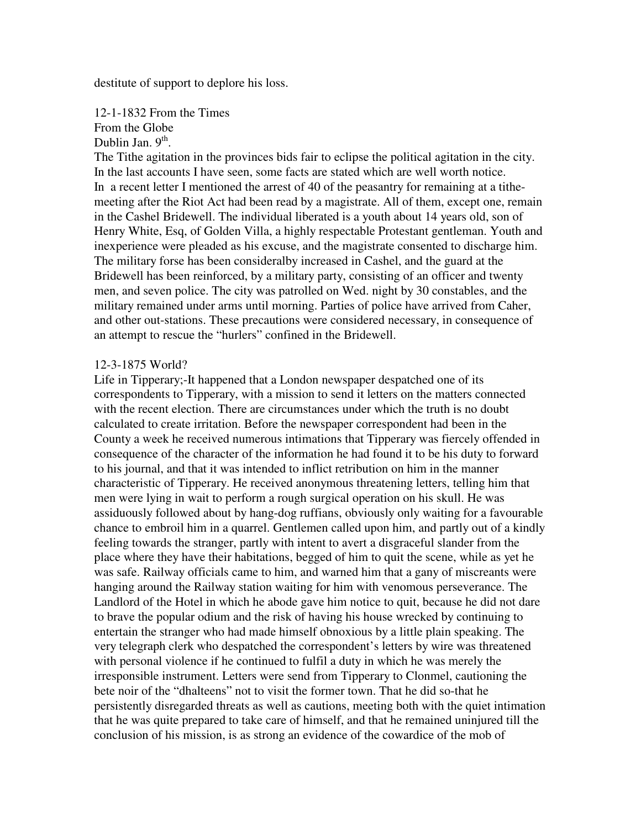destitute of support to deplore his loss.

12-1-1832 From the Times From the Globe Dublin Jan.  $9<sup>th</sup>$ .

The Tithe agitation in the provinces bids fair to eclipse the political agitation in the city. In the last accounts I have seen, some facts are stated which are well worth notice. In a recent letter I mentioned the arrest of 40 of the peasantry for remaining at a tithemeeting after the Riot Act had been read by a magistrate. All of them, except one, remain in the Cashel Bridewell. The individual liberated is a youth about 14 years old, son of Henry White, Esq, of Golden Villa, a highly respectable Protestant gentleman. Youth and inexperience were pleaded as his excuse, and the magistrate consented to discharge him. The military forse has been consideralby increased in Cashel, and the guard at the Bridewell has been reinforced, by a military party, consisting of an officer and twenty men, and seven police. The city was patrolled on Wed. night by 30 constables, and the military remained under arms until morning. Parties of police have arrived from Caher, and other out-stations. These precautions were considered necessary, in consequence of an attempt to rescue the "hurlers" confined in the Bridewell.

### 12-3-1875 World?

Life in Tipperary;-It happened that a London newspaper despatched one of its correspondents to Tipperary, with a mission to send it letters on the matters connected with the recent election. There are circumstances under which the truth is no doubt calculated to create irritation. Before the newspaper correspondent had been in the County a week he received numerous intimations that Tipperary was fiercely offended in consequence of the character of the information he had found it to be his duty to forward to his journal, and that it was intended to inflict retribution on him in the manner characteristic of Tipperary. He received anonymous threatening letters, telling him that men were lying in wait to perform a rough surgical operation on his skull. He was assiduously followed about by hang-dog ruffians, obviously only waiting for a favourable chance to embroil him in a quarrel. Gentlemen called upon him, and partly out of a kindly feeling towards the stranger, partly with intent to avert a disgraceful slander from the place where they have their habitations, begged of him to quit the scene, while as yet he was safe. Railway officials came to him, and warned him that a gany of miscreants were hanging around the Railway station waiting for him with venomous perseverance. The Landlord of the Hotel in which he abode gave him notice to quit, because he did not dare to brave the popular odium and the risk of having his house wrecked by continuing to entertain the stranger who had made himself obnoxious by a little plain speaking. The very telegraph clerk who despatched the correspondent's letters by wire was threatened with personal violence if he continued to fulfil a duty in which he was merely the irresponsible instrument. Letters were send from Tipperary to Clonmel, cautioning the bete noir of the "dhalteens" not to visit the former town. That he did so-that he persistently disregarded threats as well as cautions, meeting both with the quiet intimation that he was quite prepared to take care of himself, and that he remained uninjured till the conclusion of his mission, is as strong an evidence of the cowardice of the mob of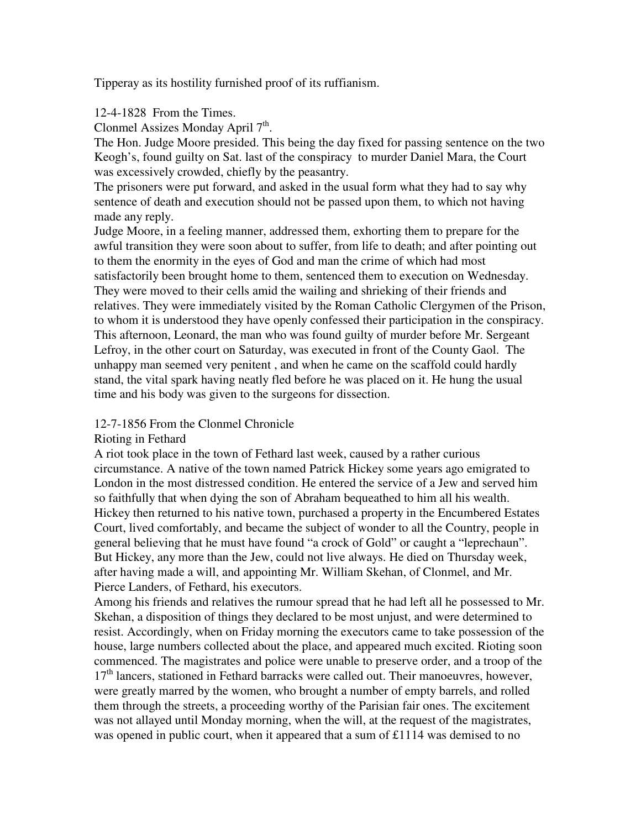Tipperay as its hostility furnished proof of its ruffianism.

## 12-4-1828 From the Times.

Clonmel Assizes Monday April  $7<sup>th</sup>$ .

The Hon. Judge Moore presided. This being the day fixed for passing sentence on the two Keogh's, found guilty on Sat. last of the conspiracy to murder Daniel Mara, the Court was excessively crowded, chiefly by the peasantry.

The prisoners were put forward, and asked in the usual form what they had to say why sentence of death and execution should not be passed upon them, to which not having made any reply.

Judge Moore, in a feeling manner, addressed them, exhorting them to prepare for the awful transition they were soon about to suffer, from life to death; and after pointing out to them the enormity in the eyes of God and man the crime of which had most satisfactorily been brought home to them, sentenced them to execution on Wednesday. They were moved to their cells amid the wailing and shrieking of their friends and relatives. They were immediately visited by the Roman Catholic Clergymen of the Prison, to whom it is understood they have openly confessed their participation in the conspiracy. This afternoon, Leonard, the man who was found guilty of murder before Mr. Sergeant Lefroy, in the other court on Saturday, was executed in front of the County Gaol. The unhappy man seemed very penitent , and when he came on the scaffold could hardly stand, the vital spark having neatly fled before he was placed on it. He hung the usual time and his body was given to the surgeons for dissection.

### 12-7-1856 From the Clonmel Chronicle

### Rioting in Fethard

A riot took place in the town of Fethard last week, caused by a rather curious circumstance. A native of the town named Patrick Hickey some years ago emigrated to London in the most distressed condition. He entered the service of a Jew and served him so faithfully that when dying the son of Abraham bequeathed to him all his wealth. Hickey then returned to his native town, purchased a property in the Encumbered Estates Court, lived comfortably, and became the subject of wonder to all the Country, people in general believing that he must have found "a crock of Gold" or caught a "leprechaun". But Hickey, any more than the Jew, could not live always. He died on Thursday week, after having made a will, and appointing Mr. William Skehan, of Clonmel, and Mr. Pierce Landers, of Fethard, his executors.

Among his friends and relatives the rumour spread that he had left all he possessed to Mr. Skehan, a disposition of things they declared to be most unjust, and were determined to resist. Accordingly, when on Friday morning the executors came to take possession of the house, large numbers collected about the place, and appeared much excited. Rioting soon commenced. The magistrates and police were unable to preserve order, and a troop of the  $17<sup>th</sup>$  lancers, stationed in Fethard barracks were called out. Their manoeuvres, however, were greatly marred by the women, who brought a number of empty barrels, and rolled them through the streets, a proceeding worthy of the Parisian fair ones. The excitement was not allayed until Monday morning, when the will, at the request of the magistrates, was opened in public court, when it appeared that a sum of £1114 was demised to no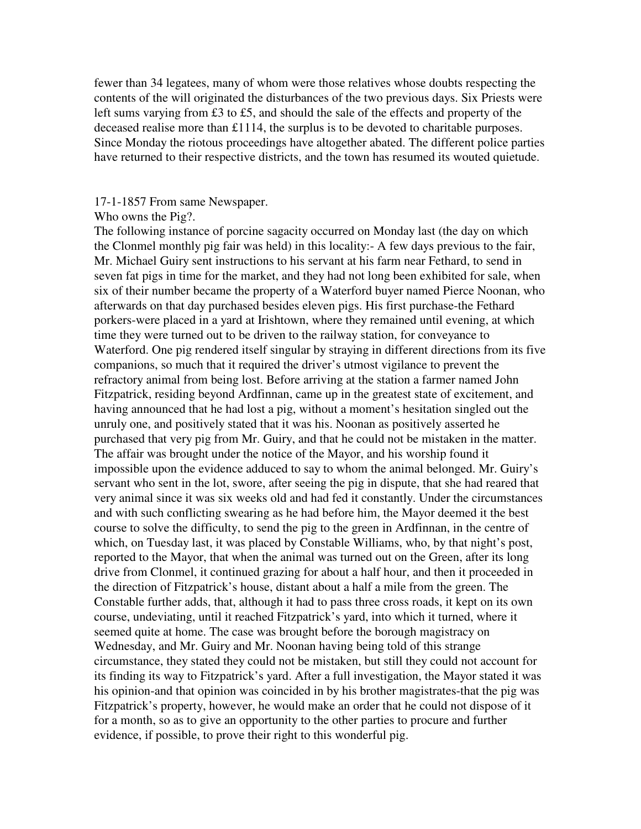fewer than 34 legatees, many of whom were those relatives whose doubts respecting the contents of the will originated the disturbances of the two previous days. Six Priests were left sums varying from £3 to £5, and should the sale of the effects and property of the deceased realise more than £1114, the surplus is to be devoted to charitable purposes. Since Monday the riotous proceedings have altogether abated. The different police parties have returned to their respective districts, and the town has resumed its wouted quietude.

### 17-1-1857 From same Newspaper.

#### Who owns the Pig?.

The following instance of porcine sagacity occurred on Monday last (the day on which the Clonmel monthly pig fair was held) in this locality:- A few days previous to the fair, Mr. Michael Guiry sent instructions to his servant at his farm near Fethard, to send in seven fat pigs in time for the market, and they had not long been exhibited for sale, when six of their number became the property of a Waterford buyer named Pierce Noonan, who afterwards on that day purchased besides eleven pigs. His first purchase-the Fethard porkers-were placed in a yard at Irishtown, where they remained until evening, at which time they were turned out to be driven to the railway station, for conveyance to Waterford. One pig rendered itself singular by straying in different directions from its five companions, so much that it required the driver's utmost vigilance to prevent the refractory animal from being lost. Before arriving at the station a farmer named John Fitzpatrick, residing beyond Ardfinnan, came up in the greatest state of excitement, and having announced that he had lost a pig, without a moment's hesitation singled out the unruly one, and positively stated that it was his. Noonan as positively asserted he purchased that very pig from Mr. Guiry, and that he could not be mistaken in the matter. The affair was brought under the notice of the Mayor, and his worship found it impossible upon the evidence adduced to say to whom the animal belonged. Mr. Guiry's servant who sent in the lot, swore, after seeing the pig in dispute, that she had reared that very animal since it was six weeks old and had fed it constantly. Under the circumstances and with such conflicting swearing as he had before him, the Mayor deemed it the best course to solve the difficulty, to send the pig to the green in Ardfinnan, in the centre of which, on Tuesday last, it was placed by Constable Williams, who, by that night's post, reported to the Mayor, that when the animal was turned out on the Green, after its long drive from Clonmel, it continued grazing for about a half hour, and then it proceeded in the direction of Fitzpatrick's house, distant about a half a mile from the green. The Constable further adds, that, although it had to pass three cross roads, it kept on its own course, undeviating, until it reached Fitzpatrick's yard, into which it turned, where it seemed quite at home. The case was brought before the borough magistracy on Wednesday, and Mr. Guiry and Mr. Noonan having being told of this strange circumstance, they stated they could not be mistaken, but still they could not account for its finding its way to Fitzpatrick's yard. After a full investigation, the Mayor stated it was his opinion-and that opinion was coincided in by his brother magistrates-that the pig was Fitzpatrick's property, however, he would make an order that he could not dispose of it for a month, so as to give an opportunity to the other parties to procure and further evidence, if possible, to prove their right to this wonderful pig.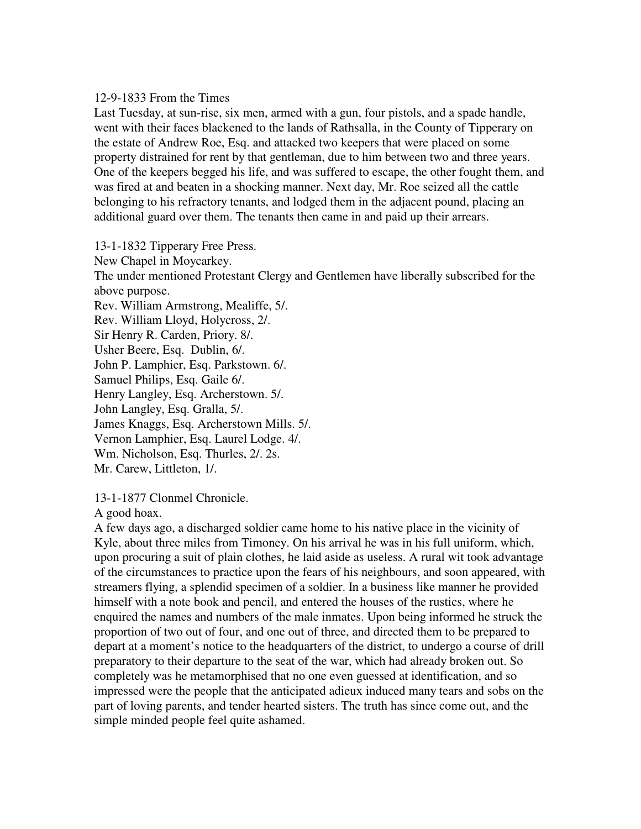### 12-9-1833 From the Times

Last Tuesday, at sun-rise, six men, armed with a gun, four pistols, and a spade handle, went with their faces blackened to the lands of Rathsalla, in the County of Tipperary on the estate of Andrew Roe, Esq. and attacked two keepers that were placed on some property distrained for rent by that gentleman, due to him between two and three years. One of the keepers begged his life, and was suffered to escape, the other fought them, and was fired at and beaten in a shocking manner. Next day, Mr. Roe seized all the cattle belonging to his refractory tenants, and lodged them in the adjacent pound, placing an additional guard over them. The tenants then came in and paid up their arrears.

13-1-1832 Tipperary Free Press.

New Chapel in Moycarkey.

The under mentioned Protestant Clergy and Gentlemen have liberally subscribed for the above purpose.

Rev. William Armstrong, Mealiffe, 5/.

Rev. William Lloyd, Holycross, 2/.

Sir Henry R. Carden, Priory. 8/.

Usher Beere, Esq. Dublin, 6/.

John P. Lamphier, Esq. Parkstown. 6/.

Samuel Philips, Esq. Gaile 6/.

Henry Langley, Esq. Archerstown. 5/.

John Langley, Esq. Gralla, 5/.

James Knaggs, Esq. Archerstown Mills. 5/.

Vernon Lamphier, Esq. Laurel Lodge. 4/.

Wm. Nicholson, Esq. Thurles, 2/. 2s.

Mr. Carew, Littleton, 1/.

13-1-1877 Clonmel Chronicle.

A good hoax.

A few days ago, a discharged soldier came home to his native place in the vicinity of Kyle, about three miles from Timoney. On his arrival he was in his full uniform, which, upon procuring a suit of plain clothes, he laid aside as useless. A rural wit took advantage of the circumstances to practice upon the fears of his neighbours, and soon appeared, with streamers flying, a splendid specimen of a soldier. In a business like manner he provided himself with a note book and pencil, and entered the houses of the rustics, where he enquired the names and numbers of the male inmates. Upon being informed he struck the proportion of two out of four, and one out of three, and directed them to be prepared to depart at a moment's notice to the headquarters of the district, to undergo a course of drill preparatory to their departure to the seat of the war, which had already broken out. So completely was he metamorphised that no one even guessed at identification, and so impressed were the people that the anticipated adieux induced many tears and sobs on the part of loving parents, and tender hearted sisters. The truth has since come out, and the simple minded people feel quite ashamed.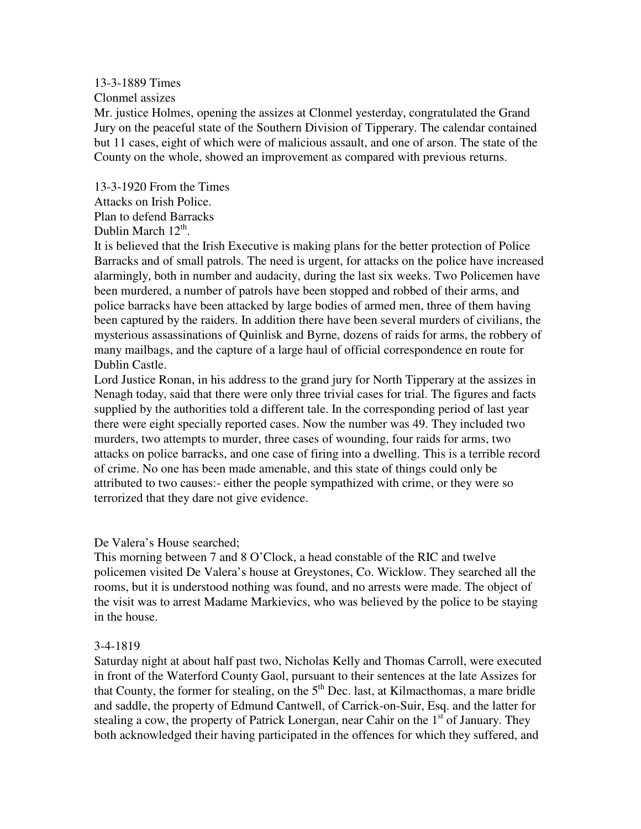## 13-3-1889 Times

Clonmel assizes

Mr. justice Holmes, opening the assizes at Clonmel yesterday, congratulated the Grand Jury on the peaceful state of the Southern Division of Tipperary. The calendar contained but 11 cases, eight of which were of malicious assault, and one of arson. The state of the County on the whole, showed an improvement as compared with previous returns.

13-3-1920 From the Times Attacks on Irish Police. Plan to defend Barracks Dublin March  $12<sup>th</sup>$ .

It is believed that the Irish Executive is making plans for the better protection of Police Barracks and of small patrols. The need is urgent, for attacks on the police have increased alarmingly, both in number and audacity, during the last six weeks. Two Policemen have been murdered, a number of patrols have been stopped and robbed of their arms, and police barracks have been attacked by large bodies of armed men, three of them having been captured by the raiders. In addition there have been several murders of civilians, the mysterious assassinations of Quinlisk and Byrne, dozens of raids for arms, the robbery of many mailbags, and the capture of a large haul of official correspondence en route for Dublin Castle.

Lord Justice Ronan, in his address to the grand jury for North Tipperary at the assizes in Nenagh today, said that there were only three trivial cases for trial. The figures and facts supplied by the authorities told a different tale. In the corresponding period of last year there were eight specially reported cases. Now the number was 49. They included two murders, two attempts to murder, three cases of wounding, four raids for arms, two attacks on police barracks, and one case of firing into a dwelling. This is a terrible record of crime. No one has been made amenable, and this state of things could only be attributed to two causes:- either the people sympathized with crime, or they were so terrorized that they dare not give evidence.

De Valera's House searched;

This morning between 7 and 8 O'Clock, a head constable of the RIC and twelve policemen visited De Valera's house at Greystones, Co. Wicklow. They searched all the rooms, but it is understood nothing was found, and no arrests were made. The object of the visit was to arrest Madame Markievics, who was believed by the police to be staying in the house.

## 3-4-1819

Saturday night at about half past two, Nicholas Kelly and Thomas Carroll, were executed in front of the Waterford County Gaol, pursuant to their sentences at the late Assizes for that County, the former for stealing, on the  $5<sup>th</sup>$  Dec. last, at Kilmacthomas, a mare bridle and saddle, the property of Edmund Cantwell, of Carrick-on-Suir, Esq. and the latter for stealing a cow, the property of Patrick Lonergan, near Cahir on the  $1<sup>st</sup>$  of January. They both acknowledged their having participated in the offences for which they suffered, and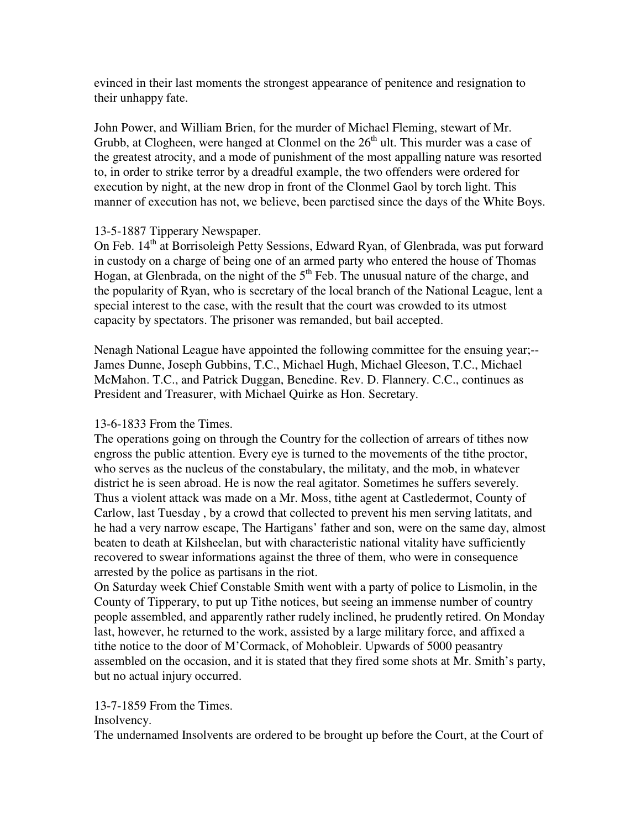evinced in their last moments the strongest appearance of penitence and resignation to their unhappy fate.

John Power, and William Brien, for the murder of Michael Fleming, stewart of Mr. Grubb, at Clogheen, were hanged at Clonmel on the  $26<sup>th</sup>$  ult. This murder was a case of the greatest atrocity, and a mode of punishment of the most appalling nature was resorted to, in order to strike terror by a dreadful example, the two offenders were ordered for execution by night, at the new drop in front of the Clonmel Gaol by torch light. This manner of execution has not, we believe, been parctised since the days of the White Boys.

# 13-5-1887 Tipperary Newspaper.

On Feb. 14<sup>th</sup> at Borrisoleigh Petty Sessions, Edward Ryan, of Glenbrada, was put forward in custody on a charge of being one of an armed party who entered the house of Thomas Hogan, at Glenbrada, on the night of the  $5<sup>th</sup>$  Feb. The unusual nature of the charge, and the popularity of Ryan, who is secretary of the local branch of the National League, lent a special interest to the case, with the result that the court was crowded to its utmost capacity by spectators. The prisoner was remanded, but bail accepted.

Nenagh National League have appointed the following committee for the ensuing year;-- James Dunne, Joseph Gubbins, T.C., Michael Hugh, Michael Gleeson, T.C., Michael McMahon. T.C., and Patrick Duggan, Benedine. Rev. D. Flannery. C.C., continues as President and Treasurer, with Michael Quirke as Hon. Secretary.

# 13-6-1833 From the Times.

The operations going on through the Country for the collection of arrears of tithes now engross the public attention. Every eye is turned to the movements of the tithe proctor, who serves as the nucleus of the constabulary, the militaty, and the mob, in whatever district he is seen abroad. He is now the real agitator. Sometimes he suffers severely. Thus a violent attack was made on a Mr. Moss, tithe agent at Castledermot, County of Carlow, last Tuesday , by a crowd that collected to prevent his men serving latitats, and he had a very narrow escape, The Hartigans' father and son, were on the same day, almost beaten to death at Kilsheelan, but with characteristic national vitality have sufficiently recovered to swear informations against the three of them, who were in consequence arrested by the police as partisans in the riot.

On Saturday week Chief Constable Smith went with a party of police to Lismolin, in the County of Tipperary, to put up Tithe notices, but seeing an immense number of country people assembled, and apparently rather rudely inclined, he prudently retired. On Monday last, however, he returned to the work, assisted by a large military force, and affixed a tithe notice to the door of M'Cormack, of Mohobleir. Upwards of 5000 peasantry assembled on the occasion, and it is stated that they fired some shots at Mr. Smith's party, but no actual injury occurred.

# 13-7-1859 From the Times.

## Insolvency.

The undernamed Insolvents are ordered to be brought up before the Court, at the Court of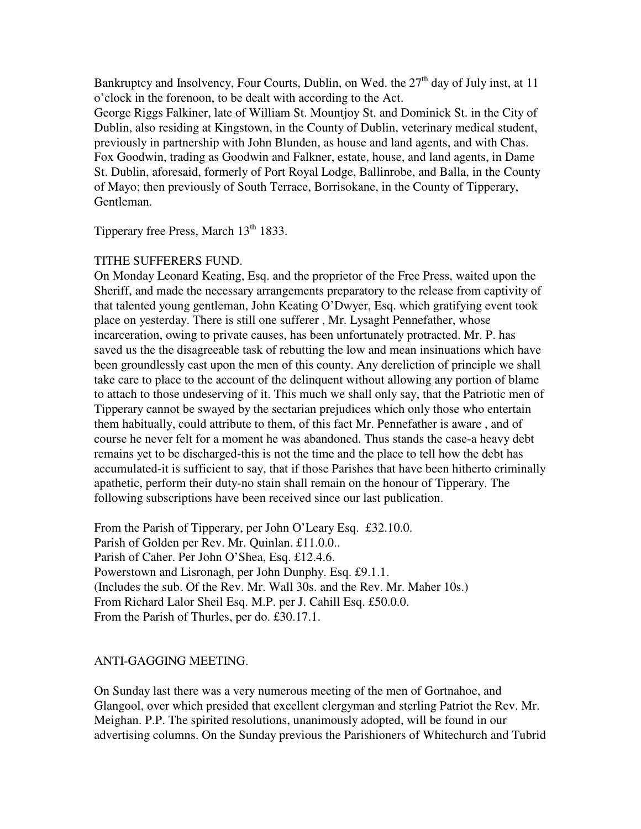Bankruptcy and Insolvency, Four Courts, Dublin, on Wed. the  $27<sup>th</sup>$  day of July inst, at 11 o'clock in the forenoon, to be dealt with according to the Act.

George Riggs Falkiner, late of William St. Mountjoy St. and Dominick St. in the City of Dublin, also residing at Kingstown, in the County of Dublin, veterinary medical student, previously in partnership with John Blunden, as house and land agents, and with Chas. Fox Goodwin, trading as Goodwin and Falkner, estate, house, and land agents, in Dame St. Dublin, aforesaid, formerly of Port Royal Lodge, Ballinrobe, and Balla, in the County of Mayo; then previously of South Terrace, Borrisokane, in the County of Tipperary, Gentleman.

Tipperary free Press, March 13<sup>th</sup> 1833.

# TITHE SUFFERERS FUND.

On Monday Leonard Keating, Esq. and the proprietor of the Free Press, waited upon the Sheriff, and made the necessary arrangements preparatory to the release from captivity of that talented young gentleman, John Keating O'Dwyer, Esq. which gratifying event took place on yesterday. There is still one sufferer , Mr. Lysaght Pennefather, whose incarceration, owing to private causes, has been unfortunately protracted. Mr. P. has saved us the the disagreeable task of rebutting the low and mean insinuations which have been groundlessly cast upon the men of this county. Any dereliction of principle we shall take care to place to the account of the delinquent without allowing any portion of blame to attach to those undeserving of it. This much we shall only say, that the Patriotic men of Tipperary cannot be swayed by the sectarian prejudices which only those who entertain them habitually, could attribute to them, of this fact Mr. Pennefather is aware , and of course he never felt for a moment he was abandoned. Thus stands the case-a heavy debt remains yet to be discharged-this is not the time and the place to tell how the debt has accumulated-it is sufficient to say, that if those Parishes that have been hitherto criminally apathetic, perform their duty-no stain shall remain on the honour of Tipperary. The following subscriptions have been received since our last publication.

From the Parish of Tipperary, per John O'Leary Esq. £32.10.0. Parish of Golden per Rev. Mr. Quinlan. £11.0.0.. Parish of Caher. Per John O'Shea, Esq. £12.4.6. Powerstown and Lisronagh, per John Dunphy. Esq. £9.1.1. (Includes the sub. Of the Rev. Mr. Wall 30s. and the Rev. Mr. Maher 10s.) From Richard Lalor Sheil Esq. M.P. per J. Cahill Esq. £50.0.0. From the Parish of Thurles, per do. £30.17.1.

# ANTI-GAGGING MEETING.

On Sunday last there was a very numerous meeting of the men of Gortnahoe, and Glangool, over which presided that excellent clergyman and sterling Patriot the Rev. Mr. Meighan. P.P. The spirited resolutions, unanimously adopted, will be found in our advertising columns. On the Sunday previous the Parishioners of Whitechurch and Tubrid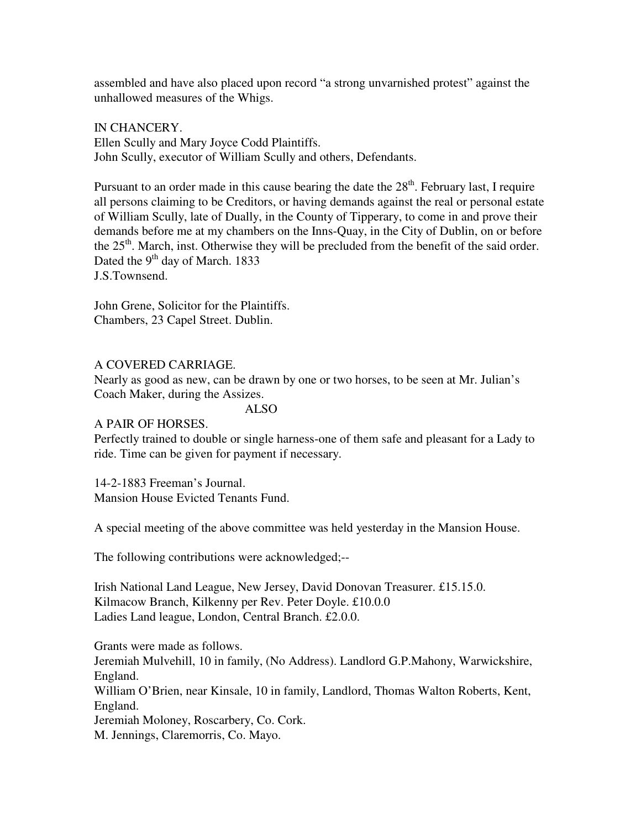assembled and have also placed upon record "a strong unvarnished protest" against the unhallowed measures of the Whigs.

IN CHANCERY. Ellen Scully and Mary Joyce Codd Plaintiffs. John Scully, executor of William Scully and others, Defendants.

Pursuant to an order made in this cause bearing the date the  $28<sup>th</sup>$ . February last, I require all persons claiming to be Creditors, or having demands against the real or personal estate of William Scully, late of Dually, in the County of Tipperary, to come in and prove their demands before me at my chambers on the Inns-Quay, in the City of Dublin, on or before the  $25<sup>th</sup>$ . March, inst. Otherwise they will be precluded from the benefit of the said order. Dated the  $9<sup>th</sup>$  day of March. 1833 J.S.Townsend.

John Grene, Solicitor for the Plaintiffs. Chambers, 23 Capel Street. Dublin.

# A COVERED CARRIAGE.

Nearly as good as new, can be drawn by one or two horses, to be seen at Mr. Julian's Coach Maker, during the Assizes.

ALSO

## A PAIR OF HORSES.

Perfectly trained to double or single harness-one of them safe and pleasant for a Lady to ride. Time can be given for payment if necessary.

## 14-2-1883 Freeman's Journal.

Mansion House Evicted Tenants Fund.

A special meeting of the above committee was held yesterday in the Mansion House.

The following contributions were acknowledged;--

Irish National Land League, New Jersey, David Donovan Treasurer. £15.15.0. Kilmacow Branch, Kilkenny per Rev. Peter Doyle. £10.0.0 Ladies Land league, London, Central Branch. £2.0.0.

Grants were made as follows. Jeremiah Mulvehill, 10 in family, (No Address). Landlord G.P.Mahony, Warwickshire, England. William O'Brien, near Kinsale, 10 in family, Landlord, Thomas Walton Roberts, Kent, England. Jeremiah Moloney, Roscarbery, Co. Cork. M. Jennings, Claremorris, Co. Mayo.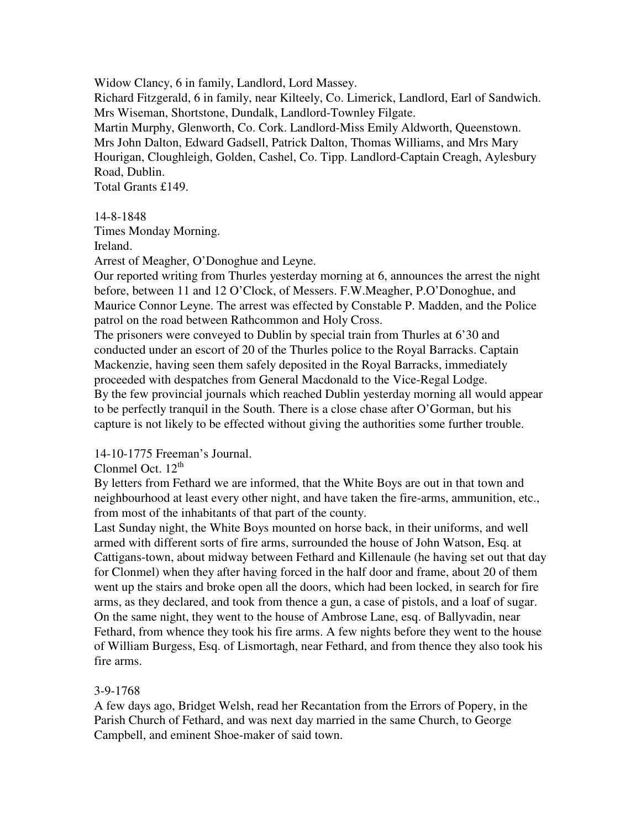Widow Clancy, 6 in family, Landlord, Lord Massey. Richard Fitzgerald, 6 in family, near Kilteely, Co. Limerick, Landlord, Earl of Sandwich. Mrs Wiseman, Shortstone, Dundalk, Landlord-Townley Filgate. Martin Murphy, Glenworth, Co. Cork. Landlord-Miss Emily Aldworth, Queenstown. Mrs John Dalton, Edward Gadsell, Patrick Dalton, Thomas Williams, and Mrs Mary Hourigan, Cloughleigh, Golden, Cashel, Co. Tipp. Landlord-Captain Creagh, Aylesbury Road, Dublin. Total Grants £149.

14-8-1848

Times Monday Morning.

Ireland.

Arrest of Meagher, O'Donoghue and Leyne.

Our reported writing from Thurles yesterday morning at 6, announces the arrest the night before, between 11 and 12 O'Clock, of Messers. F.W.Meagher, P.O'Donoghue, and Maurice Connor Leyne. The arrest was effected by Constable P. Madden, and the Police patrol on the road between Rathcommon and Holy Cross.

The prisoners were conveyed to Dublin by special train from Thurles at 6'30 and conducted under an escort of 20 of the Thurles police to the Royal Barracks. Captain Mackenzie, having seen them safely deposited in the Royal Barracks, immediately proceeded with despatches from General Macdonald to the Vice-Regal Lodge. By the few provincial journals which reached Dublin yesterday morning all would appear to be perfectly tranquil in the South. There is a close chase after O'Gorman, but his capture is not likely to be effected without giving the authorities some further trouble.

## 14-10-1775 Freeman's Journal.

Clonmel Oct.  $12<sup>th</sup>$ 

By letters from Fethard we are informed, that the White Boys are out in that town and neighbourhood at least every other night, and have taken the fire-arms, ammunition, etc., from most of the inhabitants of that part of the county.

Last Sunday night, the White Boys mounted on horse back, in their uniforms, and well armed with different sorts of fire arms, surrounded the house of John Watson, Esq. at Cattigans-town, about midway between Fethard and Killenaule (he having set out that day for Clonmel) when they after having forced in the half door and frame, about 20 of them went up the stairs and broke open all the doors, which had been locked, in search for fire arms, as they declared, and took from thence a gun, a case of pistols, and a loaf of sugar. On the same night, they went to the house of Ambrose Lane, esq. of Ballyvadin, near Fethard, from whence they took his fire arms. A few nights before they went to the house of William Burgess, Esq. of Lismortagh, near Fethard, and from thence they also took his fire arms.

## 3-9-1768

A few days ago, Bridget Welsh, read her Recantation from the Errors of Popery, in the Parish Church of Fethard, and was next day married in the same Church, to George Campbell, and eminent Shoe-maker of said town.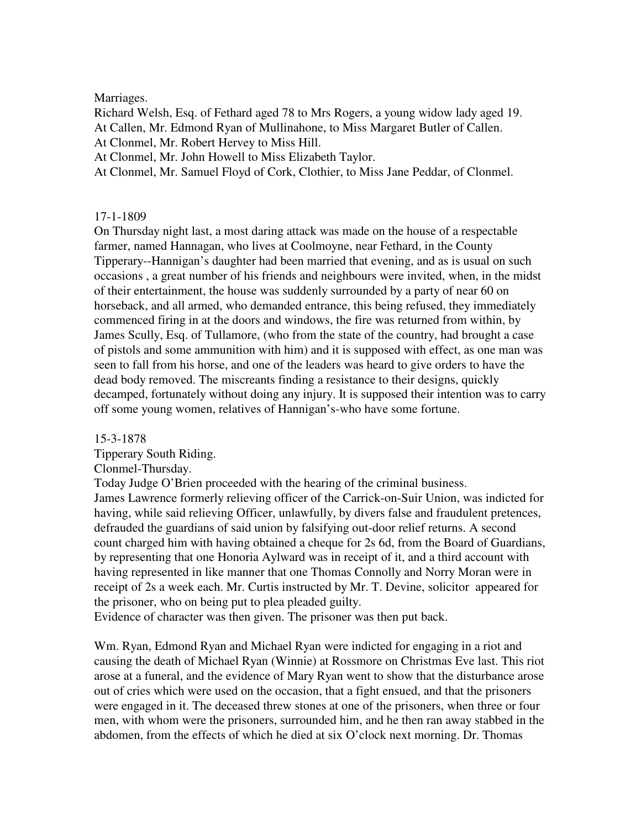## Marriages.

Richard Welsh, Esq. of Fethard aged 78 to Mrs Rogers, a young widow lady aged 19. At Callen, Mr. Edmond Ryan of Mullinahone, to Miss Margaret Butler of Callen. At Clonmel, Mr. Robert Hervey to Miss Hill.

At Clonmel, Mr. John Howell to Miss Elizabeth Taylor.

At Clonmel, Mr. Samuel Floyd of Cork, Clothier, to Miss Jane Peddar, of Clonmel.

## 17-1-1809

On Thursday night last, a most daring attack was made on the house of a respectable farmer, named Hannagan, who lives at Coolmoyne, near Fethard, in the County Tipperary--Hannigan's daughter had been married that evening, and as is usual on such occasions , a great number of his friends and neighbours were invited, when, in the midst of their entertainment, the house was suddenly surrounded by a party of near 60 on horseback, and all armed, who demanded entrance, this being refused, they immediately commenced firing in at the doors and windows, the fire was returned from within, by James Scully, Esq. of Tullamore, (who from the state of the country, had brought a case of pistols and some ammunition with him) and it is supposed with effect, as one man was seen to fall from his horse, and one of the leaders was heard to give orders to have the dead body removed. The miscreants finding a resistance to their designs, quickly decamped, fortunately without doing any injury. It is supposed their intention was to carry off some young women, relatives of Hannigan's-who have some fortune.

### 15-3-1878

Tipperary South Riding.

### Clonmel-Thursday.

Today Judge O'Brien proceeded with the hearing of the criminal business. James Lawrence formerly relieving officer of the Carrick-on-Suir Union, was indicted for having, while said relieving Officer, unlawfully, by divers false and fraudulent pretences, defrauded the guardians of said union by falsifying out-door relief returns. A second count charged him with having obtained a cheque for 2s 6d, from the Board of Guardians, by representing that one Honoria Aylward was in receipt of it, and a third account with having represented in like manner that one Thomas Connolly and Norry Moran were in receipt of 2s a week each. Mr. Curtis instructed by Mr. T. Devine, solicitor appeared for the prisoner, who on being put to plea pleaded guilty.

Evidence of character was then given. The prisoner was then put back.

Wm. Ryan, Edmond Ryan and Michael Ryan were indicted for engaging in a riot and causing the death of Michael Ryan (Winnie) at Rossmore on Christmas Eve last. This riot arose at a funeral, and the evidence of Mary Ryan went to show that the disturbance arose out of cries which were used on the occasion, that a fight ensued, and that the prisoners were engaged in it. The deceased threw stones at one of the prisoners, when three or four men, with whom were the prisoners, surrounded him, and he then ran away stabbed in the abdomen, from the effects of which he died at six O'clock next morning. Dr. Thomas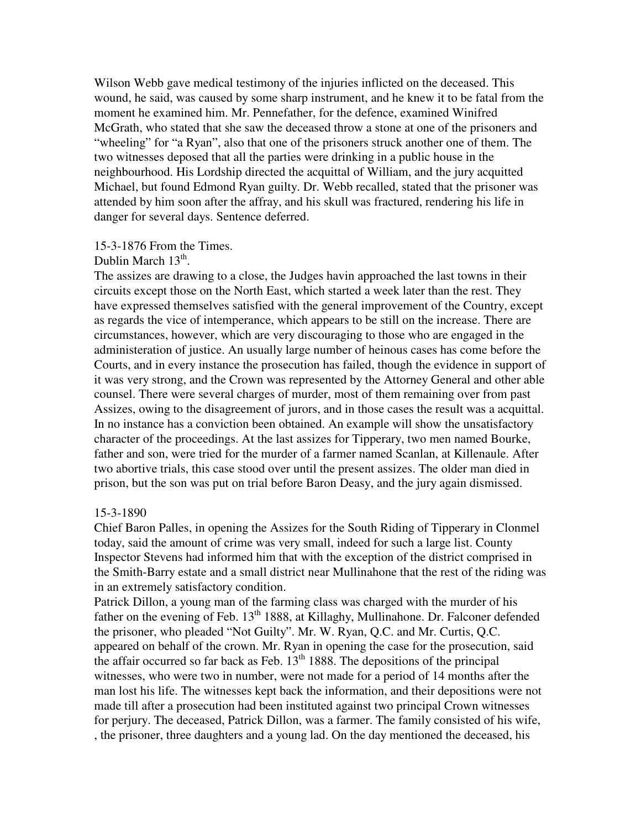Wilson Webb gave medical testimony of the injuries inflicted on the deceased. This wound, he said, was caused by some sharp instrument, and he knew it to be fatal from the moment he examined him. Mr. Pennefather, for the defence, examined Winifred McGrath, who stated that she saw the deceased throw a stone at one of the prisoners and "wheeling" for "a Ryan", also that one of the prisoners struck another one of them. The two witnesses deposed that all the parties were drinking in a public house in the neighbourhood. His Lordship directed the acquittal of William, and the jury acquitted Michael, but found Edmond Ryan guilty. Dr. Webb recalled, stated that the prisoner was attended by him soon after the affray, and his skull was fractured, rendering his life in danger for several days. Sentence deferred.

### 15-3-1876 From the Times.

# Dublin March 13<sup>th</sup>.

The assizes are drawing to a close, the Judges havin approached the last towns in their circuits except those on the North East, which started a week later than the rest. They have expressed themselves satisfied with the general improvement of the Country, except as regards the vice of intemperance, which appears to be still on the increase. There are circumstances, however, which are very discouraging to those who are engaged in the administeration of justice. An usually large number of heinous cases has come before the Courts, and in every instance the prosecution has failed, though the evidence in support of it was very strong, and the Crown was represented by the Attorney General and other able counsel. There were several charges of murder, most of them remaining over from past Assizes, owing to the disagreement of jurors, and in those cases the result was a acquittal. In no instance has a conviction been obtained. An example will show the unsatisfactory character of the proceedings. At the last assizes for Tipperary, two men named Bourke, father and son, were tried for the murder of a farmer named Scanlan, at Killenaule. After two abortive trials, this case stood over until the present assizes. The older man died in prison, but the son was put on trial before Baron Deasy, and the jury again dismissed.

#### 15-3-1890

Chief Baron Palles, in opening the Assizes for the South Riding of Tipperary in Clonmel today, said the amount of crime was very small, indeed for such a large list. County Inspector Stevens had informed him that with the exception of the district comprised in the Smith-Barry estate and a small district near Mullinahone that the rest of the riding was in an extremely satisfactory condition.

Patrick Dillon, a young man of the farming class was charged with the murder of his father on the evening of Feb.  $13<sup>th</sup> 1888$ , at Killaghy, Mullinahone. Dr. Falconer defended the prisoner, who pleaded "Not Guilty". Mr. W. Ryan, Q.C. and Mr. Curtis, Q.C. appeared on behalf of the crown. Mr. Ryan in opening the case for the prosecution, said the affair occurred so far back as Feb.  $13<sup>th</sup> 1888$ . The depositions of the principal witnesses, who were two in number, were not made for a period of 14 months after the man lost his life. The witnesses kept back the information, and their depositions were not made till after a prosecution had been instituted against two principal Crown witnesses for perjury. The deceased, Patrick Dillon, was a farmer. The family consisted of his wife, , the prisoner, three daughters and a young lad. On the day mentioned the deceased, his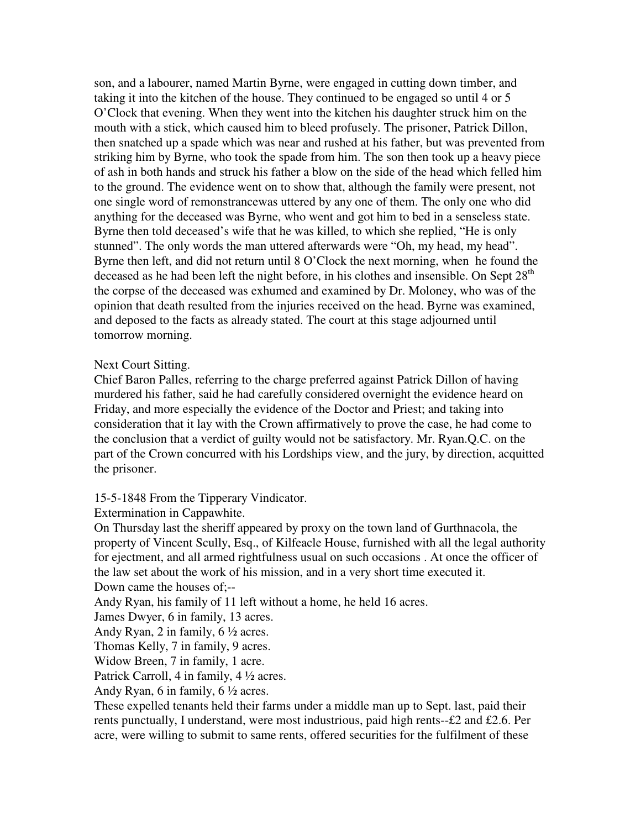son, and a labourer, named Martin Byrne, were engaged in cutting down timber, and taking it into the kitchen of the house. They continued to be engaged so until 4 or 5 O'Clock that evening. When they went into the kitchen his daughter struck him on the mouth with a stick, which caused him to bleed profusely. The prisoner, Patrick Dillon, then snatched up a spade which was near and rushed at his father, but was prevented from striking him by Byrne, who took the spade from him. The son then took up a heavy piece of ash in both hands and struck his father a blow on the side of the head which felled him to the ground. The evidence went on to show that, although the family were present, not one single word of remonstrancewas uttered by any one of them. The only one who did anything for the deceased was Byrne, who went and got him to bed in a senseless state. Byrne then told deceased's wife that he was killed, to which she replied, "He is only stunned". The only words the man uttered afterwards were "Oh, my head, my head". Byrne then left, and did not return until 8 O'Clock the next morning, when he found the deceased as he had been left the night before, in his clothes and insensible. On Sept 28<sup>th</sup> the corpse of the deceased was exhumed and examined by Dr. Moloney, who was of the opinion that death resulted from the injuries received on the head. Byrne was examined, and deposed to the facts as already stated. The court at this stage adjourned until tomorrow morning.

### Next Court Sitting.

Chief Baron Palles, referring to the charge preferred against Patrick Dillon of having murdered his father, said he had carefully considered overnight the evidence heard on Friday, and more especially the evidence of the Doctor and Priest; and taking into consideration that it lay with the Crown affirmatively to prove the case, he had come to the conclusion that a verdict of guilty would not be satisfactory. Mr. Ryan.Q.C. on the part of the Crown concurred with his Lordships view, and the jury, by direction, acquitted the prisoner.

#### 15-5-1848 From the Tipperary Vindicator.

Extermination in Cappawhite.

On Thursday last the sheriff appeared by proxy on the town land of Gurthnacola, the property of Vincent Scully, Esq., of Kilfeacle House, furnished with all the legal authority for ejectment, and all armed rightfulness usual on such occasions . At once the officer of the law set about the work of his mission, and in a very short time executed it. Down came the houses of;--

Andy Ryan, his family of 11 left without a home, he held 16 acres.

James Dwyer, 6 in family, 13 acres.

Andy Ryan, 2 in family, 6 ½ acres.

Thomas Kelly, 7 in family, 9 acres.

Widow Breen, 7 in family, 1 acre.

Patrick Carroll, 4 in family, 4 ½ acres.

Andy Ryan, 6 in family, 6 ½ acres.

These expelled tenants held their farms under a middle man up to Sept. last, paid their rents punctually, I understand, were most industrious, paid high rents--£2 and £2.6. Per acre, were willing to submit to same rents, offered securities for the fulfilment of these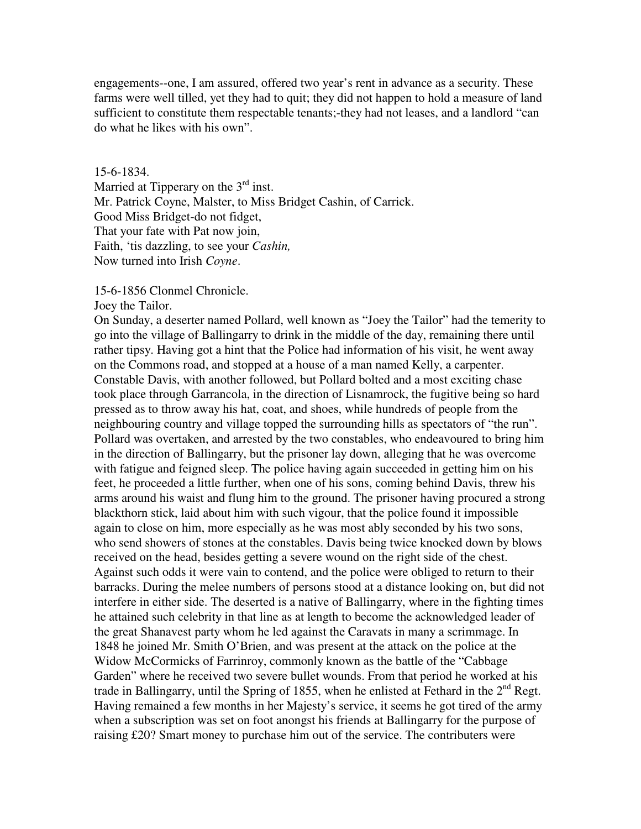engagements--one, I am assured, offered two year's rent in advance as a security. These farms were well tilled, yet they had to quit; they did not happen to hold a measure of land sufficient to constitute them respectable tenants;-they had not leases, and a landlord "can do what he likes with his own".

### 15-6-1834.

Married at Tipperary on the  $3<sup>rd</sup>$  inst. Mr. Patrick Coyne, Malster, to Miss Bridget Cashin, of Carrick. Good Miss Bridget-do not fidget, That your fate with Pat now join, Faith, 'tis dazzling, to see your *Cashin,*  Now turned into Irish *Coyne*.

15-6-1856 Clonmel Chronicle.

#### Joey the Tailor.

On Sunday, a deserter named Pollard, well known as "Joey the Tailor" had the temerity to go into the village of Ballingarry to drink in the middle of the day, remaining there until rather tipsy. Having got a hint that the Police had information of his visit, he went away on the Commons road, and stopped at a house of a man named Kelly, a carpenter. Constable Davis, with another followed, but Pollard bolted and a most exciting chase took place through Garrancola, in the direction of Lisnamrock, the fugitive being so hard pressed as to throw away his hat, coat, and shoes, while hundreds of people from the neighbouring country and village topped the surrounding hills as spectators of "the run". Pollard was overtaken, and arrested by the two constables, who endeavoured to bring him in the direction of Ballingarry, but the prisoner lay down, alleging that he was overcome with fatigue and feigned sleep. The police having again succeeded in getting him on his feet, he proceeded a little further, when one of his sons, coming behind Davis, threw his arms around his waist and flung him to the ground. The prisoner having procured a strong blackthorn stick, laid about him with such vigour, that the police found it impossible again to close on him, more especially as he was most ably seconded by his two sons, who send showers of stones at the constables. Davis being twice knocked down by blows received on the head, besides getting a severe wound on the right side of the chest. Against such odds it were vain to contend, and the police were obliged to return to their barracks. During the melee numbers of persons stood at a distance looking on, but did not interfere in either side. The deserted is a native of Ballingarry, where in the fighting times he attained such celebrity in that line as at length to become the acknowledged leader of the great Shanavest party whom he led against the Caravats in many a scrimmage. In 1848 he joined Mr. Smith O'Brien, and was present at the attack on the police at the Widow McCormicks of Farrinroy, commonly known as the battle of the "Cabbage Garden" where he received two severe bullet wounds. From that period he worked at his trade in Ballingarry, until the Spring of 1855, when he enlisted at Fethard in the  $2<sup>nd</sup>$  Regt. Having remained a few months in her Majesty's service, it seems he got tired of the army when a subscription was set on foot anongst his friends at Ballingarry for the purpose of raising £20? Smart money to purchase him out of the service. The contributers were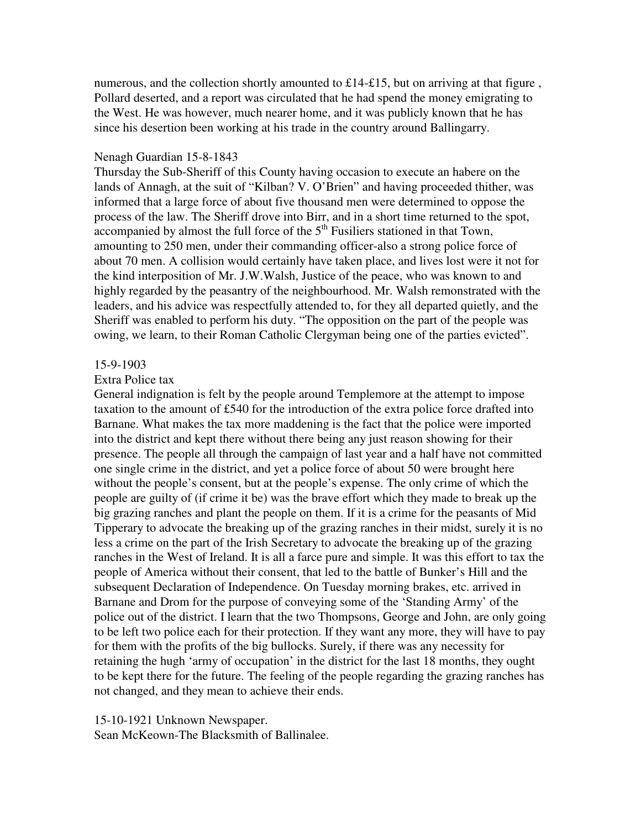numerous, and the collection shortly amounted to £14-£15, but on arriving at that figure , Pollard deserted, and a report was circulated that he had spend the money emigrating to the West. He was however, much nearer home, and it was publicly known that he has since his desertion been working at his trade in the country around Ballingarry.

### Nenagh Guardian 15-8-1843

Thursday the Sub-Sheriff of this County having occasion to execute an habere on the lands of Annagh, at the suit of "Kilban? V. O'Brien" and having proceeded thither, was informed that a large force of about five thousand men were determined to oppose the process of the law. The Sheriff drove into Birr, and in a short time returned to the spot, accompanied by almost the full force of the  $5<sup>th</sup>$  Fusiliers stationed in that Town, amounting to 250 men, under their commanding officer-also a strong police force of about 70 men. A collision would certainly have taken place, and lives lost were it not for the kind interposition of Mr. J.W.Walsh, Justice of the peace, who was known to and highly regarded by the peasantry of the neighbourhood. Mr. Walsh remonstrated with the leaders, and his advice was respectfully attended to, for they all departed quietly, and the Sheriff was enabled to perform his duty. "The opposition on the part of the people was owing, we learn, to their Roman Catholic Clergyman being one of the parties evicted".

### 15-9-1903

## Extra Police tax

General indignation is felt by the people around Templemore at the attempt to impose taxation to the amount of £540 for the introduction of the extra police force drafted into Barnane. What makes the tax more maddening is the fact that the police were imported into the district and kept there without there being any just reason showing for their presence. The people all through the campaign of last year and a half have not committed one single crime in the district, and yet a police force of about 50 were brought here without the people's consent, but at the people's expense. The only crime of which the people are guilty of (if crime it be) was the brave effort which they made to break up the big grazing ranches and plant the people on them. If it is a crime for the peasants of Mid Tipperary to advocate the breaking up of the grazing ranches in their midst, surely it is no less a crime on the part of the Irish Secretary to advocate the breaking up of the grazing ranches in the West of Ireland. It is all a farce pure and simple. It was this effort to tax the people of America without their consent, that led to the battle of Bunker's Hill and the subsequent Declaration of Independence. On Tuesday morning brakes, etc. arrived in Barnane and Drom for the purpose of conveying some of the 'Standing Army' of the police out of the district. I learn that the two Thompsons, George and John, are only going to be left two police each for their protection. If they want any more, they will have to pay for them with the profits of the big bullocks. Surely, if there was any necessity for retaining the hugh 'army of occupation' in the district for the last 18 months, they ought to be kept there for the future. The feeling of the people regarding the grazing ranches has not changed, and they mean to achieve their ends.

#### 15-10-1921 Unknown Newspaper.

Sean McKeown-The Blacksmith of Ballinalee.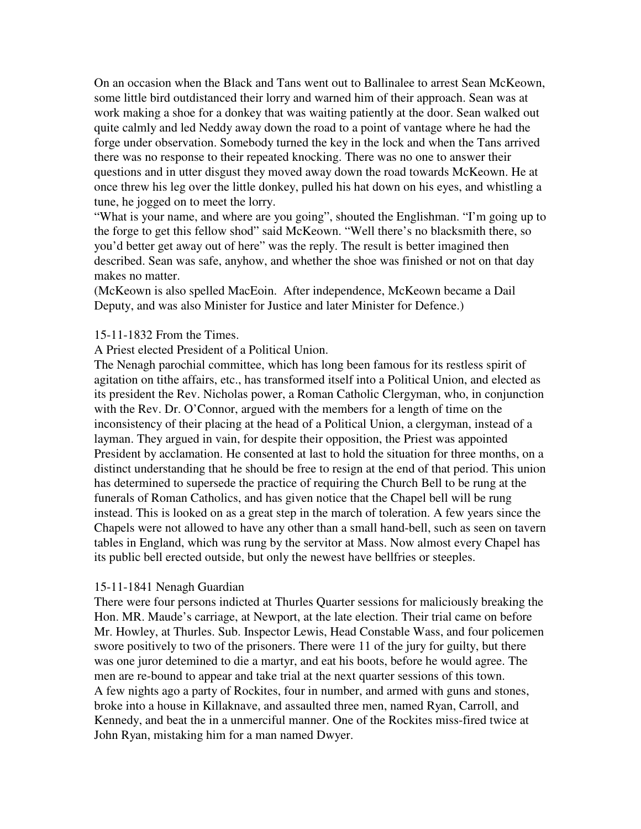On an occasion when the Black and Tans went out to Ballinalee to arrest Sean McKeown, some little bird outdistanced their lorry and warned him of their approach. Sean was at work making a shoe for a donkey that was waiting patiently at the door. Sean walked out quite calmly and led Neddy away down the road to a point of vantage where he had the forge under observation. Somebody turned the key in the lock and when the Tans arrived there was no response to their repeated knocking. There was no one to answer their questions and in utter disgust they moved away down the road towards McKeown. He at once threw his leg over the little donkey, pulled his hat down on his eyes, and whistling a tune, he jogged on to meet the lorry.

"What is your name, and where are you going", shouted the Englishman. "I'm going up to the forge to get this fellow shod" said McKeown. "Well there's no blacksmith there, so you'd better get away out of here" was the reply. The result is better imagined then described. Sean was safe, anyhow, and whether the shoe was finished or not on that day makes no matter.

(McKeown is also spelled MacEoin. After independence, McKeown became a Dail Deputy, and was also Minister for Justice and later Minister for Defence.)

## 15-11-1832 From the Times.

A Priest elected President of a Political Union.

The Nenagh parochial committee, which has long been famous for its restless spirit of agitation on tithe affairs, etc., has transformed itself into a Political Union, and elected as its president the Rev. Nicholas power, a Roman Catholic Clergyman, who, in conjunction with the Rev. Dr. O'Connor, argued with the members for a length of time on the inconsistency of their placing at the head of a Political Union, a clergyman, instead of a layman. They argued in vain, for despite their opposition, the Priest was appointed President by acclamation. He consented at last to hold the situation for three months, on a distinct understanding that he should be free to resign at the end of that period. This union has determined to supersede the practice of requiring the Church Bell to be rung at the funerals of Roman Catholics, and has given notice that the Chapel bell will be rung instead. This is looked on as a great step in the march of toleration. A few years since the Chapels were not allowed to have any other than a small hand-bell, such as seen on tavern tables in England, which was rung by the servitor at Mass. Now almost every Chapel has its public bell erected outside, but only the newest have bellfries or steeples.

## 15-11-1841 Nenagh Guardian

There were four persons indicted at Thurles Quarter sessions for maliciously breaking the Hon. MR. Maude's carriage, at Newport, at the late election. Their trial came on before Mr. Howley, at Thurles. Sub. Inspector Lewis, Head Constable Wass, and four policemen swore positively to two of the prisoners. There were 11 of the jury for guilty, but there was one juror detemined to die a martyr, and eat his boots, before he would agree. The men are re-bound to appear and take trial at the next quarter sessions of this town. A few nights ago a party of Rockites, four in number, and armed with guns and stones, broke into a house in Killaknave, and assaulted three men, named Ryan, Carroll, and Kennedy, and beat the in a unmerciful manner. One of the Rockites miss-fired twice at John Ryan, mistaking him for a man named Dwyer.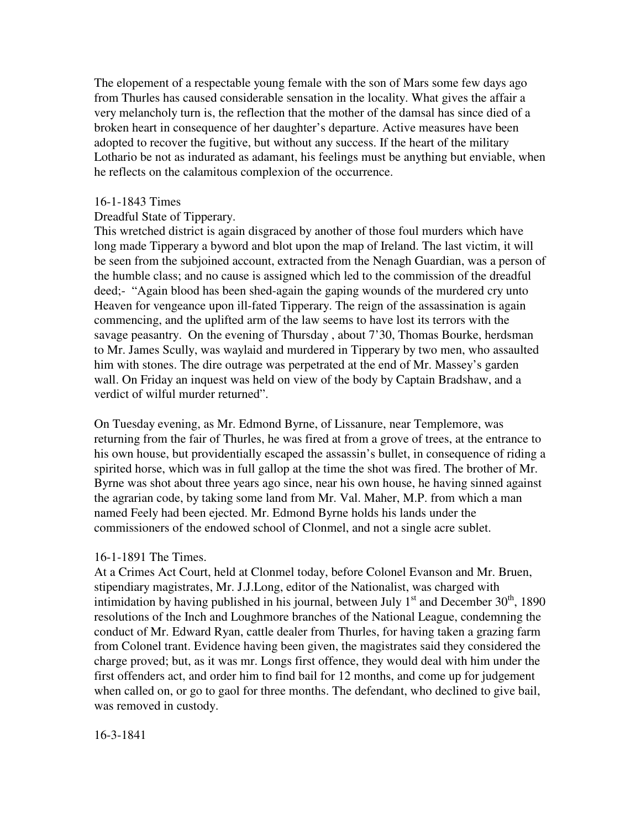The elopement of a respectable young female with the son of Mars some few days ago from Thurles has caused considerable sensation in the locality. What gives the affair a very melancholy turn is, the reflection that the mother of the damsal has since died of a broken heart in consequence of her daughter's departure. Active measures have been adopted to recover the fugitive, but without any success. If the heart of the military Lothario be not as indurated as adamant, his feelings must be anything but enviable, when he reflects on the calamitous complexion of the occurrence.

## 16-1-1843 Times

## Dreadful State of Tipperary.

This wretched district is again disgraced by another of those foul murders which have long made Tipperary a byword and blot upon the map of Ireland. The last victim, it will be seen from the subjoined account, extracted from the Nenagh Guardian, was a person of the humble class; and no cause is assigned which led to the commission of the dreadful deed;- "Again blood has been shed-again the gaping wounds of the murdered cry unto Heaven for vengeance upon ill-fated Tipperary. The reign of the assassination is again commencing, and the uplifted arm of the law seems to have lost its terrors with the savage peasantry. On the evening of Thursday , about 7'30, Thomas Bourke, herdsman to Mr. James Scully, was waylaid and murdered in Tipperary by two men, who assaulted him with stones. The dire outrage was perpetrated at the end of Mr. Massey's garden wall. On Friday an inquest was held on view of the body by Captain Bradshaw, and a verdict of wilful murder returned".

On Tuesday evening, as Mr. Edmond Byrne, of Lissanure, near Templemore, was returning from the fair of Thurles, he was fired at from a grove of trees, at the entrance to his own house, but providentially escaped the assassin's bullet, in consequence of riding a spirited horse, which was in full gallop at the time the shot was fired. The brother of Mr. Byrne was shot about three years ago since, near his own house, he having sinned against the agrarian code, by taking some land from Mr. Val. Maher, M.P. from which a man named Feely had been ejected. Mr. Edmond Byrne holds his lands under the commissioners of the endowed school of Clonmel, and not a single acre sublet.

## 16-1-1891 The Times.

At a Crimes Act Court, held at Clonmel today, before Colonel Evanson and Mr. Bruen, stipendiary magistrates, Mr. J.J.Long, editor of the Nationalist, was charged with intimidation by having published in his journal, between July  $1<sup>st</sup>$  and December  $30<sup>th</sup>$ , 1890 resolutions of the Inch and Loughmore branches of the National League, condemning the conduct of Mr. Edward Ryan, cattle dealer from Thurles, for having taken a grazing farm from Colonel trant. Evidence having been given, the magistrates said they considered the charge proved; but, as it was mr. Longs first offence, they would deal with him under the first offenders act, and order him to find bail for 12 months, and come up for judgement when called on, or go to gaol for three months. The defendant, who declined to give bail, was removed in custody.

16-3-1841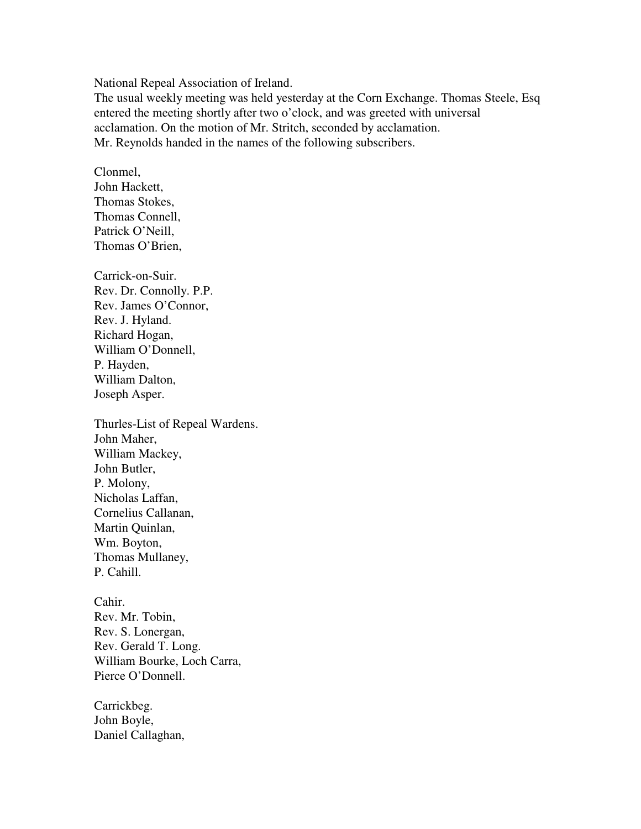National Repeal Association of Ireland.

The usual weekly meeting was held yesterday at the Corn Exchange. Thomas Steele, Esq entered the meeting shortly after two o'clock, and was greeted with universal acclamation. On the motion of Mr. Stritch, seconded by acclamation. Mr. Reynolds handed in the names of the following subscribers.

Clonmel, John Hackett, Thomas Stokes, Thomas Connell, Patrick O'Neill, Thomas O'Brien,

Carrick-on-Suir. Rev. Dr. Connolly. P.P. Rev. James O'Connor, Rev. J. Hyland. Richard Hogan, William O'Donnell, P. Hayden, William Dalton, Joseph Asper.

Thurles-List of Repeal Wardens. John Maher, William Mackey, John Butler, P. Molony, Nicholas Laffan, Cornelius Callanan, Martin Quinlan, Wm. Boyton, Thomas Mullaney, P. Cahill.

Cahir. Rev. Mr. Tobin, Rev. S. Lonergan, Rev. Gerald T. Long. William Bourke, Loch Carra, Pierce O'Donnell.

Carrickbeg. John Boyle, Daniel Callaghan,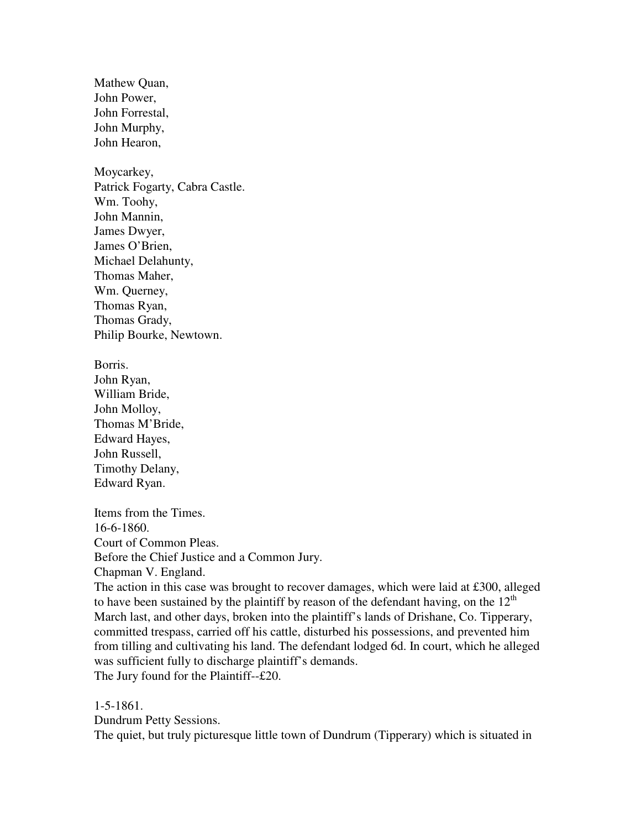Mathew Quan, John Power, John Forrestal, John Murphy, John Hearon,

Moycarkey, Patrick Fogarty, Cabra Castle. Wm. Toohy, John Mannin, James Dwyer, James O'Brien, Michael Delahunty, Thomas Maher, Wm. Querney, Thomas Ryan, Thomas Grady, Philip Bourke, Newtown.

Borris. John Ryan, William Bride, John Molloy, Thomas M'Bride, Edward Hayes, John Russell, Timothy Delany, Edward Ryan.

Items from the Times. 16-6-1860. Court of Common Pleas. Before the Chief Justice and a Common Jury. Chapman V. England. The action in this case was brought to recover damages, which were laid at £300, alleged

to have been sustained by the plaintiff by reason of the defendant having, on the  $12<sup>th</sup>$ March last, and other days, broken into the plaintiff's lands of Drishane, Co. Tipperary, committed trespass, carried off his cattle, disturbed his possessions, and prevented him from tilling and cultivating his land. The defendant lodged 6d. In court, which he alleged was sufficient fully to discharge plaintiff's demands. The Jury found for the Plaintiff--£20.

1-5-1861.

Dundrum Petty Sessions.

The quiet, but truly picturesque little town of Dundrum (Tipperary) which is situated in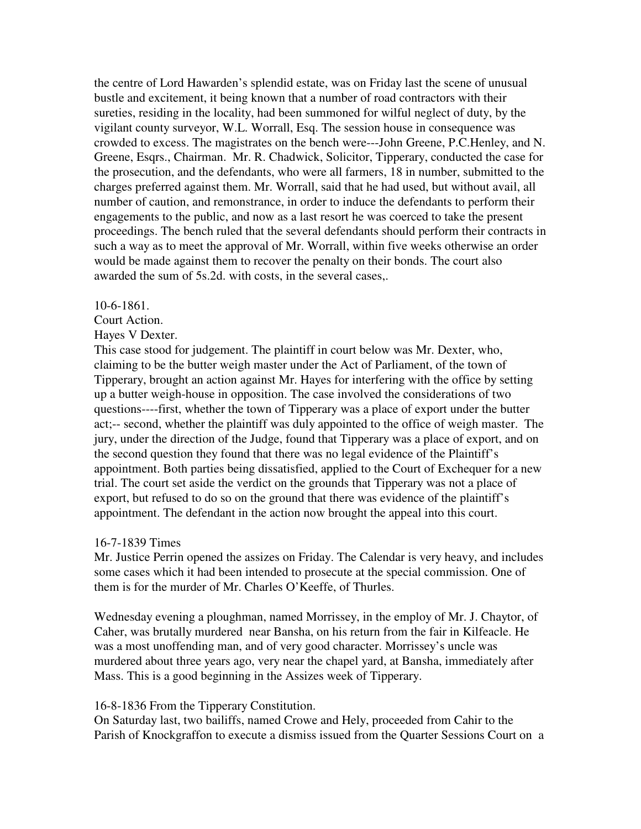the centre of Lord Hawarden's splendid estate, was on Friday last the scene of unusual bustle and excitement, it being known that a number of road contractors with their sureties, residing in the locality, had been summoned for wilful neglect of duty, by the vigilant county surveyor, W.L. Worrall, Esq. The session house in consequence was crowded to excess. The magistrates on the bench were---John Greene, P.C.Henley, and N. Greene, Esqrs., Chairman. Mr. R. Chadwick, Solicitor, Tipperary, conducted the case for the prosecution, and the defendants, who were all farmers, 18 in number, submitted to the charges preferred against them. Mr. Worrall, said that he had used, but without avail, all number of caution, and remonstrance, in order to induce the defendants to perform their engagements to the public, and now as a last resort he was coerced to take the present proceedings. The bench ruled that the several defendants should perform their contracts in such a way as to meet the approval of Mr. Worrall, within five weeks otherwise an order would be made against them to recover the penalty on their bonds. The court also awarded the sum of 5s.2d. with costs, in the several cases,.

#### 10-6-1861.

Court Action.

### Hayes V Dexter.

This case stood for judgement. The plaintiff in court below was Mr. Dexter, who, claiming to be the butter weigh master under the Act of Parliament, of the town of Tipperary, brought an action against Mr. Hayes for interfering with the office by setting up a butter weigh-house in opposition. The case involved the considerations of two questions----first, whether the town of Tipperary was a place of export under the butter act;-- second, whether the plaintiff was duly appointed to the office of weigh master. The jury, under the direction of the Judge, found that Tipperary was a place of export, and on the second question they found that there was no legal evidence of the Plaintiff's appointment. Both parties being dissatisfied, applied to the Court of Exchequer for a new trial. The court set aside the verdict on the grounds that Tipperary was not a place of export, but refused to do so on the ground that there was evidence of the plaintiff's appointment. The defendant in the action now brought the appeal into this court.

#### 16-7-1839 Times

Mr. Justice Perrin opened the assizes on Friday. The Calendar is very heavy, and includes some cases which it had been intended to prosecute at the special commission. One of them is for the murder of Mr. Charles O'Keeffe, of Thurles.

Wednesday evening a ploughman, named Morrissey, in the employ of Mr. J. Chaytor, of Caher, was brutally murdered near Bansha, on his return from the fair in Kilfeacle. He was a most unoffending man, and of very good character. Morrissey's uncle was murdered about three years ago, very near the chapel yard, at Bansha, immediately after Mass. This is a good beginning in the Assizes week of Tipperary.

#### 16-8-1836 From the Tipperary Constitution.

On Saturday last, two bailiffs, named Crowe and Hely, proceeded from Cahir to the Parish of Knockgraffon to execute a dismiss issued from the Quarter Sessions Court on a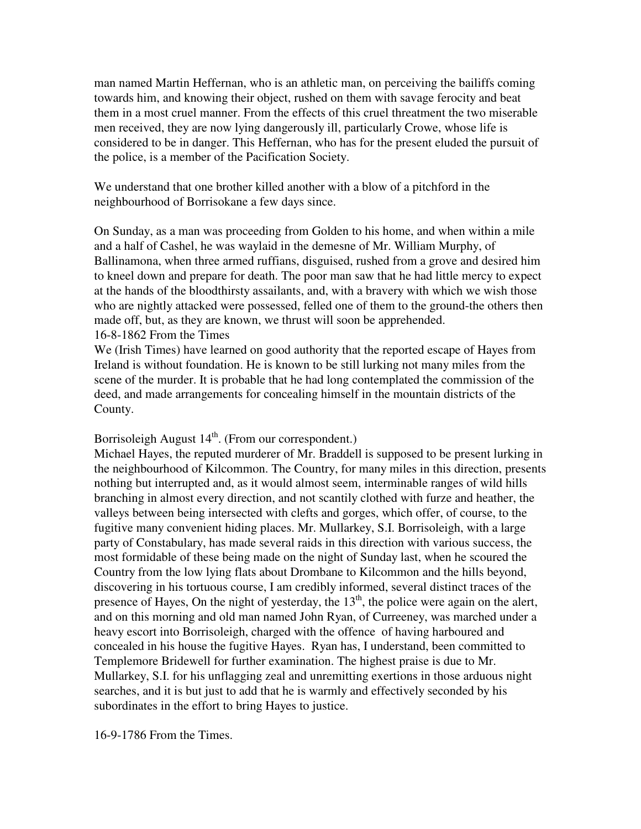man named Martin Heffernan, who is an athletic man, on perceiving the bailiffs coming towards him, and knowing their object, rushed on them with savage ferocity and beat them in a most cruel manner. From the effects of this cruel threatment the two miserable men received, they are now lying dangerously ill, particularly Crowe, whose life is considered to be in danger. This Heffernan, who has for the present eluded the pursuit of the police, is a member of the Pacification Society.

We understand that one brother killed another with a blow of a pitchford in the neighbourhood of Borrisokane a few days since.

On Sunday, as a man was proceeding from Golden to his home, and when within a mile and a half of Cashel, he was waylaid in the demesne of Mr. William Murphy, of Ballinamona, when three armed ruffians, disguised, rushed from a grove and desired him to kneel down and prepare for death. The poor man saw that he had little mercy to expect at the hands of the bloodthirsty assailants, and, with a bravery with which we wish those who are nightly attacked were possessed, felled one of them to the ground-the others then made off, but, as they are known, we thrust will soon be apprehended.

16-8-1862 From the Times

We (Irish Times) have learned on good authority that the reported escape of Hayes from Ireland is without foundation. He is known to be still lurking not many miles from the scene of the murder. It is probable that he had long contemplated the commission of the deed, and made arrangements for concealing himself in the mountain districts of the County.

# Borrisoleigh August  $14<sup>th</sup>$ . (From our correspondent.)

Michael Hayes, the reputed murderer of Mr. Braddell is supposed to be present lurking in the neighbourhood of Kilcommon. The Country, for many miles in this direction, presents nothing but interrupted and, as it would almost seem, interminable ranges of wild hills branching in almost every direction, and not scantily clothed with furze and heather, the valleys between being intersected with clefts and gorges, which offer, of course, to the fugitive many convenient hiding places. Mr. Mullarkey, S.I. Borrisoleigh, with a large party of Constabulary, has made several raids in this direction with various success, the most formidable of these being made on the night of Sunday last, when he scoured the Country from the low lying flats about Drombane to Kilcommon and the hills beyond, discovering in his tortuous course, I am credibly informed, several distinct traces of the presence of Hayes, On the night of yesterday, the  $13<sup>th</sup>$ , the police were again on the alert, and on this morning and old man named John Ryan, of Curreeney, was marched under a heavy escort into Borrisoleigh, charged with the offence of having harboured and concealed in his house the fugitive Hayes. Ryan has, I understand, been committed to Templemore Bridewell for further examination. The highest praise is due to Mr. Mullarkey, S.I. for his unflagging zeal and unremitting exertions in those arduous night searches, and it is but just to add that he is warmly and effectively seconded by his subordinates in the effort to bring Hayes to justice.

16-9-1786 From the Times.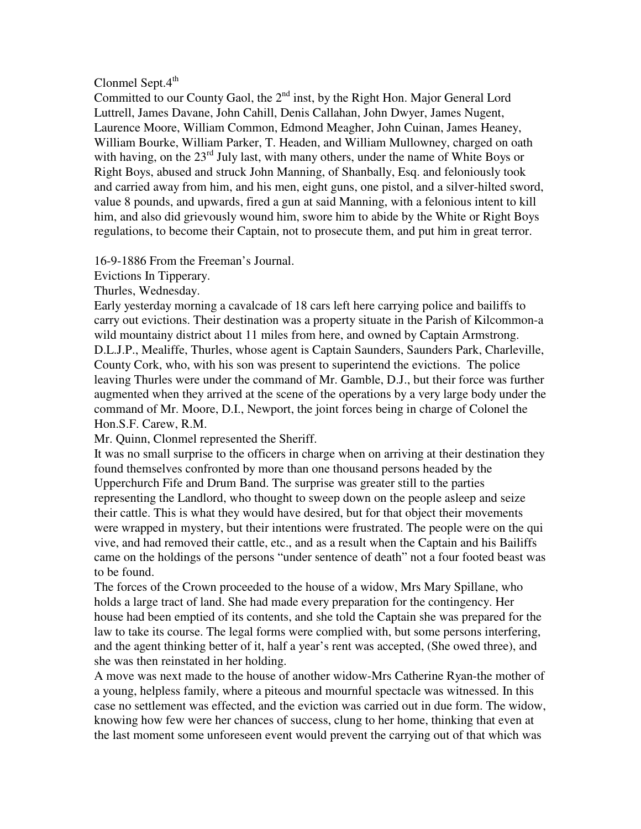# Clonmel Sept. $4^{th}$

Committed to our County Gaol, the 2<sup>nd</sup> inst, by the Right Hon. Major General Lord Luttrell, James Davane, John Cahill, Denis Callahan, John Dwyer, James Nugent, Laurence Moore, William Common, Edmond Meagher, John Cuinan, James Heaney, William Bourke, William Parker, T. Headen, and William Mullowney, charged on oath with having, on the  $23<sup>rd</sup>$  July last, with many others, under the name of White Boys or Right Boys, abused and struck John Manning, of Shanbally, Esq. and feloniously took and carried away from him, and his men, eight guns, one pistol, and a silver-hilted sword, value 8 pounds, and upwards, fired a gun at said Manning, with a felonious intent to kill him, and also did grievously wound him, swore him to abide by the White or Right Boys regulations, to become their Captain, not to prosecute them, and put him in great terror.

16-9-1886 From the Freeman's Journal.

Evictions In Tipperary.

Thurles, Wednesday.

Early yesterday morning a cavalcade of 18 cars left here carrying police and bailiffs to carry out evictions. Their destination was a property situate in the Parish of Kilcommon-a wild mountainy district about 11 miles from here, and owned by Captain Armstrong. D.L.J.P., Mealiffe, Thurles, whose agent is Captain Saunders, Saunders Park, Charleville, County Cork, who, with his son was present to superintend the evictions. The police leaving Thurles were under the command of Mr. Gamble, D.J., but their force was further augmented when they arrived at the scene of the operations by a very large body under the command of Mr. Moore, D.I., Newport, the joint forces being in charge of Colonel the Hon.S.F. Carew, R.M.

Mr. Quinn, Clonmel represented the Sheriff.

It was no small surprise to the officers in charge when on arriving at their destination they found themselves confronted by more than one thousand persons headed by the Upperchurch Fife and Drum Band. The surprise was greater still to the parties representing the Landlord, who thought to sweep down on the people asleep and seize their cattle. This is what they would have desired, but for that object their movements were wrapped in mystery, but their intentions were frustrated. The people were on the qui vive, and had removed their cattle, etc., and as a result when the Captain and his Bailiffs came on the holdings of the persons "under sentence of death" not a four footed beast was to be found.

The forces of the Crown proceeded to the house of a widow, Mrs Mary Spillane, who holds a large tract of land. She had made every preparation for the contingency. Her house had been emptied of its contents, and she told the Captain she was prepared for the law to take its course. The legal forms were complied with, but some persons interfering, and the agent thinking better of it, half a year's rent was accepted, (She owed three), and she was then reinstated in her holding.

A move was next made to the house of another widow-Mrs Catherine Ryan-the mother of a young, helpless family, where a piteous and mournful spectacle was witnessed. In this case no settlement was effected, and the eviction was carried out in due form. The widow, knowing how few were her chances of success, clung to her home, thinking that even at the last moment some unforeseen event would prevent the carrying out of that which was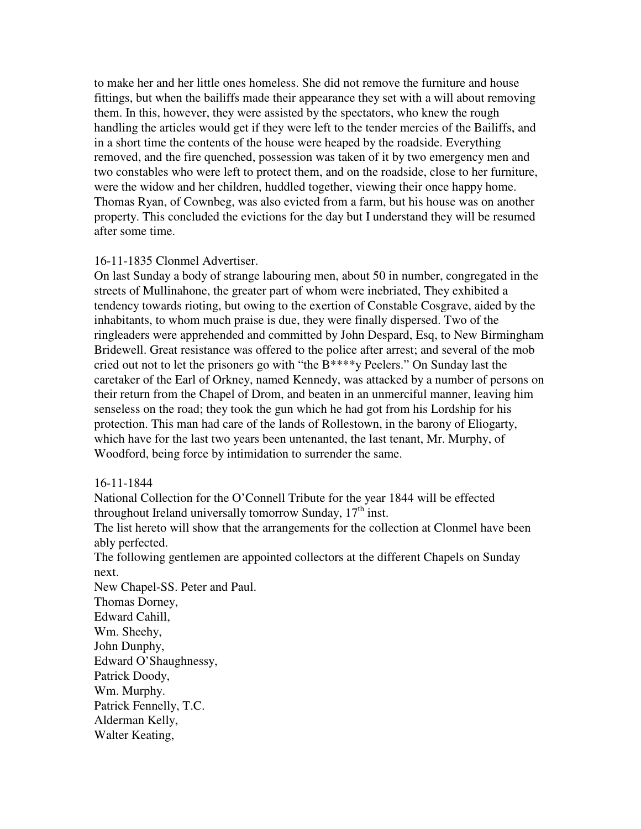to make her and her little ones homeless. She did not remove the furniture and house fittings, but when the bailiffs made their appearance they set with a will about removing them. In this, however, they were assisted by the spectators, who knew the rough handling the articles would get if they were left to the tender mercies of the Bailiffs, and in a short time the contents of the house were heaped by the roadside. Everything removed, and the fire quenched, possession was taken of it by two emergency men and two constables who were left to protect them, and on the roadside, close to her furniture, were the widow and her children, huddled together, viewing their once happy home. Thomas Ryan, of Cownbeg, was also evicted from a farm, but his house was on another property. This concluded the evictions for the day but I understand they will be resumed after some time.

## 16-11-1835 Clonmel Advertiser.

On last Sunday a body of strange labouring men, about 50 in number, congregated in the streets of Mullinahone, the greater part of whom were inebriated, They exhibited a tendency towards rioting, but owing to the exertion of Constable Cosgrave, aided by the inhabitants, to whom much praise is due, they were finally dispersed. Two of the ringleaders were apprehended and committed by John Despard, Esq, to New Birmingham Bridewell. Great resistance was offered to the police after arrest; and several of the mob cried out not to let the prisoners go with "the B\*\*\*\*y Peelers." On Sunday last the caretaker of the Earl of Orkney, named Kennedy, was attacked by a number of persons on their return from the Chapel of Drom, and beaten in an unmerciful manner, leaving him senseless on the road; they took the gun which he had got from his Lordship for his protection. This man had care of the lands of Rollestown, in the barony of Eliogarty, which have for the last two years been untenanted, the last tenant, Mr. Murphy, of Woodford, being force by intimidation to surrender the same.

## 16-11-1844

National Collection for the O'Connell Tribute for the year 1844 will be effected throughout Ireland universally tomorrow Sunday,  $17<sup>th</sup>$  inst.

The list hereto will show that the arrangements for the collection at Clonmel have been ably perfected.

The following gentlemen are appointed collectors at the different Chapels on Sunday next.

New Chapel-SS. Peter and Paul. Thomas Dorney, Edward Cahill, Wm. Sheehy, John Dunphy, Edward O'Shaughnessy, Patrick Doody, Wm. Murphy. Patrick Fennelly, T.C. Alderman Kelly, Walter Keating,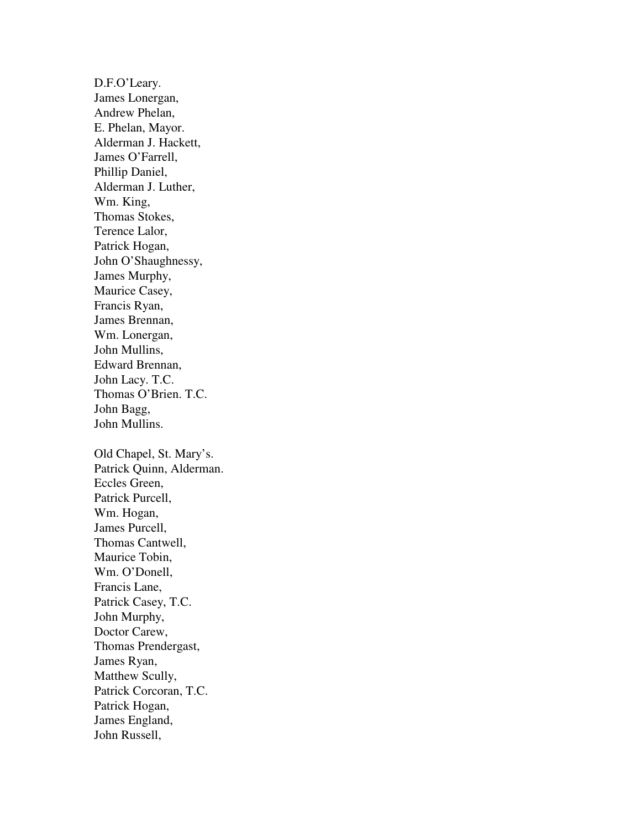D.F.O'Leary. James Lonergan, Andrew Phelan, E. Phelan, Mayor. Alderman J. Hackett, James O'Farrell, Phillip Daniel, Alderman J. Luther, Wm. King, Thomas Stokes, Terence Lalor, Patrick Hogan, John O'Shaughnessy, James Murphy, Maurice Casey, Francis Ryan, James Brennan, Wm. Lonergan, John Mullins, Edward Brennan, John Lacy. T.C. Thomas O'Brien. T.C. John Bagg, John Mullins. Old Chapel, St. Mary's.

Patrick Quinn, Alderman. Eccles Green, Patrick Purcell, Wm. Hogan, James Purcell, Thomas Cantwell, Maurice Tobin, Wm. O'Donell, Francis Lane, Patrick Casey, T.C. John Murphy, Doctor Carew, Thomas Prendergast, James Ryan, Matthew Scully, Patrick Corcoran, T.C. Patrick Hogan, James England, John Russell,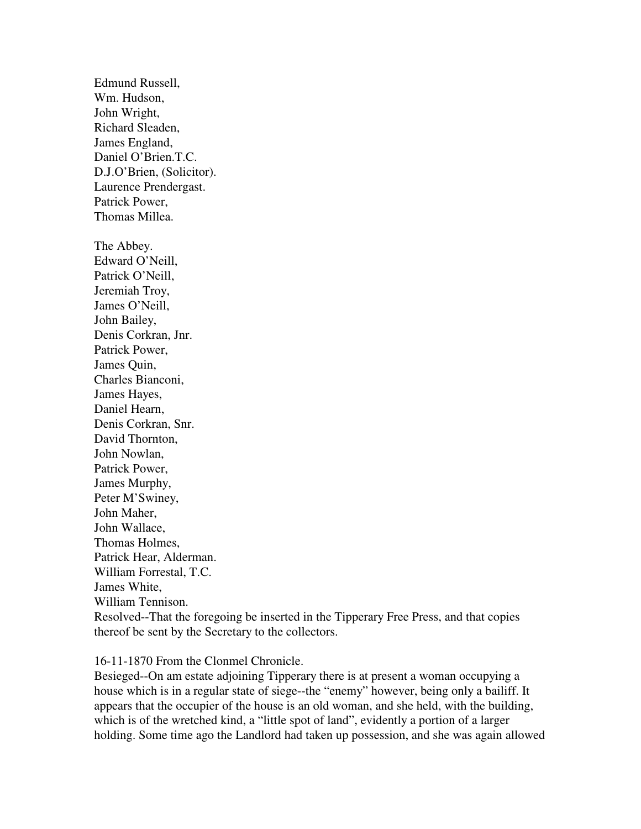Edmund Russell, Wm. Hudson, John Wright, Richard Sleaden, James England, Daniel O'Brien.T.C. D.J.O'Brien, (Solicitor). Laurence Prendergast. Patrick Power, Thomas Millea.

The Abbey. Edward O'Neill, Patrick O'Neill, Jeremiah Troy, James O'Neill, John Bailey, Denis Corkran, Jnr. Patrick Power, James Quin, Charles Bianconi, James Hayes, Daniel Hearn, Denis Corkran, Snr. David Thornton, John Nowlan, Patrick Power, James Murphy, Peter M'Swiney, John Maher, John Wallace, Thomas Holmes, Patrick Hear, Alderman. William Forrestal, T.C. James White, William Tennison.

Resolved--That the foregoing be inserted in the Tipperary Free Press, and that copies thereof be sent by the Secretary to the collectors.

### 16-11-1870 From the Clonmel Chronicle.

Besieged--On am estate adjoining Tipperary there is at present a woman occupying a house which is in a regular state of siege--the "enemy" however, being only a bailiff. It appears that the occupier of the house is an old woman, and she held, with the building, which is of the wretched kind, a "little spot of land", evidently a portion of a larger holding. Some time ago the Landlord had taken up possession, and she was again allowed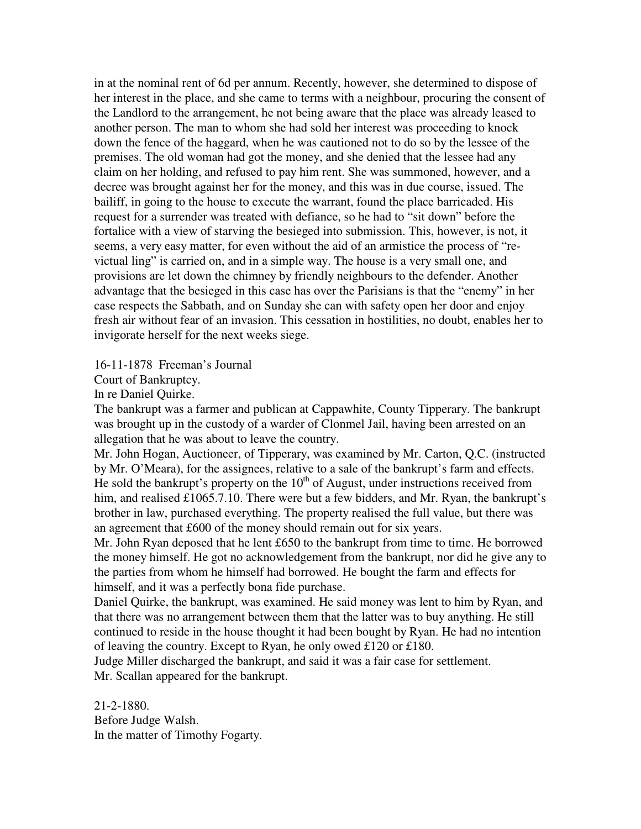in at the nominal rent of 6d per annum. Recently, however, she determined to dispose of her interest in the place, and she came to terms with a neighbour, procuring the consent of the Landlord to the arrangement, he not being aware that the place was already leased to another person. The man to whom she had sold her interest was proceeding to knock down the fence of the haggard, when he was cautioned not to do so by the lessee of the premises. The old woman had got the money, and she denied that the lessee had any claim on her holding, and refused to pay him rent. She was summoned, however, and a decree was brought against her for the money, and this was in due course, issued. The bailiff, in going to the house to execute the warrant, found the place barricaded. His request for a surrender was treated with defiance, so he had to "sit down" before the fortalice with a view of starving the besieged into submission. This, however, is not, it seems, a very easy matter, for even without the aid of an armistice the process of "revictual ling" is carried on, and in a simple way. The house is a very small one, and provisions are let down the chimney by friendly neighbours to the defender. Another advantage that the besieged in this case has over the Parisians is that the "enemy" in her case respects the Sabbath, and on Sunday she can with safety open her door and enjoy fresh air without fear of an invasion. This cessation in hostilities, no doubt, enables her to invigorate herself for the next weeks siege.

16-11-1878 Freeman's Journal

Court of Bankruptcy.

In re Daniel Quirke.

The bankrupt was a farmer and publican at Cappawhite, County Tipperary. The bankrupt was brought up in the custody of a warder of Clonmel Jail, having been arrested on an allegation that he was about to leave the country.

Mr. John Hogan, Auctioneer, of Tipperary, was examined by Mr. Carton, Q.C. (instructed by Mr. O'Meara), for the assignees, relative to a sale of the bankrupt's farm and effects. He sold the bankrupt's property on the  $10<sup>th</sup>$  of August, under instructions received from him, and realised £1065.7.10. There were but a few bidders, and Mr. Ryan, the bankrupt's brother in law, purchased everything. The property realised the full value, but there was an agreement that £600 of the money should remain out for six years.

Mr. John Ryan deposed that he lent £650 to the bankrupt from time to time. He borrowed the money himself. He got no acknowledgement from the bankrupt, nor did he give any to the parties from whom he himself had borrowed. He bought the farm and effects for himself, and it was a perfectly bona fide purchase.

Daniel Quirke, the bankrupt, was examined. He said money was lent to him by Ryan, and that there was no arrangement between them that the latter was to buy anything. He still continued to reside in the house thought it had been bought by Ryan. He had no intention of leaving the country. Except to Ryan, he only owed £120 or £180.

Judge Miller discharged the bankrupt, and said it was a fair case for settlement. Mr. Scallan appeared for the bankrupt.

21-2-1880. Before Judge Walsh. In the matter of Timothy Fogarty.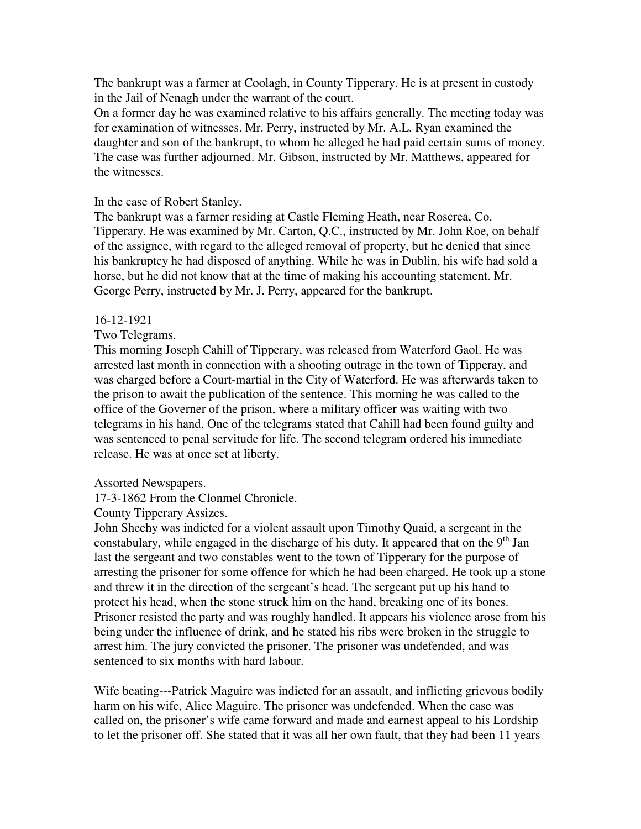The bankrupt was a farmer at Coolagh, in County Tipperary. He is at present in custody in the Jail of Nenagh under the warrant of the court.

On a former day he was examined relative to his affairs generally. The meeting today was for examination of witnesses. Mr. Perry, instructed by Mr. A.L. Ryan examined the daughter and son of the bankrupt, to whom he alleged he had paid certain sums of money. The case was further adjourned. Mr. Gibson, instructed by Mr. Matthews, appeared for the witnesses.

## In the case of Robert Stanley.

The bankrupt was a farmer residing at Castle Fleming Heath, near Roscrea, Co. Tipperary. He was examined by Mr. Carton, Q.C., instructed by Mr. John Roe, on behalf of the assignee, with regard to the alleged removal of property, but he denied that since his bankruptcy he had disposed of anything. While he was in Dublin, his wife had sold a horse, but he did not know that at the time of making his accounting statement. Mr. George Perry, instructed by Mr. J. Perry, appeared for the bankrupt.

#### 16-12-1921

## Two Telegrams.

This morning Joseph Cahill of Tipperary, was released from Waterford Gaol. He was arrested last month in connection with a shooting outrage in the town of Tipperay, and was charged before a Court-martial in the City of Waterford. He was afterwards taken to the prison to await the publication of the sentence. This morning he was called to the office of the Governer of the prison, where a military officer was waiting with two telegrams in his hand. One of the telegrams stated that Cahill had been found guilty and was sentenced to penal servitude for life. The second telegram ordered his immediate release. He was at once set at liberty.

#### Assorted Newspapers.

17-3-1862 From the Clonmel Chronicle.

County Tipperary Assizes.

John Sheehy was indicted for a violent assault upon Timothy Quaid, a sergeant in the constabulary, while engaged in the discharge of his duty. It appeared that on the  $9<sup>th</sup>$  Jan last the sergeant and two constables went to the town of Tipperary for the purpose of arresting the prisoner for some offence for which he had been charged. He took up a stone and threw it in the direction of the sergeant's head. The sergeant put up his hand to protect his head, when the stone struck him on the hand, breaking one of its bones. Prisoner resisted the party and was roughly handled. It appears his violence arose from his being under the influence of drink, and he stated his ribs were broken in the struggle to arrest him. The jury convicted the prisoner. The prisoner was undefended, and was sentenced to six months with hard labour.

Wife beating---Patrick Maguire was indicted for an assault, and inflicting grievous bodily harm on his wife, Alice Maguire. The prisoner was undefended. When the case was called on, the prisoner's wife came forward and made and earnest appeal to his Lordship to let the prisoner off. She stated that it was all her own fault, that they had been 11 years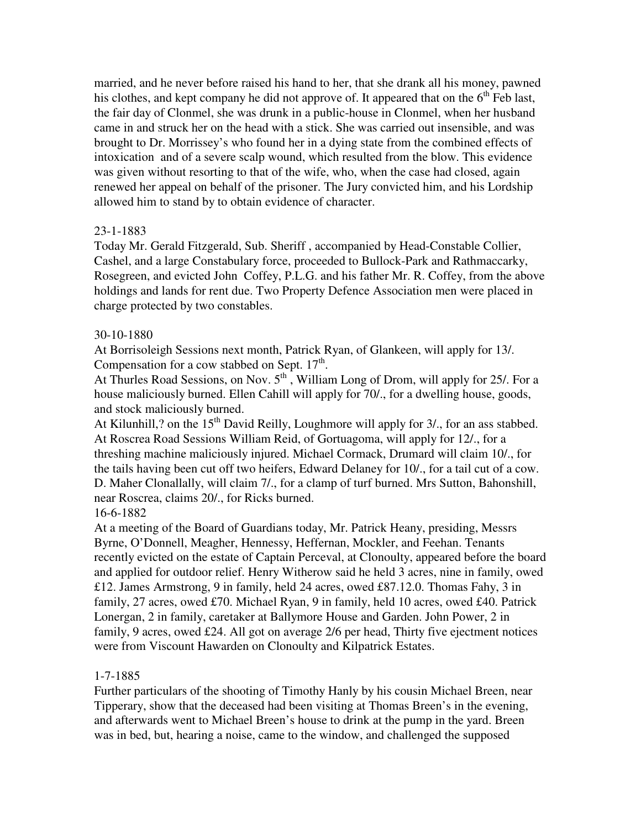married, and he never before raised his hand to her, that she drank all his money, pawned his clothes, and kept company he did not approve of. It appeared that on the  $6<sup>th</sup>$  Feb last, the fair day of Clonmel, she was drunk in a public-house in Clonmel, when her husband came in and struck her on the head with a stick. She was carried out insensible, and was brought to Dr. Morrissey's who found her in a dying state from the combined effects of intoxication and of a severe scalp wound, which resulted from the blow. This evidence was given without resorting to that of the wife, who, when the case had closed, again renewed her appeal on behalf of the prisoner. The Jury convicted him, and his Lordship allowed him to stand by to obtain evidence of character.

## 23-1-1883

Today Mr. Gerald Fitzgerald, Sub. Sheriff , accompanied by Head-Constable Collier, Cashel, and a large Constabulary force, proceeded to Bullock-Park and Rathmaccarky, Rosegreen, and evicted John Coffey, P.L.G. and his father Mr. R. Coffey, from the above holdings and lands for rent due. Two Property Defence Association men were placed in charge protected by two constables.

## 30-10-1880

At Borrisoleigh Sessions next month, Patrick Ryan, of Glankeen, will apply for 13/. Compensation for a cow stabbed on Sept.  $17<sup>th</sup>$ .

At Thurles Road Sessions, on Nov.  $5<sup>th</sup>$ , William Long of Drom, will apply for 25/. For a house maliciously burned. Ellen Cahill will apply for 70/., for a dwelling house, goods, and stock maliciously burned.

At Kilunhill,? on the  $15<sup>th</sup>$  David Reilly, Loughmore will apply for 3/, for an ass stabbed. At Roscrea Road Sessions William Reid, of Gortuagoma, will apply for 12/., for a threshing machine maliciously injured. Michael Cormack, Drumard will claim 10/., for the tails having been cut off two heifers, Edward Delaney for 10/., for a tail cut of a cow. D. Maher Clonallally, will claim 7/., for a clamp of turf burned. Mrs Sutton, Bahonshill, near Roscrea, claims 20/., for Ricks burned.

#### 16-6-1882

At a meeting of the Board of Guardians today, Mr. Patrick Heany, presiding, Messrs Byrne, O'Donnell, Meagher, Hennessy, Heffernan, Mockler, and Feehan. Tenants recently evicted on the estate of Captain Perceval, at Clonoulty, appeared before the board and applied for outdoor relief. Henry Witherow said he held 3 acres, nine in family, owed £12. James Armstrong, 9 in family, held 24 acres, owed £87.12.0. Thomas Fahy, 3 in family, 27 acres, owed £70. Michael Ryan, 9 in family, held 10 acres, owed £40. Patrick Lonergan, 2 in family, caretaker at Ballymore House and Garden. John Power, 2 in family, 9 acres, owed £24. All got on average 2/6 per head, Thirty five ejectment notices were from Viscount Hawarden on Clonoulty and Kilpatrick Estates.

## 1-7-1885

Further particulars of the shooting of Timothy Hanly by his cousin Michael Breen, near Tipperary, show that the deceased had been visiting at Thomas Breen's in the evening, and afterwards went to Michael Breen's house to drink at the pump in the yard. Breen was in bed, but, hearing a noise, came to the window, and challenged the supposed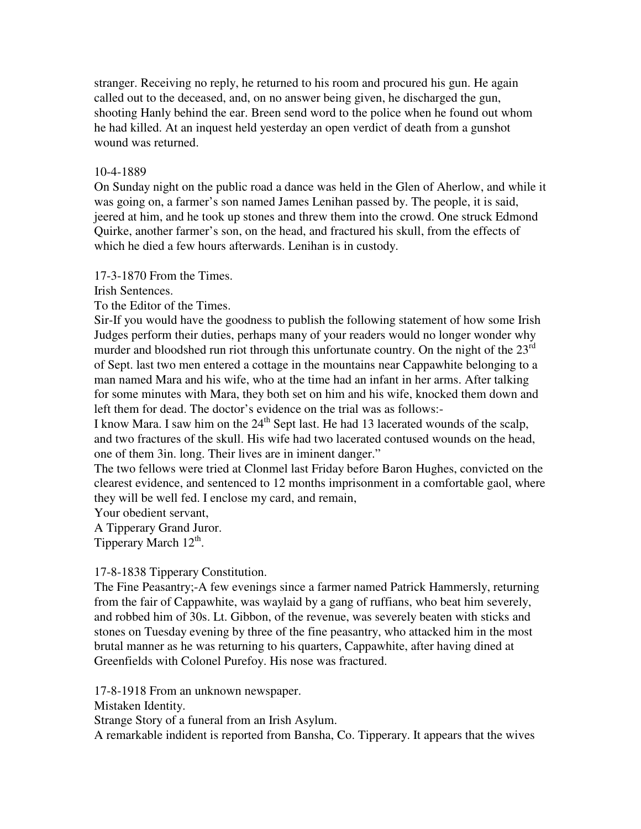stranger. Receiving no reply, he returned to his room and procured his gun. He again called out to the deceased, and, on no answer being given, he discharged the gun, shooting Hanly behind the ear. Breen send word to the police when he found out whom he had killed. At an inquest held yesterday an open verdict of death from a gunshot wound was returned.

## 10-4-1889

On Sunday night on the public road a dance was held in the Glen of Aherlow, and while it was going on, a farmer's son named James Lenihan passed by. The people, it is said, jeered at him, and he took up stones and threw them into the crowd. One struck Edmond Quirke, another farmer's son, on the head, and fractured his skull, from the effects of which he died a few hours afterwards. Lenihan is in custody.

17-3-1870 From the Times.

Irish Sentences.

To the Editor of the Times.

Sir-If you would have the goodness to publish the following statement of how some Irish Judges perform their duties, perhaps many of your readers would no longer wonder why murder and bloodshed run riot through this unfortunate country. On the night of the  $23<sup>rd</sup>$ of Sept. last two men entered a cottage in the mountains near Cappawhite belonging to a man named Mara and his wife, who at the time had an infant in her arms. After talking for some minutes with Mara, they both set on him and his wife, knocked them down and left them for dead. The doctor's evidence on the trial was as follows:-

I know Mara. I saw him on the  $24<sup>th</sup>$  Sept last. He had 13 lacerated wounds of the scalp, and two fractures of the skull. His wife had two lacerated contused wounds on the head, one of them 3in. long. Their lives are in iminent danger."

The two fellows were tried at Clonmel last Friday before Baron Hughes, convicted on the clearest evidence, and sentenced to 12 months imprisonment in a comfortable gaol, where they will be well fed. I enclose my card, and remain,

Your obedient servant,

A Tipperary Grand Juror.

Tipperary March 12<sup>th</sup>.

#### 17-8-1838 Tipperary Constitution.

The Fine Peasantry;-A few evenings since a farmer named Patrick Hammersly, returning from the fair of Cappawhite, was waylaid by a gang of ruffians, who beat him severely, and robbed him of 30s. Lt. Gibbon, of the revenue, was severely beaten with sticks and stones on Tuesday evening by three of the fine peasantry, who attacked him in the most brutal manner as he was returning to his quarters, Cappawhite, after having dined at Greenfields with Colonel Purefoy. His nose was fractured.

17-8-1918 From an unknown newspaper.

Mistaken Identity.

Strange Story of a funeral from an Irish Asylum.

A remarkable indident is reported from Bansha, Co. Tipperary. It appears that the wives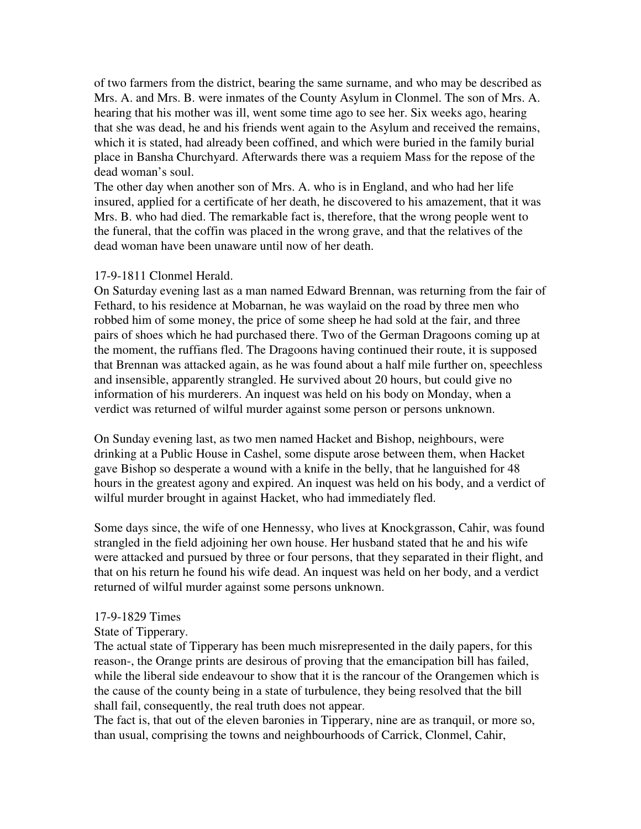of two farmers from the district, bearing the same surname, and who may be described as Mrs. A. and Mrs. B. were inmates of the County Asylum in Clonmel. The son of Mrs. A. hearing that his mother was ill, went some time ago to see her. Six weeks ago, hearing that she was dead, he and his friends went again to the Asylum and received the remains, which it is stated, had already been coffined, and which were buried in the family burial place in Bansha Churchyard. Afterwards there was a requiem Mass for the repose of the dead woman's soul.

The other day when another son of Mrs. A. who is in England, and who had her life insured, applied for a certificate of her death, he discovered to his amazement, that it was Mrs. B. who had died. The remarkable fact is, therefore, that the wrong people went to the funeral, that the coffin was placed in the wrong grave, and that the relatives of the dead woman have been unaware until now of her death.

#### 17-9-1811 Clonmel Herald.

On Saturday evening last as a man named Edward Brennan, was returning from the fair of Fethard, to his residence at Mobarnan, he was waylaid on the road by three men who robbed him of some money, the price of some sheep he had sold at the fair, and three pairs of shoes which he had purchased there. Two of the German Dragoons coming up at the moment, the ruffians fled. The Dragoons having continued their route, it is supposed that Brennan was attacked again, as he was found about a half mile further on, speechless and insensible, apparently strangled. He survived about 20 hours, but could give no information of his murderers. An inquest was held on his body on Monday, when a verdict was returned of wilful murder against some person or persons unknown.

On Sunday evening last, as two men named Hacket and Bishop, neighbours, were drinking at a Public House in Cashel, some dispute arose between them, when Hacket gave Bishop so desperate a wound with a knife in the belly, that he languished for 48 hours in the greatest agony and expired. An inquest was held on his body, and a verdict of wilful murder brought in against Hacket, who had immediately fled.

Some days since, the wife of one Hennessy, who lives at Knockgrasson, Cahir, was found strangled in the field adjoining her own house. Her husband stated that he and his wife were attacked and pursued by three or four persons, that they separated in their flight, and that on his return he found his wife dead. An inquest was held on her body, and a verdict returned of wilful murder against some persons unknown.

## 17-9-1829 Times

## State of Tipperary.

The actual state of Tipperary has been much misrepresented in the daily papers, for this reason-, the Orange prints are desirous of proving that the emancipation bill has failed, while the liberal side endeavour to show that it is the rancour of the Orangemen which is the cause of the county being in a state of turbulence, they being resolved that the bill shall fail, consequently, the real truth does not appear.

The fact is, that out of the eleven baronies in Tipperary, nine are as tranquil, or more so, than usual, comprising the towns and neighbourhoods of Carrick, Clonmel, Cahir,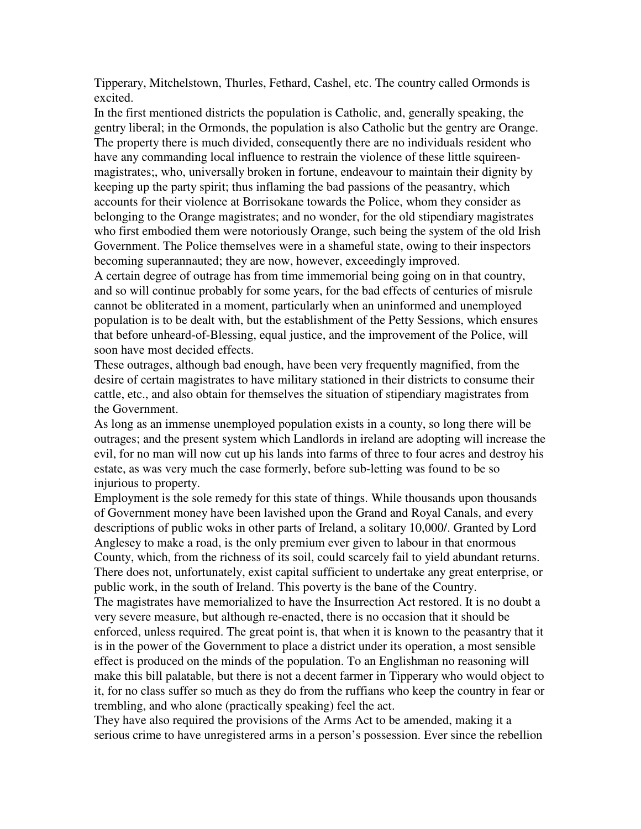Tipperary, Mitchelstown, Thurles, Fethard, Cashel, etc. The country called Ormonds is excited.

In the first mentioned districts the population is Catholic, and, generally speaking, the gentry liberal; in the Ormonds, the population is also Catholic but the gentry are Orange. The property there is much divided, consequently there are no individuals resident who have any commanding local influence to restrain the violence of these little squireenmagistrates;, who, universally broken in fortune, endeavour to maintain their dignity by keeping up the party spirit; thus inflaming the bad passions of the peasantry, which accounts for their violence at Borrisokane towards the Police, whom they consider as belonging to the Orange magistrates; and no wonder, for the old stipendiary magistrates who first embodied them were notoriously Orange, such being the system of the old Irish Government. The Police themselves were in a shameful state, owing to their inspectors becoming superannauted; they are now, however, exceedingly improved.

A certain degree of outrage has from time immemorial being going on in that country, and so will continue probably for some years, for the bad effects of centuries of misrule cannot be obliterated in a moment, particularly when an uninformed and unemployed population is to be dealt with, but the establishment of the Petty Sessions, which ensures that before unheard-of-Blessing, equal justice, and the improvement of the Police, will soon have most decided effects.

These outrages, although bad enough, have been very frequently magnified, from the desire of certain magistrates to have military stationed in their districts to consume their cattle, etc., and also obtain for themselves the situation of stipendiary magistrates from the Government.

As long as an immense unemployed population exists in a county, so long there will be outrages; and the present system which Landlords in ireland are adopting will increase the evil, for no man will now cut up his lands into farms of three to four acres and destroy his estate, as was very much the case formerly, before sub-letting was found to be so injurious to property.

Employment is the sole remedy for this state of things. While thousands upon thousands of Government money have been lavished upon the Grand and Royal Canals, and every descriptions of public woks in other parts of Ireland, a solitary 10,000/. Granted by Lord Anglesey to make a road, is the only premium ever given to labour in that enormous County, which, from the richness of its soil, could scarcely fail to yield abundant returns. There does not, unfortunately, exist capital sufficient to undertake any great enterprise, or public work, in the south of Ireland. This poverty is the bane of the Country.

The magistrates have memorialized to have the Insurrection Act restored. It is no doubt a very severe measure, but although re-enacted, there is no occasion that it should be enforced, unless required. The great point is, that when it is known to the peasantry that it is in the power of the Government to place a district under its operation, a most sensible effect is produced on the minds of the population. To an Englishman no reasoning will make this bill palatable, but there is not a decent farmer in Tipperary who would object to it, for no class suffer so much as they do from the ruffians who keep the country in fear or trembling, and who alone (practically speaking) feel the act.

They have also required the provisions of the Arms Act to be amended, making it a serious crime to have unregistered arms in a person's possession. Ever since the rebellion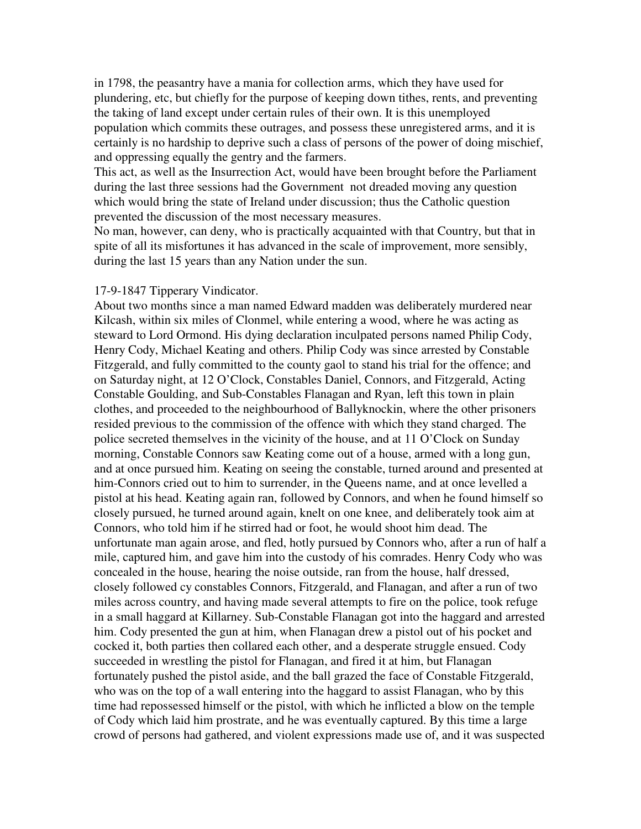in 1798, the peasantry have a mania for collection arms, which they have used for plundering, etc, but chiefly for the purpose of keeping down tithes, rents, and preventing the taking of land except under certain rules of their own. It is this unemployed population which commits these outrages, and possess these unregistered arms, and it is certainly is no hardship to deprive such a class of persons of the power of doing mischief, and oppressing equally the gentry and the farmers.

This act, as well as the Insurrection Act, would have been brought before the Parliament during the last three sessions had the Government not dreaded moving any question which would bring the state of Ireland under discussion; thus the Catholic question prevented the discussion of the most necessary measures.

No man, however, can deny, who is practically acquainted with that Country, but that in spite of all its misfortunes it has advanced in the scale of improvement, more sensibly, during the last 15 years than any Nation under the sun.

## 17-9-1847 Tipperary Vindicator.

About two months since a man named Edward madden was deliberately murdered near Kilcash, within six miles of Clonmel, while entering a wood, where he was acting as steward to Lord Ormond. His dying declaration inculpated persons named Philip Cody, Henry Cody, Michael Keating and others. Philip Cody was since arrested by Constable Fitzgerald, and fully committed to the county gaol to stand his trial for the offence; and on Saturday night, at 12 O'Clock, Constables Daniel, Connors, and Fitzgerald, Acting Constable Goulding, and Sub-Constables Flanagan and Ryan, left this town in plain clothes, and proceeded to the neighbourhood of Ballyknockin, where the other prisoners resided previous to the commission of the offence with which they stand charged. The police secreted themselves in the vicinity of the house, and at 11 O'Clock on Sunday morning, Constable Connors saw Keating come out of a house, armed with a long gun, and at once pursued him. Keating on seeing the constable, turned around and presented at him-Connors cried out to him to surrender, in the Queens name, and at once levelled a pistol at his head. Keating again ran, followed by Connors, and when he found himself so closely pursued, he turned around again, knelt on one knee, and deliberately took aim at Connors, who told him if he stirred had or foot, he would shoot him dead. The unfortunate man again arose, and fled, hotly pursued by Connors who, after a run of half a mile, captured him, and gave him into the custody of his comrades. Henry Cody who was concealed in the house, hearing the noise outside, ran from the house, half dressed, closely followed cy constables Connors, Fitzgerald, and Flanagan, and after a run of two miles across country, and having made several attempts to fire on the police, took refuge in a small haggard at Killarney. Sub-Constable Flanagan got into the haggard and arrested him. Cody presented the gun at him, when Flanagan drew a pistol out of his pocket and cocked it, both parties then collared each other, and a desperate struggle ensued. Cody succeeded in wrestling the pistol for Flanagan, and fired it at him, but Flanagan fortunately pushed the pistol aside, and the ball grazed the face of Constable Fitzgerald, who was on the top of a wall entering into the haggard to assist Flanagan, who by this time had repossessed himself or the pistol, with which he inflicted a blow on the temple of Cody which laid him prostrate, and he was eventually captured. By this time a large crowd of persons had gathered, and violent expressions made use of, and it was suspected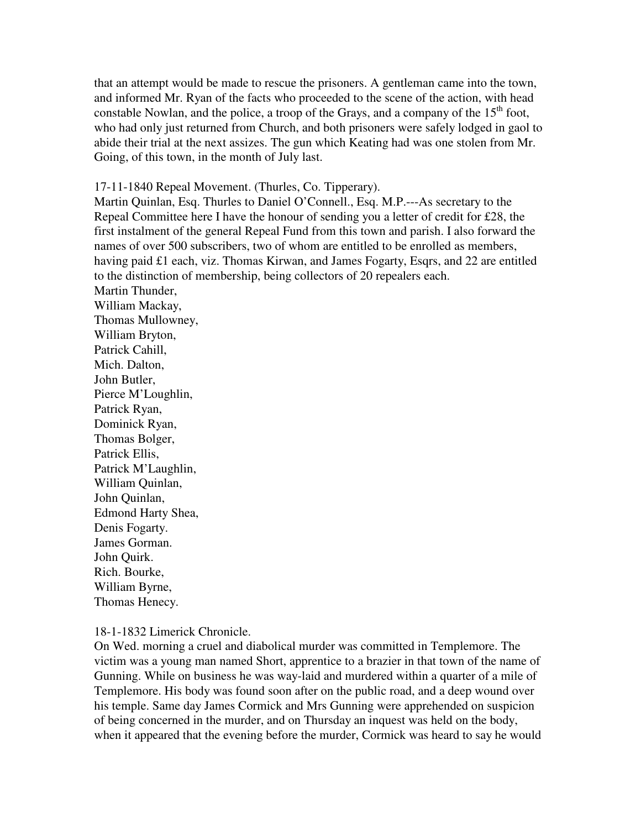that an attempt would be made to rescue the prisoners. A gentleman came into the town, and informed Mr. Ryan of the facts who proceeded to the scene of the action, with head constable Nowlan, and the police, a troop of the Grays, and a company of the  $15<sup>th</sup>$  foot, who had only just returned from Church, and both prisoners were safely lodged in gaol to abide their trial at the next assizes. The gun which Keating had was one stolen from Mr. Going, of this town, in the month of July last.

17-11-1840 Repeal Movement. (Thurles, Co. Tipperary).

Martin Quinlan, Esq. Thurles to Daniel O'Connell., Esq. M.P.---As secretary to the Repeal Committee here I have the honour of sending you a letter of credit for £28, the first instalment of the general Repeal Fund from this town and parish. I also forward the names of over 500 subscribers, two of whom are entitled to be enrolled as members, having paid £1 each, viz. Thomas Kirwan, and James Fogarty, Esqrs, and 22 are entitled to the distinction of membership, being collectors of 20 repealers each.

Martin Thunder, William Mackay, Thomas Mullowney, William Bryton, Patrick Cahill, Mich. Dalton, John Butler, Pierce M'Loughlin, Patrick Ryan, Dominick Ryan, Thomas Bolger, Patrick Ellis, Patrick M'Laughlin, William Quinlan, John Quinlan, Edmond Harty Shea, Denis Fogarty. James Gorman. John Quirk. Rich. Bourke, William Byrne, Thomas Henecy.

18-1-1832 Limerick Chronicle.

On Wed. morning a cruel and diabolical murder was committed in Templemore. The victim was a young man named Short, apprentice to a brazier in that town of the name of Gunning. While on business he was way-laid and murdered within a quarter of a mile of Templemore. His body was found soon after on the public road, and a deep wound over his temple. Same day James Cormick and Mrs Gunning were apprehended on suspicion of being concerned in the murder, and on Thursday an inquest was held on the body, when it appeared that the evening before the murder, Cormick was heard to say he would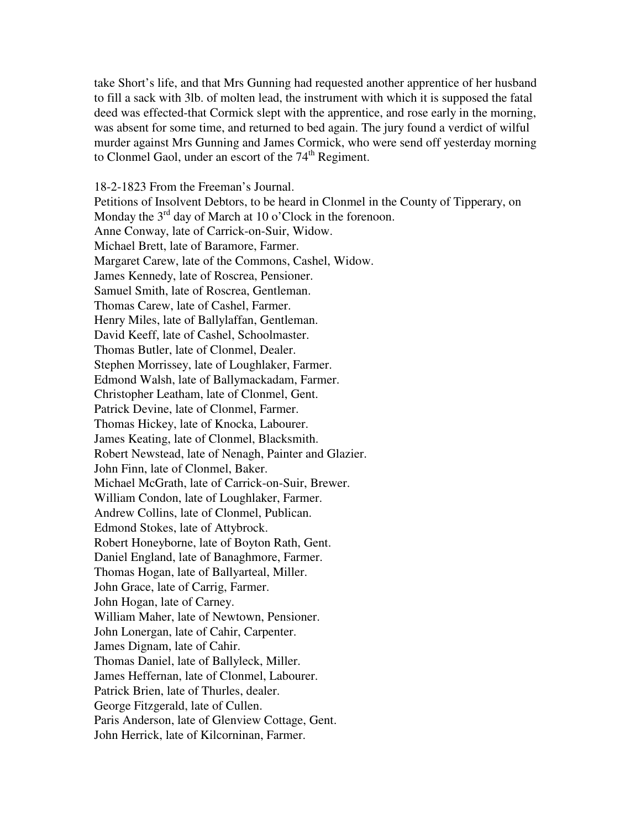take Short's life, and that Mrs Gunning had requested another apprentice of her husband to fill a sack with 3lb. of molten lead, the instrument with which it is supposed the fatal deed was effected-that Cormick slept with the apprentice, and rose early in the morning, was absent for some time, and returned to bed again. The jury found a verdict of wilful murder against Mrs Gunning and James Cormick, who were send off yesterday morning to Clonmel Gaol, under an escort of the  $74<sup>th</sup>$  Regiment.

18-2-1823 From the Freeman's Journal. Petitions of Insolvent Debtors, to be heard in Clonmel in the County of Tipperary, on Monday the  $3<sup>rd</sup>$  day of March at 10 o'Clock in the forenoon. Anne Conway, late of Carrick-on-Suir, Widow. Michael Brett, late of Baramore, Farmer. Margaret Carew, late of the Commons, Cashel, Widow. James Kennedy, late of Roscrea, Pensioner. Samuel Smith, late of Roscrea, Gentleman. Thomas Carew, late of Cashel, Farmer. Henry Miles, late of Ballylaffan, Gentleman. David Keeff, late of Cashel, Schoolmaster. Thomas Butler, late of Clonmel, Dealer. Stephen Morrissey, late of Loughlaker, Farmer. Edmond Walsh, late of Ballymackadam, Farmer. Christopher Leatham, late of Clonmel, Gent. Patrick Devine, late of Clonmel, Farmer. Thomas Hickey, late of Knocka, Labourer. James Keating, late of Clonmel, Blacksmith. Robert Newstead, late of Nenagh, Painter and Glazier. John Finn, late of Clonmel, Baker. Michael McGrath, late of Carrick-on-Suir, Brewer. William Condon, late of Loughlaker, Farmer. Andrew Collins, late of Clonmel, Publican. Edmond Stokes, late of Attybrock. Robert Honeyborne, late of Boyton Rath, Gent. Daniel England, late of Banaghmore, Farmer. Thomas Hogan, late of Ballyarteal, Miller. John Grace, late of Carrig, Farmer. John Hogan, late of Carney. William Maher, late of Newtown, Pensioner. John Lonergan, late of Cahir, Carpenter. James Dignam, late of Cahir. Thomas Daniel, late of Ballyleck, Miller. James Heffernan, late of Clonmel, Labourer. Patrick Brien, late of Thurles, dealer. George Fitzgerald, late of Cullen. Paris Anderson, late of Glenview Cottage, Gent. John Herrick, late of Kilcorninan, Farmer.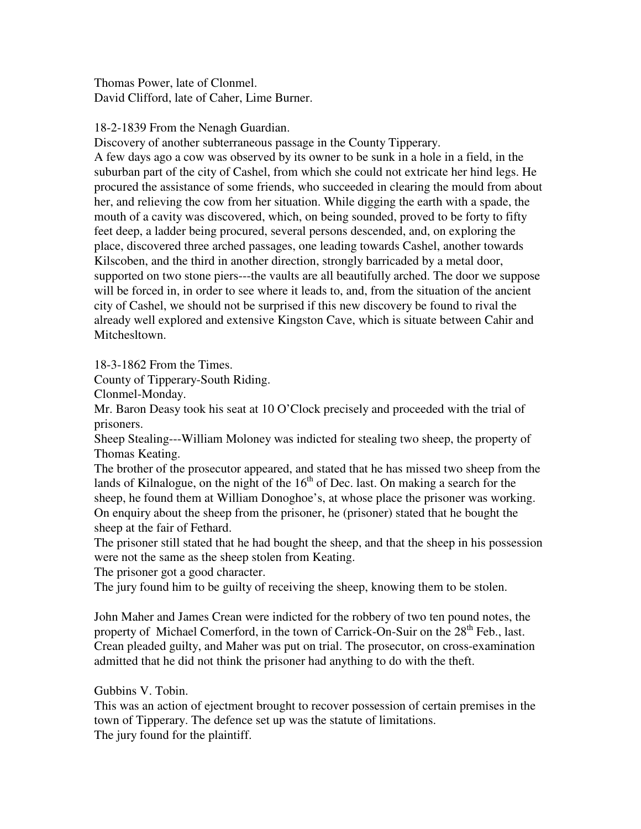Thomas Power, late of Clonmel. David Clifford, late of Caher, Lime Burner.

18-2-1839 From the Nenagh Guardian.

Discovery of another subterraneous passage in the County Tipperary.

A few days ago a cow was observed by its owner to be sunk in a hole in a field, in the suburban part of the city of Cashel, from which she could not extricate her hind legs. He procured the assistance of some friends, who succeeded in clearing the mould from about her, and relieving the cow from her situation. While digging the earth with a spade, the mouth of a cavity was discovered, which, on being sounded, proved to be forty to fifty feet deep, a ladder being procured, several persons descended, and, on exploring the place, discovered three arched passages, one leading towards Cashel, another towards Kilscoben, and the third in another direction, strongly barricaded by a metal door, supported on two stone piers---the vaults are all beautifully arched. The door we suppose will be forced in, in order to see where it leads to, and, from the situation of the ancient city of Cashel, we should not be surprised if this new discovery be found to rival the already well explored and extensive Kingston Cave, which is situate between Cahir and Mitchesltown.

18-3-1862 From the Times.

County of Tipperary-South Riding.

Clonmel-Monday.

Mr. Baron Deasy took his seat at 10 O'Clock precisely and proceeded with the trial of prisoners.

Sheep Stealing---William Moloney was indicted for stealing two sheep, the property of Thomas Keating.

The brother of the prosecutor appeared, and stated that he has missed two sheep from the lands of Kilnalogue, on the night of the  $16<sup>th</sup>$  of Dec. last. On making a search for the sheep, he found them at William Donoghoe's, at whose place the prisoner was working. On enquiry about the sheep from the prisoner, he (prisoner) stated that he bought the sheep at the fair of Fethard.

The prisoner still stated that he had bought the sheep, and that the sheep in his possession were not the same as the sheep stolen from Keating.

The prisoner got a good character.

The jury found him to be guilty of receiving the sheep, knowing them to be stolen.

John Maher and James Crean were indicted for the robbery of two ten pound notes, the property of Michael Comerford, in the town of Carrick-On-Suir on the  $28<sup>th</sup>$  Feb., last. Crean pleaded guilty, and Maher was put on trial. The prosecutor, on cross-examination admitted that he did not think the prisoner had anything to do with the theft.

Gubbins V. Tobin.

This was an action of ejectment brought to recover possession of certain premises in the town of Tipperary. The defence set up was the statute of limitations. The jury found for the plaintiff.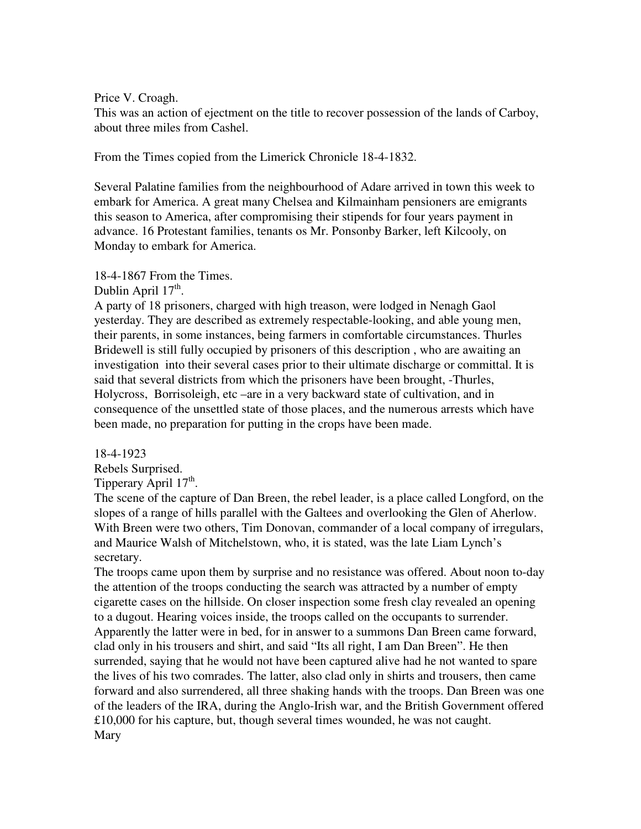Price V. Croagh.

This was an action of ejectment on the title to recover possession of the lands of Carboy, about three miles from Cashel.

From the Times copied from the Limerick Chronicle 18-4-1832.

Several Palatine families from the neighbourhood of Adare arrived in town this week to embark for America. A great many Chelsea and Kilmainham pensioners are emigrants this season to America, after compromising their stipends for four years payment in advance. 16 Protestant families, tenants os Mr. Ponsonby Barker, left Kilcooly, on Monday to embark for America.

18-4-1867 From the Times.

Dublin April  $17<sup>th</sup>$ .

A party of 18 prisoners, charged with high treason, were lodged in Nenagh Gaol yesterday. They are described as extremely respectable-looking, and able young men, their parents, in some instances, being farmers in comfortable circumstances. Thurles Bridewell is still fully occupied by prisoners of this description , who are awaiting an investigation into their several cases prior to their ultimate discharge or committal. It is said that several districts from which the prisoners have been brought, -Thurles, Holycross, Borrisoleigh, etc –are in a very backward state of cultivation, and in consequence of the unsettled state of those places, and the numerous arrests which have been made, no preparation for putting in the crops have been made.

18-4-1923

Rebels Surprised.

Tipperary April 17<sup>th</sup>.

The scene of the capture of Dan Breen, the rebel leader, is a place called Longford, on the slopes of a range of hills parallel with the Galtees and overlooking the Glen of Aherlow. With Breen were two others, Tim Donovan, commander of a local company of irregulars, and Maurice Walsh of Mitchelstown, who, it is stated, was the late Liam Lynch's secretary.

The troops came upon them by surprise and no resistance was offered. About noon to-day the attention of the troops conducting the search was attracted by a number of empty cigarette cases on the hillside. On closer inspection some fresh clay revealed an opening to a dugout. Hearing voices inside, the troops called on the occupants to surrender. Apparently the latter were in bed, for in answer to a summons Dan Breen came forward, clad only in his trousers and shirt, and said "Its all right, I am Dan Breen". He then surrended, saying that he would not have been captured alive had he not wanted to spare the lives of his two comrades. The latter, also clad only in shirts and trousers, then came forward and also surrendered, all three shaking hands with the troops. Dan Breen was one of the leaders of the IRA, during the Anglo-Irish war, and the British Government offered £10,000 for his capture, but, though several times wounded, he was not caught. Mary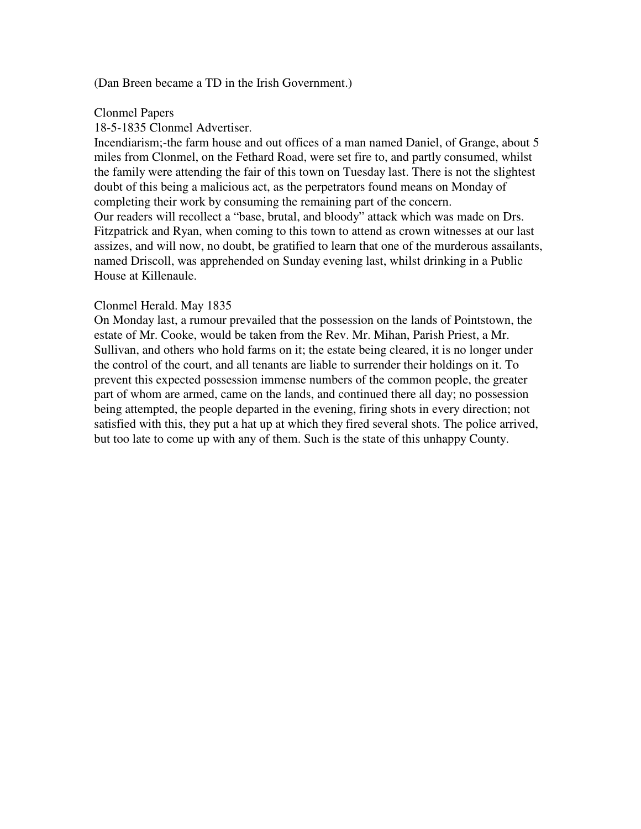## (Dan Breen became a TD in the Irish Government.)

### Clonmel Papers

## 18-5-1835 Clonmel Advertiser.

Incendiarism;-the farm house and out offices of a man named Daniel, of Grange, about 5 miles from Clonmel, on the Fethard Road, were set fire to, and partly consumed, whilst the family were attending the fair of this town on Tuesday last. There is not the slightest doubt of this being a malicious act, as the perpetrators found means on Monday of completing their work by consuming the remaining part of the concern. Our readers will recollect a "base, brutal, and bloody" attack which was made on Drs. Fitzpatrick and Ryan, when coming to this town to attend as crown witnesses at our last assizes, and will now, no doubt, be gratified to learn that one of the murderous assailants, named Driscoll, was apprehended on Sunday evening last, whilst drinking in a Public House at Killenaule.

## Clonmel Herald. May 1835

On Monday last, a rumour prevailed that the possession on the lands of Pointstown, the estate of Mr. Cooke, would be taken from the Rev. Mr. Mihan, Parish Priest, a Mr. Sullivan, and others who hold farms on it; the estate being cleared, it is no longer under the control of the court, and all tenants are liable to surrender their holdings on it. To prevent this expected possession immense numbers of the common people, the greater part of whom are armed, came on the lands, and continued there all day; no possession being attempted, the people departed in the evening, firing shots in every direction; not satisfied with this, they put a hat up at which they fired several shots. The police arrived, but too late to come up with any of them. Such is the state of this unhappy County.